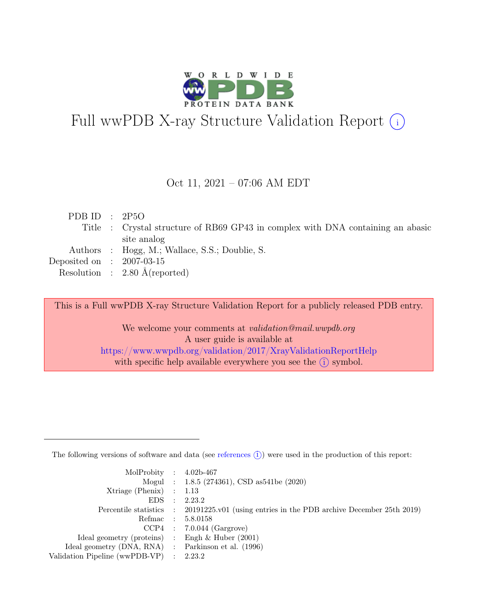

# Full wwPDB X-ray Structure Validation Report  $(i)$

### Oct 11, 2021 – 07:06 AM EDT

| PDB ID : $2P5O$             |                                                                                 |
|-----------------------------|---------------------------------------------------------------------------------|
|                             | Title : Crystal structure of RB69 GP43 in complex with DNA containing an abasic |
|                             | site analog                                                                     |
|                             | Authors : Hogg, M.; Wallace, S.S.; Doublie, S.                                  |
| Deposited on : $2007-03-15$ |                                                                                 |
|                             | Resolution : $2.80 \text{ Å}$ (reported)                                        |

This is a Full wwPDB X-ray Structure Validation Report for a publicly released PDB entry.

We welcome your comments at *validation@mail.wwpdb.org* A user guide is available at <https://www.wwpdb.org/validation/2017/XrayValidationReportHelp> with specific help available everywhere you see the  $(i)$  symbol.

The following versions of software and data (see [references](https://www.wwpdb.org/validation/2017/XrayValidationReportHelp#references)  $(i)$ ) were used in the production of this report:

| MolProbity : $4.02b-467$                            |                                                                                            |
|-----------------------------------------------------|--------------------------------------------------------------------------------------------|
|                                                     | Mogul : 1.8.5 (274361), CSD as 541be (2020)                                                |
| Xtriage (Phenix) $: 1.13$                           |                                                                                            |
| $EDS$ :                                             | 2.23.2                                                                                     |
|                                                     | Percentile statistics : 20191225.v01 (using entries in the PDB archive December 25th 2019) |
| Refmac : 5.8.0158                                   |                                                                                            |
|                                                     | $CCP4$ : 7.0.044 (Gargrove)                                                                |
| Ideal geometry (proteins) : Engh $\&$ Huber (2001)  |                                                                                            |
| Ideal geometry (DNA, RNA) : Parkinson et al. (1996) |                                                                                            |
| Validation Pipeline (wwPDB-VP) : 2.23.2             |                                                                                            |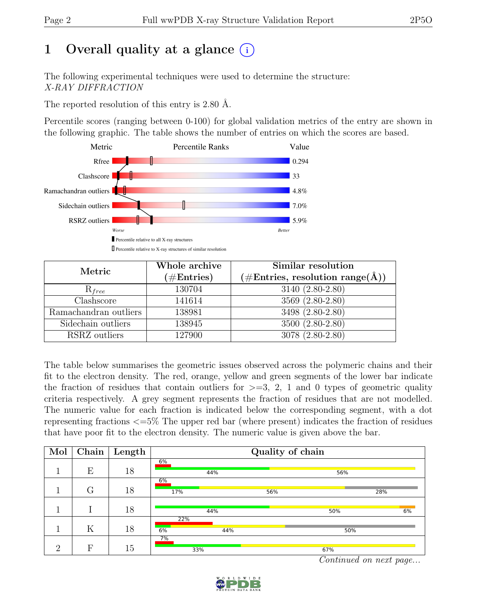### 1 Overall quality at a glance  $(i)$

The following experimental techniques were used to determine the structure: X-RAY DIFFRACTION

The reported resolution of this entry is 2.80 Å.

Percentile scores (ranging between 0-100) for global validation metrics of the entry are shown in the following graphic. The table shows the number of entries on which the scores are based.



| Metric                | Whole archive<br>$(\#Entries)$ | Similar resolution<br>$(\#Entries, resolution range(A))$ |
|-----------------------|--------------------------------|----------------------------------------------------------|
| $R_{free}$            | 130704                         | 3140 (2.80-2.80)                                         |
| Clashscore            | 141614                         | 3569 (2.80-2.80)                                         |
| Ramachandran outliers | 138981                         | $3498 (2.80-2.80)$                                       |
| Sidechain outliers    | 138945                         | 3500 (2.80-2.80)                                         |
| RSRZ outliers         | 127900                         | 3078 (2.80-2.80)                                         |

The table below summarises the geometric issues observed across the polymeric chains and their fit to the electron density. The red, orange, yellow and green segments of the lower bar indicate the fraction of residues that contain outliers for  $\geq$ =3, 2, 1 and 0 types of geometric quality criteria respectively. A grey segment represents the fraction of residues that are not modelled. The numeric value for each fraction is indicated below the corresponding segment, with a dot representing fractions <=5% The upper red bar (where present) indicates the fraction of residues that have poor fit to the electron density. The numeric value is given above the bar.

| Mol      |   | $\boxed{\text{Chain}}$ Length | Quality of chain |     |     |     |  |
|----------|---|-------------------------------|------------------|-----|-----|-----|--|
|          | E | 18                            | 6%<br>44%        |     | 56% |     |  |
|          | G | 18                            | 6%<br>17%        | 56% |     | 28% |  |
|          |   | 18                            | 44%              |     | 50% | 6%  |  |
|          | K | 18                            | 22%<br>6%        | 44% | 50% |     |  |
| $\Omega$ | F | 15                            | 7%<br>33%        |     | 67% |     |  |

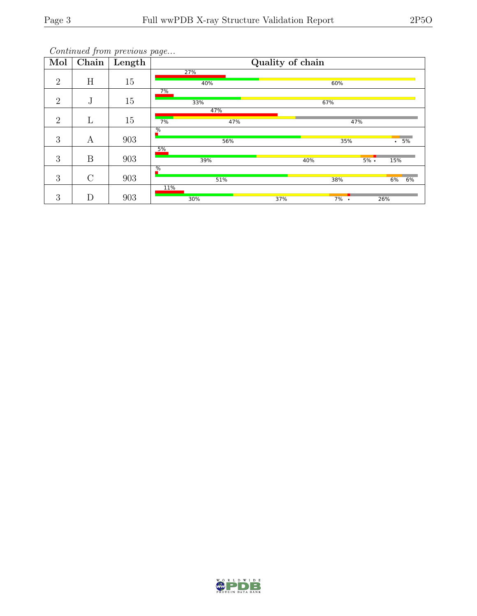| Mol            | Chain       | Length | Quality of chain     |     |                 |  |  |
|----------------|-------------|--------|----------------------|-----|-----------------|--|--|
| 2              | H           | 15     | 27%<br>40%           |     | 60%             |  |  |
| $\overline{2}$ | $\mathbf J$ | 15     | 7%<br>33%            | 67% |                 |  |  |
|                |             |        | 47%                  |     |                 |  |  |
| 2              | L           | 15     | 47%<br>7%            |     | 47%             |  |  |
| 3              | А           | 903    | $\frac{9}{6}$<br>56% |     | .5%<br>35%      |  |  |
| 3              | B           | 903    | 5%<br>39%            | 40% | $5\%$ .<br>15%  |  |  |
| 3              | $\rm C$     | 903    | $\frac{9}{6}$<br>51% |     | 38%<br>6%<br>6% |  |  |
| 3              | D           | 903    | 11%<br>30%           | 37% | $7\%$ .<br>26%  |  |  |

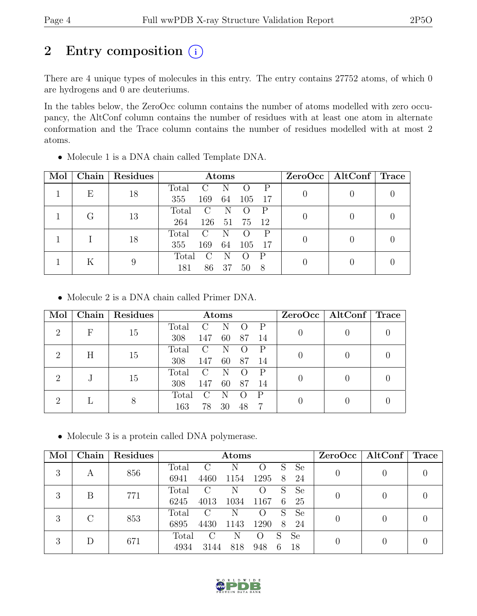### 2 Entry composition  $(i)$

There are 4 unique types of molecules in this entry. The entry contains 27752 atoms, of which 0 are hydrogens and 0 are deuteriums.

In the tables below, the ZeroOcc column contains the number of atoms modelled with zero occupancy, the AltConf column contains the number of residues with at least one atom in alternate conformation and the Trace column contains the number of residues modelled with at most 2 atoms.

| Mol |                  | Chain   Residues           | Atoms                                     | $ZeroOcc \mid AltConf \mid Trace$ |  |
|-----|------------------|----------------------------|-------------------------------------------|-----------------------------------|--|
|     | E<br>18          |                            | Total                                     |                                   |  |
|     |                  |                            | 355<br>169<br>64<br>17<br>105             |                                   |  |
|     | $\mathfrak{c}_1$ | 13                         | Total<br>N<br>P<br>$\mathcal{C}$          |                                   |  |
|     |                  |                            | 264<br>126<br>75<br>12<br>51              |                                   |  |
|     |                  | 18                         | Total<br>P<br>$\mathcal{C}_{\mathcal{C}}$ |                                   |  |
|     |                  |                            | 355<br>169<br>64<br>105<br>-17            |                                   |  |
|     |                  |                            | Total<br>P                                |                                   |  |
| ĸ   | 9                | 181<br>86<br>37<br>8<br>50 |                                           |                                   |  |

• Molecule 1 is a DNA chain called Template DNA.

• Molecule 2 is a DNA chain called Primer DNA.

| Mol                         | <b>Chain</b> | <b>Residues</b> |       |                        | Atoms |    |              |  | $ZeroOcc \   \$ AltConf | Trace |
|-----------------------------|--------------|-----------------|-------|------------------------|-------|----|--------------|--|-------------------------|-------|
| $\overline{2}$              | $_{\rm F}$   | 15              | Total | $\mathcal{C}$          | N     |    |              |  |                         |       |
|                             |              |                 | 308   | 147                    | 60    | 87 | 14           |  |                         |       |
| $\mathcal{D}_{\mathcal{L}}$ | Η            | 15              | Total | $\left( \ \right)$     | N     |    |              |  |                         |       |
|                             |              |                 | 308   | 147                    | 60    | 87 | 14           |  |                         |       |
| റ                           |              |                 | Total | $\left( \cdot \right)$ | N     |    |              |  |                         |       |
|                             |              | 15              | 308   | 147                    | 60    | 87 | 14           |  |                         |       |
| റ                           |              |                 | Total |                        | N     |    | $\mathbf{P}$ |  |                         |       |
|                             |              | 8               | 163   | 78                     | 30    | 48 |              |  |                         |       |

• Molecule 3 is a protein called DNA polymerase.

| Mol | Chain         | Residues |       |                             | Atoms |                    |   |               | ZeroOcc | AltConf $\vert$ Trace |  |
|-----|---------------|----------|-------|-----------------------------|-------|--------------------|---|---------------|---------|-----------------------|--|
| 3   | А             | 856      | Total | $\mathcal{C}$               | N     |                    | S | <b>Se</b>     |         |                       |  |
|     |               |          | 6941  | 4460                        | 1154  | 1295               | 8 | 24            |         |                       |  |
| 3   | B             | 771      | Total | C                           |       |                    | S | <sub>Se</sub> |         |                       |  |
|     |               |          | 6245  | 4013                        | 1034  | 1167               | 6 | 25            |         |                       |  |
| 3   | $\mathcal{C}$ | 853      | Total | $\mathcal{C}$               | N     | ( )                | S | <b>Se</b>     |         |                       |  |
|     |               |          | 6895  | 4430                        | 1143  | 1290               | 8 | 24            |         |                       |  |
|     | 3<br>Ð        | 671      | Total | $\mathcal{C}_{\mathcal{C}}$ | Ν     | $\left( \ \right)$ | S | Se            |         |                       |  |
|     |               |          | 4934  | 3144                        | 818   | 948                | 6 | 18            |         |                       |  |

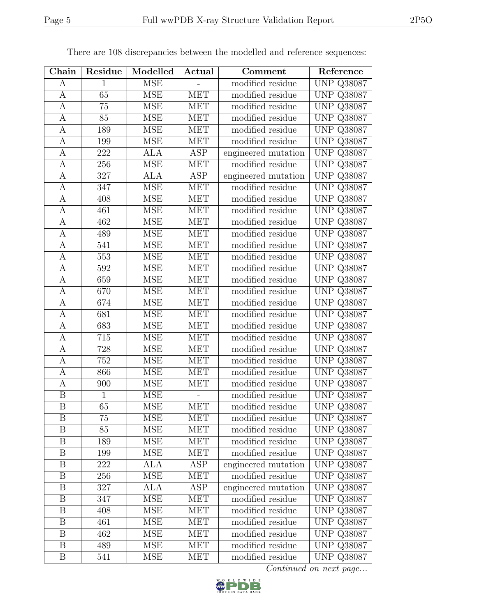| Chain                   | Residue          | Modelled                | Actual     | Comment             | Reference         |
|-------------------------|------------------|-------------------------|------------|---------------------|-------------------|
| А                       | 1                | <b>MSE</b>              |            | modified residue    | <b>UNP Q38087</b> |
| A                       | 65               | <b>MSE</b>              | <b>MET</b> | modified residue    | <b>UNP Q38087</b> |
| $\mathbf{A}$            | 75               | <b>MSE</b>              | <b>MET</b> | modified residue    | <b>UNP Q38087</b> |
| A                       | 85               | <b>MSE</b>              | <b>MET</b> | modified residue    | <b>UNP Q38087</b> |
| $\boldsymbol{A}$        | 189              | <b>MSE</b>              | <b>MET</b> | modified residue    | <b>UNP Q38087</b> |
| A                       | 199              | <b>MSE</b>              | <b>MET</b> | modified residue    | <b>UNP Q38087</b> |
| А                       | 222              | <b>ALA</b>              | ASP        | engineered mutation | <b>UNP Q38087</b> |
| A                       | 256              | <b>MSE</b>              | MET        | modified residue    | <b>UNP Q38087</b> |
| А                       | 327              | $AL\overline{A}$        | ASP        | engineered mutation | <b>UNP Q38087</b> |
| А                       | 347              | <b>MSE</b>              | <b>MET</b> | modified residue    | <b>UNP Q38087</b> |
| A                       | 408              | <b>MSE</b>              | <b>MET</b> | modified residue    | <b>UNP Q38087</b> |
| A                       | 461              | <b>MSE</b>              | <b>MET</b> | modified residue    | <b>UNP Q38087</b> |
| $\mathbf{A}$            | 462              | $\overline{\text{MSE}}$ | <b>MET</b> | modified residue    | <b>UNP Q38087</b> |
| $\mathbf{A}$            | 489              | <b>MSE</b>              | <b>MET</b> | modified residue    | <b>UNP Q38087</b> |
| A                       | 541              | <b>MSE</b>              | MET        | modified residue    | <b>UNP Q38087</b> |
| $\mathbf{A}$            | 553              | <b>MSE</b>              | <b>MET</b> | modified residue    | <b>UNP Q38087</b> |
| $\mathbf{A}$            | 592              | <b>MSE</b>              | <b>MET</b> | modified residue    | <b>UNP Q38087</b> |
| $\mathbf{A}$            | 659              | <b>MSE</b>              | <b>MET</b> | modified residue    | <b>UNP Q38087</b> |
| A                       | 670              | <b>MSE</b>              | <b>MET</b> | modified residue    | <b>UNP Q38087</b> |
| $\mathbf{A}$            | 674              | <b>MSE</b>              | <b>MET</b> | modified residue    | <b>UNP Q38087</b> |
| A                       | 681              | <b>MSE</b>              | <b>MET</b> | modified residue    | <b>UNP Q38087</b> |
| A                       | 683              | <b>MSE</b>              | <b>MET</b> | modified residue    | <b>UNP Q38087</b> |
| $\mathbf{A}$            | $\overline{715}$ | <b>MSE</b>              | <b>MET</b> | modified residue    | <b>UNP Q38087</b> |
| A                       | 728              | <b>MSE</b>              | <b>MET</b> | modified residue    | <b>UNP Q38087</b> |
| A                       | 752              | <b>MSE</b>              | <b>MET</b> | modified residue    | <b>UNP Q38087</b> |
| А                       | 866              | <b>MSE</b>              | <b>MET</b> | modified residue    | <b>UNP Q38087</b> |
| A                       | 900              | <b>MSE</b>              | <b>MET</b> | modified residue    | <b>UNP Q38087</b> |
| $\overline{\mathrm{B}}$ | 1                | <b>MSE</b>              |            | modified residue    | <b>UNP Q38087</b> |
| $\boldsymbol{B}$        | 65               | <b>MSE</b>              | <b>MET</b> | modified residue    | UNP Q38087        |
| B                       | 75               | MSE                     | MET        | modified residue    | <b>UNP Q38087</b> |
| B                       | 85               | <b>MSE</b>              | MET        | modified residue    | <b>UNP Q38087</b> |
| $\boldsymbol{B}$        | 189              | <b>MSE</b>              | MET        | modified residue    | <b>UNP Q38087</b> |
| B                       | 199              | <b>MSE</b>              | <b>MET</b> | modified residue    | <b>UNP Q38087</b> |
| B                       | 222              | ALA                     | ASP        | engineered mutation | <b>UNP Q38087</b> |
| $\boldsymbol{B}$        | 256              | <b>MSE</b>              | <b>MET</b> | modified residue    | <b>UNP Q38087</b> |
| $\boldsymbol{B}$        | 327              | <b>ALA</b>              | ASP        | engineered mutation | <b>UNP Q38087</b> |
| $\boldsymbol{B}$        | 347              | <b>MSE</b>              | <b>MET</b> | modified residue    | <b>UNP Q38087</b> |
| $\boldsymbol{B}$        | 408              | <b>MSE</b>              | <b>MET</b> | modified residue    | <b>UNP Q38087</b> |
| $\boldsymbol{B}$        | 461              | <b>MSE</b>              | <b>MET</b> | modified residue    | <b>UNP Q38087</b> |
| $\boldsymbol{B}$        | 462              | <b>MSE</b>              | <b>MET</b> | modified residue    | <b>UNP Q38087</b> |
| Β                       | 489              | <b>MSE</b>              | <b>MET</b> | modified residue    | <b>UNP Q38087</b> |
| $\boldsymbol{B}$        | 541              | <b>MSE</b>              | <b>MET</b> | modified residue    | <b>UNP Q38087</b> |

There are 108 discrepancies between the modelled and reference sequences:

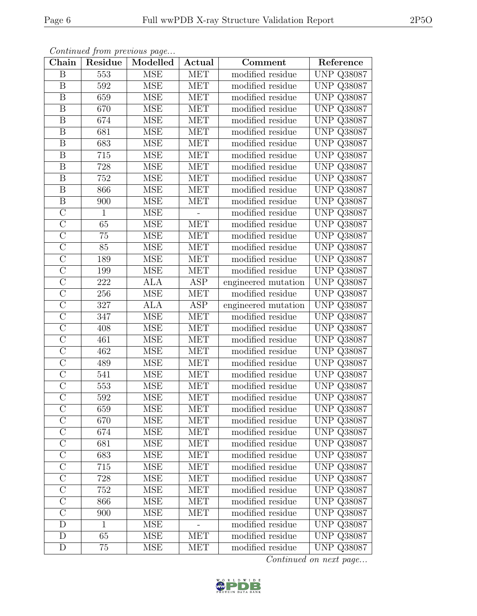| Chain                   | Residue          | Modelled   | Actual     | Comment             | Reference         |
|-------------------------|------------------|------------|------------|---------------------|-------------------|
| B                       | 553              | <b>MSE</b> | <b>MET</b> | modified residue    | <b>UNP Q38087</b> |
| B                       | $592\,$          | <b>MSE</b> | MET        | modified residue    | <b>UNP Q38087</b> |
| B                       | 659              | <b>MSE</b> | <b>MET</b> | modified residue    | <b>UNP Q38087</b> |
| $\boldsymbol{B}$        | 670              | <b>MSE</b> | <b>MET</b> | modified residue    | <b>UNP Q38087</b> |
| $\boldsymbol{B}$        | 674              | <b>MSE</b> | <b>MET</b> | modified residue    | <b>UNP Q38087</b> |
| $\boldsymbol{B}$        | 681              | <b>MSE</b> | <b>MET</b> | modified residue    | <b>UNP Q38087</b> |
| B                       | 683              | <b>MSE</b> | <b>MET</b> | modified residue    | <b>UNP Q38087</b> |
| $\overline{B}$          | 715              | <b>MSE</b> | <b>MET</b> | modified residue    | <b>UNP Q38087</b> |
| $\boldsymbol{B}$        | 728              | <b>MSE</b> | <b>MET</b> | modified residue    | <b>UNP Q38087</b> |
| $\overline{\mathrm{B}}$ | $\overline{752}$ | <b>MSE</b> | <b>MET</b> | modified residue    | <b>UNP Q38087</b> |
| $\boldsymbol{B}$        | 866              | <b>MSE</b> | <b>MET</b> | modified residue    | <b>UNP Q38087</b> |
| $\overline{\mathrm{B}}$ | 900              | <b>MSE</b> | <b>MET</b> | modified residue    | <b>UNP Q38087</b> |
| $\overline{C}$          | $\mathbf{1}$     | <b>MSE</b> |            | modified residue    | <b>UNP Q38087</b> |
| $\overline{C}$          | 65               | <b>MSE</b> | <b>MET</b> | modified residue    | <b>UNP Q38087</b> |
| $\overline{C}$          | $75\,$           | <b>MSE</b> | <b>MET</b> | modified residue    | <b>UNP Q38087</b> |
| $\overline{C}$          | 85               | <b>MSE</b> | <b>MET</b> | modified residue    | <b>UNP Q38087</b> |
| $\overline{\rm C}$      | 189              | <b>MSE</b> | MET        | modified residue    | <b>UNP Q38087</b> |
| $\overline{C}$          | 199              | <b>MSE</b> | <b>MET</b> | modified residue    | <b>UNP Q38087</b> |
| $\overline{C}$          | 222              | <b>ALA</b> | ASP        | engineered mutation | <b>UNP Q38087</b> |
| $\overline{\rm C}$      | 256              | <b>MSE</b> | <b>MET</b> | modified residue    | <b>UNP Q38087</b> |
| $\mathcal{C}$           | 327              | <b>ALA</b> | <b>ASP</b> | engineered mutation | <b>UNP Q38087</b> |
| $\overline{\rm C}$      | 347              | <b>MSE</b> | <b>MET</b> | modified residue    | <b>UNP Q38087</b> |
| $\overline{C}$          | 408              | <b>MSE</b> | <b>MET</b> | modified residue    | <b>UNP Q38087</b> |
| $\overline{C}$          | 461              | <b>MSE</b> | <b>MET</b> | modified residue    | <b>UNP Q38087</b> |
| $\overline{C}$          | 462              | <b>MSE</b> | <b>MET</b> | modified residue    | <b>UNP Q38087</b> |
| $\mathcal{C}$           | 489              | <b>MSE</b> | <b>MET</b> | modified residue    | <b>UNP Q38087</b> |
| $\overline{C}$          | 541              | <b>MSE</b> | <b>MET</b> | modified residue    | <b>UNP Q38087</b> |
| $\overline{C}$          | 553              | <b>MSE</b> | <b>MET</b> | modified residue    | <b>UNP Q38087</b> |
| $\overline{\rm C}$      | $\overline{592}$ | <b>MSE</b> | <b>MET</b> | modified residue    | <b>UNP Q38087</b> |
| $\overline{C}$          | 659              | <b>MSE</b> | <b>MET</b> | modified residue    | <b>UNP Q38087</b> |
| $\overline{C}$          | 670              | <b>MSE</b> | <b>MET</b> | modified residue    | <b>UNP Q38087</b> |
| $\mathcal{C}$           | 674              | <b>MSE</b> | <b>MET</b> | modified residue    | <b>UNP Q38087</b> |
| $\overline{C}$          | 681              | <b>MSE</b> | MET        | modified residue    | <b>UNP Q38087</b> |
| $\overline{C}$          | 683              | <b>MSE</b> | <b>MET</b> | modified residue    | <b>UNP Q38087</b> |
| $\mathcal{C}$           | 715              | <b>MSE</b> | <b>MET</b> | modified residue    | <b>UNP Q38087</b> |
| $\overline{C}$          | 728              | <b>MSE</b> | <b>MET</b> | modified residue    | <b>UNP Q38087</b> |
| $\overline{C}$          | 752              | <b>MSE</b> | <b>MET</b> | modified residue    | <b>UNP Q38087</b> |
| $\mathcal{C}$           | 866              | <b>MSE</b> | <b>MET</b> | modified residue    | <b>UNP Q38087</b> |
| $\overline{C}$          | 900              | <b>MSE</b> | <b>MET</b> | modified residue    | <b>UNP Q38087</b> |
| $\mathbf{D}$            | $\mathbf{1}$     | <b>MSE</b> |            | modified residue    | <b>UNP Q38087</b> |
| D                       | 65               | <b>MSE</b> | <b>MET</b> | modified residue    | <b>UNP Q38087</b> |
| D                       | 75               | <b>MSE</b> | MET        | modified residue    | <b>UNP Q38087</b> |

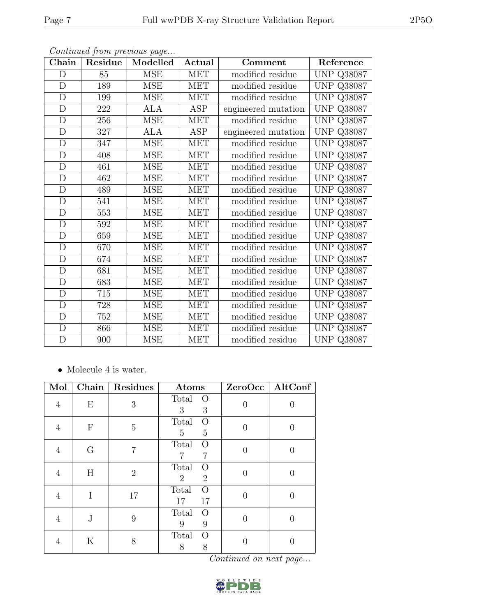| Chain        | Residue | Modelled   | Actual     | Comment             | Reference            |
|--------------|---------|------------|------------|---------------------|----------------------|
| D            | 85      | <b>MSE</b> | <b>MET</b> | modified residue    | <b>UNP Q38087</b>    |
| $\mathbf D$  | 189     | <b>MSE</b> | MET        | modified residue    | <b>UNP Q38087</b>    |
| $\mathbf D$  | 199     | <b>MSE</b> | <b>MET</b> | modified residue    | <b>UNP Q38087</b>    |
| D            | 222     | ALA        | ASP        | engineered mutation | <b>UNP</b><br>Q38087 |
| $\mathbf D$  | 256     | <b>MSE</b> | <b>MET</b> | modified residue    | <b>UNP</b><br>Q38087 |
| $\mathbf D$  | 327     | ALA        | ASP        | engineered mutation | <b>UNP</b><br>Q38087 |
| $\mathbf D$  | 347     | <b>MSE</b> | <b>MET</b> | modified residue    | <b>UNP</b><br>Q38087 |
| D            | 408     | MSE        | MET        | modified residue    | <b>UNP Q38087</b>    |
| $\mathbf D$  | 461     | <b>MSE</b> | <b>MET</b> | modified residue    | <b>UNP Q38087</b>    |
| $\mathbf D$  | 462     | <b>MSE</b> | <b>MET</b> | modified residue    | <b>UNP</b><br>Q38087 |
| $\mathbf D$  | 489     | <b>MSE</b> | <b>MET</b> | modified residue    | <b>UNP Q38087</b>    |
| $\mathbf D$  | 541     | <b>MSE</b> | <b>MET</b> | modified residue    | <b>UNP Q38087</b>    |
| $\mathbf D$  | 553     | <b>MSE</b> | <b>MET</b> | modified residue    | <b>UNP Q38087</b>    |
| D            | 592     | <b>MSE</b> | <b>MET</b> | modified residue    | <b>UNP Q38087</b>    |
| D            | 659     | <b>MSE</b> | <b>MET</b> | modified residue    | <b>UNP Q38087</b>    |
| D            | 670     | <b>MSE</b> | <b>MET</b> | modified residue    | <b>UNP Q38087</b>    |
| D            | 674     | <b>MSE</b> | <b>MET</b> | modified residue    | <b>UNP Q38087</b>    |
| D            | 681     | <b>MSE</b> | <b>MET</b> | modified residue    | <b>UNP Q38087</b>    |
| D            | 683     | <b>MSE</b> | MET        | modified residue    | <b>UNP Q38087</b>    |
| D            | 715     | MSE        | <b>MET</b> | modified residue    | <b>UNP Q38087</b>    |
| D            | 728     | <b>MSE</b> | <b>MET</b> | modified residue    | <b>UNP Q38087</b>    |
| $\mathbf D$  | 752     | MSE        | MET        | modified residue    | <b>UNP Q38087</b>    |
| D            | 866     | <b>MSE</b> | <b>MET</b> | modified residue    | <b>UNP Q38087</b>    |
| $\mathbf{D}$ | 900     | MSE        | <b>MET</b> | modified residue    | <b>UNP Q38087</b>    |

 $\bullet\,$  Molecule 4 is water.

| Mol            | Chain            | Residues       | Atoms                                                 |                | ZeroOcc   AltConf |
|----------------|------------------|----------------|-------------------------------------------------------|----------------|-------------------|
| $\overline{4}$ | E                | 3              | Total<br>$\circ$<br>3<br>3                            | $\theta$       | $\left( \right)$  |
| 4              | $\boldsymbol{F}$ | $\overline{5}$ | Total<br>O<br>$\overline{5}$<br>5                     | $\overline{0}$ | 0                 |
| 4              | G                | 7              | Total<br>$\Omega$<br>7                                | $\Omega$       | O                 |
| 4              | H                | $\overline{2}$ | Total<br>$\Omega$<br>$\overline{2}$<br>$\overline{2}$ | 0              |                   |
| 4              | I                | 17             | Total<br>$\Omega$<br>17<br>17                         | $\theta$       | $\left( \right)$  |
| 4              | J                | 9              | Total<br>$\Omega$<br>9<br>9                           | 0              | $\left( \right)$  |
| 4              | Κ                | 8              | Total<br>$\Omega$<br>8<br>8                           |                |                   |

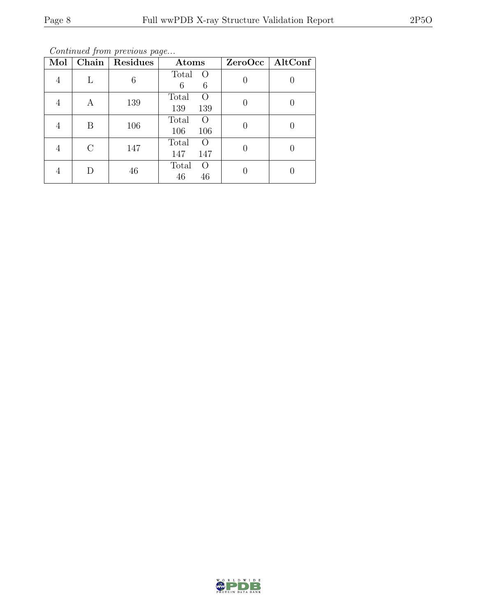Continued from previous page...

| Mol            | Chain     | Residues | Atoms                                   | $ZeroOcc \mid \overline{AltConf} \mid$ |
|----------------|-----------|----------|-----------------------------------------|----------------------------------------|
| $\overline{4}$ | L         | 6        | Total<br>$\overline{O}$<br>6<br>6       |                                        |
|                | А         | 139      | Total<br>$\left( \right)$<br>139<br>139 |                                        |
|                | Β         | 106      | Total<br>$\left( \right)$<br>106<br>106 |                                        |
|                | $\bigcap$ | 147      | Total<br>$\Omega$<br>147<br>147         |                                        |
|                | D         | 46       | Total<br>$\Omega$<br>46<br>46           |                                        |

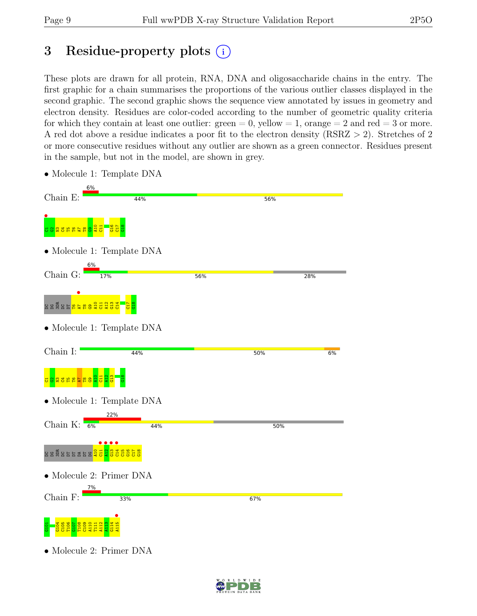### 3 Residue-property plots (i)

These plots are drawn for all protein, RNA, DNA and oligosaccharide chains in the entry. The first graphic for a chain summarises the proportions of the various outlier classes displayed in the second graphic. The second graphic shows the sequence view annotated by issues in geometry and electron density. Residues are color-coded according to the number of geometric quality criteria for which they contain at least one outlier:  $green = 0$ , yellow  $= 1$ , orange  $= 2$  and red  $= 3$  or more. A red dot above a residue indicates a poor fit to the electron density (RSRZ > 2). Stretches of 2 or more consecutive residues without any outlier are shown as a green connector. Residues present in the sample, but not in the model, are shown in grey.



• Molecule 1: Template DNA

• Molecule 2: Primer DNA

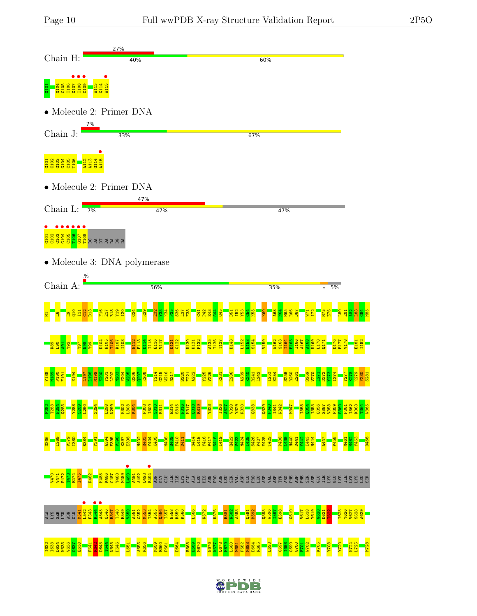



LDWIDE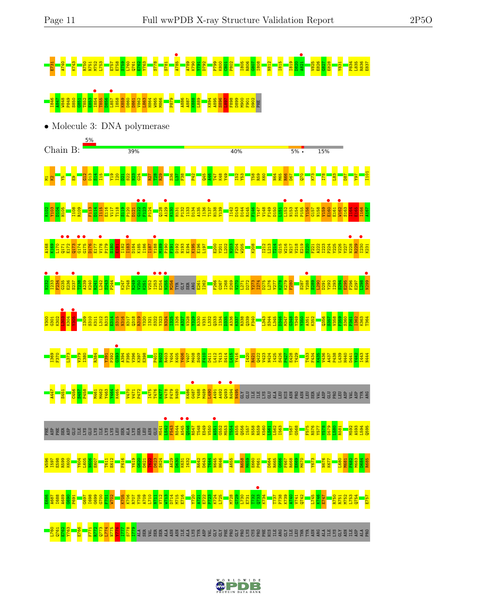# E731 A740 K743 R750 R751 M752 L753 E757 E758 S759 L760 Q761 E762 Y763 S778 S781 A785 • A789 K790 Y791 D792 P799 K800 C801 P802 I805 R806 G807 I808 N812 I815 I819 D820 A821 • V825 E826 G827 E828 Y831 P834 L835 R836 E837 <u>868 B8628 B850 B860 S860 B862 B862 E853 P8</u><br><mark>863 B866 B86</mark><br>863 B866 P888 E886 P886 P886 P88 E89 P80 F898 B86 F888 F898 E88



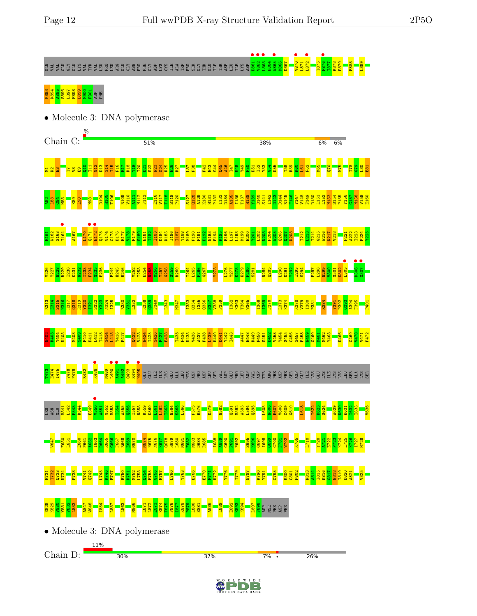I78  $\frac{8}{3}$  $\frac{80}{2}$ E81

Y156 G157 N158 V159 E160

F221 A222 I223 P224 Y225

**•**<br>L303  $\frac{1}{2}$  $\frac{1}{1050}$ 

 $\frac{3}{3}$ A394 F395 P401

> G469  $\frac{1}{2}$ V471 P472

# GLN VAL VAL GLU GLY GLU LYS VAL TYR VAL LEU PRO LEU ARG GLU GLY ASN PRO PHE GLY ASP LYS CYS ILE ALA TRP PRO SER GLY THR GLU ILE THR ASP LEU ILE LYS ASP D861 • V862 • L863 • H864 W865 • M866 D867 V870 • L871 L872 • T875 F876 • I877 K878 P879 F883 L889

## K893<br>K894 895 S898 S896 E9D<br>A895 S898 S896 E9D

• Molecule 3: DNA polymerase Chain C:  $51%$ 38%  $6%$ 6% នន្ត្<mark>នា</mark><br>ស្ថិត្តិ  $\frac{1}{2}$  $\Xi$  $\frac{\Omega}{\Omega}$  $\frac{3}{2}$ S14  $\frac{15}{11}$ F16  $\Xi^*$ R18  $\frac{9}{2}$ I20 <u>នា</u>  $\frac{22}{2}$ N23  $\frac{24}{12}$ R25 E26 R27  $\frac{137}{2}$  $\frac{8}{5}$ P42 E43 S44 Q45 A46 T47  $\frac{48}{1}$ Y49  $\frac{1}{2}$ D51  $\frac{52}{2}$ Y53  $\frac{2}{3}$ K55 T58  $R_{59}$  $\frac{8}{2}$  $\frac{1}{2}$ F62 M65  $\frac{1}{2}$ M75 D104  $\frac{10}{2}$ T106 R109 V110 A111 N112 F113 E116 V117 T118 S119 P120 S127 Q128 A129 K130 H131 P132 I133 D134 A135 I136 T137 H138 Y139 D140 S141 I142 D143 D144 R145 F146 Y147 V148 F149 D150 L151 L152 N153 S154 P155  $\frac{2}{18}$  $\frac{183}{2}$  $\frac{4}{181}$ M85  $\frac{89}{2}$  $\frac{1}{2}$  $\frac{8}{2}$ I<sub>164</sub> •  $\frac{171}{171}$ E172 • E161 W162 S163 A167 L170 Q173 G174 G175 D176 E177 V178 P179  $\frac{180}{2}$ E181 I182 I183 D184 K185 I186 I187 Y188 M189 P190 F191  $\frac{192}{2}$ N193 E194 K195 E196 L197 L198 M199 E200 Y201 L202 N203 F204 W205 Q206  $\overline{q}$ K208 I212  $\frac{1213}{2}$ T214 G215 W216 N217 V218 V227<br>Y227 N228 I230 I233 F234 P244 I253 E254 Y257 G258 R260 T264 G267 Y273 Y277 K278  $\frac{80}{2}$ N284 L290 I293 S294 E297 L298  $\frac{80}{2}$ R229 K231 N232  $6235$ E236 H245 R246 V252 N255 M256  $\frac{259}{25}$ L265 F266 L276 K279 S281 Q285 D291 Y292 N299 G301 K302 R313 E314 S315 N316 H317  $q318$ R319 Y320 I321 S322 Y323 N324 I325 R330  $\frac{331}{2}$ L332 R338  $\frac{339}{2}$ F340 L343 M347 I353  $2354$ I355 Q356 S357 V358 F359 I362 K363 T364 W365 I368 I369 F370 L373 K374 K378 V379 I380 P381 R384 Y391 P392  $\frac{1}{2}$ R403 Y404 K405 M408 S409 F410 L412 T413 S414 L415 Y416 P417 Q422 V423 N424 I425 S426 P427 E428 T433 F434 K435 V436 A437 P438  $\frac{1439}{2}$ H440 Y442 I443 A447 E448 R449 P450 D452 V453 Y454 S455 C456 S457 P458 N459 G460 M462 Y463 D466 D411 D441 S451 M461 **1**<br>K486  $\frac{1490}{103}$ **a**<br><mark>a 983 3.98</mark><br>Glacos Service Des La Glacos Des La Glacos Des La Glacos Des La Glacos Des La Glacos Des La Glacos T473 E474 I475 V478 F479 R482 M489  $V550$   $\bullet$ 

LEU ASN GLU M541 L542 F543 R544 E549 A551 G552 M553 T554 A555  $\frac{1556}{1}$ I557 N558 R559 K560 L561 L562 I563 N564 S565 L566 F575 R576 D579 N582 Q591 M592 A593 L594 Q595 L605 N606 E607 V608 C609 G610 L618 T622 D623 S624 A629  $\frac{630}{2}$ K631 I632 I633 V636 W647 F650 L651 E660 P661 A662 I663 D664 R665  $\frac{666}{2}$ F667 R668 E669 M670 M674 N675 N676 K677 Q678 H679 L680 M681 F682 M683 D684 R685 I688 A689 G690 P691 P692 S695 K696 G697 I698 G699 G700 F701 W702 K705 L710 Y720 A721 E722 P723 K724 L725 K726 I727 M728 E731 T732  $2733$ K734 P738 V741 Q742 L745 K746 E747 R750 R751 M752 L753  $2754$ E755 G756 E757 L760 Y763 E766 E770 F771 R772 Y776 I779 N787 K790 Y791 G795 K800 C801 P802 R813 A814 I815 K816  $\frac{18}{18}$ N818 I819 D820 A821 V825 E828 K829  $\frac{80}{2}$ Y831 V832 L833 A847 W848 I854 L857 L863 M866 L871 L872 E873 K874 T875 F876 I877 K878 P879 L880 E881 A886 L889 E892 K893 K894 L897 F898 ASP MSE PHE ASP PHE

• Molecule 3: DNA polymerase 11% Chain D:30% 37%  $7\%$  . 26% D W I D E

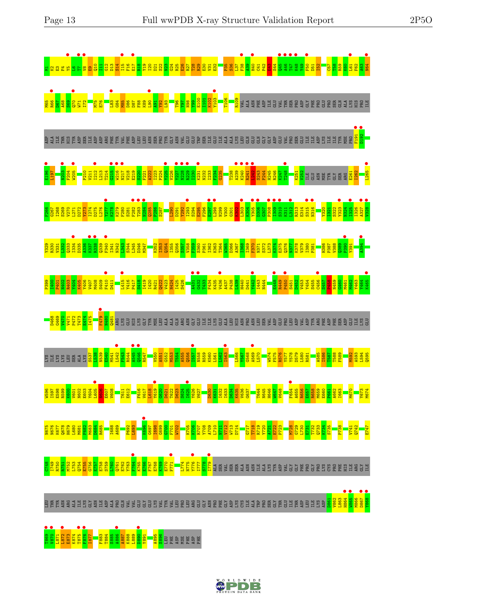



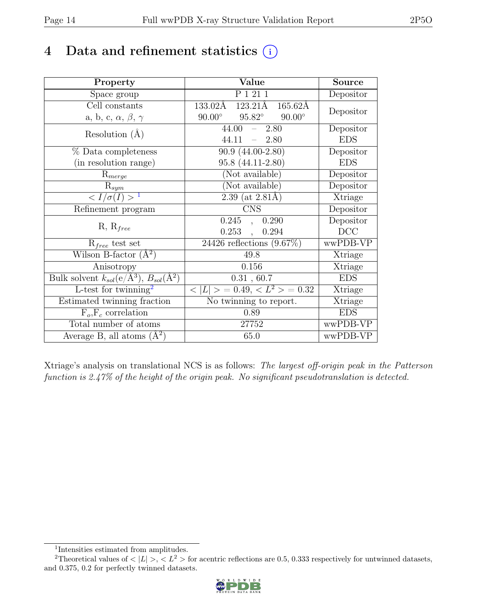### 4 Data and refinement statistics  $(i)$

| Property                                                             | Value                                           | Source         |
|----------------------------------------------------------------------|-------------------------------------------------|----------------|
| Space group                                                          | P 1 21 1                                        | Depositor      |
| Cell constants                                                       | 123.21Å<br>$165.62\text{\AA}$<br>133.02Å        |                |
| a, b, c, $\alpha$ , $\beta$ , $\gamma$                               | $90.00^\circ$<br>$95.82^\circ$<br>$90.00^\circ$ | Depositor      |
| Resolution $(A)$                                                     | 44.00<br>2.80<br>$\equiv$                       | Depositor      |
|                                                                      | 44.11<br>2.80<br>$\equiv$ .                     | <b>EDS</b>     |
| % Data completeness                                                  | $90.9(44.00-2.80)$                              | Depositor      |
| (in resolution range)                                                | 95.8 (44.11-2.80)                               | <b>EDS</b>     |
| $R_{merge}$                                                          | (Not available)                                 | Depositor      |
| $\mathrm{R}_{sym}$                                                   | (Not available)                                 | Depositor      |
| $\langle I/\sigma(I) \rangle$ <sup>1</sup>                           | 2.39 (at $2.81\text{\AA}$ )                     | Xtriage        |
| Refinement program                                                   | <b>CNS</b>                                      | Depositor      |
|                                                                      | 0.245<br>0.290<br>$\overline{a}$ ,              | Depositor      |
| $R, R_{free}$                                                        | 0.253<br>0.294<br>$\overline{\phantom{a}}$      | DCC            |
| $R_{free}$ test set                                                  | 24426 reflections $(9.67\%)$                    | wwPDB-VP       |
| Wilson B-factor $(A^2)$                                              | 49.8                                            | Xtriage        |
| Anisotropy                                                           | 0.156                                           | Xtriage        |
| Bulk solvent $k_{sol}(e/\mathring{A}^3)$ , $B_{sol}(\mathring{A}^2)$ | 0.31, 60.7                                      | <b>EDS</b>     |
| L-test for $\mathrm{twinning}^2$                                     | $< L >$ = 0.49, $< L^2 >$ = 0.32                | <b>Xtriage</b> |
| Estimated twinning fraction                                          | No twinning to report.                          | Xtriage        |
| $F_o, F_c$ correlation                                               | 0.89                                            | <b>EDS</b>     |
| Total number of atoms                                                | 27752                                           | wwPDB-VP       |
| Average B, all atoms $(A^2)$                                         | 65.0                                            | wwPDB-VP       |

Xtriage's analysis on translational NCS is as follows: The largest off-origin peak in the Patterson function is 2.47% of the height of the origin peak. No significant pseudotranslation is detected.

<sup>&</sup>lt;sup>2</sup>Theoretical values of  $\langle |L| \rangle$ ,  $\langle L^2 \rangle$  for acentric reflections are 0.5, 0.333 respectively for untwinned datasets, and 0.375, 0.2 for perfectly twinned datasets.



<span id="page-13-1"></span><span id="page-13-0"></span><sup>1</sup> Intensities estimated from amplitudes.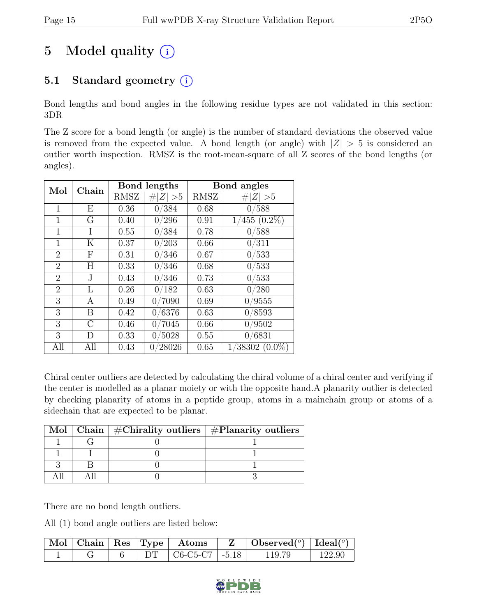### 5 Model quality  $(i)$

### 5.1 Standard geometry  $(i)$

Bond lengths and bond angles in the following residue types are not validated in this section: 3DR

The Z score for a bond length (or angle) is the number of standard deviations the observed value is removed from the expected value. A bond length (or angle) with  $|Z| > 5$  is considered an outlier worth inspection. RMSZ is the root-mean-square of all Z scores of the bond lengths (or angles).

| Chain<br>Mol   |     | Bond lengths |             | Bond angles |                      |
|----------------|-----|--------------|-------------|-------------|----------------------|
|                |     | <b>RMSZ</b>  | # $ Z  > 5$ | RMSZ        | $\# Z  > 5$          |
| 1              | Ε   | 0.36         | 0/384       | 0.68        | 0/588                |
| 1              | G   | 0.40         | 0/296       | 0.91        | $(455(0.2\%)$        |
| $\mathbf{1}$   | Ι   | 0.55         | 0/384       | 0.78        | 0/588                |
| 1              | Κ   | 0.37         | 0/203       | 0.66        | 0/311                |
| $\overline{2}$ | F   | 0.31         | 0/346       | 0.67        | 0/533                |
| $\overline{2}$ | Η   | 0.33         | 0/346       | 0.68        | 0/533                |
| $\overline{2}$ | J.  | 0.43         | 0/346       | 0.73        | 0/533                |
| $\overline{2}$ | L   | 0.26         | 0/182       | 0.63        | 0/280                |
| 3              | А   | 0.49         | 0/7090      | 0.69        | 0/9555               |
| 3              | B   | 0.42         | 0/6376      | 0.63        | 0/8593               |
| 3              | C   | 0.46         | 0/7045      | 0.66        | 0/9502               |
| 3              | D   | 0.33         | 0/5028      | 0.55        | 0/6831               |
| All            | All | 0.43         | 0/28026     | 0.65        | $38302~(0.0\%)$<br>1 |

Chiral center outliers are detected by calculating the chiral volume of a chiral center and verifying if the center is modelled as a planar moiety or with the opposite hand.A planarity outlier is detected by checking planarity of atoms in a peptide group, atoms in a mainchain group or atoms of a sidechain that are expected to be planar.

|  | Mol   Chain   $\#\text{Chirality outliers}$   $\#\text{Planarity outliers}$ |
|--|-----------------------------------------------------------------------------|
|  |                                                                             |
|  |                                                                             |
|  |                                                                             |
|  |                                                                             |

There are no bond length outliers.

All (1) bond angle outliers are listed below:

|  |     | $\mid$ Mol $\mid$ Chain $\mid$ Res $\mid$ Type $\mid$ Atoms | $\vert$ Observed $(^\circ)$ $\vert$ Ideal $(^\circ)$ |        |
|--|-----|-------------------------------------------------------------|------------------------------------------------------|--------|
|  | DT. | $\mid$ C6-C5-C7 $\mid$ -5.18                                | 119.79                                               | 122.90 |

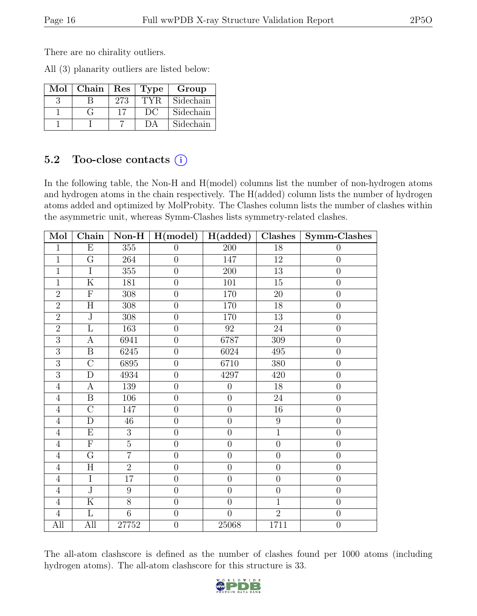There are no chirality outliers.

All (3) planarity outliers are listed below:

| Mol | Chain |     | Res   Type | Group     |
|-----|-------|-----|------------|-----------|
|     |       | 273 | TYR.       | Sidechain |
|     |       | 17  | DC         | Sidechain |
|     |       |     |            | Sidechain |

### 5.2 Too-close contacts  $(i)$

In the following table, the Non-H and H(model) columns list the number of non-hydrogen atoms and hydrogen atoms in the chain respectively. The H(added) column lists the number of hydrogen atoms added and optimized by MolProbity. The Clashes column lists the number of clashes within the asymmetric unit, whereas Symm-Clashes lists symmetry-related clashes.

| Mol            | Chain                   | $Non-H$         | H (model)        | H(added)         | Clashes          | Symm-Clashes     |
|----------------|-------------------------|-----------------|------------------|------------------|------------------|------------------|
| $\mathbf{1}$   | $\overline{E}$          | 355             | $\theta$         | $\overline{200}$ | $\overline{18}$  | $\boldsymbol{0}$ |
| $\overline{1}$ | $\overline{G}$          | 264             | $\overline{0}$   | 147              | 12               | $\boldsymbol{0}$ |
| $\overline{1}$ | $\overline{I}$          | 355             | $\overline{0}$   | 200              | $\overline{13}$  | $\overline{0}$   |
| $\mathbf{1}$   | $\overline{\mathrm{K}}$ | 181             | $\overline{0}$   | 101              | $15\,$           | $\boldsymbol{0}$ |
| $\overline{2}$ | $\overline{F}$          | 308             | $\overline{0}$   | 170              | 20               | $\overline{0}$   |
| $\overline{2}$ | $\overline{H}$          | 308             | $\overline{0}$   | 170              | 18               | $\overline{0}$   |
| $\overline{2}$ | $\overline{\text{J}}$   | 308             | $\overline{0}$   | 170              | $13\,$           | $\overline{0}$   |
| $\overline{2}$ | $\overline{\mathrm{L}}$ | 163             | $\overline{0}$   | 92               | $24\,$           | $\boldsymbol{0}$ |
| $\overline{3}$ | $\boldsymbol{A}$        | 6941            | $\boldsymbol{0}$ | 6787             | 309              | $\boldsymbol{0}$ |
| $\overline{3}$ | $\boldsymbol{B}$        | 6245            | $\overline{0}$   | 6024             | 495              | $\boldsymbol{0}$ |
| $\overline{3}$ | $\overline{C}$          | 6895            | $\overline{0}$   | 6710             | 380              | $\overline{0}$   |
| $\overline{3}$ | $\overline{D}$          | 4934            | $\overline{0}$   | 4297             | 420              | $\overline{0}$   |
| $\overline{4}$ | $\overline{A}$          | 139             | $\overline{0}$   | $\overline{0}$   | $\overline{18}$  | $\overline{0}$   |
| $\overline{4}$ | $\boldsymbol{B}$        | 106             | $\overline{0}$   | $\overline{0}$   | 24               | $\overline{0}$   |
| $\overline{4}$ | $\overline{\rm C}$      | 147             | $\overline{0}$   | $\overline{0}$   | $16\,$           | $\overline{0}$   |
| $\overline{4}$ | $\mathbf D$             | $46\,$          | $\overline{0}$   | $\overline{0}$   | $\boldsymbol{9}$ | $\overline{0}$   |
| $\overline{4}$ | E                       | 3               | $\overline{0}$   | $\overline{0}$   | $\mathbf{1}$     | $\boldsymbol{0}$ |
| $\overline{4}$ | $\overline{F}$          | $\overline{5}$  | $\overline{0}$   | $\overline{0}$   | $\overline{0}$   | $\boldsymbol{0}$ |
| $\overline{4}$ | $\overline{G}$          | $\overline{7}$  | $\overline{0}$   | $\overline{0}$   | $\overline{0}$   | $\overline{0}$   |
| $\overline{4}$ | $\overline{\rm H}$      | $\overline{2}$  | $\overline{0}$   | $\overline{0}$   | $\overline{0}$   | $\overline{0}$   |
| $\overline{4}$ | $\overline{I}$          | $17\,$          | $\overline{0}$   | $\overline{0}$   | $\boldsymbol{0}$ | $\overline{0}$   |
| $\overline{4}$ | $\overline{\text{J}}$   | $9\phantom{.0}$ | $\overline{0}$   | $\overline{0}$   | $\boldsymbol{0}$ | $\boldsymbol{0}$ |
| $\overline{4}$ | ${\bf K}$               | 8               | $\overline{0}$   | $\overline{0}$   | $\overline{1}$   | $\overline{0}$   |
| $\overline{4}$ | $\mathbf{L}$            | $\overline{6}$  | $\overline{0}$   | $\overline{0}$   | $\overline{2}$   | $\overline{0}$   |
| All            | All                     | 27752           | $\overline{0}$   | 25068            | 1711             | $\overline{0}$   |

The all-atom clashscore is defined as the number of clashes found per 1000 atoms (including hydrogen atoms). The all-atom clashscore for this structure is 33.

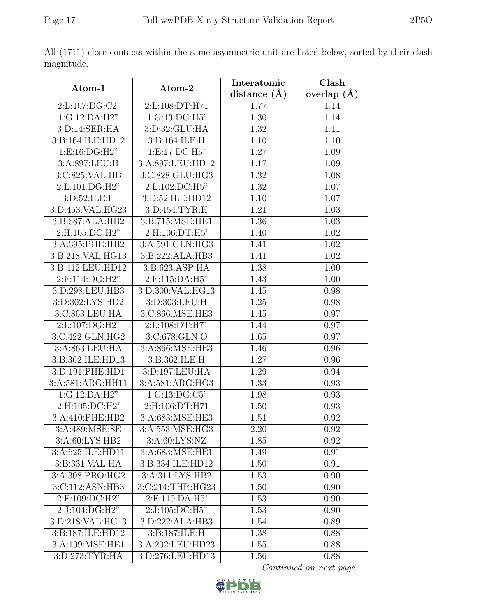|                                    |                                 | Interatomic      | $\overline{\text{Clash}}$ |
|------------------------------------|---------------------------------|------------------|---------------------------|
| Atom-1                             | Atom-2                          | distance $(\AA)$ | overlap $(\AA)$           |
| 2:L:107:DG:C2'                     | 2:L:108:DT:H71                  | 1.77             | 1.14                      |
| 1:G:12:DA:H2"                      | 1:G:13:DG:H5                    | 1.30             | 1.14                      |
| 3:D:14:SER:HA                      | 3:D:32:GLU:HA                   | 1.32             | 1.11                      |
| 3:B:164:ILE:HD12                   | 3:B:164:ILE:H                   | 1.10             | 1.10                      |
| 1:E:16:DG:H2"                      | 1: E: 17: DC: H5'               | 1.27             | 1.09                      |
| 3:A:897:LEU:H                      | 3:A:897:LEU:HD12                | 1.17             | 1.09                      |
| 3:C:825:VAL:HB                     | 3:C:828:GLU:HG3                 | 1.32             | 1.08                      |
| $2: L: 101: \overline{DG:H2"}$     | 2:L:102:DC:H5"                  | 1.32             | 1.07                      |
| $3: D:52: \overline{\text{ILE:H}}$ | 3:D:52:ILE:HD12                 | 1.10             | 1.07                      |
| 3:D:453:VAL:HG23                   | 3:D:454:TYR:H                   | 1.21             | 1.03                      |
| 3:B:687:ALA:HB2                    | 3:B:715:MSE:HE1                 | 1.36             | 1.03                      |
| 2:H:105:DC:H2"                     | 2:H:106:DT:H5'                  | 1.40             | 1.02                      |
| 3:A:395:PHE:HB2                    | $3: A:591: GLN: H\overline{G3}$ | 1.41             | 1.02                      |
| 3:B:218:VAL:HG13                   | 3:B:222:ALA:HB3                 | 1.41             | 1.02                      |
| 3:B:412:LEU:HD12                   | 3:B:623:ASP:HA                  | 1.38             | 1.00                      |
| $2:$ F:114:DG:H2"                  | 2:F:115:DA:H5"                  | 1.43             | 1.00                      |
| 3:D:298:LEU:HB3                    | 3:D:300:VAL:HG13                | 1.45             | 0.98                      |
| 3:D:302:LYS:HD2                    | 3:D:303:LEU:H                   | 1.25             | 0.98                      |
| 3:C:863:LEU:HA                     | 3:C:866:MSE:HE3                 | 1.45             | 0.97                      |
| 2:L:107:DG:H2"                     | 2:L:108:DT:H71                  | 1.44             | 0.97                      |
| 3:C:422:GLN:HG2                    | 3:C:678:GLN:O                   | 1.65             | 0.97                      |
| 3:A:863:LEU:HA                     | 3:A:866:MSE:HE3                 | 1.46             | 0.96                      |
| 3:B:362:ILE:HD13                   | 3:B:362:ILE:H                   | 1.27             | 0.96                      |
| 3:D:191:PHE:HD1                    | 3:D:197:LEU:HA                  | 1.29             | 0.94                      |
| 3:A:581:ARG:HH11                   | 3:A:581:ARG:HG3                 | 1.33             | 0.93                      |
| 1:G:12:DA:H2"                      | 1:G:13:DG:C5                    | 1.98             | 0.93                      |
| 2:H:105:DC:H2'                     | 2:H:106:DT:H71                  | 1.50             | 0.93                      |
| 3:A:410:PHE:HB2                    | 3:A:683:MSE:HE3                 | 1.51             | 0.92                      |
| 3:A:489:MSE:SE                     | 3:A:553:MSE:HG3                 | 2.20             | 0.92                      |
| 3:A:60:LYS:HB2                     | 3:A:60:LYS:NZ                   | 1.85             | 0.92                      |
| 3:A:625:ILE:HD11                   | 3:A:683:MSE:HE1                 | 1.49             | 0.91                      |
| 3:B:331:VAL:HA                     | 3:B:334:ILE:HD12                | 1.50             | 0.91                      |
| 3:A:308:PRO:HG2                    | 3: A: 311: LYS: HB2             | 1.53             | 0.90                      |
| 3:C:112:ASN:HB3                    | 3:C:214:THR:HG23                | 1.50             | 0.90                      |
| 2:F:109:DC:H2"                     | 2:F:110:DA:H5'                  | 1.53             | 0.90                      |
| 2:J:104:DG:H2"                     | 2:J:105:DC:H5"                  | 1.53             | 0.90                      |
| 3:D:218:VAL:HG13                   | 3: D: 222: ALA: HB3             | 1.54             | 0.89                      |
| 3:B:187:ILE:HD12                   | 3:B:187:ILE:H                   | 1.38             | 0.88                      |
| 3:A:199:MSE:HE1                    | 3:A:202:LEU:HD23                | 1.55             | 0.88                      |
| 3:D:273:TYR:HA                     | 3:D:276:LEU:HD13                | 1.56             | 0.88                      |

All (1711) close contacts within the same asymmetric unit are listed below, sorted by their clash magnitude.

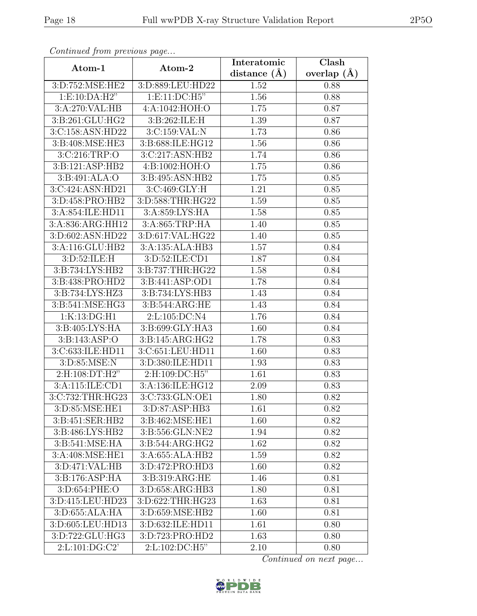| Continuea from previous page |                              | Interatomic      | Clash             |
|------------------------------|------------------------------|------------------|-------------------|
| Atom-1                       | Atom-2                       | distance $(\AA)$ | overlap $(A)$     |
| 3:D:752:MSE:HE2              | 3:D:889:LEU:HD22             | 1.52             | 0.88              |
| 1: E:10:DA:H2"               | 1: E: 11: DC: H5"            | 1.56             | 0.88              |
| 3:A:270:VAL:HB               | 4:A:1042:HOH:O               | 1.75             | 0.87              |
| 3:B:261:GLU:HG2              | 3:B:262:ILE:H                | 1.39             | 0.87              |
| 3:C:158:ASN:HD22             | 3:C:159:VAL:N                | 1.73             | 0.86              |
| 3:B:408:MSE:HE3              | 3:B:688:ILE:HG12             | 1.56             | 0.86              |
| 3:C:216:TRP:O                | 3:C:217:ASN:HB2              | 1.74             | 0.86              |
| 3:B:121:ASP:HB2              | 4:B:1002:HOH:O               | 1.75             | 0.86              |
| 3:B:491:ALA:O                | 3: B: 495: ASN: HB2          | 1.75             | 0.85              |
| 3:C:424:ASN:HD21             | 3:C:469:GLY:H                | 1.21             | 0.85              |
| 3:D:458:PRO:HB2              | 3:D:588:THR:HG22             | 1.59             | 0.85              |
| 3:A:854:ILE:HD11             | 3:A:859:LYS:HA               | 1.58             | 0.85              |
| 3:A:836:ARG:HH12             | 3:A:865:TRP:HA               | 1.40             | 0.85              |
| 3:D:602:ASN:HD22             | 3:D:617:VAL:HG22             | 1.40             | 0.85              |
| 3:A:116:GLU:HB2              | 3:A:135:ALA:HB3              | 1.57             | 0.84              |
| 3:D:52:ILE:H                 | 3:D:52:ILE:CD1               | 1.87             | 0.84              |
| 3:B:734:LYS:HB2              | 3:B:737:THR:HG22             | 1.58             | 0.84              |
| 3:B:438:PRO:HD2              | 3:B:441:ASP:OD1              | 1.78             | 0.84              |
| 3:B:734:LYS:HZ3              | 3:B:734:LYS:HB3              | 1.43             | 0.84              |
| 3:B:541:MSE:HG3              | 3:B:544:ARG:HE               | 1.43             | 0.84              |
| 1:K:13:DG:H1                 | 2:L:105:DC:N4                | 1.76             | 0.84              |
| 3:B:405:LYS:HA               | 3:B:699:GLY:HA3              | 1.60             | 0.84              |
| 3:B:143:ASP:O                | 3:B:145:ARG:HG2              | 1.78             | 0.83              |
| 3:C:633:ILE:HD11             | 3:C:651:LEU:HD11             | 1.60             | 0.83              |
| 3:D:85:MSE:N                 | 3:D:380:ILE:HD11             | 1.93             | 0.83              |
| 2:H:108:DT:H2"               | 2:H:109:DC:H5"               | 1.61             | $\overline{0.83}$ |
| 3:A:115:ILE:CD1              | 3:A:136:ILE:HG12             | 2.09             | 0.83              |
| 3:C:732:THR:HG23             | 3:C:733:GLN:OE1              | 1.80             | 0.82              |
| 3:D:85:MSE:HE1               | 3:D:87:ASP:HB3               | 1.61             | 0.82              |
| 3:B:451:SER:HB2              | 3:B:462:MSE:HE1              | 1.60             | 0.82              |
| 3:B:486:LYS:HB2              | 3:B:556:GLN:NE2              | 1.94             | 0.82              |
| 3:B:541:MSE:HA               | 3: B:544: ARG: HG2           | 1.62             | 0.82              |
| 3: A:408: MSE: HE1           | $3:A:655:ALA:H\overline{B2}$ | 1.59             | 0.82              |
| 3:D:471:VAL:HB               | 3:D:472:PRO:HD3              | 1.60             | 0.82              |
| 3:B:176:ASP:HA               | 3:B:319:ARG:HE               | 1.46             | 0.81              |
| 3:D:654:PHE:O                | 3:D:658:ARG:HB3              | 1.80             | 0.81              |
| 3:D:415:LEU:HD23             | 3:D:622:THR:HG23             | 1.63             | 0.81              |
| 3:D:655:ALA:HA               | 3:D:659:MSE:HB2              | 1.60             | 0.81              |
| 3:D:605:LEU:HD13             | 3:D:632:ILE:HD11             | 1.61             | 0.80              |
| 3:D:722:GLU:HG3              | 3:D:723:PRO:HD2              | 1.63             | 0.80              |
| 2:L:101:DG:C2'               | 2:L:102:DC:H5"               | 2.10             | 0.80              |

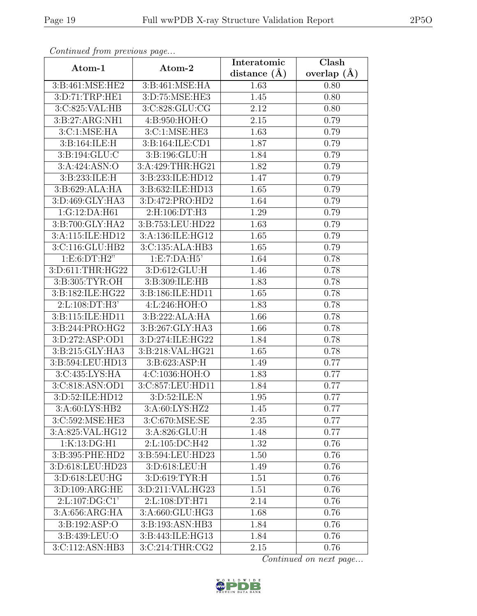|                    |                            | Interatomic       | Clash         |
|--------------------|----------------------------|-------------------|---------------|
| Atom-1             | Atom-2                     | distance $(A)$    | overlap $(A)$ |
| 3:B:461:MSE:HE2    | 3:B:461:MSE:HA             | 1.63              | 0.80          |
| 3:D:71:TRP:HE1     | 3:D:75:MSE:HE3             | 1.45              | 0.80          |
| 3:C:825:VAL:HB     | 3:C:828:GLU:CG             | 2.12              | 0.80          |
| 3:B:27:ARG:NH1     | 4:B:950:HOH:O              | 2.15              | 0.79          |
| 3: C: 1: MSE: HA   | $3:\overline{C:1:MSE:HE3}$ | 1.63              | 0.79          |
| 3:B:164:ILE:H      | 3:B:164:ILE:CD1            | 1.87              | 0.79          |
| 3: B: 194: GLU: C  | 3:B:196:GLU:H              | 1.84              | 0.79          |
| 3:A:424:ASN:O      | 3:A:429:THR:HG21           | 1.82              | 0.79          |
| 3:B:233:ILE:H      | 3:B:233:ILE:HD12           | 1.47              | 0.79          |
| 3:B:629:ALA:HA     | 3:B:632:ILE:HD13           | 1.65              | 0.79          |
| 3:D:469:GLY:HA3    | 3:D:472:PRO:HD2            | 1.64              | 0.79          |
| 1:G:12:DA:H61      | 2:H:106:DT:H3              | 1.29              | 0.79          |
| 3:B:700:GLY:HA2    | 3:B:753:LEU:HD22           | 1.63              | 0.79          |
| 3:A:115:ILE:HD12   | 3:A:136:ILE:HG12           | 1.65              | 0.79          |
| 3:C:116:GLU:HB2    | 3:C:135:ALA:HB3            | 1.65              | 0.79          |
| 1: E:6: DT:H2"     | 1: E: 7: DA: H5'           | 1.64              | 0.78          |
| 3:D:611:THR:HG22   | 3:D:612:GLU:H              | 1.46              | 0.78          |
| 3:B:305:TYR:OH     | 3:B:309:ILE:HB             | 1.83              | 0.78          |
| 3:B:182:ILE:HG22   | 3:B:186:ILE:HD11           | 1.65              | 0.78          |
| 2: L: 108: DT:H3'  | 4:L:246:HOH:O              | 1.83              | 0.78          |
| 3:B:115:ILE:HD11   | 3:B:222:ALA:HA             | 1.66              | 0.78          |
| 3:B:244:PRO:HG2    | 3:B:267:GLY:HA3            | 1.66              | 0.78          |
| 3:D:272:ASP:OD1    | 3:D:274:ILE:HG22           | 1.84              | 0.78          |
| 3:B:215:GLY:HA3    | 3:B:218:VAL:HG21           | $\overline{1.65}$ | 0.78          |
| 3:B:594:LEU:HD13   | 3:B:623:ASP:H              | 1.49              | 0.77          |
| 3:C:435:LYS:HA     | 4: C:1036: HOH:O           | 1.83              | 0.77          |
| 3:C:818:ASN:OD1    | 3:C:857:LEU:HD11           | 1.84              | 0.77          |
| 3:D:52:ILE:HD12    | 3:D:52:ILE:N               | 1.95              | 0.77          |
| 3:A:60:LYS:HB2     | 3:A:60:LYS:HZ2             | 1.45              | 0.77          |
| 3:C:592:MSE:HE3    | 3:C:670:MSE:SE             | 2.35              | 0.77          |
| 3:A:825:VAL:HG12   | 3:A:826:GLU:H              | 1.48              | 0.77          |
| 1:K:13:DG:H1       | 2:L:105:DC:H42             | 1.32              | 0.76          |
| 3:B:395:PHE:HD2    | 3:B:594:LEU:HD23           | 1.50              | 0.76          |
| 3:D:618:LEU:HD23   | 3:D:618:LEU:H              | 1.49              | 0.76          |
| 3:D:618:LEU:HG     | 3:D:619:TYR:H              | 1.51              | 0.76          |
| 3: D:109: ARG:HE   | 3:D:211:VAL:HG23           | 1.51              | 0.76          |
| 2: L: 107: DG: C1' | 2: L: 108: DT: H71         | 2.14              | 0.76          |
| 3:A:656:ARG:HA     | 3:A:660:GLU:HG3            | 1.68              | 0.76          |
| 3:B:192:ASP:O      | 3:B:193:ASN:HB3            | 1.84              | 0.76          |
| 3:B:439:LEU:O      | 3:B:443:ILE:HG13           | 1.84              | 0.76          |
| 3:C:112:ASN:HB3    | 3:C:214:THR:CG2            | 2.15              | 0.76          |

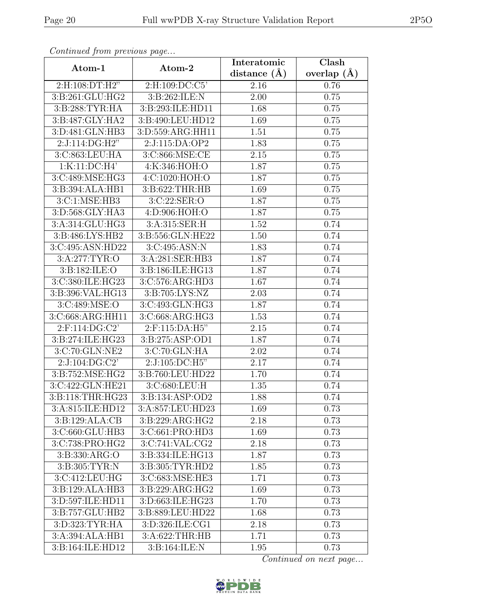| Continueu from pretious page     |                                     | Interatomic       | $\overline{\text{Clash}}$ |
|----------------------------------|-------------------------------------|-------------------|---------------------------|
| Atom-1                           | Atom-2                              | distance $(A)$    | overlap $(\AA)$           |
| 2:H:108:DT:H2"                   | 2:H:109:DC:C5'                      | 2.16              | 0.76                      |
| 3:B:261:GLU:HG2                  | 3:B:262:ILE:N                       | $\overline{2}.00$ | 0.75                      |
| 3:B:288:TYR:HA                   | 3:B:293:ILE:HD11                    | 1.68              | 0.75                      |
| 3:B:487:GLY:HA2                  | 3:5:490:LEU:HD12                    | 1.69              | 0.75                      |
| 3:D:481:GLN:HB3                  | 3:D:559:ARG:HH11                    | 1.51              | 0.75                      |
| 2:J:114:DG:H2"                   | 2:J:115:DA:OP2                      | 1.83              | 0.75                      |
| 3:C:863:LEU:HA                   | 3:C:866:MSE:CE                      | 2.15              | 0.75                      |
| 1:K:11:DC:H4'                    | 4:K:346:HOH:O                       | 1.87              | 0.75                      |
| 3:C:489:MSE:HG3                  | 4:C:1020:HOH:O                      | 1.87              | 0.75                      |
| 3:B:394:ALA:HB1                  | 3:B:622:THR:HB                      | 1.69              | 0.75                      |
| 3:C:1:MSE:HB3                    | 3:C:22:SER:O                        | 1.87              | 0.75                      |
| 3:D:568:GLY:HA3                  | 4:D:906:HOH:O                       | 1.87              | 0.75                      |
| 3:A:314:GLU:HG3                  | 3:A:315:SER:H                       | 1.52              | 0.74                      |
| 3:B:486:LYS:HB2                  | $3: B: 556: \overline{GLN: HE22}$   | 1.50              | 0.74                      |
| 3:C:495:ASN:HD22                 | 3:C:495:ASN:N                       | 1.83              | 0.74                      |
| 3:A:277:TYR:O                    | 3:A:281:SER:HB3                     | 1.87              | 0.74                      |
| 3: B: 182: ILE: O                | 3:B:186:ILE:HG13                    | 1.87              | 0.74                      |
| 3:C:380:ILE:HG23                 | 3:C:576:ARG:HD3                     | 1.67              | 0.74                      |
| 3:B:396:VAL:HG13                 | 3:B:705:LYS:NZ                      | 2.03              | 0.74                      |
| 3:C:489:MSE:O                    | 3:C:493:GLN:HG3                     | 1.87              | 0.74                      |
| 3:C:668:ARG:HH11                 | $3:C:668:ARG:\overline{HG3}$        | 1.53              | 0.74                      |
| 2:F:114:DG:C2'                   | 2:F:115:DA:H5"                      | 2.15              | 0.74                      |
| 3:B:274:ILE:HG23                 | 3:B:275:ASP:OD1                     | 1.87              | 0.74                      |
| 3:C:70:GLN:NE2                   | 3:C:70:GLN:HA                       | 2.02              | 0.74                      |
| 2:J:104:DG:C2'                   | 2:J:105:DC:H5"                      | 2.17              | 0.74                      |
| $3: B: 752: \overline{MSE:HG2}$  | 3:B:760:LEU:HD22                    | 1.70              | 0.74                      |
| 3:C:422:GLN:HE21                 | 3:C:680:LEU:H                       | 1.35              | 0.74                      |
| 3:B:118:THR:HG23                 | 3:B:134:ASP:OD2                     | 1.88              | 0.74                      |
| 3:A:815:ILE:HD12                 | 3:A:857:LEU:HD23                    | 1.69              | 0.73                      |
| 3:B:129:ALA:CB                   | 3:B:229:ARG:HG2                     | 2.18              | 0.73                      |
| 3:C:660:GLU:HB3                  | 3:C:661:PRO:HD3                     | 1.69              | 0.73                      |
| 3:C:738:PRO:HG2                  | $3:C:741:\overline{\text{VAL}:CG2}$ | 2.18              | 0.73                      |
| 3:B:330:ARG:O                    | 3:B:334:ILE:HG13                    | 1.87              | 0.73                      |
| 3: B:305: TYR: N                 | 3:B:305:TYR:HD2                     | 1.85              | 0.73                      |
| 3:C:412:LEU:HG                   | 3:C:683:MSE:HE3                     | 1.71              | 0.73                      |
| 3:B:129:ALA:HB3                  | 3:B:229:ARG:HG2                     | 1.69              | 0.73                      |
| 3:D:597:ILE:HD11                 | 3:D:663:ILE:HG23                    | 1.70              | 0.73                      |
| $3: B: 757: GLU: \overline{HB2}$ | 3:B:889:LEU:HD22                    | 1.68              | 0.73                      |
| 3:D:323:TYR:HA                   | 3:D:326:ILE:CG1                     | 2.18              | 0.73                      |
| 3:A:394:ALA:HB1                  | 3:A:622:THR:HB                      | 1.71              | 0.73                      |
| 3:B:164:ILE:HD12                 | $3: B: 164: I\overline{LE:N}$       | 1.95              | 0.73                      |

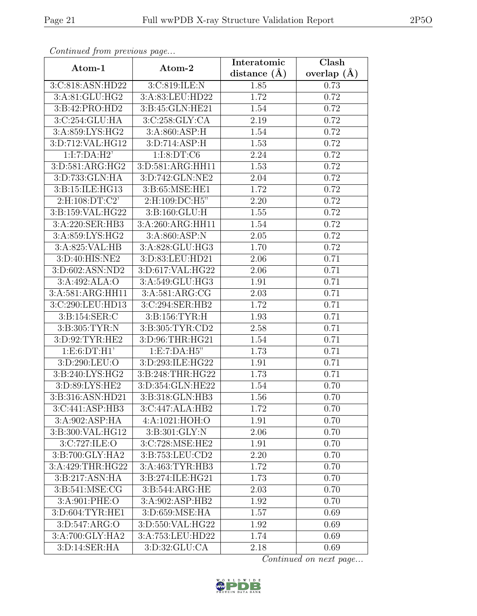| Convenaca from previous page |                        | Interatomic      | Clash         |
|------------------------------|------------------------|------------------|---------------|
| Atom-1                       | Atom-2                 | distance $(\AA)$ | overlap $(A)$ |
| 3:C:818:ASN:HD22             | 3:C:819:ILE:N          | 1.85             | 0.73          |
| 3:A:81:GLU:HG2               | 3:A:83:LEU:HD22        | 1.72             | 0.72          |
| 3:B:42:PRO:HD2               | 3:B:45:GLN:HE21        | 1.54             | 0.72          |
| 3:C:254:GLU:HA               | 3:C:258:GLY:CA         | 2.19             | 0.72          |
| 3:A:859:LYS:HG2              | 3:A:860:ASP:H          | 1.54             | 0.72          |
| 3:D:712:VAL:HG12             | 3:D:714:ASP:H          | 1.53             | 0.72          |
| 1:I:7:DA:H2'                 | 1:1:8:DT:C6            | 2.24             | 0.72          |
| 3:D:581:ARG:HG2              | 3:D:581:ARG:HH11       | 1.53             | 0.72          |
| 3:D:733:GLN:HA               | 3:D:742:GLN:NE2        | 2.04             | 0.72          |
| 3:B:15:ILE:HG13              | 3:B:65:MSE:HE1         | 1.72             | 0.72          |
| 2:H:108:DT:C2'               | $2: H: 109: D\\C: H5"$ | 2.20             | 0.72          |
| 3:B:159:VAL:HG22             | 3:B:160:GLU:H          | 1.55             | 0.72          |
| 3:A:220:SER:HB3              | 3:A:260:ARG:HH11       | 1.54             | 0.72          |
| 3:A:859:LYS:HG2              | 3:A:860:ASP:N          | 2.05             | 0.72          |
| 3:A:825:VAL:HB               | 3:A:828:GLU:HG3        | 1.70             | 0.72          |
| 3:D:40:HIS:NE2               | 3:D:83:LEU:HD21        | 2.06             | 0.71          |
| 3:D:602:ASN:ND2              | 3:D:617:VAL:HG22       | 2.06             | 0.71          |
| 3:A:492:ALA:O                | 3:A:549:GLU:HG3        | 1.91             | 0.71          |
| 3:A:581:ARG:HH11             | 3: A:581: ARG:CG       | 2.03             | 0.71          |
| 3:C:290:LEU:HD13             | 3:C:294:SER:HB2        | 1.72             | 0.71          |
| 3:B:154:SER:C                | 3:B:156:TYR:H          | 1.93             | 0.71          |
| 3:B:305:TYR:N                | 3:B:305:TYR:CD2        | 2.58             | 0.71          |
| 3:D:92:TYR:HE2               | 3:D:96:THR:HG21        | 1.54             | 0.71          |
| 1: E:6:DT:H1'                | 1: E: 7:DA: H5"        | 1.73             | 0.71          |
| 3:D:290:LEU:O                | 3:D:293:ILE:HG22       | 1.91             | 0.71          |
| 3: B:240: LYS: HG2           | 3:B:248:THR:HG22       | 1.73             | 0.71          |
| 3:D:89:LYS:HE2               | 3:D:354:GLN:HE22       | 1.54             | 0.70          |
| 3:B:316:ASN:HD21             | 3:B:318:GLN:HB3        | 1.56             | 0.70          |
| 3:C:441:ASP:HB3              | 3:C:447:ALA:HB2        | 1.72             | 0.70          |
| 3:A:902:ASP:HA               | 4:A:1021:HOH:O         | 1.91             | 0.70          |
| 3:B:300:VAL:HG12             | 3:B:301:GLY:N          | 2.06             | 0.70          |
| 3:C:727:ILE:O                | 3:C:728:MSE:HE2        | 1.91             | 0.70          |
| 3:B:700:GLY:HA2              | 3:B:753:LEU:CD2        | 2.20             | 0.70          |
| 3:A:429:THR:HG22             | 3:A:463:TYR:HB3        | 1.72             | 0.70          |
| 3:B:217:ASN:HA               | 3:B:274:ILE:HG21       | 1.73             | 0.70          |
| 3:B:541:MSE:CG               | 3:B:544:ARG:HE         | 2.03             | 0.70          |
| 3:A:901:PHE:O                | 3:A:902:ASP:HB2        | 1.92             | 0.70          |
| 3:D:604:TYR:HE1              | 3:D:659:MSE:HA         | 1.57             | 0.69          |
| 3: D:547: ARG:O              | 3:D:550:VAL:HG22       | 1.92             | 0.69          |
| 3:A:700:GLY:HA2              | 3:A:753:LEU:HD22       | 1.74             | 0.69          |
| 3:D:14:SER:HA                | 3:D:32:GLU:CA          | 2.18             | 0.69          |

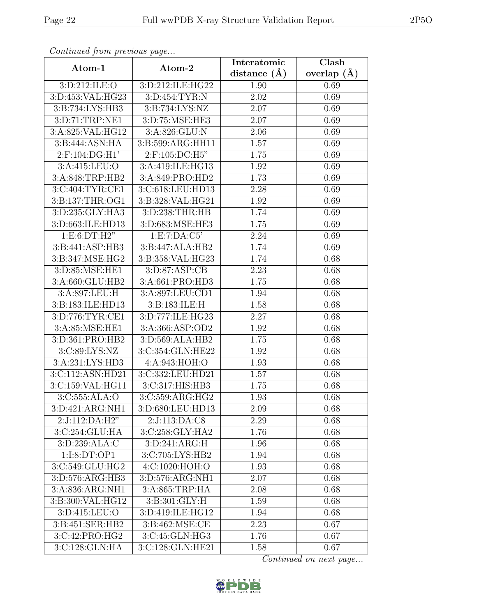| Continua from previous page              |                  | Interatomic      | Clash         |
|------------------------------------------|------------------|------------------|---------------|
| Atom-1                                   | Atom-2           | distance $(\AA)$ | overlap $(A)$ |
| 3:D:212:ILE:O                            | 3:D:212:ILE:HG22 | 1.90             | 0.69          |
| 3:D:453:VAL:HG23                         | 3:D:454:TYR:N    | 2.02             | 0.69          |
| 3:B:734:LYS:HB3                          | 3:B:734:LYS:NZ   | 2.07             | 0.69          |
| 3:D:71:TRP:NE1                           | 3:D:75:MSE:HE3   | 2.07             | 0.69          |
| 3:A:825:VAL:HG12                         | 3:A:826:GLU:N    | 2.06             | 0.69          |
| 3:B:444:ASN:HA                           | 3:B:599:ARG:HH11 | 1.57             | 0.69          |
| $2:$ F:104:DG:H1'                        | 2:F:105:DC:H5"   | 1.75             | 0.69          |
| 3:A:415:LEU:O                            | 3:A:419:ILE:HG13 | 1.92             | 0.69          |
| 3:A:848:TRP:HB2                          | 3:A:849:PRO:HD2  | 1.73             | 0.69          |
| 3:C:404:TYR:CE1                          | 3:C:618:LEU:HD13 | 2.28             | 0.69          |
| 3:B:137:THR:OG1                          | 3:B:328:VAL:HG21 | 1.92             | 0.69          |
| 3:D:235:GLY:HA3                          | 3:D:238:THR:HB   | 1.74             | 0.69          |
| 3:D:663:ILE:HD13                         | 3:D:683:MSE:HE3  | 1.75             | 0.69          |
| 1:E:6:DT:H2"                             | 1: E: 7: DA: C5' | 2.24             | 0.69          |
| 3:B:441:ASP:HB3                          | 3:B:447:ALA:HB2  | 1.74             | 0.69          |
| 3:B:347:MSE:HG2                          | 3:B:358:VAL:HG23 | 1.74             | 0.68          |
| 3:D:85:MSE:HE1                           | 3:D:87:ASP:CB    | 2.23             | 0.68          |
| 3:A:660:GLU:HB2                          | 3:A:661:PRO:HD3  | 1.75             | 0.68          |
| 3:A:897:LEU:H                            | 3:A:897:LEU:CD1  | 1.94             | 0.68          |
| 3:B:183:ILE:HD13                         | 3:B:183:ILE:H    | 1.58             | 0.68          |
| 3:D:776:TYR:CE1                          | 3:D:777:ILE:HG23 | 2.27             | 0.68          |
| 3:A:85:MSE:HE1                           | 3:A:366:ASP:OD2  | 1.92             | 0.68          |
| 3:D:361:PRO:HB2                          | 3:D:569:ALA:HB2  | 1.75             | 0.68          |
| 3:C:89:LYS:NZ                            | 3:C:354:GLN:HE22 | 1.92             | 0.68          |
| 3:A:231:LYS:HD3                          | 4:A:943:HOH:O    | 1.93             | 0.68          |
| 3:C:112:ASN:HD21                         | 3:C:332:LEU:HD21 | 1.57             | 0.68          |
| $3:\overline{C}:159:\overline{VAL}:HG11$ | 3:C:317:HIS:HB3  | 1.75             | 0.68          |
| 3: C: 555: ALA: O                        | 3:C:559:ARG:HG2  | 1.93             | 0.68          |
| 3:D:421:ARG:NH1                          | 3:D:680:LEU:HD13 | 2.09             | 0.68          |
| 2:J:112:DA:H2"                           | 2:J:113:DA:C8    | 2.29             | 0.68          |
| 3:C:254:GLU:HA                           | 3:C:258:GLY:HA2  | 1.76             | 0.68          |
| 3:D:239:ALA:C                            | 3: D:241: ARG:H  | 1.96             | 0.68          |
| 1:I:8:DT:OP1                             | 3:C:705:LYS:HB2  | 1.94             | 0.68          |
| 3:C:549:GLU:HG2                          | 4:C:1020:HOH:O   | 1.93             | 0.68          |
| 3:D:576:ARG:HB3                          | 3:D:576:ARG:NH1  | 2.07             | 0.68          |
| 3:A:836:ARG:NH1                          | 3:A:865:TRP:HA   | 2.08             | 0.68          |
| 3:B:300:VAL:HG12                         | 3:B:301:GLY:H    | 1.59             | 0.68          |
| 3:D:415:LEU:O                            | 3:D:419:ILE:HG12 | 1.94             | 0.68          |
| 3:B:451:SER:HB2                          | 3:B:462:MSE:CE   | 2.23             | 0.67          |
| 3:C:42:PRO:HG2                           | 3:C:45:GLN:HG3   | 1.76             | 0.67          |
| 3:C:128:GLN:HA                           | 3:C:128:GLN:HE21 | 1.58             | 0.67          |

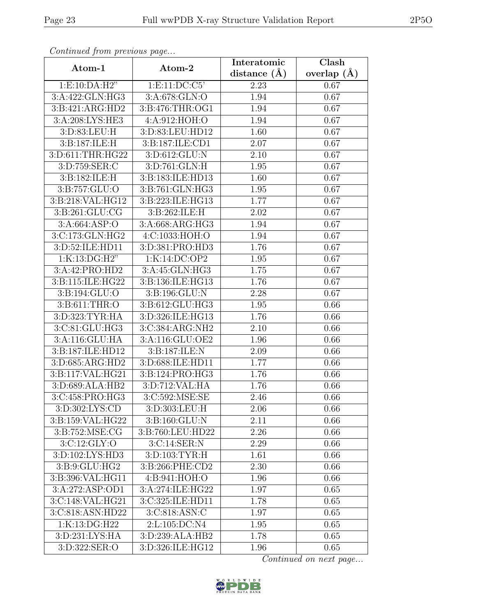| Continuati jibin protibus puga |                    | Interatomic      | Clash         |
|--------------------------------|--------------------|------------------|---------------|
| Atom-1                         | Atom-2             | distance $(\AA)$ | overlap $(A)$ |
| 1:E:10:DA:H2"                  | 1: E: 11: DC: C5'  | 2.23             | 0.67          |
| 3:A:422:GLN:HG3                | 3:A:678:GLN:O      | 1.94             | 0.67          |
| 3:B:421:ARG:HD2                | 3:B:476:THR:OG1    | 1.94             | 0.67          |
| 3:A:208:LYS:HE3                | 4:A:912:HOH:O      | 1.94             | 0.67          |
| 3:D:83:LEU:H                   | 3:D:83:LEU:HD12    | 1.60             | 0.67          |
| 3: B:187: ILE:H                | 3:B:187:ILE:CD1    | 2.07             | 0.67          |
| 3:D:611:THR:HG22               | 3:D:612:GLU:N      | 2.10             | 0.67          |
| 3:D:759:SER:C                  | 3:D:761:GLN:H      | 1.95             | 0.67          |
| 3:B:182:ILE:H                  | 3:B:183:ILE:HD13   | 1.60             | 0.67          |
| 3:B:757:GLU:O                  | 3:B:761:GLN:HG3    | 1.95             | 0.67          |
| 3:B:218:VAL:HG12               | 3:B:223:ILE:HG13   | 1.77             | 0.67          |
| 3:B:261:GLU:CG                 | 3: B:262: ILE:H    | 2.02             | 0.67          |
| 3:A:664:ASP:O                  | 3:A:668:ARG:HG3    | 1.94             | 0.67          |
| 3:C:173:GLN:HG2                | 4:C:1033:HOH:O     | 1.94             | 0.67          |
| 3:D:52:ILE:HD11                | 3:D:381:PRO:HD3    | 1.76             | 0.67          |
| 1:K:13:DG:H2"                  | 1:K:14:DC:OP2      | 1.95             | 0.67          |
| 3:A:42:PRO:HD2                 | 3:A:45:GLN:HG3     | 1.75             | 0.67          |
| 3:B:115:ILE:HG22               | 3:B:136:ILE:HG13   | 1.76             | 0.67          |
| 3:B:194:GLU:O                  | 3:B:196:GLU:N      | 2.28             | 0.67          |
| 3:B:611:THR:O                  | 3:B:612:GLU:HG3    | 1.95             | 0.66          |
| 3:D:323:TYR:HA                 | 3:D:326:ILE:HG13   | 1.76             | 0.66          |
| 3:C:81:GLU:HG3                 | 3:C:384:ARG:NH2    | 2.10             | 0.66          |
| 3:A:116:GLU:HA                 | 3:A:116:GLU:OE2    | 1.96             | 0.66          |
| 3:B:187:ILE:HD12               | 3:B:187:ILE:N      | 2.09             | 0.66          |
| 3:D:685:ARG:HD2                | 3:D:688:ILE:HD11   | 1.77             | 0.66          |
| 3:B:117:VAL:HG21               | 3:B:124:PRO:HG3    | 1.76             | 0.66          |
| 3:D:689:ALA:HB2                | 3: D: 712: VAL: HA | 1.76             | 0.66          |
| 3:C:458:PRO:HG3                | 3:C:592:MSE:SE     | 2.46             | 0.66          |
| 3:D:302:LYS:CD                 | 3:D:303:LEU:H      | 2.06             | 0.66          |
| 3:B:159:VAL:HG22               | 3:B:160:GLU:N      | 2.11             | 0.66          |
| 3:B:752:MSE:CG                 | 3:B:760:LEU:HD22   | 2.26             | 0.66          |
| 3:C:12:GLY:O                   | 3:C:14:SER:N       | 2.29             | 0.66          |
| 3:D:102:LYS:HD3                | 3:D:103:TYR:H      | 1.61             | 0.66          |
| 3:B:9:GLU:HG2                  | 3:B:266:PHE:CD2    | 2.30             | 0.66          |
| 3:B:396:VAL:HG11               | 4: B: 941: HOH: O  | 1.96             | 0.66          |
| 3:A:272:ASP:OD1                | 3:A:274:ILE:HG22   | 1.97             | 0.65          |
| 3:C:148:VAL:HG21               | 3:C:325:ILE:HD11   | 1.78             | 0.65          |
| 3:C:818:ASN:HD22               | 3:C:818:ASN:C      | 1.97             | 0.65          |
| 1:K:13:DG:H22                  | 2:L:105:DC:N4      | 1.95             | 0.65          |
| 3:D:231:LYS:HA                 | 3:D:239:ALA:HB2    | 1.78             | 0.65          |
| 3:D:322:SER:O                  | 3:D:326:ILE:HG12   | 1.96             | 0.65          |

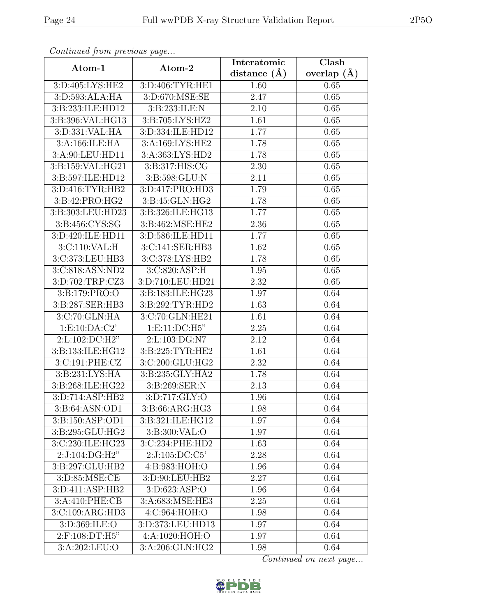| Continuum from protious page |                   | Interatomic    | Clash         |
|------------------------------|-------------------|----------------|---------------|
| Atom-1                       | Atom-2            | distance $(A)$ | overlap $(A)$ |
| 3:D:405:LYS:HE2              | 3:D:406:TYR:HE1   | 1.60           | 0.65          |
| 3:D:593:ALA:HA               | 3:D:670:MSE:SE    | 2.47           | 0.65          |
| 3:B:233:ILE:HD12             | 3:B:233:ILE:N     | 2.10           | 0.65          |
| 3:B:396:VAL:HG13             | 3:B:705:LYS:HZ2   | 1.61           | 0.65          |
| 3:D:331:VAL:HA               | 3:D:334:ILE:HD12  | 1.77           | 0.65          |
| 3:A:166:ILE:HA               | 3:A:169:LYS:HE2   | 1.78           | 0.65          |
| 3:A:90:LEU:HD11              | 3:A:363:LYS:HD2   | 1.78           | 0.65          |
| 3:B:159:VAL:HG21             | 3:B:317:HIS:CG    | 2.30           | 0.65          |
| 3:B:597:ILE:HD12             | 3:B:598:GLU:N     | 2.11           | 0.65          |
| 3:D:416:TYR:HB2              | 3:D:417:PRO:HD3   | 1.79           | 0.65          |
| 3:B:42:PRO:HG2               | 3:B:45:GLN:HG2    | 1.78           | 0.65          |
| 3:B:303:LEU:HD23             | 3:B:326:ILE:HG13  | 1.77           | 0.65          |
| 3:B:456:CYS:SG               | 3:B:462:MSE:HE2   | 2.36           | 0.65          |
| 3:D:420:ILE:HD11             | 3:D:586:ILE:HD11  | 1.77           | 0.65          |
| 3:C:110:VAL:H                | 3:C:141:SER:HB3   | 1.62           | 0.65          |
| 3:C:373:LEU:HB3              | 3:C:378:LYS:HB2   | 1.78           | 0.65          |
| 3:C:818:ASN:ND2              | 3:C:820:ASP:H     | 1.95           | 0.65          |
| 3:D:702:TRP:CZ3              | 3:D:710:LEU:HD21  | 2.32           | 0.65          |
| 3:Bi:179:PRO:O               | 3:B:183:ILE:HG23  | 1.97           | 0.64          |
| 3:B:287:SER:HB3              | 3:B:292:TYR:HD2   | 1.63           | 0.64          |
| 3:C:70:GLN:HA                | 3:C:70:GLN:HE21   | 1.61           | 0.64          |
| 1: E: 10: DA: C2'            | 1: E: 11: DC: H5" | 2.25           | 0.64          |
| 2:L:102:DC:H2"               | 2:L:103:DG:N7     | 2.12           | 0.64          |
| 3:B:133:ILE:HG12             | 3:B:225:TYR:HE2   | 1.61           | 0.64          |
| 3:C:191:PHE:CZ               | 3:C:200:GLU:HG2   | 2.32           | 0.64          |
| 3: B: 231: LYS: HA           | 3:B:235:GLY:HA2   | 1.78           | 0.64          |
| 3:B:268:ILE:HG22             | 3:B:269:SER:N     | 2.13           | 0.64          |
| 3:D:714:ASP:HB2              | 3: D: 717: GLY: O | 1.96           | 0.64          |
| 3:B:64:ASN:OD1               | 3:B:66:ARG:HG3    | 1.98           | 0.64          |
| 3:B:150:ASP:OD1              | 3:B:321:ILE:HG12  | 1.97           | 0.64          |
| 3:B:295:GLU:HG2              | 3:B:300:VAL:O     | 1.97           | 0.64          |
| 3:C:230:ILE:HG23             | 3:C:234:PHE:HD2   | 1.63           | 0.64          |
| $2:J:104:\overline{DG:H2"}$  | 2:J:105:DC:C5     | 2.28           | 0.64          |
| 3:B:297:GLU:HB2              | 4:B:983:HOH:O     | 1.96           | 0.64          |
| 3:D:85:MSE:CE                | 3:D:90:LEU:HB2    | 2.27           | 0.64          |
| 3: D: 411: ASP: HB2          | 3: D:623: ASP:O   | 1.96           | 0.64          |
| 3:A:410:PHE:CB               | 3:A:683:MSE:HE3   | 2.25           | 0.64          |
| 3:C:109:ARG:HD3              | 4:C:964:HOH:O     | 1.98           | 0.64          |
| 3:D:369:ILE:O                | 3:D:373:LEU:HD13  | 1.97           | 0.64          |
| 2:F:108:DT:H5"               | 4:A:1020:HOH:O    | 1.97           | 0.64          |
| 3:A:202:LEU:O                | 3:A:206:GLN:HG2   | 1.98           | 0.64          |

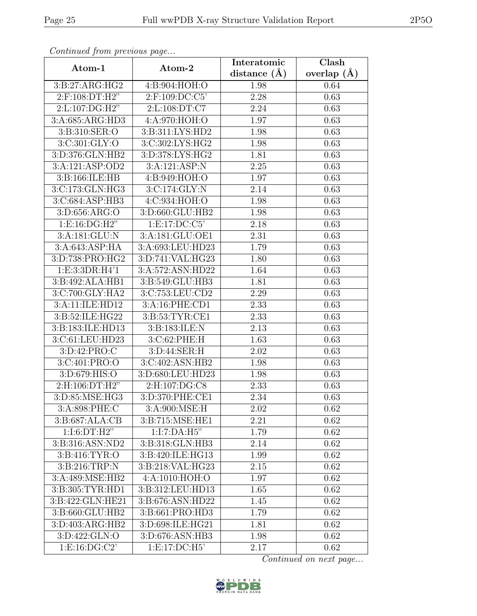| Continuea from previous page |                     | Interatomic    | Clash         |
|------------------------------|---------------------|----------------|---------------|
| Atom-1                       | Atom-2              | distance $(A)$ | overlap $(A)$ |
| 3: B:27: ARG:HG2             | 4:B:904:HOH:O       | 1.98           | 0.64          |
| 2:F:108:DT:H2"               | $2:$ F:109:DC:C5'   | 2.28           | 0.63          |
| 2: L: 107: DG: H2"           | 2: L: 108: DT: C7   | 2.24           | 0.63          |
| 3:A:685:ARG:HD3              | 4:A:970:HOH:O       | 1.97           | 0.63          |
| 3:B:310:SER:O                | 3:B:311:LYS:HD2     | 1.98           | 0.63          |
| 3:C:301:GLY:O                | 3:C:302:LYS:HG2     | 1.98           | 0.63          |
| 3:D:376:GLN:HB2              | 3:D:378:LYS:HG2     | 1.81           | 0.63          |
| 3:A:121:ASP:OD2              | 3:A:121:ASP:N       | 2.25           | 0.63          |
| 3:B:166:ILE:HB               | 4:B:949:HOH:O       | 1.97           | 0.63          |
| 3:C:173:GLN:HG3              | 3:C:174:GLY:N       | 2.14           | 0.63          |
| 3:C:684:ASP:HB3              | 4: C:934: HOH:O     | 1.98           | 0.63          |
| 3:D:656:ARG:O                | 3:D:660:GLU:HB2     | 1.98           | 0.63          |
| 1: E: 16: DG: H2"            | 1: E: 17: DC: C5'   | 2.18           | 0.63          |
| 3: A: 181: GLU: N            | 3:A:181:GLU:OE1     | 2.31           | 0.63          |
| 3:A:643:ASP:HA               | 3:A:693:LEU:HD23    | 1.79           | 0.63          |
| 3:D:738:PRO:HG2              | 3:D:741:VAL:HG23    | 1.80           | 0.63          |
| 1:E:3:3DR:H4'1               | 3:A:572:ASN:HD22    | 1.64           | 0.63          |
| 3:B:492:ALA:HB1              | 3:B:549:GLU:HB3     | 1.81           | 0.63          |
| 3:C:700:GLY:HA2              | 3:C:753:LEU:CD2     | 2.29           | 0.63          |
| 3:A:11:ILE:HD12              | 3:A:16:PHE:CD1      | 2.33           | 0.63          |
| 3:B:52:ILE:HG22              | 3:B:53:TYR:CE1      | 2.33           | 0.63          |
| 3:B:183:ILE:HD13             | 3:B:183:ILE:N       | 2.13           | 0.63          |
| 3:C:61:LEU:HD23              | 3:C:62:PHE:H        | 1.63           | 0.63          |
| 3:D:42:PRO:C                 | 3:D:44:SER:H        | 2.02           | 0.63          |
| 3:C:401:PRO:O                | 3:C:402:ASN:HB2     | 1.98           | 0.63          |
| 3: D:679: HIS:O              | 3:D:680:LEU:HD23    | 1.98           | 0.63          |
| 2:H:106:DT:H2"               | 2:H:107:DG:C8       | 2.33           | 0.63          |
| 3:D:85:MSE:HG3               | 3:D:370:PHE:CE1     | 2.34           | 0.63          |
| 3:A:898:PHE:C                | 3:A:900:MSE:H       | 2.02           | 0.62          |
| 3: B: 687: ALA: CB           | 3:B:715:MSE:HE1     | 2.21           | 0.62          |
| 1:1:6:DT:H2"                 | 1:I:7:DA:H5"        | 1.79           | 0.62          |
| 3:B:316:ASN:ND2              | 3:B:318:GLN:HB3     | 2.14           | 0.62          |
| 3: B:416: TYR:O              | 3:B:420:ILE:HG13    | 1.99           | 0.62          |
| 3:B:216:TRP:N                | 3:B:218:VAL:HG23    | 2.15           | 0.62          |
| 3:A:489:MSE:HB2              | 4:A:1010:HOH:O      | 1.97           | 0.62          |
| 3:B:305:TYR:HDI              | 3:B:312:LEU:HD13    | 1.65           | 0.62          |
| 3:B:422:GLN:HE21             | 3:B:676:ASN:HD22    | 1.45           | 0.62          |
| 3:B:660:GLU:HB2              | 3:B:661:PRO:HD3     | 1.79           | 0.62          |
| 3:D:403:ARG:HB2              | 3: D:698: ILE: HG21 | 1.81           | 0.62          |
| 3:D:422:GLN:O                | 3: D:676: ASN:HB3   | 1.98           | 0.62          |
| 1: E: 16: DG: C2'            | 1: E: 17: DC: H5'   | 2.17           | 0.62          |

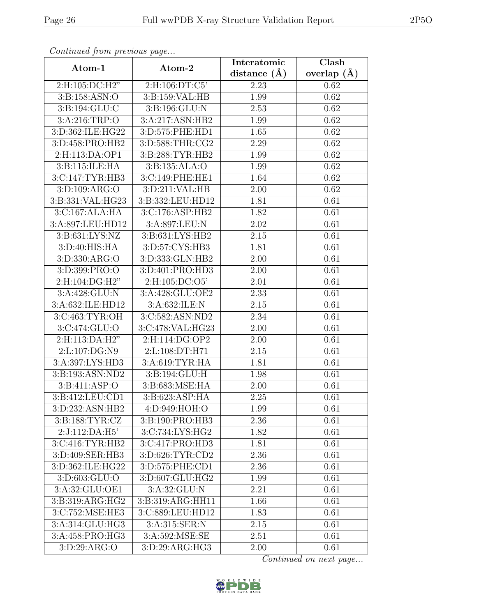| Continued from previous page |                                | Interatomic       | Clash           |
|------------------------------|--------------------------------|-------------------|-----------------|
| Atom-1                       | Atom-2                         | distance $(A)$    | overlap $(\AA)$ |
| 2:H:105:DC:H2"               | 2:H:106:DT:C5'                 | 2.23              | 0.62            |
| 3:B:158:ASN:O                | 3: B: 159: VAL: HB             | 1.99              | 0.62            |
| 3: B: 194: GLU: C            | 3:B:196:GLU:N                  | 2.53              | 0.62            |
| 3:A:216:TRP:O                | 3:A:217:ASN:HB2                | 1.99              | 0.62            |
| 3:D:362:ILE:HG22             | 3:D:575:PHE:HD1                | 1.65              | 0.62            |
| 3:D:458:PRO:HB2              | 3:D:588:THR:CG2                | 2.29              | 0.62            |
| 2:H:113:DA:OP1               | 3:B:288:TYR:HB2                | 1.99              | 0.62            |
| 3:B:115:ILE:HA               | 3: B: 135: ALA: O              | 1.99              | 0.62            |
| 3:C:147:TYR:HB3              | 3:C:149:PHE:HE1                | 1.64              | 0.62            |
| 3:D:109:ARG:O                | 3:D:211:VAL:HB                 | 2.00              | 0.62            |
| 3:B:331:VAL:HG23             | 3:B:332:LEU:HD12               | 1.81              | 0.61            |
| 3:C:167:ALA:HA               | 3:C:176:ASP:HB2                | 1.82              | 0.61            |
| 3:A:897:LEU:HD12             | 3:A:897:LEU:N                  | 2.02              | 0.61            |
| 3:B:631:LYS:NZ               | $3: B:631: LY\overline{S:HB2}$ | 2.15              | 0.61            |
| 3:D:40:HIS:HA                | 3:D:57:CYS:HB3                 | 1.81              | 0.61            |
| 3:D:330:ARG:O                | 3:D:333:GLN:HB2                | 2.00              | 0.61            |
| 3: D:399: PRO:               | 3:D:401:PRO:HD3                | 2.00              | 0.61            |
| 2:H:104:DG:H2"               | 2: H: 105: DC: O5'             | 2.01              | 0.61            |
| 3:A:428:GLU:N                | 3:A:428:GLU:OE2                | 2.33              | 0.61            |
| 3:A:632:ILE:HD12             | 3:A:632:ILE:N                  | 2.15              | 0.61            |
| 3:C:463:TYR:OH               | 3:C:582:ASN:ND2                | $\overline{2.34}$ | 0.61            |
| 3:C:474:GLU:O                | 3:C:478:VAL:HG23               | 2.00              | 0.61            |
| 2:H:113:DA:H2"               | 2:H:114:DG:OP2                 | 2.00              | 0.61            |
| 2:L:107:DG:N9                | 2:L:108:DT:H71                 | $\overline{2.15}$ | 0.61            |
| 3:A:397:LYS:HD3              | 3:A:619:TYR:HA                 | 1.81              | 0.61            |
| 3:B:193:ASN:ND2              | 3:B:194:GLU:H                  | 1.98              | 0.61            |
| 3:B:411:ASP:O                | 3:B:683:MSE:HA                 | 2.00              | 0.61            |
| 3:B:412:LEU:CD1              | 3:B:623:ASP:HA                 | 2.25              | 0.61            |
| 3:D:232:ASN:HB2              | 4:D:949:HOH:O                  | 1.99              | 0.61            |
| 3:B:188:TYR:CZ               | 3:B:190:PRO:HB3                | 2.36              | 0.61            |
| 2:J:112:DA:H5'               | 3:C:734:LYS:HG2                | 1.82              | 0.61            |
| 3:C:416:TYR:HB2              | 3:C:417:PRO:HD3                | 1.81              | 0.61            |
| 3:D:409:SER:HB3              | 3:D:626:TYR:CD2                | 2.36              | 0.61            |
| 3:D:362:ILE:HG22             | 3:D:575:PHE:CD1                | 2.36              | 0.61            |
| 3:D:603:GLU:O                | 3:D:607:GLU:HG2                | 1.99              | 0.61            |
| 3:A:32:GLU:OE1               | 3:A:32:GLU:N                   | 2.21              | 0.61            |
| 3:B:319:ARG:HG2              | 3:B:319:ARG:HH11               | 1.66              | 0.61            |
| 3:C:752:MSE:HE3              | 3:C:889:LEU:HD12               | 1.83              | 0.61            |
| 3:A:314:GLU:HG3              | 3:A:315:SER:N                  | 2.15              | 0.61            |
| 3:A:458:PRO:HG3              | 3:A:592:MSE:SE                 | 2.51              | 0.61            |
| 3:D:29:ARG:O                 | 3:D:29:ARG:HG3                 | 2.00              | 0.61            |

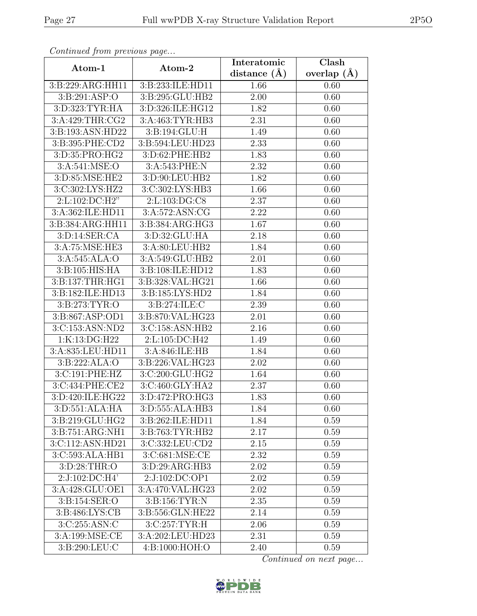| Continuati jibni protibus puga                |                  | Interatomic       | Clash         |
|-----------------------------------------------|------------------|-------------------|---------------|
| Atom-1                                        | Atom-2           | distance $(A)$    | overlap $(A)$ |
| 3:B:229:ARG:HH11                              | 3:B:233:ILE:HD11 | 1.66              | 0.60          |
| 3: B:291: ASP:O                               | 3:B:295:GLU:HB2  | $\overline{2.00}$ | 0.60          |
| 3:D:323:TYR:HA                                | 3:D:326:ILE:HG12 | 1.82              | 0.60          |
| 3:A:429:THR:CG2                               | 3:A:463:TYR:HB3  | 2.31              | 0.60          |
| 3:B:193:ASN:HD22                              | 3:B:194:GLU:H    | 1.49              | 0.60          |
| 3:B:395:PHE:CD2                               | 3:B:594:LEU:HD23 | 2.33              | 0.60          |
| 3:D:35:PRO:HG2                                | 3:D:62:PHE:HB2   | 1.83              | 0.60          |
| 3:A:541:MSE:O                                 | 3:A:543:PHE:N    | 2.32              | 0.60          |
| 3:D:85:MSE:HE2                                | 3:D:90:LEU:HB2   | 1.82              | 0.60          |
| 3:C:302:LYS:HZ2                               | 3:C:302:LYS:HB3  | 1.66              | 0.60          |
| 2:L:102:DC:H2"                                | 2:L:103:DG:C8    | 2.37              | 0.60          |
| 3:A:362:ILE:HD11                              | 3: A:572: ASN:CG | 2.22              | 0.60          |
| 3:B:384:ARG:HH11                              | 3:B:384:ARG:HG3  | 1.67              | 0.60          |
| $3: D: 14: \overline{\text{SER}:CA}$          | 3:D:32:GLU:HA    | 2.18              | 0.60          |
| 3:A:75:MSE:HE3                                | 3:A:80:LEU:HB2   | 1.84              | 0.60          |
| 3:A:545:ALA:O                                 | 3:A:549:GLU:HB2  | 2.01              | 0.60          |
| 3:B:105:HIS:HA                                | 3:B:108:ILE:HD12 | 1.83              | 0.60          |
| 3:B:137:THR:HG1                               | 3:B:328:VAL:HG21 | 1.66              | 0.60          |
| 3:B:182:ILE:HD13                              | 3:B:185:LYS:HD2  | 1.84              | 0.60          |
| 3:B:273:TYR:O                                 | 3:B:274:ILE:C    | 2.39              | 0.60          |
| 3:B:867:ASP:OD1                               | 3:B:870:VAL:HG23 | 2.01              | 0.60          |
| 3:C:153:ASN:ND2                               | 3:C:158:ASN:HB2  | 2.16              | 0.60          |
| 1:K:13:DG:H22                                 | 2:L:105:DC:H42   | 1.49              | 0.60          |
| 3:A:835:LEU:HD11                              | 3:A:846:ILE:HB   | 1.84              | 0.60          |
| 3:B:222:ALA:O                                 | 3:B:226:VAL:HG23 | 2.02              | 0.60          |
| 3:C:191:PHE:HZ                                | 3:C:200:GLU:HG2  | 1.64              | 0.60          |
| 3:C:434:PHE:CE2                               | 3:C:460:GLY:HA2  | 2.37              | 0.60          |
| 3: D:420: ILE: HG22                           | 3:D:472:PRO:HG3  | 1.83              | 0.60          |
| 3:D:551:ALA:HA                                | 3:D:555:ALA:HB3  | 1.84              | 0.60          |
| 3:B:219:GLU:HG2                               | 3:B:262:ILE:HD11 | 1.84              | 0.59          |
| $3: B:751: \overline{\text{ARG}: \text{NH1}}$ | 3:B:763:TYR:HB2  | 2.17              | 0.59          |
| 3:C:112:ASN:HD21                              | 3:C:332:LEU:CD2  | 2.15              | 0.59          |
| 3:C:593:ALA:HB1                               | 3:C:681:MSE:CE   | 2.32              | 0.59          |
| 3:D:28:THR:O                                  | 3:D:29:ARG:HB3   | 2.02              | 0.59          |
| 2:J:102:DC:H4'                                | 2:J:102:DC:OP1   | 2.02              | 0.59          |
| 3:A:428:GLU:OE1                               | 3:A:470:VAL:HG23 | 2.02              | 0.59          |
| 3:B:154:SER:O                                 | 3:B:156:TYR:N    | 2.35              | 0.59          |
| 3:B:486:LYS:CB                                | 3:B:556:GLN:HE22 | 2.14              | 0.59          |
| 3:C:255:ASN:C                                 | 3:C:257:TYR:H    | 2.06              | 0.59          |
| 3:A:199:MSE:CE                                | 3:A:202:LEU:HD23 | 2.31              | 0.59          |
| 3:B:290:LEU:C                                 | 4:B:1000:HOH:O   | 2.40              | 0.59          |

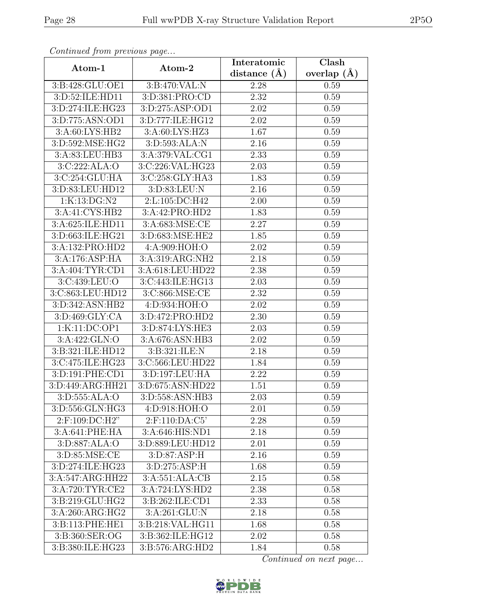| Continuati jibni protibus puga |                               | Interatomic    | Clash           |
|--------------------------------|-------------------------------|----------------|-----------------|
| Atom-1                         | Atom-2                        | distance $(A)$ | overlap $(\AA)$ |
| 3:B:428:GLU:OE1                | 3:B:470:VAL:N                 | 2.28           | 0.59            |
| 3:D:52:ILE:HD11                | 3:D:381:PRO:CD                | 2.32           | 0.59            |
| 3:D:274:ILE:HG23               | 3:D:275:ASP:OD1               | 2.02           | 0.59            |
| 3:D:775:ASN:OD1                | 3:D:777:ILE:HG12              | 2.02           | 0.59            |
| 3:A:60:LYS:HB2                 | 3:A:60:LYS:HZ3                | 1.67           | 0.59            |
| 3:D:592:MSE:HG2                | 3:D:593:ALA:N                 | 2.16           | 0.59            |
| 3:A:83:LEU:HB3                 | 3:A:379:VAL:CG1               | 2.33           | 0.59            |
| 3:C:222:ALA:O                  | 3:C:226:VAL:HG23              | 2.03           | 0.59            |
| 3:C:254:GLU:HA                 | 3:C:258:GLY:HA3               | 1.83           | 0.59            |
| 3:D:83:LEU:HD12                | 3:D:83:LEU:N                  | 2.16           | 0.59            |
| 1:K:13:DG:N2                   | 2:L:105:DC:H42                | 2.00           | 0.59            |
| 3:A:41:CYS:HB2                 | 3:A:42:PRO:HD2                | 1.83           | 0.59            |
| 3:A:625:ILE:HD11               | 3:A:683:MSE:CE                | 2.27           | 0.59            |
| 3:D:663:ILE:HG21               | 3:D:683:MSE:HE2               | 1.85           | 0.59            |
| 3:A:132:PRO:HD2                | 4:A:909:HOH:O                 | 2.02           | 0.59            |
| 3:A:176:ASP:HA                 | 3:A:319:ARG:NH2               | 2.18           | 0.59            |
| 3:A:404:TYR:CD1                | 3:A:618:LEU:HD22              | 2.38           | 0.59            |
| 3:C:439:LEU:O                  | 3:C:443:ILE:HG13              | 2.03           | 0.59            |
| 3:C:863:LEU:HD12               | 3:C:866:MSE:CE                | 2.32           | 0.59            |
| 3:D:342:ASN:HB2                | 4:D:934:HOH:O                 | 2.02           | 0.59            |
| 3:D:469:GLY:CA                 | 3:D:472:PRO:HD2               | 2.30           | 0.59            |
| 1:K:11:DC:OP1                  | 3:D:874:LYS:HE3               | 2.03           | 0.59            |
| 3:A:422:GLN:O                  | 3:A:676:ASN:HB3               | 2.02           | 0.59            |
| 3:B:321:ILE:HD12               | 3:B:321:ILE:N                 | 2.18           | 0.59            |
| 3:C:475:ILE:HG23               | 3:C:566:LEU:HD22              | 1.84           | 0.59            |
| 3:D:191:PHE:CD1                | 3: D: 197: LEU: HA            | 2.22           | 0.59            |
| 3:D:449:ARG:HH21               | 3:D:675:ASN:HD22              | 1.51           | 0.59            |
| 3: D: 555: ALA: O              | 3:D:558:ASN:HB3               | 2.03           | 0.59            |
| 3:D:556:GLN:HG3                | 4:D:918:HOH:O                 | 2.01           | 0.59            |
| 2:F:109:DC:H2"                 | 2:F:110:DA:C5'                | 2.28           | 0.59            |
| 3:A:641:PHE:HA                 | 3:A:646:HIS:ND1               | 2.18           | 0.59            |
| 3:D:887:ALA:O                  | 3:D:889:LEU:HD12              | 2.01           | 0.59            |
| 3:D:85:MSE:CE                  | 3: D:87: ASP:H                | 2.16           | 0.59            |
| 3:D:274:ILE:HG23               | $3: D: 275: \overline{ASP:H}$ | 1.68           | 0.59            |
| 3:A:547:ARG:HH22               | 3:A:551:ALA:CB                | 2.15           | 0.58            |
| 3:A:720:TYR:CE2                | 3:A:724:LYS:HD2               | 2.38           | 0.58            |
| 3:B:219:GLU:HG2                | 3:B:262:ILE:CD1               | 2.33           | 0.58            |
| 3:A:260:ARG:HG2                | 3:A:261:GLU:N                 | 2.18           | 0.58            |
| 3:B:113:PHE:HE1                | 3:B:218:VAL:HG11              | 1.68           | 0.58            |
| 3:B:360:SER:OG                 | 3:B:362:ILE:HG12              | 2.02           | 0.58            |
| 3:B:380:ILE:HG23               | 3:B:576:ARG:HD2               | 1.84           | 0.58            |

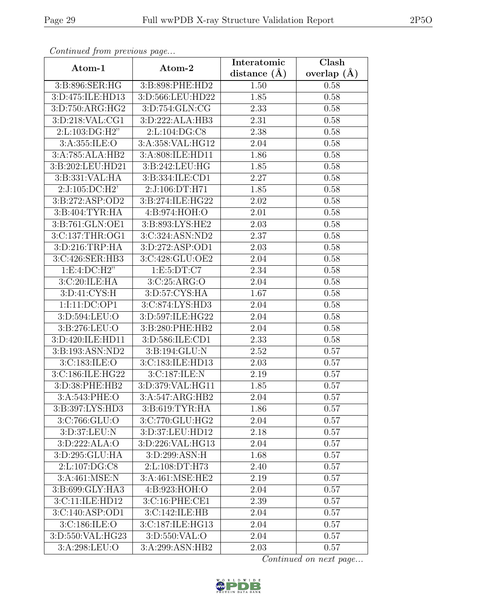| Continued from previous page  |                                | Interatomic       | $\overline{\text{Clash}}$ |
|-------------------------------|--------------------------------|-------------------|---------------------------|
| Atom-1                        | Atom-2                         | distance $(A)$    | overlap $(\AA)$           |
| 3:B:896:SER:HG                | 3:B:898:PHE:HD2                | 1.50              | 0.58                      |
| 3:D:475:ILE:HD13              | 3:D:566:LEU:HD22               | 1.85              | 0.58                      |
| 3:D:750:ARG:HG2               | 3: D: 754: GLN: CG             | 2.33              | 0.58                      |
| 3:D:218:VAL:CG1               | 3:D:222:ALA:HB3                | 2.31              | 0.58                      |
| 2:L:103:DG:H2"                | 2:L:104:DG:C8                  | 2.38              | 0.58                      |
| 3:A:355:ILE:O                 | 3:A:358:VAL:HG12               | 2.04              | 0.58                      |
| 3:A:785:ALA:HB2               | 3:A:808:ILE:HD11               | 1.86              | 0.58                      |
| 3:B:202:LEU:HD21              | $3: B:242: LEU: \overline{HG}$ | 1.85              | 0.58                      |
| 3:B:331:VAL:HA                | 3:B:334:ILE:CD1                | 2.27              | 0.58                      |
| 2:J:105:DC:H2'                | 2:J:106:DT:H71                 | 1.85              | 0.58                      |
| 3:B:272:ASP:OD2               | 3:B:274:ILE:HG22               | 2.02              | 0.58                      |
| 3:B:404:TYR:HA                | 4: B: 974: HOH: O              | 2.01              | 0.58                      |
| 3:B:761:GLN:OE1               | 3:B:893:LYS:HE2                | 2.03              | 0.58                      |
| 3:C:137:THR:OG1               | $3:C:324:AS\overline{N:ND2}$   | 2.37              | 0.58                      |
| 3:D:216:TRP:HA                | 3: D: 272: ASP: OD1            | 2.03              | 0.58                      |
| 3:C:426:SER:HB3               | 3:C:428:GLU:OE2                | 2.04              | 0.58                      |
| 1: E: 4: DC: H2"              | 1: E: 5: DT: C7                | 2.34              | 0.58                      |
| 3:C:20:ILE:HA                 | 3:C:25:ARG:O                   | 2.04              | 0.58                      |
| 3: D: 41: CYS:H               | 3:D:57:CYS:HA                  | 1.67              | 0.58                      |
| 1:I:11:DC:OP1                 | 3:C:874:LYS:HD3                | 2.04              | 0.58                      |
| 3:D:594:LEU:O                 | 3:D:597:ILE:HG22               | 2.04              | 0.58                      |
| 3:B:276:LEU:O                 | 3:B:280:PHE:HB2                | 2.04              | 0.58                      |
| 3:D:420:ILE:HD11              | 3:D:586:ILE:CD1                | 2.33              | 0.58                      |
| 3:B:193:ASN:ND2               | 3:B:194:GLU:N                  | $\overline{2.52}$ | 0.57                      |
| 3:C:183:ILE:O                 | 3:C:183:ILE:HD13               | 2.03              | 0.57                      |
| 3:C:186:ILE:HG22              | 3:C:187:ILE:N                  | $\overline{2}.19$ | 0.57                      |
| 3:D:38:PHE:HB2                | 3:D:379:VAL:HG11               | 1.85              | 0.57                      |
| 3:A:543:PHE:O                 | 3:A:547:ARG:HB2                | 2.04              | 0.57                      |
| 3:B:397:LYS:HD3               | 3: B:619: TYR: HA              | 1.86              | 0.57                      |
| 3:C:766:GLU:O                 | 3:C:770:GLU:HG2                | 2.04              | 0.57                      |
| 3: D:37: LEU: N               | 3:D:37:LEU:HD12                | 2.18              | 0.57                      |
| 3:D:222:ALA:O                 | 3:D:226:VAL:HG13               | 2.04              | 0.57                      |
| 3:D:295:GLU:HA                | 3:D:299:ASN:H                  | 1.68              | 0.57                      |
| $2: L: 107: \overline{DG:CS}$ | 2:L:108:DT:H73                 | 2.40              | 0.57                      |
| 3: A:461: MSE:N               | 3:A:461:MSE:HE2                | 2.19              | 0.57                      |
| 3:B:699:GLY:HA3               | 4:B:923:HOH:O                  | 2.04              | 0.57                      |
| 3:C:11:ILE:HD12               | 3:C:16:PHE:CE1                 | 2.39              | 0.57                      |
| 3:C:140:ASP:OD1               | 3:C:142:ILE:HB                 | 2.04              | 0.57                      |
| 3:C:186:ILE:O                 | 3:C:187:ILE:HG13               | 2.04              | 0.57                      |
| 3:D:550:VAL:HG23              | 3:D:550:VAL:O                  | 2.04              | 0.57                      |
| 3:A:298:LEU:O                 | 3:A:299:ASN:HB2                | 2.03              | 0.57                      |

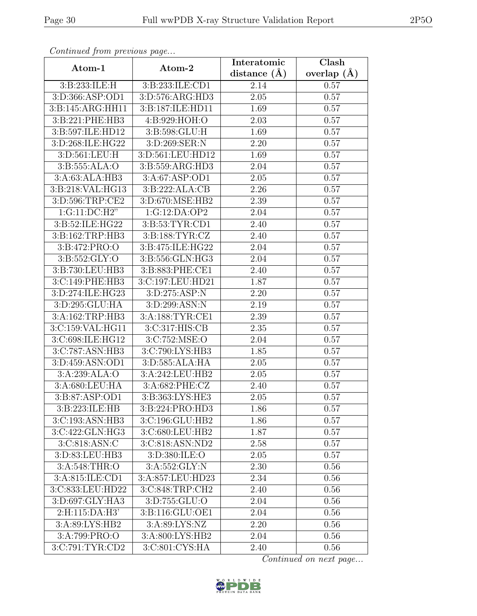| Continuea from previous page |                     | Interatomic       | Clash         |
|------------------------------|---------------------|-------------------|---------------|
| Atom-1                       | Atom-2              | distance $(A)$    | overlap $(A)$ |
| 3:B:233:ILE:H                | 3: B: 233: ILE: CD1 | 2.14              | 0.57          |
| 3:D:366:ASP:OD1              | 3:D:576:ARG:HD3     | $\overline{2.05}$ | 0.57          |
| 3:B:145:ARG:HH11             | 3:B:187:ILE:HD11    | 1.69              | 0.57          |
| 3:B:221:PHE:HB3              | 4:B:929:HOH:O       | 2.03              | 0.57          |
| 3:B:597:ILE:HD12             | 3:B:598:GLU:H       | 1.69              | 0.57          |
| 3:D:268:ILE:HG22             | 3:D:269:SER:N       | 2.20              | 0.57          |
| 3:D:561:LEU:H                | 3:D:561:LEU:HD12    | 1.69              | 0.57          |
| 3:B:555:ALA:O                | 3:B:559:ARG:HD3     | 2.04              | 0.57          |
| 3:A:63:ALA:HB3               | 3:A:67:ASP:OD1      | 2.05              | 0.57          |
| 3:B:218:VAL:HG13             | 3:B:222:ALA:CB      | 2.26              | 0.57          |
| 3:D:596:TRP:CE2              | 3:D:670:MSE:HB2     | 2.39              | 0.57          |
| 1:G:11:DC:H2"                | 1:G:12:DA:OP2       | 2.04              | 0.57          |
| 3:B:52:ILE:HG22              | 3:B:53:TYR:CD1      | 2.40              | 0.57          |
| 3:B:162:TRP:HB3              | 3:B:188:TYR:CZ      | 2.40              | 0.57          |
| 3:B:472:PRO:O                | 3:B:475:ILE:HG22    | 2.04              | 0.57          |
| 3:B:552:GLY:O                | 3:B:556:GLN:HG3     | 2.04              | 0.57          |
| 3:B:730:LEU:HB3              | 3:B:883:PHE:CE1     | 2.40              | 0.57          |
| 3:C:149:PHE:HB3              | 3:C:197:LEU:HD21    | 1.87              | 0.57          |
| 3:D:274:ILE:HG23             | 3:D:275:ASP:N       | 2.20              | 0.57          |
| 3:D:295:GLU:HA               | 3:D:299:ASN:N       | 2.19              | 0.57          |
| 3:A:162:TRP:HB3              | 3:A:188:TYR:CE1     | 2.39              | 0.57          |
| 3:C:159:VAL:HG11             | 3:C:317:HIS:CB      | 2.35              | 0.57          |
| 3:C:698:ILE:HG12             | 3:C:752:MSE:O       | 2.04              | 0.57          |
| 3:C:787:ASN:HB3              | 3:C:790:LYS:HB3     | 1.85              | 0.57          |
| 3:D:459:ASN:OD1              | 3:D:585:ALA:HA      | 2.05              | 0.57          |
| 3:A:239:ALA:O                | 3:A:242:LEU:HB2     | $\overline{2}.05$ | 0.57          |
| 3:A:680:LEU:HA               | 3:A:682:PHE:CZ      | 2.40              | 0.57          |
| 3:B:87:ASP:OD1               | 3:B:363:LYS:HE3     | 2.05              | 0.57          |
| 3:B:223:ILE:HB               | 3:B:224:PRO:HD3     | 1.86              | 0.57          |
| 3:C:193:ASN:HB3              | 3:C:196:GLU:HB2     | 1.86              | 0.57          |
| 3:C:422:GLN:HG3              | 3:C:680:LEU:HB2     | 1.87              | 0.57          |
| 3:C:818:ASN:C                | 3:C:818:ASN:ND2     | 2.58              | 0.57          |
| 3:D:83:LEU:HB3               | 3:D:380:ILE:O       | 2.05              | 0.57          |
| 3:A:548:THR:O                | 3: A: 552: GLY:N    | 2.30              | 0.56          |
| 3:A:815:ILE:CD1              | 3:A:857:LEU:HD23    | 2.34              | 0.56          |
| 3:C:833:LEU:HD22             | 3:C:848:TRP:CH2     | 2.40              | 0.56          |
| 3:D:697:GLY:HA3              | 3:D:755:GLU:O       | 2.04              | 0.56          |
| 2:H:115:DA:H3'               | 3:B:116:GLU:OE1     | 2.04              | 0.56          |
| 3:A:89:LYS:HB2               | 3:A:89:LYS:NZ       | 2.20              | 0.56          |
| 3:A:799:PRO:O                | 3:A:800:LYS:HB2     | 2.04              | 0.56          |
| 3:C:791:TYR:CD2              | 3:C:801:CYS:HA      | 2.40              | 0.56          |

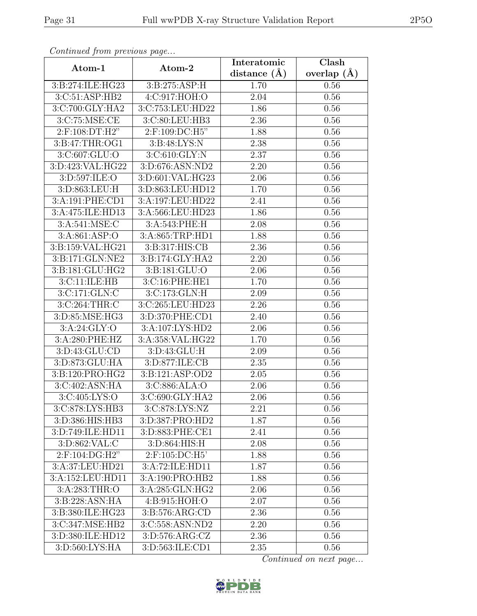| Continuation procession page         |                            | Interatomic        | Clash           |
|--------------------------------------|----------------------------|--------------------|-----------------|
| Atom-1                               | Atom-2                     | distance $(A)$     | overlap $(\AA)$ |
| 3:B:274:ILE:HG23                     | 3:B:275:ASP:H              | 1.70               | $0.56\,$        |
| 3:C:51:ASP:HB2                       | $4:C:917:\overline{HOH:O}$ | 2.04               | 0.56            |
| 3:C:700:GLY:HA2                      | 3:C:753:LEU:HD22           | 1.86               | 0.56            |
| 3:C:75:MSE:CE                        | 3:C:80:LEU:HB3             | 2.36               | 0.56            |
| 2:F:108:DT:H2"                       | 2:F:109:DC:H5"             | 1.88               | 0.56            |
| 3: B: 47: THR: OG1                   | 3: B:48: LYS:N             | 2.38               | 0.56            |
| 3: C: 607: GLU:O                     | 3:C:610:GLY:N              | 2.37               | 0.56            |
| 3:D:423:VAL:HG22                     | 3:D:676:ASN:ND2            | 2.20               | 0.56            |
| 3:D:597:ILE:O                        | 3:D:601:VAL:HG23           | 2.06               | 0.56            |
| 3:D:863:LEU:H                        | 3:D:863:LEU:HD12           | 1.70               | 0.56            |
| 3:A:191:PHE:CD1                      | 3:A:197:LEU:HD22           | 2.41               | 0.56            |
| 3:A:475:ILE:HD13                     | 3:A:566:LEU:HD23           | 1.86               | 0.56            |
| 3:A:541:MSE:C                        | 3:A:543:PHE:H              | 2.08               | 0.56            |
| 3:A:861:ASP:O                        | 3:A:865:TRP:HD1            | $\overline{1}$ .88 | 0.56            |
| 3:B:159:VAL:HG21                     | 3:B:317:HIS:CB             | 2.36               | 0.56            |
| 3:B:171:GLN:NE2                      | 3:B:174:GLY:HA2            | 2.20               | 0.56            |
| 3:B:181:GLU:HG2                      | 3:B:181:GLU:O              | $\overline{2.06}$  | 0.56            |
| 3:C:11:ILE:HB                        | 3:C:16:PHE:HE1             | 1.70               | 0.56            |
| 3:C:171:GLN:C                        | 3:C:173:GLN:H              | 2.09               | 0.56            |
| 3:C:264:THR:C                        | 3:C:265:LEU:HD23           | 2.26               | 0.56            |
| 3:D:85:MSE:HG3                       | 3:D:370:PHE:CD1            | 2.40               | 0.56            |
| 3: A:24: GLY:O                       | 3:A:107:LYS:HD2            | 2.06               | 0.56            |
| 3:A:280:PHE:HZ                       | 3:A:358:VAL:HG22           | 1.70               | 0.56            |
| 3:D:43:GLU:CD                        | 3: D: 43: GLU: H           | 2.09               | 0.56            |
| 3:D:873:GLU:HA                       | 3:D:877:ILE:CB             | 2.35               | 0.56            |
| 3:B:120:PRO:HG2                      | 3:B:121:ASP:OD2            | 2.05               | 0.56            |
| 3:C:402:ASN:HA                       | 3:C:886:ALA:O              | 2.06               | 0.56            |
| 3:C:405:LYS:O                        | 3:C:690:GLY:HA2            | 2.06               | 0.56            |
| 3:C:878:LYS:HB3                      | 3:C:878:LYS:NZ             | 2.21               | 0.56            |
| 3:D:386:HIS:HB3                      | 3:D:387:PRO:HD2            | 1.87               | 0.56            |
| 3:D:749:ILE:HD11                     | 3:D:883:PHE:CE1            | 2.41               | 0.56            |
| 3: D: 862: VAL: C                    | 3:D:864:HIS:H              | 2.08               | 0.56            |
| 2:F:104:DG:H2"                       | $2:$ F:105:DC:H5'          | 1.88               | 0.56            |
| 3:A:37:LEU:HD21                      | 3:A:72:ILE:HD11            | 1.87               | 0.56            |
| 3:A:152:LEU:HD11                     | 3:A:190:PRO:HB2            | 1.88               | 0.56            |
| 3:A:283:THR:O                        | 3:A:285:GLN:HG2            | 2.06               | 0.56            |
| 3:B:228:ASN:HA                       | 4:B:915:HOH:O              | 2.07               | 0.56            |
| 3:B:380:ILE:HG23                     | 3:B:576:ARG:CD             | 2.36               | 0.56            |
| 3:C:347:MSE:HB2                      | 3:C:558:ASN:ND2            | 2.20               | 0.56            |
| 3:D:380:ILE:HD12                     | 3: D: 576: ARG: CZ         | 2.36               | 0.56            |
| $3: D:560: \overline{\text{LYS:HA}}$ | 3:D:563:ILE:CD1            | 2.35               | 0.56            |

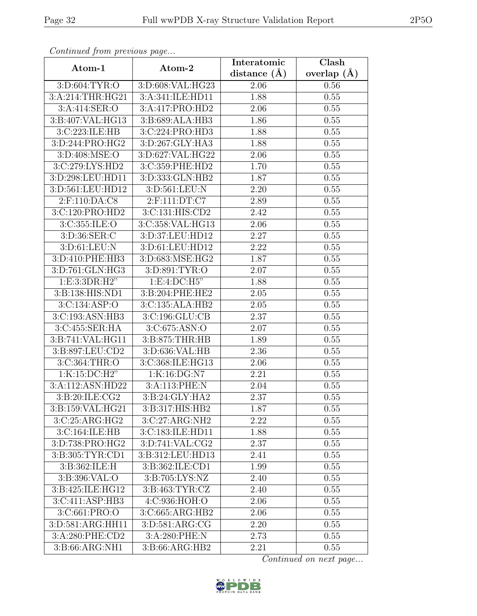| Continuati jibni protibus puga |                     | Interatomic       | Clash           |
|--------------------------------|---------------------|-------------------|-----------------|
| Atom-1                         | Atom-2              | distance $(A)$    | overlap $(\AA)$ |
| 3:D:604:TYR:O                  | 3:D:608:VAL:HG23    | 2.06              | 0.56            |
| 3:A:214:THR:HG21               | 3:A:341:ILE:HD11    | 1.88              | 0.55            |
| 3:A:414:SER:O                  | 3:A:417:PRO:HD2     | 2.06              | 0.55            |
| 3:5:407:VAL:HG13               | 3:B:689:ALA:HB3     | 1.86              | 0.55            |
| 3:C:223:ILE:HB                 | 3:C:224:PRO:HD3     | 1.88              | 0.55            |
| 3:D:244:PRO:HG2                | 3:D:267:GLY:HA3     | 1.88              | 0.55            |
| 3:D:408:MSE:O                  | 3:D:627:VAL:HG22    | 2.06              | 0.55            |
| 3:C:279:LYS:HD2                | 3:C:359:PHE:HD2     | 1.70              | 0.55            |
| 3:D:298:LEU:HD11               | 3:D:333:GLN:HB2     | 1.87              | 0.55            |
| 3:D:561:LEU:HD12               | 3:D:561:LEU:N       | 2.20              | 0.55            |
| 2:F:110:DA:C8                  | 2:F:111:DT:C7       | 2.89              | 0.55            |
| 3:C:120:PRO:HD2                | 3:C:131:HIS:CD2     | 2.42              | 0.55            |
| 3:C:355:ILE:O                  | 3:C:358:VAL:HG13    | 2.06              | 0.55            |
| 3:D:36:SER:C                   | 3:D:37:LEU:HD12     | 2.27              | $0.55\,$        |
| 3:D:61:LEU:N                   | 3:D:61:LEU:HD12     | 2.22              | 0.55            |
| 3:D:410:PHE:HB3                | 3:D:683:MSE:HG2     | 1.87              | 0.55            |
| 3:D:761:GLN:HG3                | 3:D:891:TYR:O       | 2.07              | 0.55            |
| 1: E: 3:3DR: H2"               | 1: E: 4: DC: H5"    | 1.88              | 0.55            |
| 3:B:138:HIS:ND1                | 3:B:204:PHE:HE2     | 2.05              | 0.55            |
| 3:C:134:ASP:O                  | 3:C:135:ALA:HB2     | 2.05              | 0.55            |
| 3:C:193:ASN:HB3                | 3:C:196:GLU:CB      | 2.37              | 0.55            |
| 3:C:455:SER:HA                 | 3:C:675:ASN:O       | 2.07              | 0.55            |
| 3:B:741:VAL:HG11               | 3:B:875:THR:HB      | 1.89              | 0.55            |
| 3:B:897:LEU:CD2                | 3:D:636:VAL:HB      | $\overline{2}.36$ | 0.55            |
| 3: C: 364: THR:O               | 3:C:368:ILE:HG13    | 2.06              | 0.55            |
| 1:K:15:DC:H2"                  | 1:K:16:DG:N7        | 2.21              | 0.55            |
| 3:A:112:ASN:HD22               | 3:A:113:PHE:N       | 2.04              | 0.55            |
| 3:B:20:ILE:CG2                 | 3:B:24:GLY:HA2      | $\overline{2.37}$ | 0.55            |
| 3:B:159:VAL:HG21               | 3:B:317:HIS:HB2     | 1.87              | 0.55            |
| 3:C:25:ARG:HG2                 | 3:C:27:ARG:NH2      | 2.22              | 0.55            |
| 3:C:164:ILE:HB                 | 3:C:183:ILE:HD11    | 1.88              | 0.55            |
| 3:D:738:PRO:HG2                | 3: D: 741: VAL: CG2 | 2.37              | 0.55            |
| 3:B:305:TYR:CD1                | 3:B:312:LEU:HD13    | 2.41              | 0.55            |
| 3:B:362:ILE:H                  | 3:B:362:ILE:CD1     | 1.99              | 0.55            |
| 3:B:396:VAL:O                  | 3:B:705:LYS:NZ      | 2.40              | 0.55            |
| 3:B:425:ILE:HG12               | 3:B:463:TYR:CZ      | 2.40              | 0.55            |
| 3:C:411:ASP:HB3                | 4:C:936:HOH:O       | 2.06              | 0.55            |
| 3:C:661:PRO:O                  | 3:C:665:ARG:HB2     | 2.06              | 0.55            |
| 3:D:581:ARG:HH11               | 3:D:581:ARG:CG      | 2.20              | 0.55            |
| 3:A:280:PHE:CD2                | 3:A:280:PHE:N       | 2.73              | 0.55            |
| 3:B:66:ARG:NH1                 | 3:B:66:ARG:HB2      | 2.21              | 0.55            |

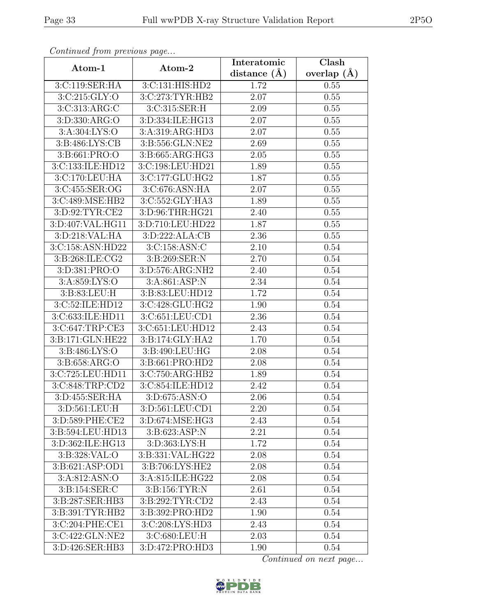| Communica from previous page |                                 | Interatomic       | Clash           |
|------------------------------|---------------------------------|-------------------|-----------------|
| Atom-1                       | Atom-2                          | distance $(A)$    | overlap $(\AA)$ |
| 3:C:119:SER:HA               | 3:C:131:HIS:HD2                 | 1.72              | 0.55            |
| 3:C:215:GLY:O                | 3:C:273:TYR:HB2                 | 2.07              | 0.55            |
| 3:C:313:ARG:C                | 3:C:315:SER:H                   | 2.09              | 0.55            |
| 3:D:330:ARG:O                | 3:D:334:ILE:HG13                | 2.07              | 0.55            |
| 3:A:304:LYS:O                | 3:A:319:ARG:HD3                 | 2.07              | 0.55            |
| 3:B:486:LYS:CB               | 3:B:556:GLN:NE2                 | 2.69              | 0.55            |
| 3:B:661:PRO:O                | 3:B:665:ARG:HG3                 | $\overline{2.05}$ | 0.55            |
| 3:C:133:ILE:HD12             | 3:C:198:LEU:HD21                | 1.89              | 0.55            |
| 3:C:170:LEU:HA               | 3:C:177:GLU:HG2                 | 1.87              | 0.55            |
| 3:C:455:SER:OG               | 3:C:676:ASN:HA                  | 2.07              | 0.55            |
| 3:C:489:MSE:HB2              | 3:C:552:GLY:HA3                 | 1.89              | 0.55            |
| 3:D:92:TYR:CE2               | 3:D:96:THR:HG21                 | 2.40              | 0.55            |
| 3:D:407:VAL:HG11             | 3:D:710:LEU:HD22                | 1.87              | 0.55            |
| 3:D:218:VAL:HA               | $3: D: 222: ALA: \overline{CB}$ | 2.36              | 0.55            |
| 3:C:158:ASN:HD22             | 3:C:158:ASN:C                   | 2.10              | 0.54            |
| 3:B:268:ILE:CG2              | 3:B:269:SER:N                   | 2.70              | 0.54            |
| 3: D:381: PRO:O              | 3: D: 576: ARG: NH2             | 2.40              | 0.54            |
| 3:A:859:LYS:O                | 3:A:861:ASP:N                   | 2.34              | 0.54            |
| 3:B:83:LEU:H                 | 3:B:83:LEU:HD12                 | 1.72              | 0.54            |
| 3:C:52:ILE:HD12              | 3:C:428:GLU:HG2                 | 1.90              | 0.54            |
| 3:C:633:ILE:HD11             | 3:C:651:LEU:CD1                 | 2.36              | 0.54            |
| 3:C:647:TRP:CE3              | 3:C:651:LEU:HD12                | 2.43              | 0.54            |
| 3:B:171:GLN:HE22             | $3: B:174: \overline{GLY:HA2}$  | 1.70              | 0.54            |
| 3:B:486:LYS:O                | 3:B:490:LEU:HG                  | $\overline{2.08}$ | 0.54            |
| 3:B:658:ARG:O                | 3:B:661:PRO:HD2                 | 2.08              | 0.54            |
| 3:C:725:LEU:HD11             | 3:C:750:ARG:HB2                 | 1.89              | 0.54            |
| 3:C:848:TRP:CD2              | 3:C:854:ILE:HD12                | 2.42              | 0.54            |
| 3:D:455:SER:HA               | 3:D:675:ASN:O                   | 2.06              | 0.54            |
| 3:D:561:LEU:H                | 3:D:561:LEU:CD1                 | 2.20              | 0.54            |
| 3:D:589:PHE:CE2              | 3:D:674:MSE:HG3                 | 2.43              | 0.54            |
| 3:B:594:LEU:HD13             | 3:B:623:ASP:N                   | 2.21              | 0.54            |
| 3:D:362:ILE:HG13             | 3:D:363:LYS:H                   | 1.72              | 0.54            |
| 3:B:328:VAL:O                | 3:B:331:VAL:HG22                | 2.08              | 0.54            |
| 3:B:621:ASP:OD1              | 3:B:706:LYS:HE2                 | 2.08              | 0.54            |
| 3:A:812:ASN:O                | 3:A:815:ILE:HG22                | 2.08              | 0.54            |
| 3:B:154:SER:C                | 3:B:156:TYR:N                   | 2.61              | 0.54            |
| 3:B:287:SER:HB3              | 3:B:292:TYR:CD2                 | 2.43              | 0.54            |
| 3: B:391:TYR:HB2             | 3:B:392:PRO:HD2                 | 1.90              | 0.54            |
| 3:C:204:PHE:CE1              | 3:C:208:LYS:HD3                 | 2.43              | 0.54            |
| 3:C:422:GLN:NE2              | 3:C:680:LEU:H                   | 2.03              | 0.54            |
| 3:D:426:SER:HB3              | 3:D:472:PRO:HD3                 | 1.90              | 0.54            |

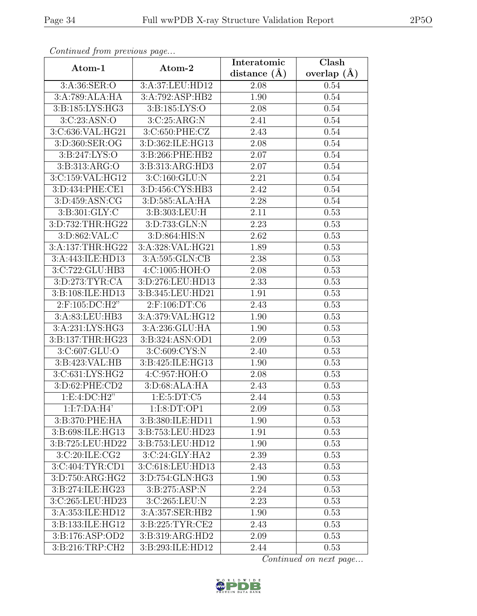| Continueu from pretious page | Atom-2             | Interatomic    | Clash           |
|------------------------------|--------------------|----------------|-----------------|
| Atom-1                       |                    | distance $(A)$ | overlap $(\AA)$ |
| 3:A:36:SER:O                 | 3:A:37:LEU:HD12    | 2.08           | 0.54            |
| 3:A:789:ALA:HA               | 3:A:792:ASP:HB2    | 1.90           | 0.54            |
| 3:B:185:LYS:HG3              | 3: B: 185: LYS: O  | 2.08           | 0.54            |
| 3:C:23:ASN:O                 | 3:C:25:ARG:N       | 2.41           | 0.54            |
| 3:C:636:VAL:HG21             | 3:C:650:PHE:CZ     | 2.43           | 0.54            |
| 3:D:360:SER:OG               | 3:D:362:ILE:HG13   | 2.08           | 0.54            |
| 3: B: 247: LYS: O            | 3:B:266:PHE:HB2    | 2.07           | 0.54            |
| 3:B:313:ARG:O                | 3:B:313:ARG:HD3    | 2.07           | 0.54            |
| 3:C:159:VAL:HG12             | 3: C:160: GLU: N   | 2.21           | 0.54            |
| 3:D:434:PHE:CE1              | 3:D:456:CYS:HB3    | 2.42           | 0.54            |
| 3:D:459:ASN:CG               | 3:D:585:ALA:HA     | 2.28           | 0.54            |
| 3: B:301: GLY: C             | 3:B:303:LEU:H      | 2.11           | 0.53            |
| 3:D:732:THR:HG22             | 3:D:733:GLN:N      | 2.23           | 0.53            |
| 3: D: 862: VAL: C            | 3:D:864:HIS:N      | 2.62           | 0.53            |
| 3:A:137:THR:HG22             | 3:A:328:VAL:HG21   | 1.89           | 0.53            |
| 3:A:443:ILE:HD13             | 3:A:595:GLN:CB     | 2.38           | 0.53            |
| 3:C:722:GLU:HB3              | 4:C:1005:HOH:O     | 2.08           | 0.53            |
| 3:D:273:TYR:CA               | 3:D:276:LEU:HD13   | 2.33           | 0.53            |
| 3:B:108:ILE:HD13             | 3:B:345:LEU:HD21   | 1.91           | 0.53            |
| $2:$ F:105:DC:H2"            | 2:F:106:DT:C6      | 2.43           | 0.53            |
| 3:A:83:LEU:HB3               | 3:A:379:VAL:HG12   | 1.90           | 0.53            |
| 3:A:231:LYS:HG3              | 3:A:236:GLU:HA     | 1.90           | 0.53            |
| 3:B:137:THR:HG23             | 3:B:324:ASN:OD1    | 2.09           | 0.53            |
| 3:C:607:GLU:O                | 3:C:609:CYS:N      | 2.40           | 0.53            |
| 3:B:423:VAL:HB               | 3:B:425:ILE:HG13   | 1.90           | 0.53            |
| 3:C:631:LYS:HG2              | 4:C:957:HOH:O      | 2.08           | 0.53            |
| 3:D:62:PHE:CD2               | 3: D:68: ALA: HA   | 2.43           | 0.53            |
| 1:E:4:DC:H2"                 | 1: E: 5: DT: C5    | 2.44           | 0.53            |
| 1:I:7:DA:H4'                 | 1:I:8:DT:OP1       | 2.09           | 0.53            |
| 3:B:370:PHE:HA               | 3:B:380:ILE:HD11   | 1.90           | 0.53            |
| 3:B:698:ILE:HG13             | 3:B:753:LEU:HD23   | 1.91           | 0.53            |
| 3:B:725:LEU:HD22             | 3:B:753:LEU:HD12   | 1.90           | 0.53            |
| 3:C:20:ILE:CG2               | 3:C:24:GLY:HA2     | 2.39           | 0.53            |
| 3:C:404:TYR:CD1              | 3:C:618:LEU:HD13   | 2.43           | 0.53            |
| 3:D:750:ARG:HG2              | 3:D:754:GLN:HG3    | 1.90           | 0.53            |
| 3:B:274:ILE:HG23             | 3:B:275:ASP:N      | 2.24           | 0.53            |
| 3:C:265:LEU:HD23             | 3:C:265:LEU:N      | 2.23           | 0.53            |
| 3:A:353:ILE:HD12             | 3:A:357:SER:HB2    | 1.90           | 0.53            |
| 3:B:133:ILE:HG12             | 3: B:225: TYR: CE2 | 2.43           | 0.53            |
| 3:B:176:ASP:OD2              | 3:B:319:ARG:HD2    | 2.09           | 0.53            |
| 3:B:216:TRP:CH2              | 3:B:293:ILE:HD12   | 2.44           | 0.53            |

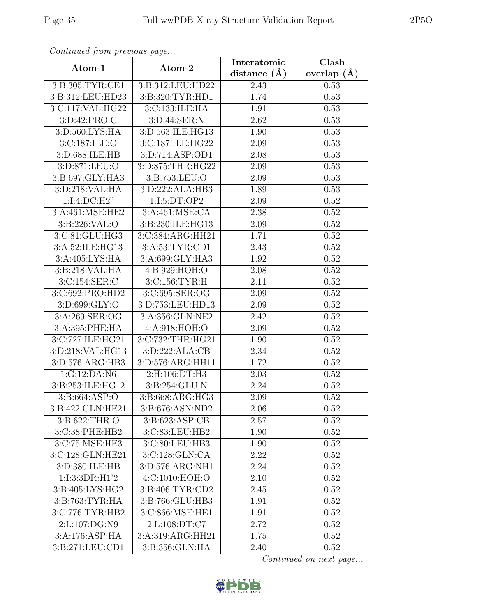| Continued from previous page |                     | Interatomic       | Clash           |
|------------------------------|---------------------|-------------------|-----------------|
| Atom-1                       | Atom-2              | distance $(\AA)$  | overlap $(\AA)$ |
| 3:B:305:TYR:CE1              | 3:B:312:LEU:HD22    | 2.43              | 0.53            |
| 3:B:312:LEU:HD23             | 3:B:320:TYR:HD1     | 1.74              | 0.53            |
| 3:C:117:VAL:HG22             | 3:C:133:ILE:HA      | 1.91              | 0.53            |
| 3:D:42:PRO:C                 | 3:D:44:SER:N        | 2.62              | 0.53            |
| 3:D:560:LYS:HA               | 3:D:563:ILE:HG13    | 1.90              | 0.53            |
| 3:C:187:ILE:O                | 3:C:187:ILE:HG22    | 2.09              | 0.53            |
| 3:D:688:ILE:HB               | 3: D: 714: ASP: OD1 | $\overline{2.08}$ | 0.53            |
| 3:D:871:LEU:O                | 3:D:875:THR:HG22    | 2.09              | 0.53            |
| 3:B:697:GLY:HA3              | 3:B:753:LEU:O       | 2.09              | 0.53            |
| 3:D:218:VAL:HA               | 3: D: 222: ALA: HB3 | 1.89              | 0.53            |
| 1:I:4:DC:H2"                 | 1:I:5:DT:OP2        | 2.09              | 0.52            |
| 3:A:461:MSE:HE2              | 3: A:461: MSE: CA   | 2.38              | 0.52            |
| 3:B:226:VAL:O                | 3:B:230:ILE:HG13    | 2.09              | 0.52            |
| 3:C:81:GLU:HG3               | 3:C:384:ARG:HH21    | 1.71              | 0.52            |
| 3:A:52:ILE:HG13              | 3:A:53:TYR:CD1      | 2.43              | 0.52            |
| 3:A:405:LYS:HA               | 3:A:699:GLY:HA3     | 1.92              | 0.52            |
| 3:B:218:VAL:HA               | 4:B:929:HOH:O       | 2.08              | 0.52            |
| 3:C:154:SER:C                | 3:C:156:TYR:H       | 2.11              | 0.52            |
| 3:C:692:PRO:HD2              | 3:C:695:SER:OG      | 2.09              | 0.52            |
| 3:D:699:GLY:O                | 3:D:753:LEU:HD13    | 2.09              | 0.52            |
| 3:A:269:SER:OG               | 3:A:356:GLN:NE2     | 2.42              | 0.52            |
| 3:A:395:PHE:HA               | 4:A:918:HOH:O       | 2.09              | 0.52            |
| 3:C:727:ILE:HG21             | 3:C:732:THR:HG21    | 1.90              | 0.52            |
| 3:D:218:VAL:HG13             | 3:D:222:ALA:CB      | 2.34              | 0.52            |
| 3:D:576:ARG:HB3              | 3:D:576:ARG:HH11    | 1.72              | 0.52            |
| 1:G:12:DA:N6                 | 2:H:106:DT:H3       | $\overline{2}.03$ | 0.52            |
| 3:B:253:ILE:HG12             | 3:B:254:GLU:N       | 2.24              | 0.52            |
| 3: B: 664: ASP: O            | 3:B:668:ARG:HG3     | 2.09              | 0.52            |
| 3:B:422:GLN:HE21             | 3:B:676:ASN:ND2     | 2.06              | 0.52            |
| 3:B:622:THR:O                | 3:B:623:ASP:CB      | 2.57              | 0.52            |
| 3:C:38:PHE:HB2               | 3:C:83:LEU:HB2      | 1.90              | 0.52            |
| 3:C:75:MSE:HE3               | 3:C:80:LEU:HB3      | 1.90              | 0.52            |
| 3:C:128:GLN:HE21             | 3:C:128:GLN:CA      | 2.22              | 0.52            |
| 3:D:380:ILE:HB               | 3:D:576:ARG:NH1     | 2.24              | 0.52            |
| 1:1:3:3DR:H1'2               | 4:C:1010:HOH:O      | 2.10              | 0.52            |
| 3:B:405:LYS:HG2              | 3: B:406: TYR:CD2   | 2.45              | 0.52            |
| 3:B:763:TYR:HA               | 3:B:766:GLU:HB3     | 1.91              | 0.52            |
| 3:C:776:TYR:HB2              | 3:C:866:MSE:HE1     | 1.91              | 0.52            |
| 2:L:107:DG:N9                | 2:L:108:DT:C7       | 2.72              | 0.52            |
| 3:A:176:ASP:HA               | 3:A:319:ARG:HH21    | 1.75              | 0.52            |
| 3:B:271:LEU:CD1              | 3:B:356:GLN:HA      | 2.40              | 0.52            |

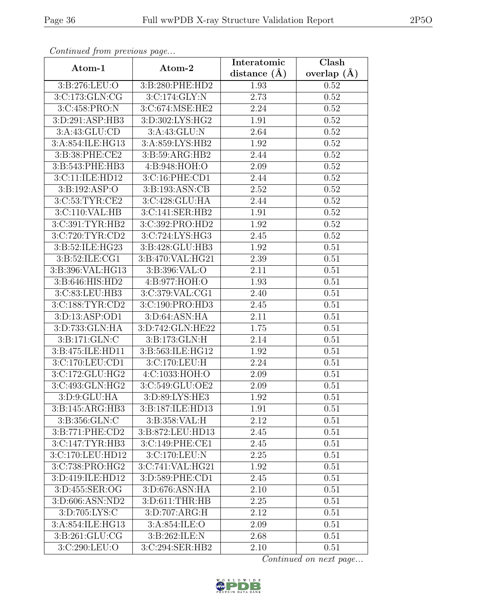| Continued from previous page          |                    | Interatomic    | Clash             |
|---------------------------------------|--------------------|----------------|-------------------|
| Atom-1                                | Atom-2             | distance $(A)$ | overlap $(\AA)$   |
| 3:B:276:LEU:O                         | 3:B:280:PHE:HD2    | 1.93           | 0.52              |
| 3:C:173:GLN:CG                        | 3:C:174:GLY:N      | 2.73           | 0.52              |
| 3:C:458:PRO:N                         | 3:C:674:MSE:HE2    | 2.24           | 0.52              |
| 3:D:291:ASP:HB3                       | 3:D:302:LYS:HG2    | 1.91           | 0.52              |
| 3:A:43:GLU:CD                         | 3:A:43:GLU:N       | 2.64           | 0.52              |
| 3:A:854:ILE:HG13                      | 3:A:859:LYS:HB2    | 1.92           | 0.52              |
| $3: B:38: PHE: \overline{\text{CE2}}$ | 3:B:59:ARG:HB2     | 2.44           | 0.52              |
| 3:B:543:PHE:HB3                       | 4:B:948:HOH:O      | 2.09           | 0.52              |
| 3:C:11:ILE:HD12                       | 3:C:16:PHE:CD1     | 2.44           | 0.52              |
| 3:B:192:ASP:O                         | 3:B:193:ASN:CB     | 2.52           | 0.52              |
| 3:C:53:TYR:CE2                        | 3:C:428:GLU:HA     | 2.44           | 0.52              |
| 3:C:110:VAL:HB                        | 3:C:141:SER:HB2    | 1.91           | 0.52              |
| 3:C:391:TYR:HB2                       | 3:C:392:PRO:HD2    | 1.92           | $\overline{0.52}$ |
| 3:C:720:TYR:CD2                       | 3:C:724:LYS:HG3    | 2.45           | 0.52              |
| 3:B:52:ILE:HG23                       | 3:B:428:GLU:HB3    | 1.92           | 0.51              |
| 3:B:52:ILE:CG1                        | 3:B:470:VAL:HG21   | 2.39           | 0.51              |
| 3:B:396:VAL:HG13                      | 3:B:396:VAL:O      | 2.11           | 0.51              |
| 3:B:646:HIS:HD2                       | 4:B:977:HOH:O      | 1.93           | 0.51              |
| 3:C:83:LEU:HB3                        | 3:C:379:VAL:CG1    | 2.40           | 0.51              |
| 3:C:188:TYR:CD2                       | 3:C:190:PRO:HD3    | 2.45           | 0.51              |
| 3:D:13:ASP:OD1                        | 3:D:64:ASN:HA      | 2.11           | 0.51              |
| 3:D:733:GLN:HA                        | 3:D:742:GLN:HE22   | 1.75           | 0.51              |
| 3:B:171:GLN:C                         | 3:B:173:GLN:H      | 2.14           | 0.51              |
| 3: B: 475: ILE: HD11                  | 3:B:563:ILE:HG12   | 1.92           | 0.51              |
| 3:C:170:LEU:CD1                       | 3:C:170:LEU:H      | 2.24           | 0.51              |
| 3:C:172:GLU:HG2                       | 4:C:1033:HOH:O     | 2.09           | 0.51              |
| 3:C:493:GLN:HG2                       | 3:C:549:GLU:OE2    | 2.09           | 0.51              |
| 3: D: 9: GLU: HA                      | 3:D:89:LYS:HE3     | 1.92           | 0.51              |
| 3:B:145:ARG:HB3                       | 3:B:187:ILE:HD13   | 1.91           | 0.51              |
| 3:B:356:GLN:C                         | 3:B:358:VAL:H      | 2.12           | 0.51              |
| 3:B:771:PHE:CD2                       | 3:B:872:LEU:HD13   | 2.45           | 0.51              |
| 3:C:147:TYR:HB3                       | 3:C:149:PHE:CE1    | 2.45           | 0.51              |
| 3:C:170:LEU:HD12                      | 3:C:170:LEU:N      | 2.25           | 0.51              |
| 3:C:738:PRO:HG2                       | 3:C:741:VAL:HG21   | 1.92           | 0.51              |
| 3:D:419:ILE:HD12                      | 3:D:589:PHE:CD1    | 2.45           | 0.51              |
| 3: D: 455: SER: OG                    | 3:D:676:ASN:HA     | 2.10           | 0.51              |
| 3:D:606:ASN:ND2                       | 3: D: 611: THR: HB | 2.25           | 0.51              |
| 3:D:705:LYS:C                         | 3:D:707:ARG:H      | 2.12           | 0.51              |
| 3:A:854:ILE:HG13                      | 3:A:854:ILE:O      | 2.09           | 0.51              |
| 3:B:261:GLU:CG                        | 3:B:262:ILE:N      | 2.68           | 0.51              |
| 3:C:290:LEU:O                         | 3:C:294:SER:HB2    | 2.10           | 0.51              |

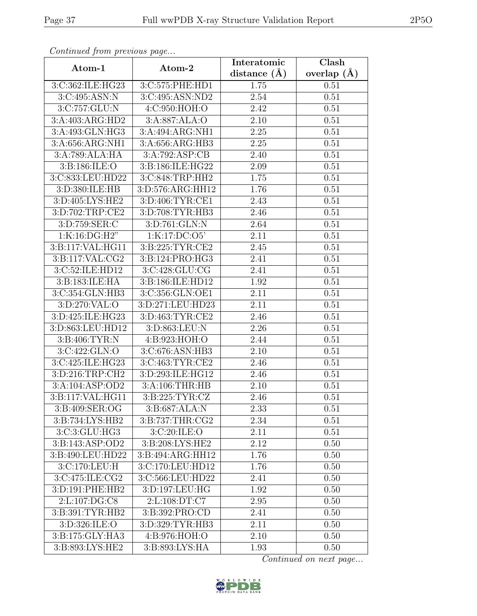| Continuea from previous page   |                                 | Interatomic       | Clash         |
|--------------------------------|---------------------------------|-------------------|---------------|
| Atom-1                         | Atom-2                          | distance $(\AA)$  | overlap $(A)$ |
| 3:C:362:ILE:HG23               | 3:C:575:PHE:HD1                 | 1.75              | 0.51          |
| 3:C:495:ASN:N                  | 3:C:495:ASN:ND2                 | 2.54              | 0.51          |
| 3:C:757:GLU:N                  | 4: C:950:HOH:O                  | 2.42              | 0.51          |
| 3:A:403:ARG:HD2                | 3:A:887:ALA:O                   | 2.10              | 0.51          |
| 3:A:493:GLN:HG3                | 3:A:494:ARG:NH1                 | 2.25              | 0.51          |
| 3:A:656:ARG:NH1                | 3:A:656:ARG:HB3                 | 2.25              | 0.51          |
| 3:A:789:ALA:HA                 | 3:A:792:ASP:CB                  | 2.40              | 0.51          |
| 3:B:186:ILE:O                  | 3:B:186:ILE:HG22                | 2.09              | 0.51          |
| 3:C:833:LEU:HD22               | 3:C:848:TRP:HH2                 | 1.75              | 0.51          |
| 3:D:380:ILE:HB                 | 3:D:576:ARG:HH12                | 1.76              | 0.51          |
| 3:D:405:LYS:HE2                | 3:D:406:TYR:CE1                 | 2.43              | 0.51          |
| 3:D:702:TRP:CE2                | 3:D:708:TYR:HB3                 | 2.46              | 0.51          |
| 3:D:759:SER:C                  | 3:D:761:GLN:N                   | 2.64              | 0.51          |
| 1:K:16:DG:H2"                  | 1:K:17:DC:O5'                   | 2.11              | 0.51          |
| 3:B:117:VAL:HG11               | 3:B:225:TYR:CE2                 | 2.45              | 0.51          |
| 3:B:117:VAL:CG2                | 3:B:124:PRO:HG3                 | 2.41              | 0.51          |
| 3: C:52: ILE: HD12             | 3:C:428:GLU:CG                  | 2.41              | 0.51          |
| 3:B:183:ILE:HA                 | 3:B:186:ILE:HD12                | 1.92              | 0.51          |
| 3:C:354:GLN:HB3                | 3:C:356:GLN:OE1                 | 2.11              | 0.51          |
| 3:D:270:VAL:O                  | 3:D:271:LEU:HD23                | 2.11              | 0.51          |
| 3:D:425:ILE:HG23               | 3:D:463:TYR:CE2                 | 2.46              | 0.51          |
| 3:D:863:LEU:HD12               | 3:D:863:LEU:N                   | 2.26              | 0.51          |
| 3:B:406:TYR:N                  | 4:B:923:HOH:O                   | 2.44              | 0.51          |
| 3:C:422:GLN:O                  | 3:C:676:ASN:HB3                 | $\overline{2}.10$ | 0.51          |
| 3:C:425:ILE:HG23               | 3:C:463:TYR:CE2                 | 2.46              | 0.51          |
| 3:D:216:TRP:CH2                | 3:D:293:ILE:HG12                | $\overline{2}.46$ | 0.51          |
| 3:A:104:ASP:OD2                | 3: A:106:THR:HB                 | 2.10              | 0.51          |
| 3: B: 117: VAL: HG11           | $3: B: 225: TYR: \overline{CZ}$ | 2.46              | 0.51          |
| 3:B:409:SER:OG                 | 3:B:687:ALA:N                   | 2.33              | 0.51          |
| 3:B:734:LYS:HB2                | 3:B:737:THR:CG2                 | 2.34              | 0.51          |
| 3:C:3:GLU:HG3                  | 3:C:20:ILE:O                    | 2.11              | 0.51          |
| 3:B:143:ASP:OD2                | 3:B:208:LYS:HE2                 | 2.12              | 0.50          |
| 3:B:490:LEU:HD22               | 3:B:494:ARG:HH12                | 1.76              | 0.50          |
| 3:C:170:LEU:H                  | 3:C:170:LEU:HD12                | 1.76              | 0.50          |
| 3:C:475:ILE:CG2                | 3:C:566:LEU:HD22                | 2.41              | 0.50          |
| 3:D:191:PHE:HB2                | 3:D:197:LEU:HG                  | 1.92              | 0.50          |
| $2: L: 107: DG: \overline{CS}$ | 2:L:108:DT:C7                   | 2.95              | 0.50          |
| 3:B:391:TYR:HB2                | 3:B:392:PRO:CD                  | 2.41              | 0.50          |
| 3:D:326:ILE:O                  | 3:D:329:TYR:HB3                 | 2.11              | 0.50          |
| 3:B:175:GLY:HA3                | 4:B:976:HOH:O                   | 2.10              | 0.50          |
| 3:B:893:LYS:HE2                | 3:B:893:LYS:HA                  | 1.93              | 0.50          |

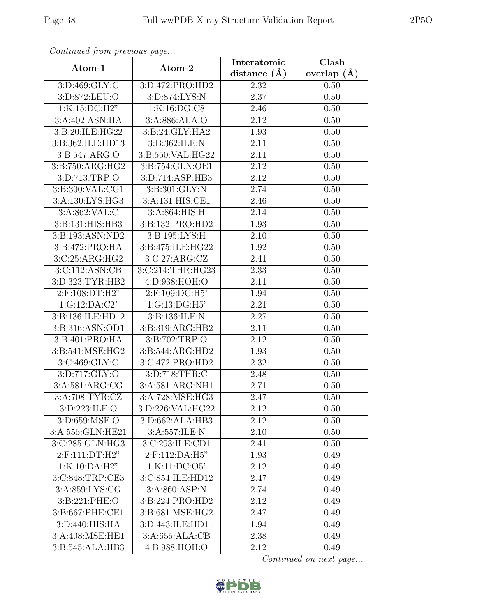| Communica from previous page         |                             | Interatomic      | Clash           |
|--------------------------------------|-----------------------------|------------------|-----------------|
| Atom-1                               | Atom-2                      | distance $(\AA)$ | overlap $(\AA)$ |
| 3:D:469:GLY:C                        | 3:D:472:PRO:HD2             | 2.32             | 0.50            |
| 3:D:872:LEU:O                        | 3: D:874: LYS: N            | 2.37             | 0.50            |
| 1:K:15:DC:H2"                        | 1:K:16:DG:CS                | 2.46             | 0.50            |
| 3:A:402:ASN:HA                       | 3:A:886:ALA:O               | 2.12             | 0.50            |
| 3:B:20:ILE:HG22                      | 3:B:24:GLY:HA2              | 1.93             | 0.50            |
| 3:B:362:ILE:HD13                     | 3:B:362:ILE:N               | 2.11             | 0.50            |
| 3:B:547:ARG:O                        | 3:B:550:VAL:HG22            | 2.11             | 0.50            |
| $3: B:750: ARG: H\overline{G2}$      | 3:B:754:GLN:OE1             | 2.12             | 0.50            |
| 3:D:713:TRP:O                        | 3:D:714:ASP:HB3             | 2.12             | 0.50            |
| 3:B:300:VAL:CG1                      | 3:B:301:GLY:N               | 2.74             | 0.50            |
| 3:A:130:LYS:HG3                      | 3:A:131:HIS:CE1             | 2.46             | 0.50            |
| 3:A:862:VAL:C                        | 3: A:864: HIS:H             | 2.14             | 0.50            |
| 3:B:131:HIS:HB3                      | 3:B:132:PRO:HD2             | 1.93             | 0.50            |
| 3:B:193:ASN:ND2                      | 3:B:195:LYS:H               | 2.10             | 0.50            |
| 3:B:472:PRO:HA                       | 3:B:475:ILE:HG22            | 1.92             | 0.50            |
| 3:C:25:ARG:HG2                       | 3:C:27:ARG:CZ               | 2.41             | 0.50            |
| $3:$ C:112:ASN:CB                    | 3:C:214:THR:HG23            | 2.33             | 0.50            |
| 3:D:323:TYR:HB2                      | 4:D:938:HOH:O               | 2.11             | 0.50            |
| 2:F:108:DT:H2"                       | 2:F:109:DC:H5'              | 1.94             | 0.50            |
| 1:G:12:DA:C2'                        | 1:G:13:DG:H5                | 2.21             | 0.50            |
| 3:B:136:ILE:HD12                     | 3:B:136:ILE:N               | 2.27             | 0.50            |
| 3:B:316:ASN:OD1                      | 3:B:319:ARG:HB2             | 2.11             | 0.50            |
| 3:B:401:PRO:HA                       | 3:B:702:TRP:O               | 2.12             | 0.50            |
| 3:B:541:MSE:HG2                      | 3:B:544:ARG:HD2             | 1.93             | 0.50            |
| 3:C:469:GLY:C                        | 3:C:472:PRO:HD2             | 2.32             | 0.50            |
| 3:D:717:GLY:O                        | 3:D:718:THR:C               | 2.48             | 0.50            |
| 3: A:581: ARG: CG                    | 3:A:581:ARG:NH1             | 2.71             | 0.50            |
| 3:A:708:TYR:CZ                       | 3:A:728:MSE:HG3             | 2.47             | 0.50            |
| 3:D:223:ILE:O                        | $3: D: 226: \sqrt{AL:HG22}$ | 2.12             | 0.50            |
| 3:D:659:MSE:O                        | 3:D:662:ALA:HB3             | 2.12             | 0.50            |
| 3:A:556:GLN:HE21                     | 3:A:557:ILE:N               | 2.10             | 0.50            |
| 3:C:285:GLN:HG3                      | 3:C:293:ILE:CD1             | 2.41             | 0.50            |
| 2:F:111:DT:H2"                       | $2:$ F:112:DA:H5"           | 1.93             | 0.49            |
| 1:K:10:DA:H2"                        | 1:K:11:DC:O5                | 2.12             | 0.49            |
| 3:C:848:TRP:CE3                      | 3:C:854:ILE:HD12            | 2.47             | 0.49            |
| $3: A:859: \overline{\text{LYS:CG}}$ | 3:A:860:ASP:N               | 2.74             | 0.49            |
| 3:B:221:PHE:O                        | 3:B:224:PRO:HD2             | 2.12             | 0.49            |
| 3:B:667:PHE:CE1                      | 3:B:681:MSE:HG2             | 2.47             | 0.49            |
| 3:D:440:HIS:HA                       | 3:D:443:ILE:HD11            | 1.94             | 0.49            |
| 3:A:408:MSE:HE1                      | 3:A:655:ALA:CB              | 2.38             | 0.49            |
| 3:B:545:ALA:HB3                      | 4:B:988:HOH:O               | 2.12             | 0.49            |

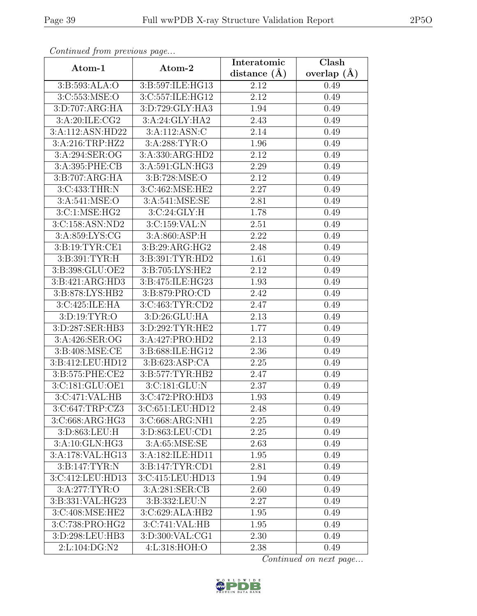| Continued from previous page                 |                    | Interatomic      | Clash           |
|----------------------------------------------|--------------------|------------------|-----------------|
| Atom-1                                       | Atom-2             | distance $(\AA)$ | overlap $(\AA)$ |
| 3:B:593:ALA:O                                | 3:B:597:ILE:HG13   | 2.12             | 0.49            |
| 3:C:553:MSE:O                                | 3:C:557:ILE:HG12   | 2.12             | 0.49            |
| 3: D:707: ARG: HA                            | 3:D:729:GLY:HA3    | 1.94             | 0.49            |
| 3:A:20:ILE:CG2                               | 3:A:24:GLY:HA2     | 2.43             | 0.49            |
| 3:A:112:ASN:HD22                             | 3:A:112:ASN:C      | 2.14             | 0.49            |
| 3:A:216:TRP:HZ2                              | 3:A:288:TYR:O      | 1.96             | 0.49            |
| 3:A:294:SER:OG                               | 3:A:330:ARG:HD2    | 2.12             | 0.49            |
| 3:A:395:PHE:CB                               | 3:A:591:GLN:HG3    | 2.29             | 0.49            |
| 3:B:707:ARG:HA                               | 3:B:728:MSE:O      | 2.12             | 0.49            |
| 3:C:433:THR:N                                | 3:C:462:MSE:HE2    | 2.27             | 0.49            |
| 3:A:541:MSE:O                                | 3:A:541:MSE:SE     | 2.81             | 0.49            |
| 3:C:1:MSE:HG2                                | 3:C:24:GLY:H       | 1.78             | 0.49            |
| 3:C:158:ASN:ND2                              | 3:C:159:VAL:N      | 2.51             | 0.49            |
| $3: A:859: \overline{\text{LYS}: \text{CG}}$ | 3: A:860: ASP: H   | 2.22             | 0.49            |
| 3:B:19:TYR:CE1                               | 3:B:29:ARG:HG2     | 2.48             | 0.49            |
| 3:B:391:TYR:H                                | 3:B:391:TYR:HD2    | 1.61             | 0.49            |
| 3:B:398:GLU:OE2                              | 3:B:705:LYS:HE2    | 2.12             | 0.49            |
| 3:B:421:ARG:HD3                              | 3:B:475:ILE:HG23   | 1.93             | 0.49            |
| 3:B:878:LYS:HB2                              | 3:B:879:PRO:CD     | 2.42             | 0.49            |
| 3:C:425:ILE:HA                               | 3:C:463:TYR:CD2    | 2.47             | 0.49            |
| 3:D:19:TYR:O                                 | 3:D:26:GLU:HA      | 2.13             | 0.49            |
| 3:D:287:SER:HB3                              | 3:D:292:TYR:HE2    | 1.77             | 0.49            |
| 3:A:426:SER:OG                               | 3:A:427:PRO:HD2    | 2.13             | 0.49            |
| 3:B:408:MSE:CE                               | 3:B:688:ILE:HG12   | 2.36             | 0.49            |
| 3:B:412:LEU:HD12                             | 3: B:623: ASP:CA   | 2.25             | 0.49            |
| 3:B:575:PHE:CE2                              | 3: B:577: TYR: HB2 | 2.47             | 0.49            |
| 3:C:181:GLU:OE1                              | 3:C:181:GLU:N      | 2.37             | 0.49            |
| 3:C:471:VAL:HB                               | 3:C:472:PRO:HD3    | 1.93             | 0.49            |
| 3:C:647:TRP:CZ3                              | 3:C:651:LEU:HD12   | 2.48             | 0.49            |
| 3:C:668:ARG:HG3                              | 3:C:668:ARG:NH1    | 2.25             | 0.49            |
| 3:D:863:LEU:H                                | 3:D:863:LEU:CD1    | 2.25             | 0.49            |
| 3:A:10:GLN:HG3                               | 3:A:65:MSE:SE      | 2.63             | 0.49            |
| 3:A:178:VAL:HG13                             | 3:A:182:ILE:HD11   | 1.95             | 0.49            |
| 3:B:147:TYR:N                                | 3: B:147: TYR: CD1 | 2.81             | 0.49            |
| 3:C:412:LEU:HD13                             | 3:C:415:LEU:HD13   | 1.94             | 0.49            |
| 3: A:277:TYR:O                               | 3:A:281:SER:CB     | 2.60             | 0.49            |
| 3:B:331:VAL:HG23                             | 3:B:332:LEU:N      | 2.27             | 0.49            |
| 3:C:408:MSE:HE2                              | 3:C:629:ALA:HB2    | 1.95             | 0.49            |
| 3:C:738:PRO:HG2                              | 3:C:741:VAL:HB     | 1.95             | 0.49            |
| 3:D:298:LEU:HB3                              | 3:D:300:VAL:CG1    | 2.30             | 0.49            |
| 2:L:104:DG:N2                                | 4:L:318:HOH:O      | 2.38             | 0.49            |

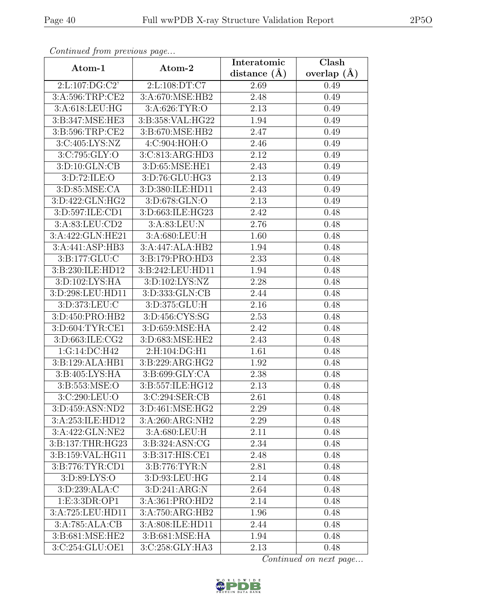| $\sigma$ . The second second $\sigma$ is the second second second second second second second second second second second second second second second second second second second second second second second second second second se |                     | Interatomic    | $\overline{\text{Clash}}$ |
|---------------------------------------------------------------------------------------------------------------------------------------------------------------------------------------------------------------------------------------|---------------------|----------------|---------------------------|
| Atom-1                                                                                                                                                                                                                                | Atom-2              | distance $(A)$ | overlap $(\AA)$           |
| 2:L:107:DG:C2'                                                                                                                                                                                                                        | 2:L:108:DT:C7       | 2.69           | 0.49                      |
| 3:A:596:TRP:CE2                                                                                                                                                                                                                       | 3:A:670:MSE:HB2     | 2.48           | 0.49                      |
| 3:A:618:LEU:HG                                                                                                                                                                                                                        | 3:A:626:TYR:O       | 2.13           | 0.49                      |
| 3:B:347:MSE:HE3                                                                                                                                                                                                                       | 3:B:358:VAL:HG22    | 1.94           | 0.49                      |
| 3:B:596:TRP:CE2                                                                                                                                                                                                                       | 3:B:670:MSE:HB2     | 2.47           | 0.49                      |
| 3:C:405:LYS:NZ                                                                                                                                                                                                                        | 4: C:904: HOH:O     | 2.46           | 0.49                      |
| 3:C:795:GLY:O                                                                                                                                                                                                                         | 3:C:813:ARG:HD3     | 2.12           | 0.49                      |
| 3:D:10:GLN:CB                                                                                                                                                                                                                         | 3:D:65:MSE:HE1      | 2.43           | 0.49                      |
| 3:D:72:ILE:O                                                                                                                                                                                                                          | 3:D:76:GLU:HG3      | 2.13           | 0.49                      |
| 3:D:85:MSE:CA                                                                                                                                                                                                                         | 3:D:380:ILE:HD11    | 2.43           | 0.49                      |
| 3:D:422:GLN:HG2                                                                                                                                                                                                                       | 3:D:678:GLN:O       | 2.13           | 0.49                      |
| 3:D:597:ILE:CD1                                                                                                                                                                                                                       | 3:D:663:ILE:HG23    | 2.42           | 0.48                      |
| 3:A:83:LEU:CD2                                                                                                                                                                                                                        | 3:A:83:LEU:N        | 2.76           | 0.48                      |
| 3:A:422:GLN:HE21                                                                                                                                                                                                                      | 3:A:680:LEU:H       | 1.60           | 0.48                      |
| 3:A:441:ASP:HB3                                                                                                                                                                                                                       | 3:A:447:ALA:HB2     | 1.94           | 0.48                      |
| 3:B:177:GLU:C                                                                                                                                                                                                                         | 3: B: 179: PRO: HD3 | 2.33           | 0.48                      |
| 3:B:230:ILE:HD12                                                                                                                                                                                                                      | 3:B:242:LEU:HD11    | 1.94           | 0.48                      |
| 3:D:102:LYS:HA                                                                                                                                                                                                                        | 3:D:102:LYS:NZ      | 2.28           | 0.48                      |
| 3: D: 298: LEU: HD11                                                                                                                                                                                                                  | 3:D:333:GLN:CB      | 2.44           | 0.48                      |
| 3:D:373:LEU:C                                                                                                                                                                                                                         | 3:D:375:GLU:H       | 2.16           | 0.48                      |
| 3:D:450:PRO:HB2                                                                                                                                                                                                                       | 3:D:456:CYS:SG      | 2.53           | 0.48                      |
| 3:D:604:TYR:CE1                                                                                                                                                                                                                       | 3:D:659:MSE:HA      | 2.42           | 0.48                      |
| 3:D:663:ILE:CG2                                                                                                                                                                                                                       | 3:D:683:MSE:HE2     | 2.43           | 0.48                      |
| $1:G:\overline{14:DC:H42}$                                                                                                                                                                                                            | 2:H:104:DG:H1       | 1.61           | 0.48                      |
| 3:B:129:ALA:HB1                                                                                                                                                                                                                       | 3:B:229:ARG:HG2     | 1.92           | 0.48                      |
| 3:B:405:LYS:HA                                                                                                                                                                                                                        | 3:B:699:GLY:CA      | 2.38           | 0.48                      |
| 3:B:553:MSE:O                                                                                                                                                                                                                         | 3:B:557:ILE:HG12    | 2.13           | 0.48                      |
| 3:C:290:LEU:O                                                                                                                                                                                                                         | 3:C:294:SER:CB      | 2.61           | 0.48                      |
| 3:D:459:ASN:ND2                                                                                                                                                                                                                       | 3:D:461:MSE:HG2     | 2.29           | 0.48                      |
| 3:A:253:ILE:HD12                                                                                                                                                                                                                      | 3:A:260:ARG:NH2     | 2.29           | 0.48                      |
| 3:A:422:GLN:NE2                                                                                                                                                                                                                       | 3:A:680:LEU:H       | 2.11           | 0.48                      |
| 3:B:137:THR:HG23                                                                                                                                                                                                                      | 3:B:324:ASN:CG      | 2.34           | 0.48                      |
| 3:B:159:VAL:HG11                                                                                                                                                                                                                      | 3:B:317:HIS:CE1     | 2.48           | 0.48                      |
| 3:B:776:TYR:CD1                                                                                                                                                                                                                       | 3:B:776:TYR:N       | 2.81           | 0.48                      |
| 3: D:89: LYS:O                                                                                                                                                                                                                        | 3:D:93:LEU:HG       | 2.14           | 0.48                      |
| 3:D:239:ALA:C                                                                                                                                                                                                                         | 3: D:241: ARG:N     | 2.64           | 0.48                      |
| 1:E:3:3DR:OP1                                                                                                                                                                                                                         | 3:A:361:PRO:HD2     | 2.14           | 0.48                      |
| 3:A:725:LEU:HD11                                                                                                                                                                                                                      | 3:A:750:ARG:HB2     | 1.96           | 0.48                      |
| 3:A:785:ALA:CB                                                                                                                                                                                                                        | 3:A:808:ILE:HD11    | 2.44           | 0.48                      |
| 3:B:681:MSE:HE2                                                                                                                                                                                                                       | 3:B:681:MSE:HA      | 1.94           | 0.48                      |
| 3:C:254:GLU:OE1                                                                                                                                                                                                                       | 3:C:258:GLY:HA3     | 2.13           | 0.48                      |

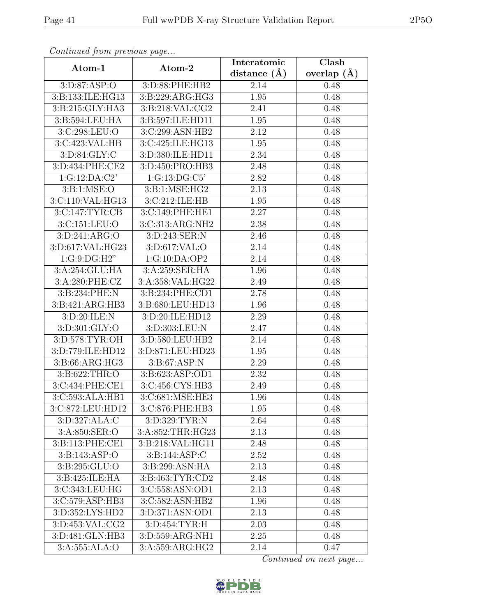| Continuati jibin protibus puga |                     | Interatomic      | Clash         |
|--------------------------------|---------------------|------------------|---------------|
| Atom-1                         | Atom-2              | distance $(\AA)$ | overlap $(A)$ |
| 3:D:87:ASP:O                   | 3:D:88:PHE:HB2      | 2.14             | 0.48          |
| 3:B:133:ILE:HG13               | 3:B:229:ARG:HG3     | 1.95             | 0.48          |
| 3:B:215:GLY:HA3                | 3:B:218:VAL:CG2     | 2.41             | 0.48          |
| 3:B:594:LEU:HA                 | 3:B:597:ILE:HD11    | 1.95             | 0.48          |
| 3:C:298:LEU:O                  | 3:C:299:ASN:HB2     | 2.12             | 0.48          |
| 3:C:423:VAL:HB                 | 3:C:425:ILE:HG13    | 1.95             | 0.48          |
| 3: D:84: GLY: C                | 3:D:380:ILE:HD11    | 2.34             | 0.48          |
| 3:D:434:PHE:CE2                | 3:D:450:PRO:HB3     | 2.48             | 0.48          |
| 1:G:12:DA:C2'                  | 1:G:13:DG:C5        | 2.82             | 0.48          |
| 3: B: 1: MSE: O                | 3:B:1:MSE:HG2       | 2.13             | 0.48          |
| 3:C:110:VAL:HG13               | 3:C:212:ILE:HB      | 1.95             | 0.48          |
| 3:CI:147:TYR:CB                | 3:C:149:PHE:HE1     | 2.27             | 0.48          |
| 3:C:151:LEU:O                  | 3: C: 313: ARG: NH2 | 2.38             | 0.48          |
| 3:D:241:ARG:O                  | 3:D:243:SER:N       | 2.46             | 0.48          |
| 3:D:617:VAL:HG23               | 3:D:617:VAL:O       | 2.14             | 0.48          |
| 1:G:9:DG:H2"                   | 1:G:10:DA:OP2       | 2.14             | 0.48          |
| 3:A:254:GLU:HA                 | 3:A:259:SER:HA      | 1.96             | 0.48          |
| 3:A:280:PHE:CZ                 | 3:A:358:VAL:HG22    | 2.49             | 0.48          |
| 3:B:234:PHE:N                  | 3:B:234:PHE:CD1     | 2.78             | 0.48          |
| 3:B:421:ARG:HB3                | 3:B:680:LEU:HD13    | 1.96             | 0.48          |
| 3:D:20:ILE:N                   | 3:D:20:ILE:HD12     | 2.29             | 0.48          |
| 3:D:301:GLY:O                  | 3:D:303:LEU:N       | 2.47             | 0.48          |
| 3:D:578:TYR:OH                 | 3:D:580:LEU:HB2     | 2.14             | 0.48          |
| 3:D:779:ILE:HD12               | 3:D:871:LEU:HD23    | 1.95             | 0.48          |
| 3:B:66:ARG:HG3                 | 3: B:67: ASP:N      | 2.29             | 0.48          |
| 3:B:622:THR:O                  | 3:B:623:ASP:OD1     | 2.32             | 0.48          |
| 3:C:434:PHE:CE1                | 3:C:456:CYS:HB3     | 2.49             | 0.48          |
| 3:C:593:ALA:HB1                | 3:C:681:MSE:HE3     | 1.96             | 0.48          |
| 3:C:872:LEU:HD12               | 3:C:876:PHE:HB3     | 1.95             | 0.48          |
| 3:D:327:ALA:C                  | 3:D:329:TYR:N       | 2.64             | 0.48          |
| 3:A:850:SER:O                  | 3:A:852:THR:HG23    | 2.13             | 0.48          |
| 3:B:113:PHE:CE1                | 3:B:218:VAL:HG11    | 2.48             | 0.48          |
| 3: B: 143: ASP: O              | 3: B: 144: ASP: C   | 2.52             | 0.48          |
| 3:B:295:GLU:O                  | 3:B:299:ASN:HA      | 2.13             | 0.48          |
| 3:B:425:ILE:HA                 | 3:B:463:TYR:CD2     | 2.48             | 0.48          |
| 3:C:343:LEU:HG                 | 3:C:558:ASN:OD1     | 2.13             | 0.48          |
| 3:C:579:ASP:HB3                | 3:C:582:ASN:HB2     | 1.96             | 0.48          |
| 3:D:352:LYS:HD2                | 3: D:371: ASN:OD1   | 2.13             | 0.48          |
| 3:D:453:VAL:CG2                | 3:D:454:TYR:H       | 2.03             | 0.48          |
| 3:D:481:GLN:HB3                | 3:D:559:ARG:NH1     | 2.25             | 0.48          |
| 3:A:555:ALA:O                  | 3:A:559:ARG:HG2     | 2.14             | 0.47          |

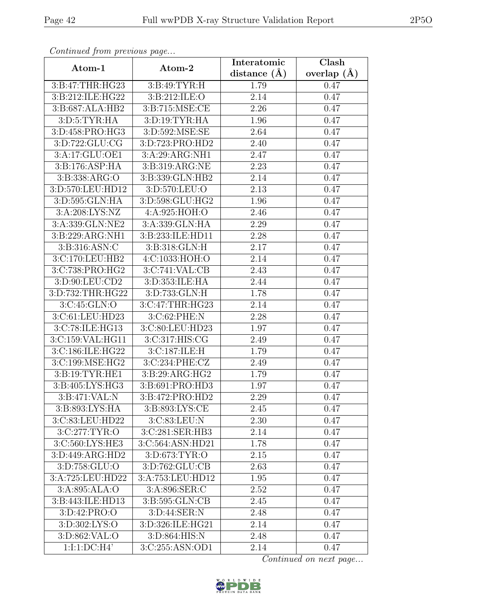| Continuum from protious page |                    | Interatomic       | $\overline{\text{Cl}}$ ash |
|------------------------------|--------------------|-------------------|----------------------------|
| Atom-1                       | Atom-2             | distance $(A)$    | overlap $(A)$              |
| 3:B:47:THR:HG23              | 3:B:49:TYR:H       | 1.79              | 0.47                       |
| 3:B:212:ILE:HG22             | 3:B:212:ILE:O      | 2.14              | 0.47                       |
| 3:B:687:ALA:HB2              | 3:B:715:MSE:CE     | 2.26              | 0.47                       |
| 3: D: 5: TYR: HA             | 3: D: 19: TYR: HA  | 1.96              | 0.47                       |
| 3:D:458:PRO:HG3              | 3:D:592:MSE:SE     | 2.64              | 0.47                       |
| 3: D: 722: GLU: CG           | 3:D:723:PRO:HD2    | 2.40              | 0.47                       |
| 3:A:17:GLU:OE1               | 3:A:29:ARG:NH1     | 2.47              | 0.47                       |
| 3:B:176:ASP:HA               | 3:B:319:ARG:NE     | 2.23              | 0.47                       |
| 3:B:338:ARG:O                | 3:B:339:GLN:HB2    | 2.14              | 0.47                       |
| 3:D:570:LEU:HD12             | 3:D:570:LEU:O      | 2.13              | 0.47                       |
| 3:D:595:GLN:HA               | 3:D:598:GLU:HG2    | 1.96              | 0.47                       |
| 3: A:208: LYS: NZ            | 4:A:925:HOH:O      | 2.46              | 0.47                       |
| 3:A:339:GLN:NE2              | 3:A:339:GLN:HA     | 2.29              | 0.47                       |
| 3:B:229:ARG:NH1              | 3:B:233:ILE:HD11   | 2.28              | 0.47                       |
| 3:B:316:ASN:C                | 3:B:318:GLN:H      | 2.17              | 0.47                       |
| 3:C:170:LEU:HB2              | 4:C:1033:HOH:O     | 2.14              | 0.47                       |
| 3:C:738:PRO:HG2              | 3:C:741:VAL:CB     | $\overline{2.43}$ | 0.47                       |
| 3:D:90:LEU:CD2               | 3: D: 353: ILE: HA | 2.44              | 0.47                       |
| 3:D:732:THR:HG22             | 3:D:733:GLN:H      | 1.78              | 0.47                       |
| 3:C:45:GLN:O                 | 3:C:47:THR:HG23    | 2.14              | 0.47                       |
| 3:C:61:LEU:HD23              | 3:C:62:PHE:N       | 2.28              | 0.47                       |
| 3:C:78:ILE:HG13              | 3:C:80:LEU:HD23    | 1.97              | 0.47                       |
| 3:C:159:VAL:HG11             | 3:C:317:HIS:CG     | 2.49              | 0.47                       |
| 3:C:186:ILE:HG22             | 3:C:187:ILE:H      | 1.79              | 0.47                       |
| 3:C:199:MSE:HG2              | 3:C:234:PHE:CZ     | 2.49              | 0.47                       |
| 3: B: 19: TYR: HE1           | 3:B:29:ARG:HG2     | 1.79              | 0.47                       |
| 3:B:405:LYS:HG3              | 3:B:691:PRO:HD3    | 1.97              | 0.47                       |
| $3: B:471:\overline{VAL:N}$  | 3:B:472:PRO:HD2    | 2.29              | 0.47                       |
| 3:B:893:LYS:HA               | 3:B:893:LYS:CE     | 2.45              | 0.47                       |
| 3:C:83:LEU:HD22              | 3:C:83:LEU:N       | 2.30              | 0.47                       |
| 3:C:277:TYR:O                | 3:C:281:SER:HB3    | 2.14              | 0.47                       |
| 3:C:560:LYS:HE3              | 3:C:564:ASN:HD21   | 1.78              | 0.47                       |
| 3: D:449: ARG:HD2            | 3:D:673:TYR:O      | 2.15              | 0.47                       |
| 3:D:758:GLU:O                | 3:D:762:GLU:CB     | 2.63              | 0.47                       |
| 3:A:725:LEU:HD22             | 3:A:753:LEU:HD12   | 1.95              | 0.47                       |
| 3:A:895:ALA:O                | 3:A:896:SER:C      | 2.52              | 0.47                       |
| 3: B: 443: ILE: HD13         | 3:B:595:GLN:CB     | 2.45              | 0.47                       |
| 3:D:42:PRO:O                 | 3:D:44:SER:N       | 2.48              | 0.47                       |
| 3:D:302:LYS:O                | 3:D:326:ILE:HG21   | 2.14              | 0.47                       |
| 3:D:862:VAL:O                | 3:D:864:HIS:N      | 2.48              | 0.47                       |
| 1:1:1:DC:H4'                 | 3:C:255:ASN:OD1    | 2.14              | 0.47                       |

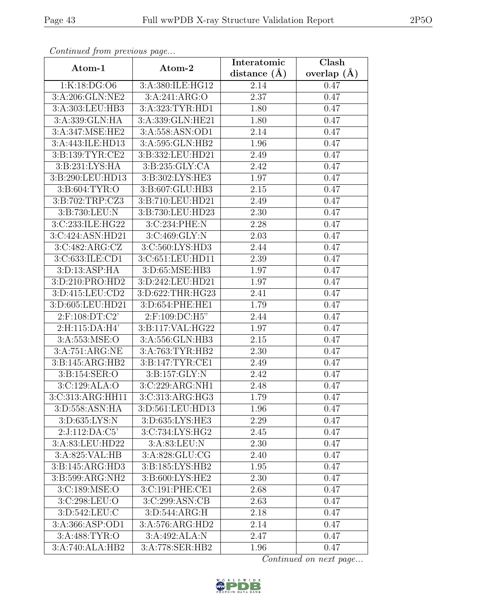| Continued from previous page  |                    | Interatomic       | Clash           |
|-------------------------------|--------------------|-------------------|-----------------|
| Atom-1                        | Atom-2             | distance $(\AA)$  | overlap $(\AA)$ |
| 1:K:18:DG:O6                  | 3:A:380:ILE:HG12   | 2.14              | 0.47            |
| 3:A:206:GLN:NE2               | 3:A:241:ARG:O      | 2.37              | 0.47            |
| 3:A:303:LEU:HB3               | 3:A:323:TYR:HD1    | 1.80              | 0.47            |
| 3:A:339:GLN:HA                | 3:A:339:GLN:HE21   | 1.80              | 0.47            |
| 3:A:347:MSE:HE2               | 3:A:558:ASN:OD1    | 2.14              | 0.47            |
| 3:A:443:ILE:HD13              | 3:A:595:GLN:HB2    | 1.96              | 0.47            |
| 3:B:139:TYR:CE2               | 3:B:332:LEU:HD21   | 2.49              | 0.47            |
| 3:B:231:LYS:HA                | 3:B:235:GLY:CA     | 2.42              | 0.47            |
| 3:B:290:LEU:HD13              | 3:B:302:LYS:HE3    | 1.97              | 0.47            |
| 3:B:604:TYR:O                 | 3:B:607:GLU:HB3    | 2.15              | 0.47            |
| 3:B:702:TRP:CZ3               | 3:B:710:LEU:HD21   | 2.49              | 0.47            |
| 3:B:730:LEU:N                 | 3:B:730:LEU:HD23   | 2.30              | 0.47            |
| 3:C:233:ILE:HG22              | 3:C:234:PHE:N      | 2.28              | 0.47            |
| $3:C:424:A\overline{SN:HD21}$ | 3:C:469:GLY:N      | 2.03              | 0.47            |
| 3:C:482:ARG:CZ                | 3:C:560:LYS:HD3    | 2.44              | 0.47            |
| 3:C:633:ILE:CD1               | 3:C:651:LEU:HD11   | 2.39              | 0.47            |
| 3: D: 13: ASP: HA             | 3:D:65:MSE:HB3     | 1.97              | 0.47            |
| 3:D:210:PRO:HD2               | 3:D:242:LEU:HD21   | 1.97              | 0.47            |
| 3:D:415:LEU:CD2               | 3:D:622:THR:HG23   | 2.41              | 0.47            |
| 3:D:605:LEU:HD21              | 3:D:654:PHE:HE1    | 1.79              | 0.47            |
| $2:$ F:108:DT:C2'             | 2:F:109:DC:H5"     | 2.44              | 0.47            |
| 2:H:115:DA:H4'                | 3:B:117:VAL:HG22   | 1.97              | 0.47            |
| 3:A:553:MSE:O                 | 3:A:556:GLN:HB3    | 2.15              | 0.47            |
| 3:A:751:ARG:NE                | 3:A:763:TYR:HB2    | $\overline{2}.30$ | 0.47            |
| 3: B:145: ARG: HB2            | 3:B:147:TYR:CE1    | 2.49              | 0.47            |
| 3: B: 154: SER: O             | 3: B: 157: GLY: N  | 2.42              | 0.47            |
| 3:C:129:ALA:O                 | 3:C:229:ARG:NH1    | 2.48              | 0.47            |
| 3:C:313:ARG:HH11              | 3:C:313:ARG:HG3    | 1.79              | 0.47            |
| 3:D:558:ASN:HA                | 3:D:561:LEU:HD13   | 1.96              | 0.47            |
| 3:D:635:LYS:N                 | 3:D:635:LYS:HE3    | 2.29              | 0.47            |
| 2:J:112:DA:C5'                | 3:C:734:LYS:HG2    | 2.45              | 0.47            |
| 3:A:83:LEU:HD22               | 3:A:83:LEU:N       | 2.30              | 0.47            |
| 3:A:825:VAL:HB                | 3:A:828:GLU:CG     | 2.40              | 0.47            |
| 3:B:145:ARG:HD3               | 3: B:185: LYS: HB2 | 1.95              | 0.47            |
| 3:B:599:ARG:NH2               | 3:B:600:LYS:HE2    | 2.30              | 0.47            |
| 3:C:189:MSE:O                 | 3:C:191:PHE:CE1    | 2.68              | 0.47            |
| 3:C:298:LEU:O                 | 3:C:299:ASN:CB     | 2.63              | 0.47            |
| 3:D:542:LEU:C                 | 3:D:544:ARG:H      | 2.18              | 0.47            |
| 3:A:366:ASP:OD1               | 3:A:576:ARG:HD2    | 2.14              | 0.47            |
| 3:A:488:TYR:O                 | 3:A:492:ALA:N      | 2.47              | 0.47            |
| 3:A:740:ALA:HB2               | 3:A:778:SER:HB2    | 1.96              | 0.47            |

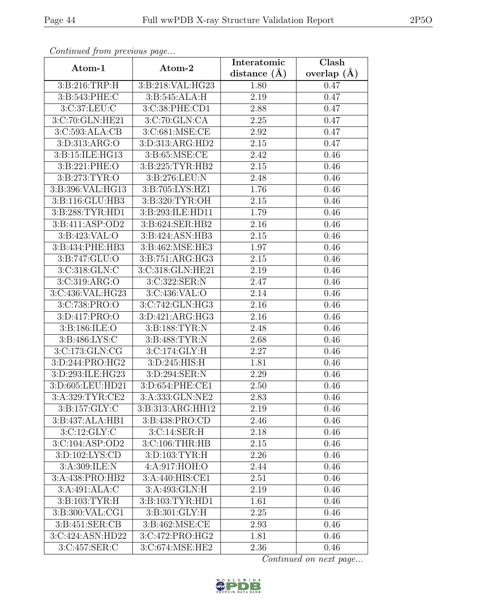| $\sim$ onttinuo $\omega$ from protio $\omega$ o pago $\ldots$ |                              | Interatomic    | Clash           |
|---------------------------------------------------------------|------------------------------|----------------|-----------------|
| Atom-1                                                        | Atom-2                       | distance $(A)$ | overlap $(\AA)$ |
| 3:B:216:TRP:H                                                 | 3:B:218:VAL:HG23             | 1.80           | 0.47            |
| 3:B:543:PHE:C                                                 | 3:B:545:ALA:H                | 2.19           | 0.47            |
| 3: C:37: LEU: C                                               | 3:C:38:PHE:CD1               | 2.88           | 0.47            |
| 3:C:70:GLN:HE21                                               | 3:C:70:GLN:CA                | 2.25           | 0.47            |
| 3:C:593:ALA:CB                                                | 3:C:681:MSE:CE               | 2.92           | 0.47            |
| 3:D:313:ARG:O                                                 | 3:D:313:ARG:HD2              | 2.15           | 0.47            |
| 3:B:15:ILE:HG13                                               | 3: B:65: MSE:CE              | 2.42           | 0.46            |
| 3:B:221:PHE:O                                                 | 3: B: 225: TYR: HB2          | 2.15           | 0.46            |
| 3:B:273:TYR:O                                                 | 3:B:276:LEU:N                | 2.48           | 0.46            |
| 3:B:396:VAL:HG13                                              | 3:B:705:LYS:HZ1              | 1.76           | 0.46            |
| 3:B:116:GLU:HB3                                               | 3:B:320:TYR:OH               | 2.15           | 0.46            |
| 3:B:288:TYR:HD1                                               | 3:B:293:ILE:HD11             | 1.79           | 0.46            |
| 3: B: 411: ASP: OD2                                           | 3:B:624:SER:HB2              | 2.16           | 0.46            |
| 3:B:423:VAL:O                                                 | 3:B:424:ASN:HB3              | 2.15           | 0.46            |
| 3:B:434:PHE:HB3                                               | 3:B:462:MSE:HE3              | 1.97           | 0.46            |
| 3:B:747:GLU:O                                                 | 3: B:751: ARG: HG3           | 2.15           | 0.46            |
| 3:C:318:GLN:C                                                 | 3:C:318:GLN:HE21             | 2.19           | 0.46            |
| 3:C:319:ARG:O                                                 | 3:C:322:SER:N                | 2.47           | 0.46            |
| 3:C:436:VAL:HG23                                              | 3:C:436:VAL:O                | 2.14           | 0.46            |
| 3:C:738:PRO:O                                                 | 3:C:742:GLN:HG3              | 2.16           | 0.46            |
| 3:D:417:PRO:O                                                 | 3:D:421:ARG:HG3              | 2.16           | 0.46            |
| 3:B:186:ILE:O                                                 | 3:B:188:TYR:N                | 2.48           | 0.46            |
| 3:B:486:LYS:C                                                 | 3:B:488:TYR:N                | 2.68           | 0.46            |
| 3:C:173:GLN:CG                                                | 3:C:174:GLY:H                | 2.27           | 0.46            |
| 3:D:244:PRO:HG2                                               | 3:D:245:HIS:H                | 1.81           | 0.46            |
| 3:D:293:ILE:HG23                                              | 3:D:294:SER:N                | 2.29           | 0.46            |
| 3:D:605:LEU:HD21                                              | 3:D:654:PHE:CE1              | 2.50           | 0.46            |
| 3: A:329:TYR:CE2                                              | 3:A:333:GLN:NE2              | 2.83           | 0.46            |
| 3:B:157:GLY:C                                                 | 3:B:313:ARG:HH12             | 2.19           | 0.46            |
| 3:B:437:ALA:HB1                                               | 3:B:438:PRO:CD               | 2.46           | 0.46            |
| 3:C:12:GLY:C                                                  | 3: C:14: SER:H               | 2.18           | 0.46            |
| 3: C: 104: ASP: OD2                                           | 3:C:106:THR:HB               | 2.15           | 0.46            |
| 3: D: 102: LYS: CD                                            | 3:D:103:TYR:H                | 2.26           | 0.46            |
| 3:A:309:ILE:N                                                 | 4:A:917:HOH:O                | 2.44           | 0.46            |
| 3: A:438: PRO:HB2                                             | 3:A:440:HIS:CE1              | 2.51           | 0.46            |
| 3:A:491:ALA:C                                                 | 3:A:493:GLN:H                | 2.19           | 0.46            |
| 3: B: 103: TYR: H                                             | 3:B:103:TYR:HD1              | 1.61           | 0.46            |
| 3:B:300:VAL:CG1                                               | $3: B:301: \overline{GLY:H}$ | 2.25           | 0.46            |
| 3:B:451:SER:CB                                                | 3:B:462:MSE:CE               | 2.93           | 0.46            |
| 3:C:424:ASN:HD22                                              | 3:C:472:PRO:HG2              | 1.81           | 0.46            |
| 3:C:457:SER:C                                                 | 3:C:674:MSE:HE2              | 2.36           | 0.46            |

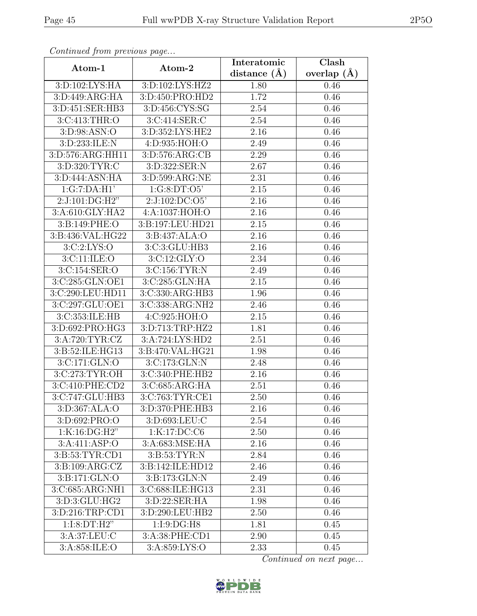| Continuation procession page |                                 | Interatomic    | Clash           |
|------------------------------|---------------------------------|----------------|-----------------|
| Atom-1                       | Atom-2                          | distance $(A)$ | overlap $(\AA)$ |
| 3: D: 102: LYS: HA           | 3: D: 102: LYS: H <sub>Z2</sub> | 1.80           | 0.46            |
| 3:D:449:ARG:HA               | 3:D:450:PRO:HD2                 | 1.72           | 0.46            |
| 3:D:451:SER:HB3              | 3:D:456:CYS:SG                  | 2.54           | 0.46            |
| 3:C:413:THR:O                | 3:C:414:SER:C                   | 2.54           | 0.46            |
| 3:D:98:ASN:O                 | 3:D:352:LYS:HE2                 | 2.16           | 0.46            |
| 3:D:233:ILE:N                | 4:D:935:HOH:O                   | 2.49           | 0.46            |
| 3:D:576:ARG:HH11             | 3:D:576:ARG:CB                  | 2.29           | 0.46            |
| 3:D:320:TYR:C                | 3:D:322:SER:N                   | 2.67           | 0.46            |
| 3: D:444: ASN: HA            | 3:D:599:ARG:NE                  | 2.31           | 0.46            |
| 1:G:7:DA:H1'                 | 1:G:8:DT:O5'                    | 2.15           | 0.46            |
| 2:J:101:DG:H2"               | 2:J:102:DC:O5'                  | 2.16           | 0.46            |
| 3:A:610:GLY:HA2              | 4:A:1037:HOH:O                  | 2.16           | 0.46            |
| 3:B:149:PHE:O                | 3:B:197:LEU:HD21                | 2.15           | 0.46            |
| 3:B:436:VAL:HG22             | 3:B:437:ALA:O                   | 2.16           | 0.46            |
| 3:C:2:LYS:O                  | 3:C:3:GLU:HB3                   | 2.16           | 0.46            |
| 3:C:11:ILE:O                 | 3:C:12:GLY:O                    | 2.34           | 0.46            |
| 3:C:154:SER:O                | 3:C:156:TYR:N                   | 2.49           | 0.46            |
| 3:C:285:GLN:OE1              | 3:C:285:GLN:HA                  | 2.15           | 0.46            |
| 3:C:290:LEU:HD11             | 3:C:330:ARG:HB3                 | 1.96           | 0.46            |
| 3:C:297:GLU:OE1              | 3:C:338:ARG:NH2                 | 2.46           | 0.46            |
| 3:C:353:ILE:HB               | 4:C:925:HOH:O                   | 2.15           | 0.46            |
| 3:D:692:PRO:HG3              | 3:D:713:TRP:HZ2                 | 1.81           | 0.46            |
| 3:A:720:TYR:CZ               | 3:A:724:LYS:HD2                 | 2.51           | 0.46            |
| 3:B:52:ILE:HG13              | 3:B:470:VAL:HG21                | 1.98           | 0.46            |
| 3:C:171:GLN:O                | 3:C:173:GLN:N                   | 2.48           | 0.46            |
| 3:C:273:TYR:OH               | 3:C:340:PHE:HB2                 | 2.16           | 0.46            |
| 3:C:410:PHE:CD2              | 3:C:685:ARG:HA                  | 2.51           | 0.46            |
| 3:C:747:GLU:HB3              | 3:C:763:TYR:CE1                 | 2.50           | 0.46            |
| 3:D:367:ALA:O                | 3:D:370:PHE:HB3                 | 2.16           | 0.46            |
| $3: D:692: \overline{PRO:O}$ | 3:D:693:LEU:C                   | 2.54           | 0.46            |
| 1:K:16:DG:H2"                | 1:K:17:DC:C6                    | 2.50           | 0.46            |
| 3:A:411:ASP:O                | 3:A:683:MSE:HA                  | 2.16           | 0.46            |
| 3:B:53:TYR:CD1               | 3: B:53: TYR: N                 | 2.84           | 0.46            |
| 3:B:109:ARG:CZ               | 3:B:142:ILE:HD12                | 2.46           | 0.46            |
| 3:B:171:GLN:O                | 3:B:173:GLN:N                   | 2.49           | 0.46            |
| 3:C:685:ARG:NH1              | 3:C:688:ILE:HG13                | 2.31           | 0.46            |
| 3:D:3:GLU:HG2                | 3:D:22:SER:HA                   | 1.98           | 0.46            |
| 3:D:216:TRP:CD1              | 3:D:290:LEU:HB2                 | 2.50           | 0.46            |
| 1:I:8:DT:H2"                 | 1:1:9:DG:H8                     | 1.81           | 0.45            |
| $3:$ A:37:LEU:C              | 3: A:38: PHE:CD1                | 2.90           | 0.45            |
| 3:A:858:ILE:O                | 3:A:859:LYS:O                   | 2.33           | 0.45            |

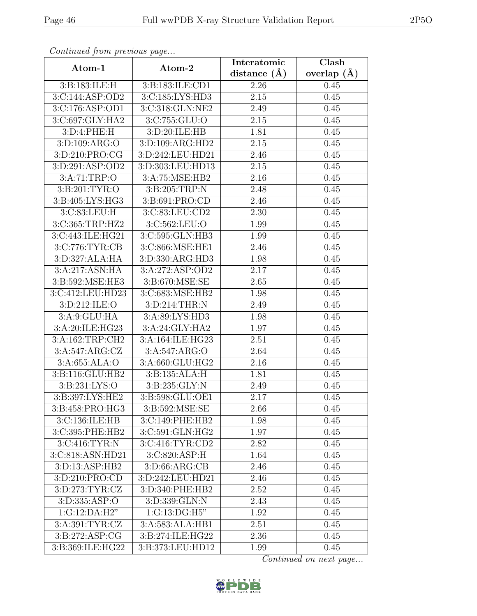| Continueu jiomi pretious page |                                                  | Interatomic    | $\overline{\text{Clash}}$ |
|-------------------------------|--------------------------------------------------|----------------|---------------------------|
| Atom-1                        | Atom-2                                           | distance $(A)$ | overlap $(\AA)$           |
| 3:B:183:ILE:H                 | 3:B:183:ILE:CD1                                  | 2.26           | 0.45                      |
| 3:C:144:ASP:OD2               | 3:C:185:LYS:HD3                                  | 2.15           | 0.45                      |
| 3:C:176:ASP:OD1               | 3:C:318:GLN:NE2                                  | 2.49           | 0.45                      |
| 3:C:697:GLY:HA2               | 3:C:755:GLU:O                                    | 2.15           | 0.45                      |
| 3:D:4:PHE:H                   | 3:D:20:ILE:HB                                    | 1.81           | 0.45                      |
| 3:D:109:ARG:O                 | 3:D:109:ARG:HD2                                  | 2.15           | 0.45                      |
| 3:D:210:PRO:CG                | 3:D:242:LEU:HD21                                 | 2.46           | 0.45                      |
| 3: D:291: ASP:OD2             | 3:D:303:LEU:HD13                                 | 2.15           | 0.45                      |
| 3:A:71:TRP:O                  | 3:A:75:MSE:HB2                                   | 2.16           | 0.45                      |
| 3:B:201:TYR:O                 | 3:B:205:TRP:N                                    | 2.48           | 0.45                      |
| 3:B:405:LYS:HG3               | 3:B:691:PRO:CD                                   | 2.46           | 0.45                      |
| 3:C:83:LEU:H                  | 3:C:83:LEU:CD2                                   | 2.30           | 0.45                      |
| 3:C:365:TRP:HZ2               | 3:C:562:LEU:O                                    | 1.99           | 0.45                      |
| 3:C:443:ILE:HG21              | 3:C:595:GLN:HB3                                  | 1.99           | 0.45                      |
| 3:C:776:TYR:CB                | 3:C:866:MSE:HE1                                  | 2.46           | 0.45                      |
| 3:D:327:ALA:HA                | 3:D:330:ARG:HD3                                  | 1.98           | 0.45                      |
| 3:A:217:ASN:HA                | 3:A:272:ASP:OD2                                  | 2.17           | 0.45                      |
| 3:B:592:MSE:HE3               | 3:B:670:MSE:SE                                   | 2.65           | 0.45                      |
| 3:C:412:LEU:HD23              | 3:C:683:MSE:HB2                                  | 1.98           | 0.45                      |
| 3:D:212:ILE:O                 | 3:D:214:THR:N                                    | 2.49           | 0.45                      |
| 3:A:9:GLU:HA                  | 3:A:89:LYS:HD3                                   | 1.98           | 0.45                      |
| 3:A:20:ILE:HG23               | 3:A:24:GLY:HA2                                   | 1.97           | 0.45                      |
| 3:A:162:TRP:CH2               | 3:A:164:ILE:HG23                                 | 2.51           | 0.45                      |
| 3:A:547:ARG:CZ                | 3:A:547:ARG:O                                    | 2.64           | 0.45                      |
| $3:$ A:655:ALA:O              | 3:A:660:GLU:HG2                                  | 2.16           | 0.45                      |
| 3:B:116:GLU:HB2               | 3: B: 135: ALA: H                                | 1.81           | 0.45                      |
| 3:B:231:LYS:O                 | 3:B:235:GLY:N                                    | 2.49           | 0.45                      |
| 3:B:397:LYS:HE2               | 3:B:598:GLU:OE1                                  | 2.17           | 0.45                      |
| 3:B:458:PRO:HG3               | 3:B:592:MSE:SE                                   | 2.66           | 0.45                      |
| 3:C:136:ILE:HB                | 3:C:149:PHE:HB2                                  | 1.98           | 0.45                      |
| 3:C:395:PHE:HB2               | 3:C:591:GLN:HG2                                  | 1.97           | 0.45                      |
| 3: C:416: TYR:N               | 3:C:416:TYR:CD2                                  | 2.82           | 0.45                      |
| 3:C:818:ASN:HD21              | 3:C:820:ASP:H                                    | 1.64           | 0.45                      |
| 3:D:13:ASP:HB2                | 3: D:66: ARG:CB                                  | 2.46           | 0.45                      |
| 3:D:210:PRO:CD                | 3:D:242:LEU:HD21                                 | 2.46           | 0.45                      |
| 3:D:273:TYR:CZ                | 3:D:340:PHE:HB2                                  | 2.52           | 0.45                      |
| 3: D: 335: ASP: O             | 3:D:339:GLN:N                                    | 2.43           | 0.45                      |
| 1:G:12:DA:H2"                 | $1:G:13: \overline{\text{DG:H5}^{\prime\prime}}$ | 1.92           | 0.45                      |
| 3: A:391: TYR: CZ             | 3:A:583:ALA:HB1                                  | 2.51           | 0.45                      |
| 3:B:272:ASP:CG                | 3:B:274:ILE:HG22                                 | 2.36           | 0.45                      |
| 3:B:369:ILE:HG22              | 3:B:373:LEU:HD12                                 | 1.99           | 0.45                      |

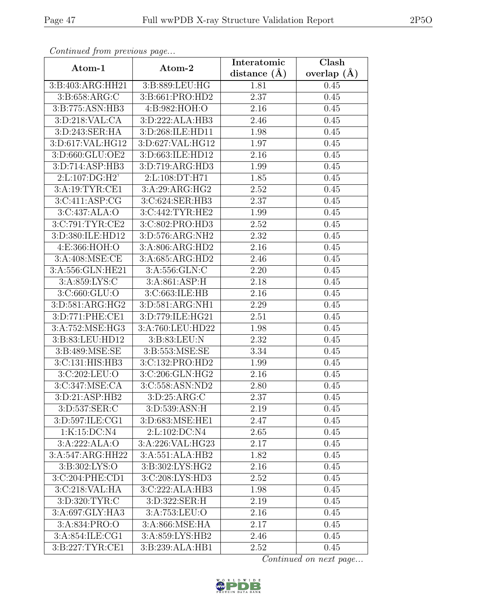| Continuum from protious page |                  | Interatomic    | $\overline{\text{Clash}}$ |
|------------------------------|------------------|----------------|---------------------------|
| Atom-1                       | Atom-2           | distance $(A)$ | overlap $(\AA)$           |
| 3:B:403:ARG:HH21             | 3:B:889:LEU:HG   | 1.81           | 0.45                      |
| 3:B:658:ARG:C                | 3:B:661:PRO:HD2  | 2.37           | 0.45                      |
| 3:B:775:ASN:HB3              | 4:B:982:HOH:O    | 2.16           | 0.45                      |
| 3:D:218:VAL:CA               | 3:D:222:ALA:HB3  | 2.46           | 0.45                      |
| 3:D:243:SER:HA               | 3:D:268:ILE:HD11 | 1.98           | 0.45                      |
| 3:D:617:VAL:HG12             | 3:D:627:VAL:HG12 | 1.97           | 0.45                      |
| 3:D:660:GLU:OE2              | 3:D:663:ILE:HD12 | 2.16           | 0.45                      |
| 3:D:714:ASP:HB3              | 3:D:719:ARG:HD3  | 1.99           | 0.45                      |
| 2:L:107:DG:H2'               | 2:L:108:DT:H71   | 1.85           | 0.45                      |
| 3:A:19:TYR:CE1               | 3:A:29:ARG:HG2   | 2.52           | 0.45                      |
| 3:C:411:ASP:CG               | 3:C:624:SER:HB3  | 2.37           | 0.45                      |
| 3:C:437:ALA:O                | 3:C:442:TYR:HE2  | 1.99           | 0.45                      |
| 3:C:791:TYR:CE2              | 3:C:802:PRO:HD3  | 2.52           | 0.45                      |
| 3:D:380:ILE:HD12             | 3:D:576:ARG:NH2  | 2.32           | 0.45                      |
| 4:E:366:HOH:O                | 3:A:806:ARG:HD2  | 2.16           | 0.45                      |
| 3:A:408:MSE:CE               | 3:A:685:ARG:HD2  | 2.46           | 0.45                      |
| 3:A:556:GLN:HE21             | 3:A:556:GLN:C    | 2.20           | 0.45                      |
| 3:A:859:LYS:C                | 3:A:861:ASP:H    | 2.18           | 0.45                      |
| 3:C:660:GLU:O                | 3:C:663:ILE:HB   | 2.16           | 0.45                      |
| 3:D:581:ARG:HG2              | 3:D:581:ARG:NH1  | 2.29           | 0.45                      |
| 3:D:771:PHE:CE1              | 3:D:779:ILE:HG21 | 2.51           | 0.45                      |
| 3:A:752:MSE:HG3              | 3:A:760:LEU:HD22 | 1.98           | 0.45                      |
| 3:B:83:LEU:HD12              | 3:B:83:LEU:N     | 2.32           | 0.45                      |
| 3:B:489:MSE:SE               | 3:B:553:MSE:SE   | 3.34           | 0.45                      |
| 3:C:131:HIS:HB3              | 3:C:132:PRO:HD2  | 1.99           | 0.45                      |
| 3:C:202:LEU:O                | 3:C:206:GLN:HG2  | 2.16           | 0.45                      |
| 3:C:347:MSE:CA               | 3:C:558:ASN:ND2  | 2.80           | 0.45                      |
| 3:D:21:ASP:HB2               | 3:D:25:ARG:C     | 2.37           | 0.45                      |
| 3:D:537:SER:C                | 3:D:539:ASN:H    | 2.19           | 0.45                      |
| 3:D:597:ILE:CG1              | 3:D:683:MSE:HE1  | 2.47           | 0.45                      |
| 1:K:15:DC:N4                 | 2:L:102:DC:N4    | 2.65           | 0.45                      |
| 3:A:222:ALA:O                | 3:A:226:VAL:HG23 | 2.17           | 0.45                      |
| 3:A:547:ARG:HH22             | 3:A:551:ALA:HB2  | 1.82           | 0.45                      |
| 3:B:302:LYS:O                | 3:B:302:LYS:HG2  | 2.16           | 0.45                      |
| 3:C:204:PHE:CD1              | 3:C:208:LYS:HD3  | 2.52           | 0.45                      |
| 3:C:218:VAL:HA               | 3:C:222:ALA:HB3  | 1.98           | 0.45                      |
| 3:D:320:TYR:C                | 3:D:322:SER:H    | 2.19           | 0.45                      |
| 3:A:697:GLY:HA3              | 3:A:753:LEU:O    | 2.16           | 0.45                      |
| 3:A:834:PRO:O                | 3:A:866:MSE:HA   | 2.17           | 0.45                      |
| 3:A:854:ILE:CG1              | 3:A:859:LYS:HB2  | 2.46           | 0.45                      |
| 3:B:227:TYR:CE1              | 3:B:239:ALA:HB1  | 2.52           | 0.45                      |

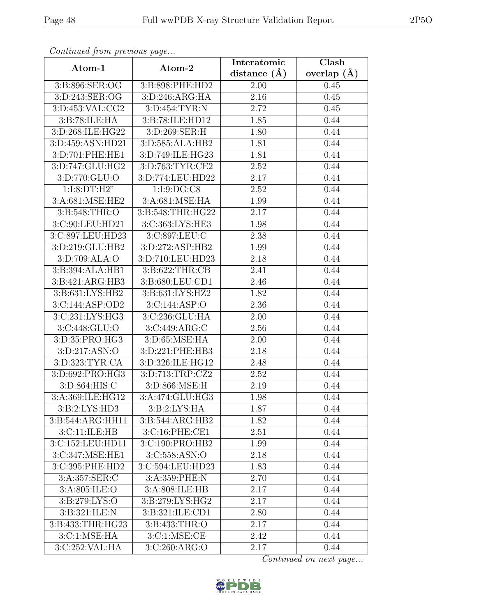| Convenaca from previous page               |                                               | Interatomic      | Clash         |
|--------------------------------------------|-----------------------------------------------|------------------|---------------|
| Atom-1                                     | Atom-2                                        | distance $(\AA)$ | overlap $(A)$ |
| 3:B:896:SER:OG                             | 3:B:898:PHE:HD2                               | 2.00             | 0.45          |
| 3:D:243:SER:OG                             | 3:D:246:ARG:HA                                | 2.16             | 0.45          |
| 3:D:453:VAL:CG2                            | 3:D:454:TYR:N                                 | 2.72             | 0.45          |
| 3:B:78:ILE:HA                              | 3:B:78:ILE:HD12                               | 1.85             | 0.44          |
| 3:D:268:ILE:HG22                           | 3:D:269:SER:H                                 | 1.80             | 0.44          |
| 3:D:459:ASN:HD21                           | 3:D:585:ALA:HB2                               | 1.81             | 0.44          |
| 3:D:701:PHE:HE1                            | 3:D:749:ILE:HG23                              | 1.81             | 0.44          |
| 3:D:747:GLU:HG2                            | 3:D:763:TYR:CE2                               | 2.52             | 0.44          |
| 3:D:770:GLU:O                              | 3:D:774:LEU:HD22                              | 2.17             | 0.44          |
| 1:I:8:DT:H2"                               | 1:1:9:DG:CS                                   | 2.52             | 0.44          |
| 3: A:681: MSE: HE2                         | 3:A:681:MSE:HA                                | 1.99             | 0.44          |
| 3:B:548:THR:O                              | 3:B:548:THR:HG22                              | 2.17             | 0.44          |
| 3:C:90:LEU:HD21                            | 3:C:363:LYS:HE3                               | 1.98             | 0.44          |
| 3:C:897:LEU:HD23                           | 3:C:897:LEU:C                                 | 2.38             | 0.44          |
| 3:D:219:GLU:HB2                            | 3:D:272:ASP:HB2                               | 1.99             | 0.44          |
| 3: D:709: ALA:O                            | 3:D:710:LEU:HD23                              | 2.18             | 0.44          |
| 3:B:394:ALA:HB1                            | 3:B:622:THR:CB                                | 2.41             | 0.44          |
| 3:B:421:ARG:HB3                            | 3:B:680:LEU:CD1                               | 2.46             | 0.44          |
| 3:B:631:LYS:HB2                            | $3: B:631: \overline{\text{LYS}: \text{HZ2}}$ | 1.82             | 0.44          |
| 3:C:144:ASP:OD2                            | 3:C:144:ASP:O                                 | 2.36             | 0.44          |
| $3:C:231:\overline{\text{LYS}:\text{HG3}}$ | 3:C:236:GLU:HA                                | 2.00             | 0.44          |
| 3:C:448:GLU:O                              | 3:C:449:ARG:C                                 | 2.56             | 0.44          |
| 3:D:35:PRO:HG3                             | 3:D:65:MSE:HA                                 | 2.00             | 0.44          |
| 3: D: 217: ASN: O                          | 3:D:221:PHE:HB3                               | 2.18             | 0.44          |
| 3: D: 323: TYR: CA                         | 3:D:326:ILE:HG12                              | 2.48             | 0.44          |
| 3:D:692:PRO:HG3                            | 3:D:713:TRP:CZ2                               | 2.52             | 0.44          |
| 3:D:864:HIS:C                              | 3:D:866:MSE:H                                 | 2.19             | 0.44          |
| 3:A:369:ILE:HG12                           | 3:A:474:GLU:HG3                               | 1.98             | 0.44          |
| 3:B:2:LYS:HD3                              | 3: B:2: LYS: HA                               | 1.87             | 0.44          |
| 3:B:544:ARG:HH11                           | 3:B:544:ARG:HB2                               | 1.82             | 0.44          |
| 3:CI1:ILE: HB                              | 3:C:16:PHE:CE1                                | 2.51             | 0.44          |
| 3:C:152:LEU:HD11                           | 3:C:190:PRO:HB2                               | 1.99             | 0.44          |
| 3:C:347:MSE:HE1                            | 3:C:558:ASN:O                                 | 2.18             | 0.44          |
| 3:C:395:PHE:HD2                            | 3:C:594:LEU:HD23                              | 1.83             | 0.44          |
| 3:A:357:SER:C                              | 3:A:359:PHE:N                                 | 2.70             | 0.44          |
| 3:A:805:ILE:O                              | 3:A:808:ILE:HB                                | 2.17             | 0.44          |
| 3:B:279:LYS:O                              | 3:B:279:LYS:HG2                               | 2.17             | 0.44          |
| 3:B:321:ILE:N                              | 3:B:321:ILE:CD1                               | 2.80             | 0.44          |
| 3:B:433:THR:HG23                           | 3: B: 433: THR:O                              | 2.17             | 0.44          |
| 3:C:1:MSE:HA                               | 3: C: 1: MSE: CE                              | 2.42             | 0.44          |
| 3:C:252:VAL:HA                             | 3:C:260:ARG:O                                 | 2.17             | 0.44          |

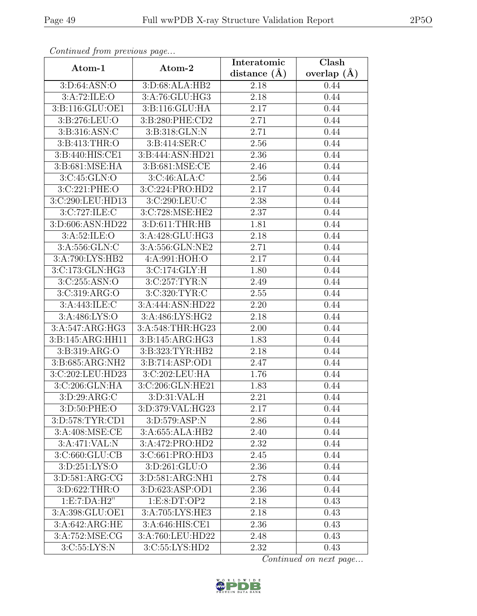| Continuation procession page |                    | Interatomic      | Clash         |
|------------------------------|--------------------|------------------|---------------|
| Atom-1                       | Atom-2             | distance $(\AA)$ | overlap $(A)$ |
| 3: D:64: ASN:O               | 3: D:68: ALA:HB2   | 2.18             | 0.44          |
| 3:A:72:ILE:O                 | 3:A:76:GLU:HG3     | 2.18             | 0.44          |
| 3:B:116:GLU:OE1              | 3:B:116:GLU:HA     | 2.17             | 0.44          |
| 3:B:276:LEU:O                | 3:B:280:PHE:CD2    | 2.71             | 0.44          |
| 3:B:316:ASN:C                | 3:B:318:GLN:N      | 2.71             | 0.44          |
| 3:B:413:THR:O                | 3:B:414:SER:C      | 2.56             | 0.44          |
| 3:B:440:HIS:CE1              | 3:B:444:ASN:HD21   | 2.36             | 0.44          |
| 3:B:681:MSE:HA               | 3:B:681:MSE:CE     | 2.46             | 0.44          |
| 3:C:45:GLN:O                 | 3:C:46:ALA:C       | 2.56             | 0.44          |
| 3:C:221:PHE:O                | 3:C:224:PRO:HD2    | 2.17             | 0.44          |
| 3:C:290:LEU:HD13             | 3:C:290:LEU:C      | 2.38             | 0.44          |
| 3:C:727:ILE:C                | 3:C:728:MSE:HE2    | 2.37             | 0.44          |
| 3:D:606:ASN:HD22             | 3:D:611:THR:HB     | 1.81             | 0.44          |
| 3: A:52: ILE: O              | $3:A:428:$ GLU:HG3 | 2.18             | 0.44          |
| 3:A:556:GLN:C                | 3:A:556:GLN:NE2    | 2.71             | 0.44          |
| 3:A:790:LYS:HB2              | 4:A:991:HOH:O      | 2.17             | 0.44          |
| 3:C:173:GLN:HG3              | 3:C:174:GLY:H      | 1.80             | 0.44          |
| 3:C:255:ASN:O                | 3:C:257:TYR:N      | 2.49             | 0.44          |
| 3:C:319:ARG:O                | 3:C:320:TYR:C      | 2.55             | 0.44          |
| 3:A:443:ILE:C                | 3:A:444:ASN:HD22   | 2.20             | 0.44          |
| 3:A:486:LYS:O                | 3:A:486:LYS:HG2    | 2.18             | 0.44          |
| 3:A:547:ARG:HG3              | 3:A:548:THR:HG23   | 2.00             | 0.44          |
| 3:B:145:ARG:HH11             | 3:B:145:ARG:HG3    | 1.83             | 0.44          |
| 3: B: 319: ARG: O            | 3:B:323:TYR:HB2    | 2.18             | 0.44          |
| 3:B:685:ARG:NH2              | 3:B:714:ASP:OD1    | 2.47             | 0.44          |
| 3:C:202:LEU:HD23             | 3:C:202:LEU:HA     | 1.76             | 0.44          |
| 3:C:206:GLN:HA               | 3:C:206:GLN:HE21   | 1.83             | 0.44          |
| 3:D:29:ARG:C                 | 3:D:31:VAL:H       | 2.21             | 0.44          |
| 3:D:50:PHE:O                 | 3:D:379:VAL:HG23   | 2.17             | 0.44          |
| 3: D: 578: TYR: CD1          | 3:D:579:ASP:N      | 2.86             | 0.44          |
| 3:A:408:MSE:CE               | 3:A:655:ALA:HB2    | 2.40             | 0.44          |
| 3:A:471:VAL:N                | 3:A:472:PRO:HD2    | 2.32             | 0.44          |
| 3: C: 660: GLU: CB           | 3:C:661:PRO:HD3    | 2.45             | 0.44          |
| 3:D:251:LYS:O                | 3:D:261:GLU:O      | 2.36             | 0.44          |
| 3:D:581:ARG:CG               | 3:D:581:ARG:NH1    | 2.78             | 0.44          |
| 3:D:622:THR:O                | 3:D:623:ASP:OD1    | 2.36             | 0.44          |
| 1: E: 7: DA: H2"             | 1:E:8:DT:OP2       | 2.18             | 0.43          |
| 3:A:398:GLU:OE1              | 3:A:705:LYS:HE3    | 2.18             | 0.43          |
| 3:A:642:ARG:HE               | $3:$ A:646:HIS:CE1 | 2.36             | 0.43          |
| 3: A:752: MSE: CG            | 3:A:760:LEU:HD22   | 2.48             | 0.43          |
| 3:C:55:LYS:N                 | 3:C:55:LYS:HD2     | 2.32             | 0.43          |

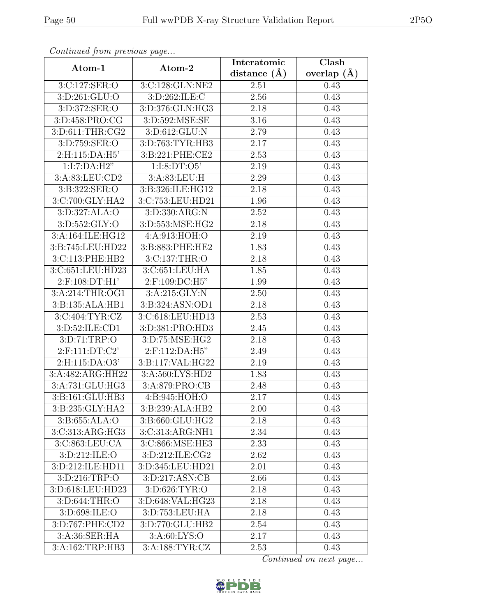| Continuea from previous page |                  | Interatomic        | Clash           |
|------------------------------|------------------|--------------------|-----------------|
| Atom-1                       | Atom-2           | distance $(A)$     | overlap $(\AA)$ |
| 3:C:127:SER:O                | 3:C:128:GLN:NE2  | 2.51               | 0.43            |
| 3:D:261:GLU:O                | 3:D:262:ILE:C    | 2.56               | 0.43            |
| 3:D:372:SER:O                | 3:D:376:GLN:HG3  | 2.18               | 0.43            |
| 3:D:458:PRO:CG               | 3:D:592:MSE:SE   | 3.16               | 0.43            |
| 3:D:611:THR:CG2              | 3:D:612:GLU:N    | 2.79               | 0.43            |
| 3:D:759:SER:O                | 3:D:763:TYR:HB3  | 2.17               | 0.43            |
| 2:H:115:DA:H5'               | 3:B:221:PHE:CE2  | $\overline{2}.53$  | 0.43            |
| 1:I:7:DA:H2"                 | 1:I:8:DT:O5'     | 2.19               | 0.43            |
| 3:A:83:LEU:CD2               | 3:A:83:LEU:H     | 2.29               | 0.43            |
| 3:B:322:SER:O                | 3:B:326:ILE:HG12 | 2.18               | 0.43            |
| 3:C:700:GLY:HA2              | 3:C:753:LEU:HD21 | 1.96               | 0.43            |
| 3:D:327:ALA:O                | 3:D:330:ARG:N    | 2.52               | 0.43            |
| 3:D:552:GLY:O                | 3:D:553:MSE:HG2  | 2.18               | 0.43            |
| 3:A:164:ILE:HG12             | 4:A:913:HOH:O    | 2.19               | 0.43            |
| 3:B:745:LEU:HD22             | 3:B:883:PHE:HE2  | 1.83               | 0.43            |
| 3:C:113:PHE:HB2              | 3:C:137:THR:O    | 2.18               | 0.43            |
| 3:C:651:LEU:HD23             | 3:C:651:LEU:HA   | 1.85               | 0.43            |
| $2:$ F:108:DT:H1'            | 2:F:109:DC:H5"   | 1.99               | 0.43            |
| 3:A:214:THR:OG1              | 3: A:215: GLY:N  | 2.50               | 0.43            |
| 3:B:135:ALA:HB1              | 3:B:324:ASN:OD1  | 2.18               | 0.43            |
| 3:C:404:TYR:CZ               | 3:C:618:LEU:HD13 | 2.53               | 0.43            |
| 3:D:52:ILE:CD1               | 3:D:381:PRO:HD3  | 2.45               | 0.43            |
| 3:D:71:TRP:O                 | 3:D:75:MSE:HG2   | 2.18               | 0.43            |
| 2:F:111:DT:C2'               | 2:F:112:DA:H5"   | 2.49               | 0.43            |
| 2:H:115:DA:O3'               | 3:B:117:VAL:HG22 | 2.19               | 0.43            |
| 3:A:482:ARG:HH22             | 3:A:560:LYS:HD2  | $\overline{1}$ .83 | 0.43            |
| 3:A:731:GLU:HG3              | 3:A:879:PRO:CB   | 2.48               | 0.43            |
| 3:B:161:GLU:HB3              | 4:B:945:HOH:O    | 2.17               | 0.43            |
| 3:B:235:GLY:HA2              | 3:B:239:ALA:HB2  | 2.00               | 0.43            |
| 3:B:655:ALA:O                | 3:B:660:GLU:HG2  | 2.18               | 0.43            |
| 3:C:313:ARG:HG3              | 3:C:313:ARG:NH1  | 2.34               | 0.43            |
| 3: C: 863: LEU: CA           | 3:C:866:MSE:HE3  | 2.33               | 0.43            |
| 3:D:212:ILE:O                | 3:D:212:ILE:CG2  | 2.62               | 0.43            |
| 3:D:212:ILE:HD11             | 3:D:345:LEU:HD21 | 2.01               | 0.43            |
| 3: D: 216: TRP:O             | 3:D:217:ASN:CB   | 2.66               | 0.43            |
| 3:D:618:LEU:HD23             | 3:D:626:TYR:O    | 2.18               | 0.43            |
| 3: D:644:THR:O               | 3:D:648:VAL:HG23 | 2.18               | 0.43            |
| 3:D:698:ILE:O                | 3:D:753:LEU:HA   | 2.18               | 0.43            |
| 3:D:767:PHE:CD2              | 3:D:770:GLU:HB2  | 2.54               | 0.43            |
| 3:A:36:SER:HA                | 3:A:60:LYS:O     | 2.17               | 0.43            |
| 3:A:162:TRP:HB3              | 3:A:188:TYR:CZ   | 2.53               | 0.43            |

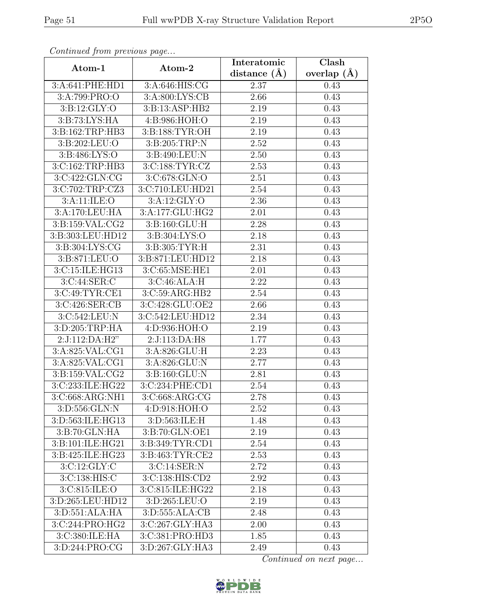| Continua from previous page |                                     | Interatomic       | Clash<br>overlap $(\AA)$ |  |
|-----------------------------|-------------------------------------|-------------------|--------------------------|--|
| Atom-1                      | Atom-2                              | distance $(A)$    |                          |  |
| 3:A:641:PHE:HD1             | 3:A:646:HIS:CG                      | 2.37              | 0.43                     |  |
| 3:A:799:PRO:O               | 3:A:800:LYS:CB                      | 2.66              | 0.43                     |  |
| 3: B: 12: GLY:O             | 3:B:13:ASP:HB2                      | 2.19              | 0.43                     |  |
| 3:B:73:LYS:HA               | 4:B:986:HOH:O                       | 2.19              | $\overline{0.43}$        |  |
| 3:B:162:TRP:HB3             | 3: B: 188: TYR: OH                  | 2.19              | 0.43                     |  |
| 3:B:202:LEU:O               | 3: B:205:TRP:N                      | 2.52              | 0.43                     |  |
| 3:B:486:LYS:O               | $3: B:490: \overline{\text{LEU}:N}$ | 2.50              | 0.43                     |  |
| 3:C:162:TRP:HB3             | 3:C:188:TYR:CZ                      | 2.53              | 0.43                     |  |
| 3:C:422:GLN:CG              | 3:C:678:GLN:O                       | 2.51              | 0.43                     |  |
| 3:C:702:TRP:CZ3             | 3:C:710:LEU:HD21                    | 2.54              | 0.43                     |  |
| 3:A:11:ILE:O                | 3:A:12:GLY:O                        | 2.36              | 0.43                     |  |
| 3:A:170:LEU:HA              | 3:A:177:GLU:HG2                     | 2.01              | 0.43                     |  |
| 3:B:159:VAL:CG2             | 3:B:160:GLU:H                       | 2.28              | 0.43                     |  |
| 3:B:303:LEU:HD12            | 3:B:304:LYS:O                       | 2.18              | 0.43                     |  |
| 3:B:304:LYS:CG              | 3:B:305:TYR:H                       | 2.31              | 0.43                     |  |
| 3:B:871:LEU:O               | 3:B:871:LEU:HD12                    | 2.18              | 0.43                     |  |
| 3:C:15:ILE:HG13             | 3:C:65:MSE:HE1                      | $\overline{2.01}$ | 0.43                     |  |
| 3:C:44:SER:C                | 3: C:46: ALA:H                      | 2.22              | 0.43                     |  |
| 3:C:49:TYR:CE1              | 3:C:59:ARG:HB2                      | 2.54              | 0.43                     |  |
| 3:C:426:SER:CB              | 3:C:428:GLU:OE2                     | 2.66              | 0.43                     |  |
| 3:C:542:LEU:N               | 3:C:542:LEU:HD12                    | $\overline{2.34}$ | 0.43                     |  |
| 3:D:205:TRP:HA              | 4:D:936:HOH:O                       | 2.19              | 0.43                     |  |
| 2:J:112:DA:H2"              | 2:J:113:DA:H8                       | 1.77              | 0.43                     |  |
| 3:A:825:VAL:CG1             | 3:A:826:GLU:H                       | 2.23              | 0.43                     |  |
| 3:A:825:VAL:CG1             | 3:A:826:GLU:N                       | 2.77              | 0.43                     |  |
| 3:B:159:VAL:CG2             | $3: B: 160: \overline{GLU: N}$      | 2.81              | 0.43                     |  |
| 3:C:233:ILE:HG22            | 3:C:234:PHE:CD1                     | 2.54              | 0.43                     |  |
| 3:C:668:ARG:NH1             | 3:C:668:ARG:CG                      | 2.78              | 0.43                     |  |
| 3:D:556:GLN:N               | 4:D:918:HOH:O                       | 2.52              | 0.43                     |  |
| 3:D:563:ILE:HG13            | 3:D:563:ILE:H                       | 1.48              | 0.43                     |  |
| 3:B:70:GLN:HA               | 3:B:70:GLN:OE1                      | 2.19              | 0.43                     |  |
| 3:B:101:ILE:HG21            | 3:B:349:TYR:CD1                     | 2.54              | 0.43                     |  |
| 3:B:425:ILE:HG23            | $3: B: 463: TYR: \overline{CE2}$    | 2.53              | 0.43                     |  |
| 3:C:12:GLY:C                | 3:C:14:SER:N                        | 2.72              | 0.43                     |  |
| 3:C:138:HIS:C               | 3:C:138:HIS:CD2                     | 2.92              | 0.43                     |  |
| 3:C:815:ILE:O               | 3:C:815:ILE:HG22                    | 2.18              | 0.43                     |  |
| 3:D:265:LEU:HD12            | 3:D:265:LEU:O                       | 2.19              | 0.43                     |  |
| 3:D:551:ALA:HA              | 3:D:555:ALA:CB                      | 2.48              | 0.43                     |  |
| 3:C:244:PRO:HG2             | 3:C:267:GLY:HA3                     | 2.00              | 0.43                     |  |
| 3:C:380:ILE:HA              | 3:C:381:PRO:HD3                     | 1.85              | 0.43                     |  |
| 3:D:244:PRO:CG              | 3:D:267:GLY:HA3                     | 2.49              | 0.43                     |  |

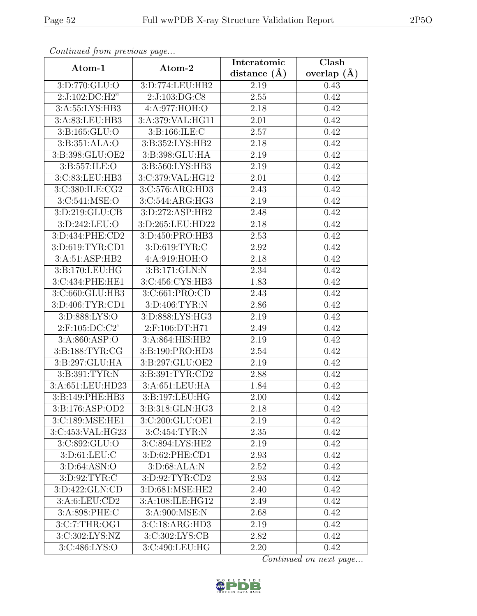| Continued from previous page               |                                | Interatomic       | Clash           |
|--------------------------------------------|--------------------------------|-------------------|-----------------|
| Atom-1                                     | Atom-2                         | distance $(A)$    | overlap $(\AA)$ |
| 3:D:770:GLU:O                              | 3:D:774:LEU:HB2                | 2.19              | 0.43            |
| 2:J:102:DC:H2"                             | 2:J:103:DG:C8                  | 2.55              | 0.42            |
| 3:A:55:LYS:HB3                             | 4:A:977:HOH:O                  | 2.18              | 0.42            |
| 3:A:83:LEU:HB3                             | 3:A:379:VAL:HG11               | 2.01              | 0.42            |
| 3: B: 165: GLU: O                          | 3:B:166:ILE:C                  | 2.57              | 0.42            |
| 3:B:351:ALA:O                              | 3:B:352:LYS:HB2                | 2.18              | 0.42            |
| 3:B:398:GLU:OE2                            | 3:B:398:GLU:HA                 | 2.19              | 0.42            |
| 3:B:557:ILE:O                              | 3:B:560:LYS:HB3                | 2.19              | 0.42            |
| 3:C:83:LEU:HB3                             | 3:C:379:VAL:HG12               | 2.01              | 0.42            |
| 3:C:380:ILE:CG2                            | 3:C:576:ARG:HD3                | 2.43              | 0.42            |
| 3:C:541:MSE:O                              | 3:C:544:ARG:HG3                | 2.19              | 0.42            |
| 3:D:219:GLU:CB                             | 3:D:272:ASP:HB2                | 2.48              | 0.42            |
| 3:D:242:LEU:O                              | 3:D:265:LEU:HD22               | 2.18              | 0.42            |
| 3:D:434:PHE:CD2                            | 3:D:450:PRO:HB3                | 2.53              | 0.42            |
| 3:D:619:TYR:CD1                            | 3:D:619:TYR:C                  | 2.92              | 0.42            |
| 3:A:51:ASP:HB2                             | 4:A:919:HOH:O                  | 2.18              | 0.42            |
| 3:B:170:LEU:HG                             | 3:B:171:GLN:N                  | 2.34              | 0.42            |
| 3:C:434:PHE:HE1                            | 3:C:456:CYS:HB3                | 1.83              | 0.42            |
| 3:C:660:GLU:HB3                            | 3:C:661:PRO:CD                 | 2.43              | 0.42            |
| 3:D:406:TYR:CD1                            | 3:D:406:TYR:N                  | 2.86              | 0.42            |
| 3:D:888:LYS:O                              | 3:D:888:LYS:HG3                | 2.19              | 0.42            |
| $2:$ F:105:DC:C2'                          | 2:F:106:DT:H71                 | 2.49              | 0.42            |
| 3:A:860:ASP:O                              | 3:A:864:HIS:HB2                | 2.19              | 0.42            |
| 3:B:188:TYR:CG                             | 3:B:190:PRO:HD3                | $\overline{2.54}$ | 0.42            |
| 3:B:297:GLU:HA                             | 3:B:297:GLU:OE2                | 2.19              | 0.42            |
| 3:B:391:TYR:N                              | 3:B:391:TYR:CD2                | 2.88              | 0.42            |
| 3:A:651:LEU:HD23                           | 3:A:651:LEU:HA                 | 1.84              | 0.42            |
| 3:B:149:PHE:HB3                            | 3:B:197:LEU:HG                 | 2.00              | 0.42            |
| 3:B:176:ASP:OD2                            | $3: B:318: \overline{GLN:HG3}$ | 2.18              | 0.42            |
| $3:C:189:\overline{\text{MSE}:\text{HE1}}$ | 3:C:200:GLU:OE1                | 2.19              | 0.42            |
| 3:C:453:VAL:HG23                           | 3:C:454:TYR:N                  | 2.35              | 0.42            |
| 3:C:892:GLU:O                              | 3:C:894:LYS:HE2                | 2.19              | 0.42            |
| 3: D: 61: LEU: C                           | 3:D:62:PHE:CD1                 | 2.93              | 0.42            |
| 3:D:64:ASN:O                               | 3:D:68:ALA:N                   | 2.52              | 0.42            |
| 3:D:92:TYR:C                               | 3:D:92:TYR:CD2                 | 2.93              | 0.42            |
| 3: D: 422: GLN: CD                         | 3:D:681:MSE:HE2                | 2.40              | 0.42            |
| 3:A:6:LEU:CD2                              | 3:A:108:ILE:HG12               | 2.49              | 0.42            |
| 3:A:898:PHE:C                              | 3:A:900:MSE:N                  | 2.68              | 0.42            |
| 3:C:7:THR:OG1                              | 3: C: 18: ARG: HD3             | 2.19              | 0.42            |
| 3:C:302:LYS:NZ                             | 3:C:302:LYS:CB                 | 2.82              | 0.42            |
| 3:C:486:LYS:O                              | 3:C:490:LEU:HG                 | 2.20              | 0.42            |

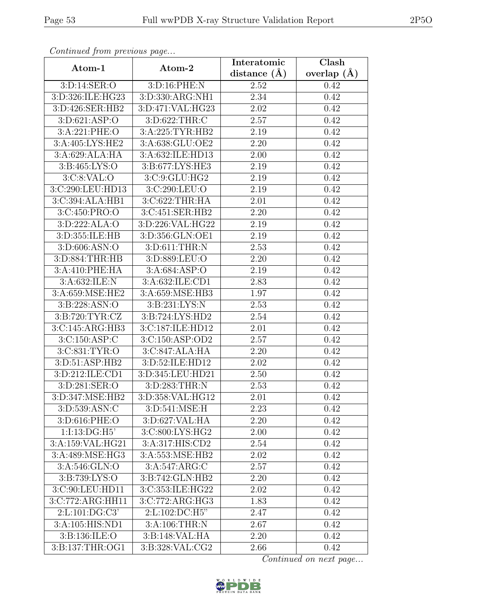| Continuati jibin protibus puga |                      | Interatomic | Clash             |  |
|--------------------------------|----------------------|-------------|-------------------|--|
| Atom-1                         | Atom-2               |             | overlap $(\AA)$   |  |
| 3:D:14:SER:O                   | 3:D:16:PHE:N         | 2.52        | 0.42              |  |
| 3:D:326:ILE:HG23               | 3:D:330:ARG:NH1      | 2.34        | $\overline{0.42}$ |  |
| 3:D:426:SER:HB2                | 3:D:471:VAL:HG23     | 2.02        | 0.42              |  |
| 3: D:621: ASP:O                | 3:D:622:THR:C        | 2.57        | 0.42              |  |
| $3: A:221:$ PHE:O              | 3:A:225:TYR:HB2      | 2.19        | 0.42              |  |
| 3:A:405:LYS:HE2                | 3:A:638:GLU:OE2      | 2.20        | 0.42              |  |
| 3:A:629:ALA:HA                 | 3:A:632:ILE:HD13     | 2.00        | 0.42              |  |
| 3:B:465:LYS:O                  | 3:B:677:LYS:HE3      | 2.19        | 0.42              |  |
| 3:C:8:VAL:O                    | 3:C:9:GLU:HG2        | 2.19        | 0.42              |  |
| 3:C:290:LEU:HD13               | 3:C:290:LEU:O        | 2.19        | 0.42              |  |
| 3:C:394:ALA:HB1                | 3:C:622:THR:HA       | 2.01        | 0.42              |  |
| 3:C:450:PRO:O                  | 3:C:451:SER:HB2      | 2.20        | 0.42              |  |
| 3: D: 222: ALA: O              | 3: D: 226: VAL: HG22 | 2.19        | 0.42              |  |
| 3:D:355:ILE:HB                 | 3:D:356:GLN:OE1      | 2.19        | 0.42              |  |
| 3:D:606:ASN:O                  | 3:D:611:THR:N        | 2.53        | 0.42              |  |
| 3:D:884:THR:HB                 | 3:D:889:LEU:O        | 2.20        | 0.42              |  |
| 3:A:410:PHE:HA                 | 3:A:684:ASP:O        | 2.19        | 0.42              |  |
| 3:A:632:ILE:N                  | 3:A:632:ILE:CD1      | 2.83        | 0.42              |  |
| 3:A:659:MSE:HE2                | 3:A:659:MSE:HB3      | 1.97        | 0.42              |  |
| 3:B:228:ASN:O                  | 3:B:231:LYS:N        | 2.53        | 0.42              |  |
| 3:B:720:TYR:CZ                 | 3:B:724:LYS:HD2      | 2.54        | 0.42              |  |
| 3:C:145:ARG:HB3                | 3:C:187:ILE:HD12     | 2.01        | 0.42              |  |
| 3:C:150:ASP:C                  | 3:C:150:ASP:OD2      | 2.57        | 0.42              |  |
| 3:C:831:TYR:O                  | 3:C:847:ALA:HA       | 2.20        | 0.42              |  |
| 3:D:51:ASP:HB2                 | 3:D:52:ILE:HD12      | 2.02        | 0.42              |  |
| 3: D: 212: ILE: CD1            | 3:D:345:LEU:HD21     | 2.50        | 0.42              |  |
| 3:D:281:SER:O                  | 3:D:283:THR:N        | 2.53        | 0.42              |  |
| 3:D:347:MSE:HB2                | 3:D:358:VAL:HG12     | 2.01        | 0.42              |  |
| 3:D:539:ASN:C                  | 3:D:541:MSE:H        | 2.23        | 0.42              |  |
| 3:D:616:PHE:O                  | 3:D:627:VAL:HA       | 2.20        | 0.42              |  |
| 1:1:13:DG:HS'                  | 3:C:800:LYS:HG2      | 2.00        | 0.42              |  |
| 3:A:159:VAL:HG21               | 3:A:317:HIS:CD2      | 2.54        | 0.42              |  |
| 3:A:489:MSE:HG3                | 3:A:553:MSE:HB2      | 2.02        | 0.42              |  |
| 3:A:546:GLN:O                  | 3: A:547: ARG: C     | 2.57        | 0.42              |  |
| 3: B: 739: LYS: O              | 3:B:742:GLN:HB2      | 2.20        | 0.42              |  |
| 3:C:90:LEU:HD11                | 3:C:353:ILE:HG22     | 2.02        | 0.42              |  |
| 3:C:772:ARG:HH11               | 3:C:772:ARG:HG3      | 1.83        | 0.42              |  |
| 2:Li101:DG:C3'                 | 2:L:102:DC:H5"       | 2.47        | 0.42              |  |
| 3:A:105:HIS:ND1                | 3:A:106:THR:N        | 2.67        | 0.42              |  |
| 3:B:136:ILE:O                  | 3:B:148:VAL:HA       | 2.20        | 0.42              |  |
| 3:B:137:THR:OG1                | 3:B:328:VAL:CG2      | 2.66        | 0.42              |  |

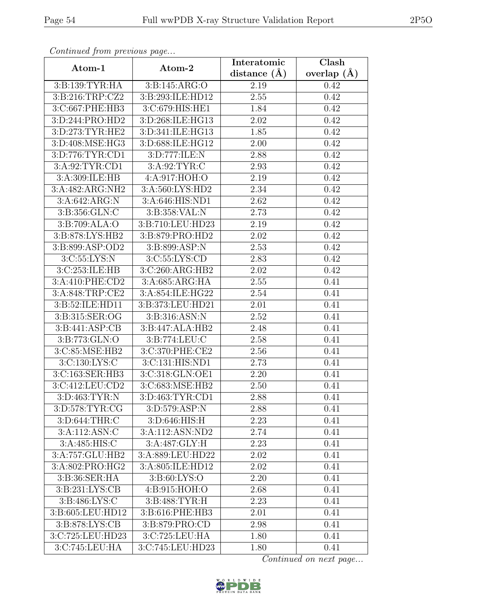| Continuati jibni protibus puga |                     | Interatomic       | Clash         |  |
|--------------------------------|---------------------|-------------------|---------------|--|
| Atom-1                         | Atom-2              |                   | overlap $(A)$ |  |
| 3:B:139:TYR:HA                 | 3:Bi:145:ARG:O      | 2.19              | 0.42          |  |
| 3:B:216:TRP:CZ2                | 3:B:293:ILE:HD12    | 2.55              | 0.42          |  |
| 3:C:667:PHE:HB3                | 3:C:679:HIS:HE1     | 1.84              | 0.42          |  |
| 3:D:244:PRO:HD2                | 3:D:268:ILE:HG13    | 2.02              | 0.42          |  |
| 3:D:273:TYR:HE2                | 3:D:341:ILE:HG13    | 1.85              | 0.42          |  |
| 3:D:408:MSE:HG3                | 3:D:688:ILE:HG12    | 2.00              | 0.42          |  |
| 3:D:776:TYR:CD1                | 3:D:777:ILE:N       | 2.88              | 0.42          |  |
| 3:A:92:TYR:CD1                 | 3: A:92: TYR: C     | 2.93              | 0.42          |  |
| 3:A:309:ILE:HB                 | 4:A:917:HOH:O       | 2.19              | 0.42          |  |
| 3:A:482:ARG:NH2                | 3:A:560:LYS:HD2     | 2.34              | 0.42          |  |
| 3:A:642:ARG:N                  | 3:A:646:HIS:ND1     | 2.62              | 0.42          |  |
| 3:B:356:GLN:C                  | 3: B: 358: VAL: N   | 2.73              | 0.42          |  |
| 3:B:709:ALA:O                  | 3:B:710:LEU:HD23    | 2.19              | 0.42          |  |
| 3:B:878:LYS:HB2                | 3:B:879:PRO:HD2     | 2.02              | 0.42          |  |
| 3:B:899:ASP:OD2                | 3:B:899:ASP:N       | 2.53              | 0.42          |  |
| 3:C:55:LYS:N                   | 3:C:55:LYS:CD       | 2.83              | 0.42          |  |
| 3:C:253:ILE:HB                 | 3:C:260:ARG:HB2     | 2.02              | 0.42          |  |
| 3:A:410:PHE:CD2                | 3:A:685:ARG:HA      | 2.55              | 0.41          |  |
| 3:A:848:TRP:CE2                | 3:A:854:ILE:HG22    | 2.54              | 0.41          |  |
| 3:B:52:ILE:HD11                | 3:B:373:LEU:HD21    | 2.01              | 0.41          |  |
| 3:B:315:SER:OG                 | 3:B:316:ASN:N       | 2.52              | 0.41          |  |
| 3: B:441: ASP:CB               | 3:B:447:ALA:HB2     | 2.48              | 0.41          |  |
| 3:B:773:GLN:O                  | 3:B:774:LEU:C       | 2.58              | 0.41          |  |
| 3:C:85:MSE:HB2                 | 3:C:370:PHE:CE2     | $\overline{2.56}$ | 0.41          |  |
| 3:C:130:LYS:C                  | 3:C:131:HIS:ND1     | 2.73              | 0.41          |  |
| 3:C:163:SER:HB3                | 3:C:318:GLN:OE1     | 2.20              | 0.41          |  |
| 3:C:412:LEU:CD2                | 3:C:683:MSE:HB2     | 2.50              | 0.41          |  |
| 3:D:463:TYR:N                  | 3: D: 463: TYR: CD1 | 2.88              | 0.41          |  |
| 3:D:578:TYR:CG                 | 3:D:579:ASP:N       | 2.88              | 0.41          |  |
| 3:D:644:THR:C                  | 3:D:646:HIS:H       | 2.23              | 0.41          |  |
| 3:A:112:ASN:C                  | 3:A:112:ASN:ND2     | 2.74              | 0.41          |  |
| 3:A:485:HIS:C                  | 3:A:487:GLY:H       | 2.23              | 0.41          |  |
| 3:A:757:GLU:HB2                | 3:A:889:LEU:HD22    | 2.02              | 0.41          |  |
| 3:A:802:PRO:HG2                | 3:A:805:ILE:HD12    | 2.02              | 0.41          |  |
| 3:B:36:SER:HA                  | 3:B:60:LYS:O        | 2.20              | 0.41          |  |
| 3: B: 231: LYS: CB             | 4:B:915:HOH:O       | 2.68              | 0.41          |  |
| 3:B:486:LYS:C                  | 3:B:488:TYR:H       | 2.23              | 0.41          |  |
| 3:B:605:LEU:HD12               | 3:B:616:PHE:HB3     | 2.01              | 0.41          |  |
| 3:B:878:LYS:CB                 | 3:B:879:PRO:CD      | 2.98              | 0.41          |  |
| 3:C:725:LEU:HD23               | 3:C:725:LEU:HA      | 1.80              | 0.41          |  |
| 3:C:745:LEU:HA                 | 3:C:745:LEU:HD23    | 1.80              | 0.41          |  |

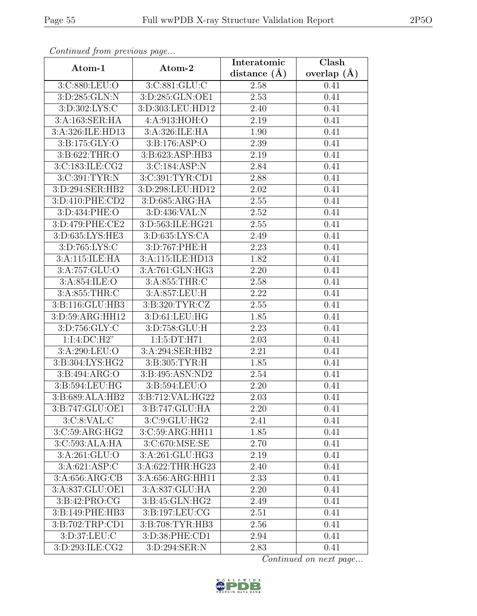| Continuati jibni protibus puga   |                   | Interatomic | $\overline{\text{Clash}}$ |  |
|----------------------------------|-------------------|-------------|---------------------------|--|
| Atom-1                           | Atom-2            |             | overlap $(A)$             |  |
| 3:C:880:LEU:O                    | 3:C:881:GLU:C     | 2.58        | 0.41                      |  |
| 3:D:285:GLN:N                    | 3:D:285:GLN:OE1   | 2.53        | 0.41                      |  |
| 3:D:302:LYS:C                    | 3:D:303:LEU:HD12  | 2.40        | 0.41                      |  |
| 3:A:163:SER:HA                   | 4:A:913:HOH:O     | 2.19        | 0.41                      |  |
| 3:A:326:ILE:HD13                 | 3:A:326:ILE:HA    | 1.90        | 0.41                      |  |
| 3:B:175:GLY:O                    | 3: B: 176: ASP: O | 2.39        | 0.41                      |  |
| 3: B:622:THR:O                   | 3:B:623:ASP:HB3   | 2.19        | 0.41                      |  |
| 3:C:183:ILE:CG2                  | 3:C:184:ASP:N     | 2.84        | 0.41                      |  |
| 3:C:391:TYR:N                    | 3:C:391:TYR:CD1   | 2.88        | 0.41                      |  |
| 3:D:294:SER:HB2                  | 3:D:298:LEU:HD12  | 2.02        | 0.41                      |  |
| 3:D:410:PHE:CD2                  | 3:D:685:ARG:HA    | 2.55        | 0.41                      |  |
| 3:D:434:PHE:O                    | 3:D:436:VAL:N     | 2.52        | 0.41                      |  |
| 3:D:479:PHE:CE2                  | 3:D:563:ILE:HG21  | 2.55        | 0.41                      |  |
| 3:D:635:LYS:HE3                  | 3:D:635:LYS:CA    | 2.49        | 0.41                      |  |
| 3:D:765:LYS:C                    | 3:D:767:PHE:H     | 2.23        | 0.41                      |  |
| 3:A:115:ILE:HA                   | 3:A:115:ILE:HD13  | 1.82        | 0.41                      |  |
| 3:A:757:GLU:O                    | 3:A:761:GLN:HG3   | 2.20        | 0.41                      |  |
| 3:A:854:ILE:O                    | 3:A:855:THR:C     | 2.58        | 0.41                      |  |
| 3:A:855:THR:C                    | 3:A:857:LEU:H     | 2.22        | 0.41                      |  |
| 3:B:116:GLU:HB3                  | 3:B:320:TYR:CZ    | 2.55        | 0.41                      |  |
| 3:D:59:ARG:HH12                  | 3:D:61:LEU:HG     | 1.85        | 0.41                      |  |
| 3:D:756:GLY:C                    | 3:D:758:GLU:H     | 2.23        | 0.41                      |  |
| 1:I:4:DC:H2"                     | 1:I:5:DT:H71      | 2.03        | 0.41                      |  |
| 3:A:290:LEU:O                    | 3:A:294:SER:HB2   | 2.21        | 0.41                      |  |
| 3:B:304:LYS:HG2                  | 3:B:305:TYR:H     | 1.85        | 0.41                      |  |
| 3:B:494:ARG:O                    | 3:B:495:ASN:ND2   | 2.54        | 0.41                      |  |
| 3:B:594:LEU:HG                   | 3:B:594:LEU:O     | 2.20        | 0.41                      |  |
| 3: B:689: ALA:HB2                | 3:B:712:VAL:HG22  | 2.03        | 0.41                      |  |
| 3:B:747:GLU:OE1                  | 3:B:747:GLU:HA    | 2.20        | 0.41                      |  |
| 3: C: 8: VAL: C                  | 3:C:9:GLU:HG2     | 2.41        | 0.41                      |  |
| 3:C:59:ARG:HG2                   | 3:C:59:ARG:HH11   | 1.85        | 0.41                      |  |
| 3:C:593:ALA:HA                   | 3:C:670:MSE:SE    | 2.70        | 0.41                      |  |
| 3:A:261:GLU:O                    | 3:A:261:GLU:HG3   | 2.19        | 0.41                      |  |
| 3:A:621:ASP:C                    | 3:A:622:THR:HG23  | 2.40        | 0.41                      |  |
| 3:A:656:ARG:CB                   | 3:A:656:ARG:HH11  | 2.33        | 0.41                      |  |
| 3:A:837:GLU:OE1                  | 3:A:837:GLU:HA    | 2.20        | 0.41                      |  |
| 3:B:42:PRO:CG                    | 3:B:45:GLN:HG2    | 2.49        | 0.41                      |  |
| 3:B:149:PHE:HB3                  | 3:B:197:LEU:CG    | 2.51        | 0.41                      |  |
| 3:B:702:TRP:CD1                  | 3:B:708:TYR:HB3   | 2.56        | 0.41                      |  |
| 3:D:37:LEU:C                     | 3:D:38:PHE:CD1    | 2.94        | 0.41                      |  |
| $3: D: 293: ILE: \overline{CG2}$ | 3:D:294:SER:N     | 2.83        | 0.41                      |  |

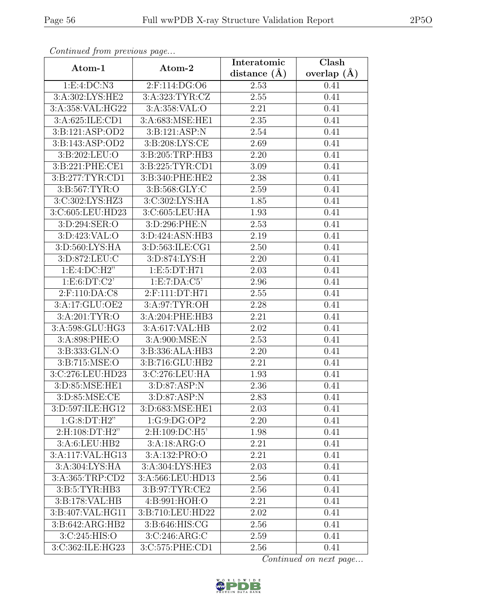| Continua from previous page |                  | Interatomic       | $\overline{\text{Clash}}$ |  |
|-----------------------------|------------------|-------------------|---------------------------|--|
| Atom-1                      | Atom-2           | distance $(A)$    | overlap $(A)$             |  |
| 1:E:4:DC:N3                 | 2:F:114:DG:O6    | 2.53              | 0.41                      |  |
| 3:A:302:LYS:HE2             | 3:A:323:TYR:CZ   | $\overline{2.55}$ | 0.41                      |  |
| 3:A:358:VAL:HG22            | 3:A:358:VAL:O    | 2.21              | 0.41                      |  |
| 3:A:625:ILE:CD1             | 3:A:683:MSE:HE1  | 2.35              | 0.41                      |  |
| 3:B:121:ASP:OD2             | 3:B:121:ASP:N    | 2.54              | 0.41                      |  |
| 3:B:143:ASP:OD2             | 3:B:208:LYS:CE   | 2.69              | 0.41                      |  |
| 3: B:202:LEU:O              | 3:B:205:TRP:HB3  | 2.20              | 0.41                      |  |
| 3:B:221:PHE:CE1             | 3:B:225:TYR:CD1  | 3.09              | 0.41                      |  |
| 3:B:277:TYR:CD1             | 3:B:340:PHE:HE2  | 2.38              | 0.41                      |  |
| 3:B:567:TYR:O               | 3:B:568:GLY:C    | 2.59              | 0.41                      |  |
| 3:C:302:LYS:HZ3             | 3:C:302:LYS:HA   | 1.85              | 0.41                      |  |
| 3:C:605:LEU:HD23            | 3:C:605:LEU:HA   | 1.93              | 0.41                      |  |
| 3:D:294:SER:O               | 3:D:296:PHE:N    | 2.53              | 0.41                      |  |
| 3:D:423:VAL:O               | 3:D:424:ASN:HB3  | 2.19              | 0.41                      |  |
| 3:D:560:LYS:HA              | 3:D:563:ILE:CG1  | 2.50              | 0.41                      |  |
| 3:D:872:LEU:C               | 3:D:874:LYS:H    | 2.20              | 0.41                      |  |
| 1: E: 4: DC: H2"            | 1:E:5:DT:H71     | 2.03              | 0.41                      |  |
| 1: E: 6: DT: C2'            | 1:E:7:DA:C5'     | 2.96              | 0.41                      |  |
| 2:F:110:DA:C8               | 2:F:111:DT:H71   | 2.55              | 0.41                      |  |
| 3:A:17:GLU:OE2              | 3: A:97: TYR:OH  | 2.28              | 0.41                      |  |
| 3:A:201:TYR:O               | 3:A:204:PHE:HB3  | $\overline{2.21}$ | 0.41                      |  |
| 3:A:598:GLU:HG3             | 3:A:617:VAL:HB   | 2.02              | 0.41                      |  |
| 3:A:898:PHE:O               | 3:A:900:MSE:N    | 2.53              | 0.41                      |  |
| 3:B:333:GLN:O               | 3:B:336:ALA:HB3  | 2.20              | 0.41                      |  |
| 3: B:715: MSE:O             | 3:B:716:GLU:HB2  | 2.21              | 0.41                      |  |
| 3:C:276:LEU:HD23            | 3:C:276:LEU:HA   | 1.93              | 0.41                      |  |
| 3:D:85:MSE:HE1              | 3:D:87:ASP:N     | 2.36              | 0.41                      |  |
| 3:D:85:MSE:CE               | 3: D:87: ASP:N   | 2.83              | 0.41                      |  |
| 3:D:597:ILE:HG12            | 3:D:683:MSE:HE1  | 2.03              | 0.41                      |  |
| 1:G:8:DT:H2"                | 1:G:9:DG:OP2     | 2.20              | 0.41                      |  |
| $2:$ H:108:DT:H2"           | 2:H:109:DC:H5'   | 1.98              | 0.41                      |  |
| 3:A:6:LEU:HB2               | 3:A:18:ARG:O     | 2.21              | 0.41                      |  |
| 3:A:117:VAL:HG13            | 3:A:132:PRO:O    | 2.21              | 0.41                      |  |
| $3:A:\overline{304:LYS:HA}$ | 3:A:304:LYS:HE3  | 2.03              | 0.41                      |  |
| 3:A:365:TRP:CD2             | 3:A:566:LEU:HD13 | 2.56              | 0.41                      |  |
| 3:B:5:TYR:HB3               | 3:B:97:TYR:CE2   | 2.56              | 0.41                      |  |
| 3:B:178:VAL:HB              | 4: B:991: HOH:O  | 2.21              | 0.41                      |  |
| 3:B:407:VAL:HG11            | 3:B:710:LEU:HD22 | $2.02\,$          | 0.41                      |  |
| 3:B:642:ARG:HB2             | 3:B:646:HIS:CG   | 2.56              | 0.41                      |  |
| 3:C:245:HIS:O               | 3:C:246:ARG:C    | 2.59              | 0.41                      |  |
| 3:C:362:ILE:HG23            | 3:C:575:PHE:CD1  | 2.56              | 0.41                      |  |

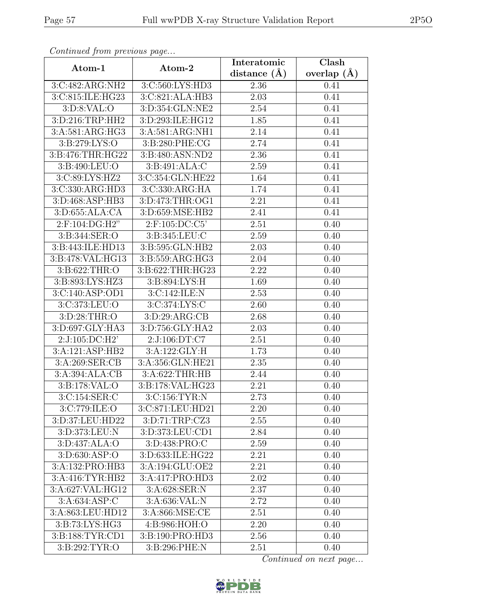| Continued from previous page         |                                      | Interatomic       | Clash           |  |
|--------------------------------------|--------------------------------------|-------------------|-----------------|--|
| Atom-1                               | Atom-2                               |                   | overlap $(\AA)$ |  |
| 3:C:482:ARG:NH2                      | 3:C:560:LYS:HD3                      | 2.36              | 0.41            |  |
| 3:C:815:ILE:HG23                     | 3:C:821:ALA:HB3                      | $\overline{2.03}$ | 0.41            |  |
| 3: D: 8: VAL: O                      | 3:D:354:GLN:NE2                      | 2.54              | 0.41            |  |
| 3:D:216:TRP:HH2                      | 3:D:293:ILE:HG12                     | 1.85              | 0.41            |  |
| 3:A:581:ARG:HG3                      | 3:A:581:ARG:NH1                      | 2.14              | 0.41            |  |
| 3:B:279:LYS:O                        | 3:B:280:PHE:CG                       | 2.74              | 0.41            |  |
| 3:B:476:THR:HG22                     | 3:B:480:ASN:ND2                      | 2.36              | 0.41            |  |
| 3:B:490:LEU:O                        | 3: B:491:ALA:C                       | 2.59              | 0.41            |  |
| 3:C:89:LYS:HZ2                       | 3:C:354:GLN:HE22                     | 1.64              | 0.41            |  |
| 3:C:330:ARG:HD3                      | 3:C:330:ARG:HA                       | 1.74              | 0.41            |  |
| 3:D:468:ASP:HB3                      | 3:D:473:THR:OG1                      | 2.21              | 0.41            |  |
| 3:D:655:ALA:CA                       | 3:D:659:MSE:HB2                      | 2.41              | 0.41            |  |
| 2:F:104:DG:H2"                       | $2:$ F:105:DC:C5'                    | 2.51              | 0.40            |  |
| $3: B: 344: \overline{\text{SER}:O}$ | 3:B:345:LEU:C                        | 2.59              | 0.40            |  |
| 3:B:443:ILE:HD13                     | 3:B:595:GLN:HB2                      | 2.03              | 0.40            |  |
| 3:B:478:VAL:HG13                     | 3:B:559:ARG:HG3                      | 2.04              | 0.40            |  |
| 3:B:622:THR:O                        | 3:B:622:THR:HG23                     | 2.22              | 0.40            |  |
| 3:B:893:LYS:HZ3                      | 3:B:894:LYS:H                        | 1.69              | 0.40            |  |
| 3:C:140:ASP:OD1                      | 3:C:142:ILE:N                        | 2.53              | 0.40            |  |
| 3:C:373:LEU:O                        | 3:C:374:LYS:C                        | 2.60              | 0.40            |  |
| 3:D:28:THR:O                         | 3:D:29:ARG:CB                        | 2.68              | 0.40            |  |
| 3:D:697:GLY:HA3                      | 3:D:756:GLY:HA2                      | 2.03              | 0.40            |  |
| $2:J:105:D\overline{C:H2'}$          | 2:J:106:DT:C7                        | 2.51              | 0.40            |  |
| 3:A:121:ASP:HB2                      | 3:A:122:GLY:H                        | 1.73              | 0.40            |  |
| 3:A:269:SER:CB                       | 3:A:356:GLN:HE21                     | 2.35              | 0.40            |  |
| 3:A:394:ALA:CB                       | 3: A:622:THR:HB                      | 2.44              | 0.40            |  |
| 3:B:178:VAL:O                        | 3:B:178:VAL:HG23                     | 2.21              | 0.40            |  |
| 3:C:154:SER:C                        | 3:C:156:TYR:N                        | 2.73              | 0.40            |  |
| 3:C:779:ILE:O                        | 3:C:871:LEU:HD21                     | 2.20              | 0.40            |  |
| 3:D:37:LEU:HD22                      | 3:D:71:TRP:CZ3                       | 2.55              | 0.40            |  |
| 3:D:373:LEU:N                        | 3:D:373:LEU:CD1                      | 2.84              | 0.40            |  |
| 3:D:437:ALA:O                        | 3:D:438:PRO:C                        | 2.59              | 0.40            |  |
| 3:D:630:ASP:O                        | 3:D:633:ILE:HG22                     | 2.21              | 0.40            |  |
| 3:A:132:PRO:HB3                      | 3:A:194:GLU:OE2                      | 2.21              | 0.40            |  |
| 3: A:416: TYR: HB2                   | 3:A:417:PRO:HD3                      | 2.02              | 0.40            |  |
| 3:A:627:VAL:HG12                     | 3: A:628: SER: N                     | 2.37              | 0.40            |  |
| 3: A:634: ASP:C                      | 3:A:636:VAL:N                        | 2.72              | 0.40            |  |
| 3:A:863:LEU:HD12                     | $3: A:866: \overline{\text{MSE:CE}}$ | 2.51              | 0.40            |  |
| 3:B:73:LYS:HG3                       | 4:B:986:HOH:O                        | 2.20              | 0.40            |  |
| 3: B: 188: TYR: CD1                  | 3:B:190:PRO:HD3                      | 2.56              | 0.40            |  |
| 3: B: 292: TYR:O                     | 3:B:296:PHE:N                        | 2.51              | 0.40            |  |

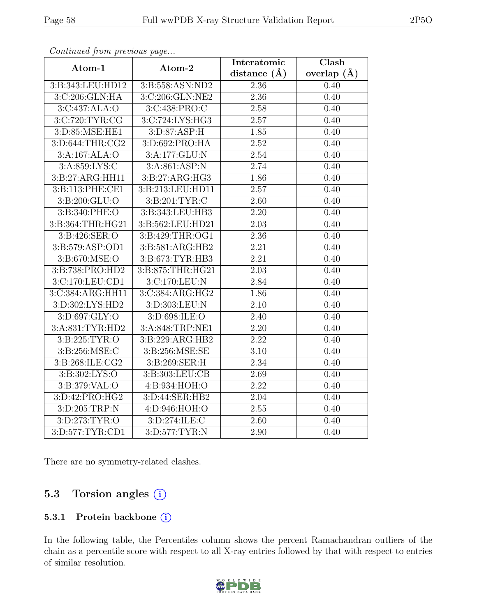| Continueu from previous page |                  | Interatomic       | $\overline{\text{Clash}}$ |
|------------------------------|------------------|-------------------|---------------------------|
| Atom-1                       | Atom-2           | distance $(\AA)$  | overlap $(\AA)$           |
| 3:B:343:LEU:HD12             | 3:B:558:ASN:ND2  | 2.36              | 0.40                      |
| 3:C:206:GLN:HA               | 3:C:206:GLN:NE2  | $\overline{2.36}$ | 0.40                      |
| 3:C:437:ALA:O                | 3:C:438:PRO:C    | 2.58              | 0.40                      |
| 3:C:720:TYR:CG               | 3:C:724:LYS:HG3  | 2.57              | 0.40                      |
| 3:D:85:MSE:HE1               | 3: D:87: ASP:H   | 1.85              | 0.40                      |
| 3:D:644:THR:CG2              | 3:D:692:PRO:HA   | 2.52              | 0.40                      |
| 3:A:167:ALA:O                | 3:A:177:GLU:N    | 2.54              | 0.40                      |
| 3:A:859:LYS:C                | 3:A:861:ASP:N    | 2.74              | 0.40                      |
| 3:B:27:ARG:HH11              | 3:B:27:ARG:HG3   | $\overline{1.86}$ | 0.40                      |
| 3:B:113:PHE:CE1              | 3:B:213:LEU:HD11 | 2.57              | 0.40                      |
| 3:B:200:GLU:O                | 3:B:201:TYR:C    | 2.60              | 0.40                      |
| 3:B:340:PHE:O                | 3:B:343:LEU:HB3  | 2.20              | 0.40                      |
| 3:B:364:THR:HG21             | 3:B:562:LEU:HD21 | 2.03              | 0.40                      |
| 3:B:426:SER:O                | 3:B:429:THR:OG1  | 2.36              | 0.40                      |
| 3:B:579:ASP:OD1              | 3:B:581:ARG:HB2  | 2.21              | 0.40                      |
| 3:B:670:MSE:O                | 3:B:673:TYR:HB3  | $\overline{2.21}$ | 0.40                      |
| 3:B:738:PRO:HD2              | 3:B:875:THR:HG21 | 2.03              | 0.40                      |
| 3:C:170:LEU:CD1              | 3:C:170:LEU:N    | 2.84              | 0.40                      |
| 3:C:384:ARG:HH11             | 3:C:384:ARG:HG2  | 1.86              | 0.40                      |
| 3:D:302:LYS:HD2              | 3:D:303:LEU:N    | 2.10              | 0.40                      |
| 3:D:697:GLY:O                | 3: D:698: ILE: O | 2.40              | 0.40                      |
| 3:A:831:TYR:HD2              | 3:A:848:TRP:NE1  | 2.20              | 0.40                      |
| 3:B:225:TYR:O                | 3:B:229:ARG:HB2  | 2.22              | 0.40                      |
| 3:B:256:MSE:C                | 3:B:256:MSE:SE   | $\overline{3.10}$ | 0.40                      |
| 3:B:268:ILE:CG2              | 3:B:269:SER:H    | 2.34              | 0.40                      |
| 3:B:302:LYS:O                | 3:B:303:LEU:CB   | 2.69              | 0.40                      |
| 3:B:379:VAL:O                | 4:B:934:HOH:O    | 2.22              | 0.40                      |
| 3:D:42:PRO:HG2               | 3:D:44:SER:HB2   | $\overline{2}.04$ | 0.40                      |
| 3:D:205:TRP:N                | 4:D:946:HOH:O    | $\overline{2.55}$ | 0.40                      |
| 3:D:273:TYR:O                | 3:D:274:ILE:C    | 2.60              | 0.40                      |
| 3:D:577:TYR:CD1              | 3:D:577:TYR:N    | 2.90              | 0.40                      |

There are no symmetry-related clashes.

## 5.3 Torsion angles (i)

#### 5.3.1 Protein backbone (i)

In the following table, the Percentiles column shows the percent Ramachandran outliers of the chain as a percentile score with respect to all X-ray entries followed by that with respect to entries of similar resolution.

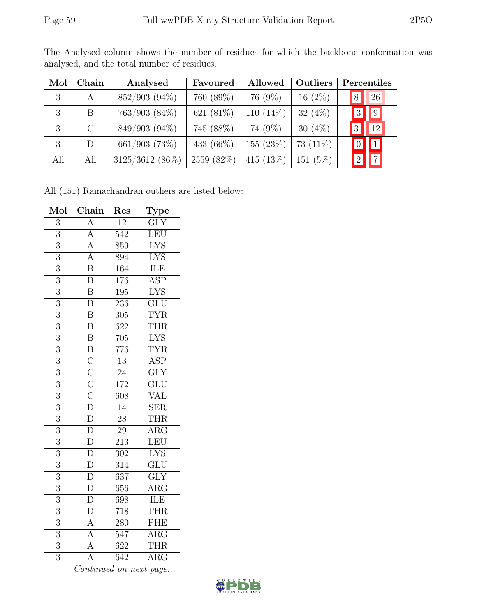| Mol | Chain   | Analysed        | Favoured    | Allowed      | Outliers    |                | Percentiles       |  |
|-----|---------|-----------------|-------------|--------------|-------------|----------------|-------------------|--|
| 3   | A       | $852/903(94\%)$ | 760 (89%)   | 76 (9%)      | $16(2\%)$   | $\overline{8}$ | 26                |  |
| 3   | B.      | 763/903 (84%)   | 621 (81%)   | 110 $(14\%)$ | 32 $(4\%)$  |                | $\boxed{9}$<br> 3 |  |
| 3   | $\rm C$ | 849/903 (94%)   | 745 (88%)   | 74 (9%)      | 30 $(4\%)$  | $ 3\rangle$    | $\overline{12}$   |  |
| 3   | D       | 661/903 (73%)   | 433 (66\%)  | 155 (23%)    | 73 $(11\%)$ |                | $\vert$ 1         |  |
| All | All     | 3125/3612 (86%) | 2559 (82\%) | 415 $(13%)$  | 151(5%)     |                | $\overline{7}$    |  |

The Analysed column shows the number of residues for which the backbone conformation was analysed, and the total number of residues.

All (151) Ramachandran outliers are listed below:

| Mol            | Chain                                                                                                    | Res              | Type                      |
|----------------|----------------------------------------------------------------------------------------------------------|------------------|---------------------------|
| $\overline{3}$ | $\overline{A}$                                                                                           | $\overline{12}$  | $\overline{\mathrm{GLY}}$ |
| $\overline{3}$ | $\frac{\overline{A}}{\overline{A}}$                                                                      | $\overline{542}$ | LEU                       |
| $\overline{3}$ |                                                                                                          | 859              | $\overline{\text{LYS}}$   |
| $\overline{3}$ | $\frac{\overline{A}}{\overline{B}}$                                                                      | $\overline{894}$ | <b>LYS</b>                |
| $\overline{3}$ |                                                                                                          | 164              | ILE                       |
| $\overline{3}$ | $\overline{\mathbf{B}}$                                                                                  | 176              | $\overline{\text{ASP}}$   |
| $\overline{3}$ | $\overline{\mathbf{B}}$                                                                                  | 195              | <b>LYS</b>                |
| $\overline{3}$ | $\overline{\mathrm{B}}$                                                                                  | 236              | $\overline{\text{GLU}}$   |
| $\overline{3}$ | $\overline{\mathrm{B}}$                                                                                  | 305              | <b>TYR</b>                |
| $\overline{3}$ | $\overline{\mathbf{B}}$                                                                                  | 622              | <b>THR</b>                |
| $\overline{3}$ | $\overline{B}$                                                                                           | 705              | <b>LYS</b>                |
| $\overline{3}$ |                                                                                                          | 776              | <b>TYR</b>                |
| $\overline{3}$ | $\overline{B}$ $\overline{C}$ $\overline{C}$ $\overline{C}$ $\overline{D}$ $\overline{D}$ $\overline{D}$ | $\overline{13}$  | <b>ASP</b>                |
| $\overline{3}$ |                                                                                                          | $\overline{24}$  | $\overline{\text{GLY}}$   |
| 3              |                                                                                                          | 172              | $\overline{\text{GLU}}$   |
| $\overline{3}$ |                                                                                                          | $\overline{608}$ | <b>VAL</b>                |
| $\overline{3}$ |                                                                                                          | $\overline{14}$  | $\overline{\text{SER}}$   |
| $\overline{3}$ |                                                                                                          | $\overline{28}$  | THR                       |
| $\overline{3}$ | $\frac{\overline{D}}{D}$                                                                                 | $\overline{29}$  | $\overline{\rm{ARG}}$     |
| $\overline{3}$ |                                                                                                          | $\overline{213}$ | LEU                       |
| $\overline{3}$ | $\frac{\overline{D}}{\overline{D}}$                                                                      | $\overline{302}$ | <b>LYS</b>                |
| $\overline{3}$ |                                                                                                          | $\overline{314}$ | $\overline{\text{GLU}}$   |
| $\overline{3}$ | $\overline{D}$                                                                                           | 637              | $\overline{\text{GLY}}$   |
| $\overline{3}$ | $\frac{\overline{D}}{D}$                                                                                 | 656              | $\overline{\rm{ARG}}$     |
| $\overline{3}$ |                                                                                                          | 698              | ILE                       |
| $\overline{3}$ | $\frac{\overline{D}}{\overline{A}}$<br>$\frac{\overline{A}}{\overline{A}}$                               | 718              | <b>THR</b>                |
| $\overline{3}$ |                                                                                                          | 280              | PHE                       |
| $\overline{3}$ |                                                                                                          | $\overline{547}$ | $\overline{\rm{ARG}}$     |
| $\overline{3}$ |                                                                                                          | $\overline{622}$ | <b>THR</b>                |
| $\overline{3}$ | $\overline{A}$                                                                                           | $\overline{642}$ | $\overline{\rm{ARG}}$     |

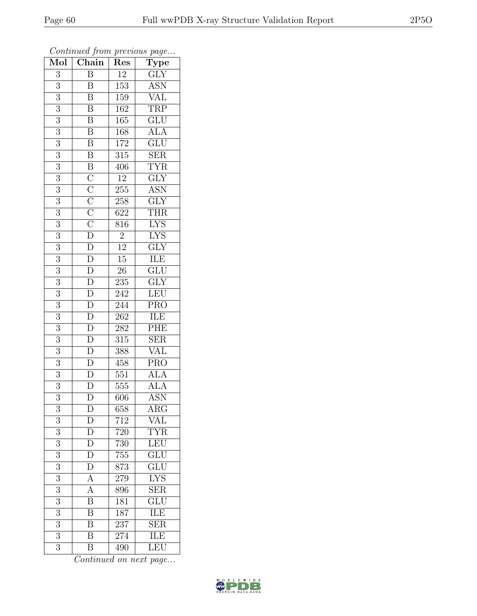| $\overline{\text{Mol}}$ | $\frac{1}{\sqrt{2}}$<br>Chain                                                                                                          | <b>I</b><br>Res  | $\mathbf{r}$<br>$\overline{v}$<br>$\overline{\text{Type}}$ |
|-------------------------|----------------------------------------------------------------------------------------------------------------------------------------|------------------|------------------------------------------------------------|
| $\overline{3}$          | $\overline{B}$                                                                                                                         | 12               | $\overline{\text{GLY}}$                                    |
| $\overline{3}$          | $\boldsymbol{B}$                                                                                                                       | 153              | $\overline{\text{ASN}}$                                    |
| $\overline{3}$          | B                                                                                                                                      | 159              | $\overline{\text{VAL}}$                                    |
| $\boldsymbol{3}$        | $\overline{\mathbf{B}}$                                                                                                                | 162              | $\overline{\text{TRP}}$                                    |
| $\overline{3}$          | $\overline{\mathbf{B}}$                                                                                                                | 165              | GLU                                                        |
| $\overline{3}$          | $\overline{\mathrm{B}}$                                                                                                                | 168              | <b>ALA</b>                                                 |
| 3                       | $\overline{\mathbf{B}}$                                                                                                                | 172              | $\overline{\text{GLU}}$                                    |
| $\overline{3}$          | $\overline{\mathrm{B}}$                                                                                                                | $\overline{315}$ | $\overline{\text{SER}}$                                    |
| 3                       |                                                                                                                                        | 406              | $\overline{\text{TYR}}$                                    |
| $\overline{3}$          |                                                                                                                                        | $\overline{12}$  | $\overline{\text{GLY}}$                                    |
| $\overline{3}$          |                                                                                                                                        | 255              | <b>ASN</b>                                                 |
| $\overline{3}$          |                                                                                                                                        | $\overline{258}$ | $\overline{\text{GLY}}$                                    |
| $\overline{3}$          |                                                                                                                                        | 622              | THR                                                        |
| $\sqrt{3}$              | $\overline{B}$ $\overline{C}$ $\overline{C}$ $\overline{C}$ $\overline{C}$ $\overline{C}$ $\overline{D}$ $\overline{D}$ $\overline{D}$ | 816              | <b>LYS</b>                                                 |
| $\overline{3}$          |                                                                                                                                        | $\overline{2}$   | <b>LYS</b>                                                 |
| $\mathfrak{Z}$          |                                                                                                                                        | $\overline{12}$  | $\overline{\text{GLY}}$                                    |
| $\overline{3}$          |                                                                                                                                        | $\overline{15}$  | <b>ILE</b>                                                 |
| $\boldsymbol{3}$        | $\overline{\frac{D}{D}}$<br>$\overline{\frac{D}{D}}$                                                                                   | $2\overline{6}$  | $\overline{\text{GLU}}$                                    |
| $\overline{3}$          |                                                                                                                                        | 235              | $\overline{\text{GLY}}$                                    |
| $\overline{3}$          |                                                                                                                                        | 242              | LEU                                                        |
| $\overline{3}$          | $\frac{\overline{D}}{\overline{D}}$                                                                                                    | 244              | PRO                                                        |
| $\overline{3}$          |                                                                                                                                        | $\overline{262}$ | <b>ILE</b>                                                 |
| 3                       |                                                                                                                                        | 282              | PHE                                                        |
| $\overline{3}$          | $\overline{D}$                                                                                                                         | 315              | $\overline{\text{SER}}$                                    |
| $\overline{3}$          | $\frac{\overline{D}}{\overline{D}}$                                                                                                    | 388              | $\overline{\text{VAL}}$                                    |
| $\overline{3}$          |                                                                                                                                        | 458              | <b>PRO</b>                                                 |
| $\overline{3}$          | $\frac{\overline{D}}{D}$                                                                                                               | 551              | <b>ALA</b>                                                 |
| $\overline{3}$          |                                                                                                                                        | $555\,$          | <b>ALA</b>                                                 |
| $\overline{3}$          | $\overline{\rm D}$                                                                                                                     | 606              | <b>ASN</b>                                                 |
| 3                       | $\mathbf D$                                                                                                                            | 658              | $\rm{ARG}$                                                 |
| 3                       | $\mathbf D$                                                                                                                            | 712              | <b>VAL</b>                                                 |
| $\overline{3}$          | $\overline{D}$                                                                                                                         | 720              | $\overline{\text{TYR}}$                                    |
| $\boldsymbol{3}$        | $\overline{D}$                                                                                                                         | 730              | LEU                                                        |
| $\overline{3}$          | $\overline{\rm D}$                                                                                                                     | 755              | $\overline{\text{GLU}}$                                    |
| 3                       | $\overline{D}$                                                                                                                         | 873              | GLU                                                        |
| $\overline{3}$          | $\overline{A}$                                                                                                                         | 279              | $\overline{\text{LYS}}$                                    |
| 3                       | A                                                                                                                                      | 896              | $\overline{\text{SER}}$                                    |
| 3                       | $\overline{\mathrm{B}}$                                                                                                                | 181              | $\overline{\text{GLU}}$                                    |
| 3                       | $\overline{\mathbf{B}}$                                                                                                                | 187              | ILE                                                        |
| $\overline{3}$          | $\overline{\mathrm{B}}$                                                                                                                | $\overline{2}37$ | <b>SER</b>                                                 |
| $\overline{3}$          | $\overline{\mathrm{B}}$                                                                                                                | 274              | <b>ILE</b>                                                 |
| 3                       | $\overline{\mathrm{B}}$                                                                                                                | 490              | LEU                                                        |

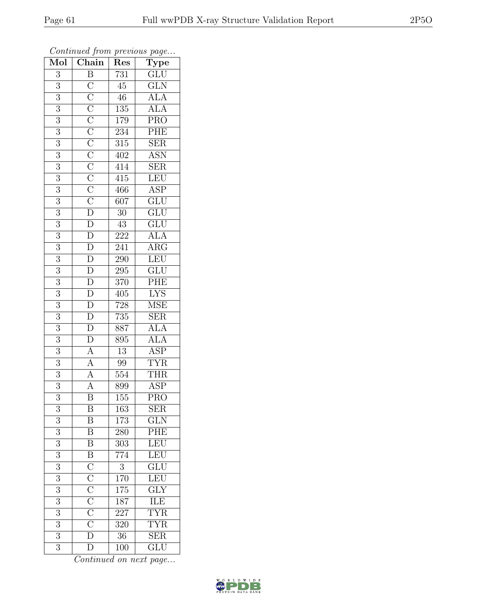| Mol              | $\frac{J}{\sqrt{2}}$<br>$\overline{\text{Chain}}$                                                                                                                                                                                                                                                                                                                                    | x.<br>Res        | $\mathbf{r}$<br>$\overline{v}$<br>Type |
|------------------|--------------------------------------------------------------------------------------------------------------------------------------------------------------------------------------------------------------------------------------------------------------------------------------------------------------------------------------------------------------------------------------|------------------|----------------------------------------|
| 3                | $\overline{\mathbf{B}}$                                                                                                                                                                                                                                                                                                                                                              | 731              | $\overline{\text{GLU}}$                |
| $\overline{3}$   |                                                                                                                                                                                                                                                                                                                                                                                      | $\overline{45}$  | $\overline{\text{GLN}}$                |
| $\overline{3}$   |                                                                                                                                                                                                                                                                                                                                                                                      | $\overline{46}$  | ALA<br>ALA                             |
| $\overline{3}$   |                                                                                                                                                                                                                                                                                                                                                                                      | 135              |                                        |
| $\overline{3}$   |                                                                                                                                                                                                                                                                                                                                                                                      | 179              | $\overline{\text{PRO}}$                |
| 3                |                                                                                                                                                                                                                                                                                                                                                                                      | 234              | PHE                                    |
| $\boldsymbol{3}$ |                                                                                                                                                                                                                                                                                                                                                                                      | 315              | $\overline{\text{SER}}$                |
| $\overline{3}$   |                                                                                                                                                                                                                                                                                                                                                                                      | 402              | <b>ASN</b>                             |
| 3                |                                                                                                                                                                                                                                                                                                                                                                                      | 414              | <b>SER</b>                             |
| $\overline{3}$   |                                                                                                                                                                                                                                                                                                                                                                                      | 415              | LEU                                    |
| 3                |                                                                                                                                                                                                                                                                                                                                                                                      | 466              | ASP <sup>-</sup>                       |
| $\overline{3}$   |                                                                                                                                                                                                                                                                                                                                                                                      | $\overline{607}$ | $\overline{\text{GLU}}$                |
| $\overline{3}$   |                                                                                                                                                                                                                                                                                                                                                                                      | $30\,$           | $\overline{\text{GLU}}$                |
| 3                | $\overline{C}$ $\overline{C}$ $\overline{C}$ $\overline{C}$ $\overline{C}$ $\overline{C}$ $\overline{C}$ $\overline{C}$ $\overline{D}$ $\overline{D}$ $\overline{D}$ $\overline{D}$ $\overline{D}$ $\overline{D}$ $\overline{D}$ $\overline{D}$ $\overline{D}$ $\overline{D}$ $\overline{D}$ $\overline{D}$ $\overline{D}$ $\overline{D}$ $\overline{A}$ $\overline{A}$ $\overline{$ | 43               | $\overline{\text{GLU}}$                |
| $\overline{3}$   |                                                                                                                                                                                                                                                                                                                                                                                      | <b>222</b>       | <b>ALA</b>                             |
| $\sqrt{3}$       |                                                                                                                                                                                                                                                                                                                                                                                      | 241              | $\overline{\text{ARG}}$                |
| $\overline{3}$   |                                                                                                                                                                                                                                                                                                                                                                                      | $\overline{290}$ | LEU                                    |
| $\mathfrak{Z}$   |                                                                                                                                                                                                                                                                                                                                                                                      | 295              | GLU                                    |
| $\overline{3}$   |                                                                                                                                                                                                                                                                                                                                                                                      | 370              | $\overline{\text{PHE}}$                |
| $\overline{3}$   |                                                                                                                                                                                                                                                                                                                                                                                      | 405              | $\frac{\text{LYS}}{\text{MSE}}$        |
| $\overline{3}$   |                                                                                                                                                                                                                                                                                                                                                                                      | 728              |                                        |
| $\overline{3}$   |                                                                                                                                                                                                                                                                                                                                                                                      | 735              | $\overline{\text{SER}}$                |
| $\overline{3}$   |                                                                                                                                                                                                                                                                                                                                                                                      | 887              | <b>ALA</b>                             |
| $\overline{3}$   |                                                                                                                                                                                                                                                                                                                                                                                      | 895              | $\frac{\text{ALA}}{\text{ASP}}$        |
| $\overline{3}$   |                                                                                                                                                                                                                                                                                                                                                                                      | $\overline{13}$  |                                        |
| 3                |                                                                                                                                                                                                                                                                                                                                                                                      | 99               | <b>TYR</b>                             |
| $\overline{3}$   |                                                                                                                                                                                                                                                                                                                                                                                      | 554              | <b>THR</b>                             |
| 3                |                                                                                                                                                                                                                                                                                                                                                                                      | 899              | ASP                                    |
| $\overline{3}$   | $\overline{\mathrm{B}}$                                                                                                                                                                                                                                                                                                                                                              | $\overline{155}$ | $\overline{\text{PRO}}$                |
| 3                | Β                                                                                                                                                                                                                                                                                                                                                                                    | 163              | $\operatorname{SER}$                   |
| 3                | $\boldsymbol{B}$                                                                                                                                                                                                                                                                                                                                                                     | 173              | $\overline{\text{GLN}}$                |
| $\overline{3}$   | $\overline{B}$                                                                                                                                                                                                                                                                                                                                                                       | 280              | $\overline{\text{PHE}}$                |
| 3                | $\overline{\mathbf{B}}$                                                                                                                                                                                                                                                                                                                                                              | 303              | LEU                                    |
| $\overline{3}$   |                                                                                                                                                                                                                                                                                                                                                                                      | 774              | LEU                                    |
| $\boldsymbol{3}$ | $\overline{B}$ $\overline{C}$ $\overline{C}$ $\overline{C}$ $\overline{C}$ $\overline{C}$ $\overline{C}$ $\overline{D}$                                                                                                                                                                                                                                                              | $\sqrt{3}$       | $\overline{{\rm GLU}}$                 |
| $\overline{3}$   |                                                                                                                                                                                                                                                                                                                                                                                      | 170              | LEU                                    |
| 3                |                                                                                                                                                                                                                                                                                                                                                                                      | 175              | $\overline{\text{GLY}}$                |
| $\overline{3}$   |                                                                                                                                                                                                                                                                                                                                                                                      | 187              | $\overline{\text{ILE}}$                |
| 3                |                                                                                                                                                                                                                                                                                                                                                                                      | $22\overline{7}$ | <b>TYR</b>                             |
| 3                |                                                                                                                                                                                                                                                                                                                                                                                      | 320              | <b>TYR</b>                             |
| $\overline{3}$   |                                                                                                                                                                                                                                                                                                                                                                                      | 36               | $\overline{\text{SER}}$                |
| $\overline{3}$   | $\overline{\rm D}$                                                                                                                                                                                                                                                                                                                                                                   | 100              | GLU                                    |

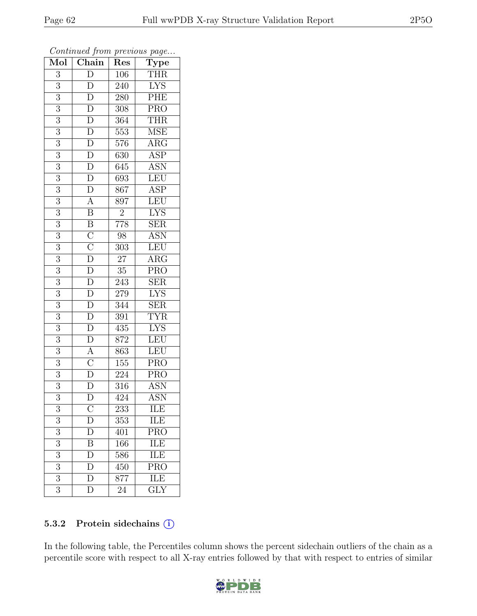| Mol              | $\frac{v}{\sqrt{2}}$<br>$\overline{\text{Chain}}$                                                                                               | ı<br>Res         | ÷.<br>$\cdot$<br>$\overline{\text{Type}}$ |
|------------------|-------------------------------------------------------------------------------------------------------------------------------------------------|------------------|-------------------------------------------|
| $\overline{3}$   | $\overline{D}$                                                                                                                                  | 106              | <b>THR</b>                                |
| $\overline{3}$   | $\overline{D}$                                                                                                                                  | 240              | $\overline{\text{LYS}}$                   |
| $\overline{3}$   | $\overline{D}$                                                                                                                                  | 280              | PHE                                       |
| $\boldsymbol{3}$ | $\overline{D}$                                                                                                                                  | 308              | $\overline{\text{PRO}}$                   |
| $\overline{3}$   |                                                                                                                                                 | 364              | <b>THR</b>                                |
| $\overline{3}$   | $\frac{\overline{D}}{\overline{D}}$                                                                                                             | 553              | <b>MSE</b>                                |
| 3                | $\overline{D}$                                                                                                                                  | 576              | $\overline{\rm{ARG}}$                     |
| $\overline{3}$   |                                                                                                                                                 | 630              | $\overline{\text{ASP}}$                   |
| 3                | $\frac{\overline{D}}{\overline{D}}$                                                                                                             | $\overline{6}45$ | <b>ASN</b>                                |
| $\overline{3}$   |                                                                                                                                                 | 693              | LEU                                       |
| 3                | $\overline{D}$                                                                                                                                  | 867              | $\overline{\text{ASP}}$                   |
| $\overline{3}$   | $\frac{\overline{A}}{\overline{B}}$                                                                                                             | $\overline{897}$ | LEU                                       |
| $\overline{3}$   |                                                                                                                                                 | $\overline{c}$   | <b>LYS</b>                                |
| $\boldsymbol{3}$ | $\frac{\overline{B}}{\overline{C}}$ $\frac{\overline{C}}{\overline{D}}$ $\frac{\overline{D}}{\overline{D}}$                                     | 778              | <b>SER</b>                                |
| $\overline{3}$   |                                                                                                                                                 | 98               | <b>ASN</b>                                |
| $\mathfrak{Z}$   |                                                                                                                                                 | 303              | LEU                                       |
| $\overline{3}$   |                                                                                                                                                 | $\overline{27}$  | $\overline{\rm{ARG}}$                     |
| $\boldsymbol{3}$ |                                                                                                                                                 | $35\,$           | PRO                                       |
| $\overline{3}$   |                                                                                                                                                 | $\overline{243}$ | $\overline{\text{SER}}$                   |
| $\overline{3}$   | $\frac{1}{D}$                                                                                                                                   | 279              | LYS                                       |
| $\overline{3}$   | $\overline{D}$                                                                                                                                  | 344              | $\overline{\text{SER}}$                   |
| $\overline{3}$   |                                                                                                                                                 | $\overline{391}$ | <b>TYR</b>                                |
| 3                |                                                                                                                                                 | 435              | $\overline{\text{LYS}}$                   |
| $\overline{3}$   |                                                                                                                                                 | 872              | LEU                                       |
| $\overline{3}$   |                                                                                                                                                 | 863              | LEU                                       |
| 3                |                                                                                                                                                 | 155              | <b>PRO</b>                                |
| $\overline{3}$   | $\frac{\overline{D}}{\overline{D}}$ $\frac{\overline{D}}{\overline{D}}$ $\frac{\overline{A}}{\overline{C}}$ $\frac{\overline{D}}{\overline{D}}$ | 224              | $\overline{\text{PRO}}$                   |
| 3                |                                                                                                                                                 | 316              | <b>ASN</b>                                |
| $\overline{3}$   | $\overline{\rm D}$                                                                                                                              | 424              | $\overline{\mathrm{ASN}}$                 |
| 3                | $\rm \bar{C}$                                                                                                                                   | 233              | ILE                                       |
| 3                | D                                                                                                                                               | 353              | ILE                                       |
| $\overline{3}$   | $\overline{\rm D}$                                                                                                                              | 401              | <b>PRO</b>                                |
| $\boldsymbol{3}$ | $\boldsymbol{B}$                                                                                                                                | 166              | ILE                                       |
| $\overline{3}$   | $\overline{\rm D}$                                                                                                                              | 586              | ILE                                       |
| 3                | D                                                                                                                                               | 450              | <b>PRO</b>                                |
| $\overline{3}$   | $\overline{\rm D}$                                                                                                                              | 877              | <b>ILE</b>                                |
| 3                | $\overline{\rm D}$                                                                                                                              | 24               | $\overline{\text{GLY}}$                   |

#### 5.3.2 Protein sidechains (i)

In the following table, the Percentiles column shows the percent sidechain outliers of the chain as a percentile score with respect to all X-ray entries followed by that with respect to entries of similar

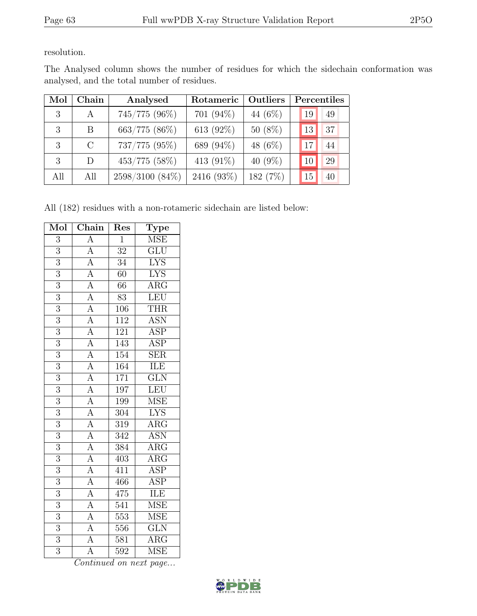resolution.

| Mol | Chain         | Analysed        | Rotameric    | <b>Outliers</b> | Percentiles |
|-----|---------------|-----------------|--------------|-----------------|-------------|
| 3   | $\mathsf{A}$  | 745/775 (96%)   | 701 (94%)    | 44 (6%)         | 19<br>49    |
| 3   | B             | 663/775 (86%)   | 613 $(92\%)$ | $50(8\%)$       | 37<br>13    |
| 3   | $\mathcal{C}$ | 737/775 (95%)   | 689 (94%)    | 48 $(6\%)$      | 44<br>17    |
| 3   | D             | $453/775$ (58%) | 413 (91%)    | 40 $(9\%)$      | 29          |
| All | All           | 2598/3100 (84%) | 2416 (93%)   | 182 (7%)        | 15<br>40    |

The Analysed column shows the number of residues for which the sidechain conformation was analysed, and the total number of residues.

All (182) residues with a non-rotameric sidechain are listed below:

| Mol            | Chain                                                                                                                                                                                                                                                                             | Res              | Type                    |
|----------------|-----------------------------------------------------------------------------------------------------------------------------------------------------------------------------------------------------------------------------------------------------------------------------------|------------------|-------------------------|
| $\overline{3}$ | $\overline{A}$                                                                                                                                                                                                                                                                    | $\overline{1}$   | <b>MSE</b>              |
| $\overline{3}$ | $\overline{A}$                                                                                                                                                                                                                                                                    | $\overline{32}$  | $\overline{\text{GLU}}$ |
| $\overline{3}$ |                                                                                                                                                                                                                                                                                   | $\overline{34}$  | <b>LYS</b>              |
| $\overline{3}$ |                                                                                                                                                                                                                                                                                   | $\overline{60}$  | <b>LYS</b>              |
| $\overline{3}$ |                                                                                                                                                                                                                                                                                   | $\overline{66}$  | $\overline{\text{ARG}}$ |
| $\overline{3}$ | $\frac{\overline{A}}{\overline{A}}$ $\frac{\overline{A}}{\overline{A}}$ $\frac{\overline{A}}{\overline{A}}$                                                                                                                                                                       | $\overline{83}$  | LEU                     |
| $\overline{3}$ |                                                                                                                                                                                                                                                                                   | 106              | THR                     |
| $\overline{3}$ |                                                                                                                                                                                                                                                                                   | $\overline{112}$ | <b>ASN</b>              |
| $\overline{3}$ |                                                                                                                                                                                                                                                                                   | 121              | <b>ASP</b>              |
| $\overline{3}$ |                                                                                                                                                                                                                                                                                   | 143              | $\overline{\text{ASP}}$ |
| $\overline{3}$ |                                                                                                                                                                                                                                                                                   | 154              | $\overline{\text{SER}}$ |
| $\overline{3}$ |                                                                                                                                                                                                                                                                                   | 164              | ILE                     |
| $\overline{3}$ |                                                                                                                                                                                                                                                                                   | $\overline{171}$ | $\overline{\text{GLN}}$ |
| $\overline{3}$ |                                                                                                                                                                                                                                                                                   | 197              | LEU                     |
| $\overline{3}$ |                                                                                                                                                                                                                                                                                   | 199              | $\overline{\rm MSE}$    |
| $\overline{3}$ |                                                                                                                                                                                                                                                                                   | $\overline{304}$ | $\overline{\text{LYS}}$ |
| $\overline{3}$ |                                                                                                                                                                                                                                                                                   | $3\overline{19}$ | $\overline{\rm{ARG}}$   |
| $\overline{3}$ |                                                                                                                                                                                                                                                                                   | $\overline{342}$ | <b>ASN</b>              |
| 3              |                                                                                                                                                                                                                                                                                   | $\overline{384}$ | $\overline{\text{ARG}}$ |
| $\overline{3}$ |                                                                                                                                                                                                                                                                                   | 403              | $\overline{\text{ARG}}$ |
| $\overline{3}$ |                                                                                                                                                                                                                                                                                   | 411              | $\overline{\text{ASP}}$ |
| $\overline{3}$ |                                                                                                                                                                                                                                                                                   | 466              | $\overline{\text{ASP}}$ |
| $\overline{3}$ |                                                                                                                                                                                                                                                                                   | $\overline{475}$ | ILE                     |
| $\overline{3}$ | $\frac{\overline{A}}{\overline{A}} \frac{\overline{A}}{\overline{A}} \frac{\overline{A}}{\overline{A}} \frac{\overline{A}}{\overline{A}} \frac{\overline{A}}{\overline{A}} \frac{\overline{A}}{\overline{A}} \frac{\overline{A}}{\overline{A}} \frac{\overline{A}}{\overline{A}}$ | 541              | MSE                     |
| $\overline{3}$ |                                                                                                                                                                                                                                                                                   | $\overline{553}$ | <b>MSE</b>              |
| $\overline{3}$ | $\overline{A}$                                                                                                                                                                                                                                                                    | 556              | GLN                     |
| $\overline{3}$ | $\overline{A}$                                                                                                                                                                                                                                                                    | 581              | $\rm{ARG}$              |
| $\overline{3}$ | $\overline{A}$                                                                                                                                                                                                                                                                    | $\overline{592}$ | $\overline{\rm MSE}$    |

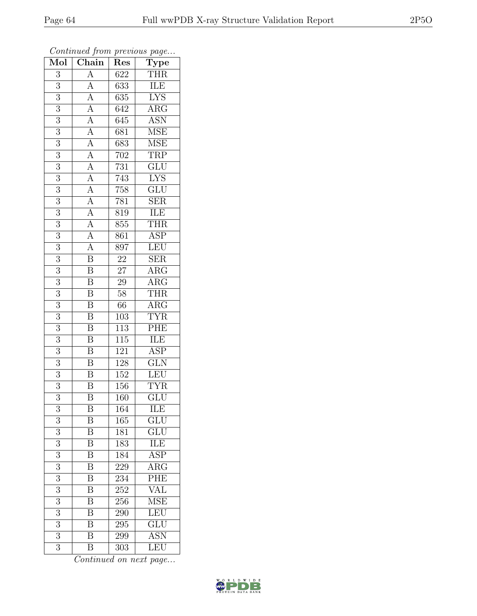| Mol              | $\overline{v}$<br>Chain                                                                                                                                                                                                                                                    | T.<br>Res        | $\mathbf{r}$<br>$\overline{u}$<br>$\overline{\text{Type}}$ |
|------------------|----------------------------------------------------------------------------------------------------------------------------------------------------------------------------------------------------------------------------------------------------------------------------|------------------|------------------------------------------------------------|
| 3                | $\overline{A}$                                                                                                                                                                                                                                                             | 622              | <b>THR</b>                                                 |
| 3                |                                                                                                                                                                                                                                                                            | 633              | ILE                                                        |
| $\overline{3}$   |                                                                                                                                                                                                                                                                            | 635              | <b>LYS</b>                                                 |
| $\overline{3}$   |                                                                                                                                                                                                                                                                            | 642              | $\overline{\text{ARG}}$                                    |
| $\overline{3}$   |                                                                                                                                                                                                                                                                            | $\overline{645}$ | <b>ASN</b>                                                 |
| 3                |                                                                                                                                                                                                                                                                            | 681              | <b>MSE</b>                                                 |
| $\overline{3}$   |                                                                                                                                                                                                                                                                            | 683              | <b>MSE</b>                                                 |
| $\overline{3}$   |                                                                                                                                                                                                                                                                            | 702              | <b>TRP</b>                                                 |
| $\overline{3}$   |                                                                                                                                                                                                                                                                            | 731              | $\overline{\text{GLU}}$                                    |
| $\overline{3}$   |                                                                                                                                                                                                                                                                            | 743              | $\overline{\text{LYS}}$                                    |
| $\overline{3}$   |                                                                                                                                                                                                                                                                            | 758              | GLU                                                        |
| $\overline{3}$   |                                                                                                                                                                                                                                                                            | 781              | $\overline{\text{SER}}$                                    |
| $\overline{3}$   |                                                                                                                                                                                                                                                                            | 819              | ILE                                                        |
| $\overline{3}$   | $\frac{\overline{A}}{\overline{A}}\frac{\overline{A}}{\overline{A}}\frac{\overline{A}}{\overline{A}}\frac{\overline{A}}{\overline{A}}\frac{\overline{A}}{\overline{A}}\frac{\overline{A}}{\overline{A}}\frac{\overline{A}}{\overline{A}}\frac{\overline{A}}{\overline{A}}$ | 855              | <b>THR</b>                                                 |
| $\overline{3}$   |                                                                                                                                                                                                                                                                            | 861              | $\overline{\text{ASP}}$                                    |
| 3                |                                                                                                                                                                                                                                                                            | 897              | LEU                                                        |
| $\overline{3}$   |                                                                                                                                                                                                                                                                            | $\overline{22}$  | $\overline{\text{SER}}$                                    |
| $\overline{3}$   | $\overline{\mathbf{B}}$                                                                                                                                                                                                                                                    | $2\overline{7}$  | $\rm{ARG}$                                                 |
| $\overline{3}$   | $\overline{\text{B}}$                                                                                                                                                                                                                                                      | $\overline{29}$  | $\overline{\rm{ARG}}$                                      |
| $\overline{3}$   | $\overline{\mathbf{B}}$                                                                                                                                                                                                                                                    | 58               | <b>THR</b>                                                 |
| 3                | $\overline{\mathbf{B}}$                                                                                                                                                                                                                                                    | 66               | $\overline{\text{ARG}}$                                    |
| $\overline{3}$   | $\overline{\mathbf{B}}$                                                                                                                                                                                                                                                    | $\overline{103}$ | $\overline{\text{TYR}}$                                    |
| 3                | $\boldsymbol{B}$                                                                                                                                                                                                                                                           | 113              | PHE                                                        |
| $\overline{3}$   | $\overline{\mathrm{B}}$                                                                                                                                                                                                                                                    | 115              | <b>ILE</b>                                                 |
| $\overline{3}$   | $\overline{\mathbf{B}}$                                                                                                                                                                                                                                                    | 121              | <b>ASP</b>                                                 |
| 3                | $\overline{\mathbf{B}}$                                                                                                                                                                                                                                                    | 128              | $\overline{\text{GLN}}$                                    |
| $\overline{3}$   | $\overline{\mathbf{B}}$                                                                                                                                                                                                                                                    | 152              | LEU                                                        |
| $\overline{3}$   | $\overline{\mathrm{B}}$                                                                                                                                                                                                                                                    | 156              | <b>TYR</b>                                                 |
| $\overline{3}$   | $\overline{\mathrm{B}}$                                                                                                                                                                                                                                                    | $\overline{160}$ | $\overline{\text{GLU}}$                                    |
| 3                | Β                                                                                                                                                                                                                                                                          | 164              | ILE                                                        |
| 3                | B                                                                                                                                                                                                                                                                          | 165              | <b>GLU</b>                                                 |
| 3                | $\overline{\mathrm{B}}$                                                                                                                                                                                                                                                    | 181              | GLU                                                        |
| 3                | $\boldsymbol{B}$                                                                                                                                                                                                                                                           | 183              | ILE                                                        |
| $\overline{3}$   | $\overline{\mathrm{B}}$                                                                                                                                                                                                                                                    | 184              | $\overline{\text{ASP}}$                                    |
| $\boldsymbol{3}$ | Β                                                                                                                                                                                                                                                                          | 229              | $\rm{ARG}$                                                 |
| $\overline{3}$   | $\overline{\mathrm{B}}$                                                                                                                                                                                                                                                    | 234              | PHE                                                        |
| 3                | $\boldsymbol{B}$                                                                                                                                                                                                                                                           | 252              | <b>VAL</b>                                                 |
| $\overline{3}$   | $\overline{\mathrm{B}}$                                                                                                                                                                                                                                                    | 256              | <b>MSE</b>                                                 |
| 3                | $\overline{\mathrm{B}}$                                                                                                                                                                                                                                                    | 290              | LEU                                                        |
| 3                | $\overline{\mathrm{B}}$                                                                                                                                                                                                                                                    | 295              | <b>GLU</b>                                                 |
| 3                | $\boldsymbol{B}$                                                                                                                                                                                                                                                           | 299              | $\overline{\text{ASN}}$                                    |
| 3                | B                                                                                                                                                                                                                                                                          | 303              | <b>LEU</b>                                                 |

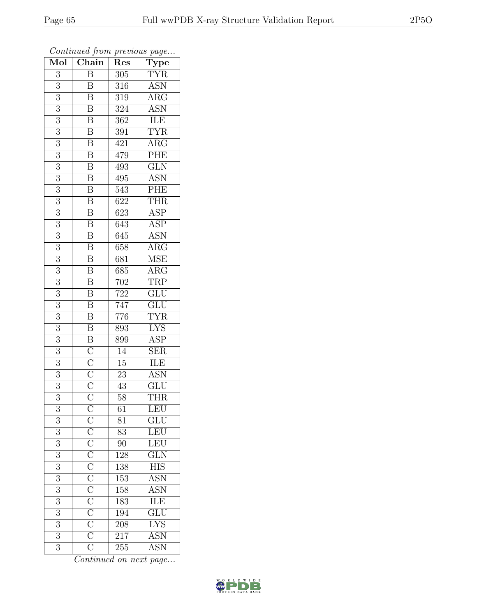| Mol              | $\boldsymbol{\theta}$<br>Chain                                          | ı<br>Res         | ÷.<br>$\overline{v}$<br>$\overline{\text{Type}}$ |
|------------------|-------------------------------------------------------------------------|------------------|--------------------------------------------------|
| $\overline{3}$   | $\overline{B}$                                                          | 305              | <b>TYR</b>                                       |
| $\overline{3}$   | B                                                                       | 316              | <b>ASN</b>                                       |
| $\overline{3}$   | B                                                                       | $\overline{319}$ | $\overline{\rm{ARG}}$                            |
| 3                | $\overline{\mathrm{B}}$                                                 | 324              | <b>ASN</b>                                       |
| $\overline{3}$   | $\overline{\mathrm{B}}$                                                 | $36\overline{2}$ | ILE                                              |
| 3                | $\overline{\mathrm{B}}$                                                 | 391              | <b>TYR</b>                                       |
| 3                | $\overline{\mathrm{B}}$                                                 | 421              | $\rm{ARG}$                                       |
| $\overline{3}$   | $\overline{\mathbf{B}}$                                                 | 479              | PHE                                              |
| 3                | $\overline{B}$                                                          | 493              | GLN                                              |
| $\overline{3}$   | $\overline{\mathbf{B}}$                                                 | 495              | <b>ASN</b>                                       |
| 3                | $\overline{\mathrm{B}}$                                                 | 543              | PHE                                              |
| $\overline{3}$   | $\overline{\mathrm{B}}$                                                 | 622              | <b>THR</b>                                       |
| $\overline{3}$   | $\overline{\mathbf{B}}$                                                 | 623              | <b>ASP</b>                                       |
| $\boldsymbol{3}$ | $\boldsymbol{\mathrm{B}}$                                               | 643              | $\overline{\text{ASP}}$                          |
| $\overline{3}$   | $\overline{\mathrm{B}}$                                                 | 645              | <b>ASN</b>                                       |
| $\mathfrak{Z}$   | $\boldsymbol{B}$                                                        | 658              | $\overline{\text{ARG}}$                          |
| $\overline{3}$   | $\overline{\mathbf{B}}$                                                 | 681              | <b>MSE</b>                                       |
| $\boldsymbol{3}$ | $\overline{\mathbf{B}}$                                                 | 685              | $\rm{ARG}$                                       |
| $\overline{3}$   | $\overline{\mathrm{B}}$                                                 | 702              | <b>TRP</b>                                       |
| $\overline{3}$   | $\overline{\mathrm{B}}$                                                 | 722              | $\overline{\text{GLU}}$                          |
| $\overline{3}$   | $\overline{\mathrm{B}}$                                                 | $\overline{747}$ | $\overline{\text{GLU}}$                          |
| $\overline{3}$   | $\overline{\mathrm{B}}$                                                 | 776              | <b>TYR</b>                                       |
| 3                | $\overline{\mathbf{B}}$                                                 | 893              | <b>LYS</b>                                       |
| 3                | $\overline{B}$                                                          | 899              | $\overline{\rm ASP}$                             |
| $\overline{3}$   |                                                                         | 14               | <b>SER</b>                                       |
| 3                |                                                                         | $15\,$           | <b>ILE</b>                                       |
| $\overline{3}$   | $\frac{\overline{C}}{\overline{C}}$ $\frac{\overline{C}}{\overline{C}}$ | $\overline{23}$  | <b>ASN</b>                                       |
| 3                |                                                                         | 43               | <b>GLU</b>                                       |
| $\overline{3}$   |                                                                         | 58               | <b>THR</b>                                       |
| $\boldsymbol{3}$ |                                                                         | 61               | LEU                                              |
| 3                |                                                                         | 81               | $\overline{\text{GLU}}$                          |
| $\overline{3}$   |                                                                         | $\overline{83}$  | $\frac{LEU}{E}$                                  |
| 3                |                                                                         | 90               | LEU                                              |
| $\overline{3}$   |                                                                         | 128              | $\overline{\text{GLN}}$                          |
| $\sqrt{3}$       |                                                                         | 138              | $\overline{\text{HIS}}$                          |
| $\overline{3}$   |                                                                         | $\overline{153}$ | <b>ASN</b>                                       |
| $\overline{3}$   |                                                                         | 158              | ASN<br>ILE                                       |
| $\overline{3}$   |                                                                         | 183              |                                                  |
| 3                |                                                                         | 194              | $\frac{\overbrace{\text{GLU}}}{\text{LYS}}$      |
| $\overline{3}$   |                                                                         | $\overline{208}$ |                                                  |
| $\overline{3}$   |                                                                         | $2\overline{17}$ | <b>ASN</b>                                       |
| $\overline{3}$   |                                                                         | 255              | <b>ASN</b>                                       |

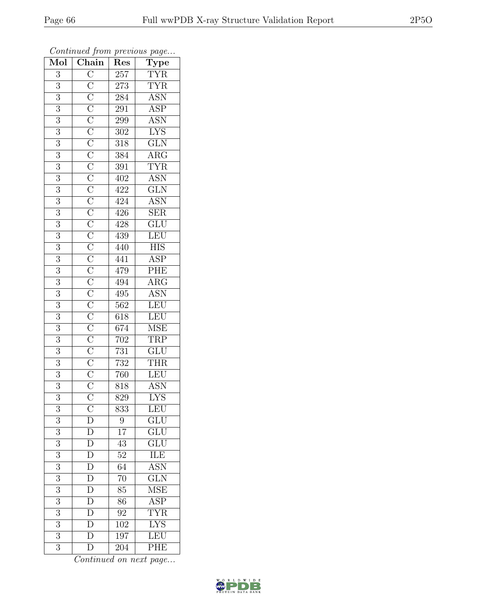| $\overline{\text{Mol}}$ | $\frac{1}{\text{Chain}}$ | <b>I</b><br>Res  | $\overline{ }$<br>$\overline{ }$<br>Type       |
|-------------------------|--------------------------|------------------|------------------------------------------------|
| $\overline{3}$          |                          | 257              | $\frac{\text{TYR}}{\text{TYR}}$                |
| $\overline{3}$          |                          | 273              |                                                |
| $\overline{3}$          |                          | $\sqrt{284}$     | $\frac{\overline{\mathrm{ASN}}}{\mathrm{ASP}}$ |
| $\boldsymbol{3}$        |                          | 291              |                                                |
| $\overline{3}$          |                          | $\,299$          | <b>ASN</b>                                     |
| $\overline{3}$          |                          | $302\,$          | <b>LYS</b>                                     |
| $\boldsymbol{3}$        |                          | $318\,$          | $\frac{\text{GLN}}{\text{ARG}}$                |
| $\overline{3}$          |                          | 384              |                                                |
| $\boldsymbol{3}$        |                          | 391              | $\frac{\text{TYR}}{\text{ASN}}$                |
| $\overline{3}$          |                          | 402              |                                                |
| $\overline{3}$          |                          | 422              | $\overline{\text{GLN}}$                        |
| $\overline{3}$          |                          | 424              | <b>ASN</b>                                     |
| $\overline{3}$          |                          | 426              | SER                                            |
| $\sqrt{3}$              |                          | $\overline{428}$ | $\overline{\text{GLU}}$                        |
| $\overline{3}$          |                          | 439              | LEU                                            |
| $\boldsymbol{3}$        |                          | 440              | $\overline{\mathrm{HIS}}$                      |
| $\overline{3}$          |                          | 441              | $\overline{\text{ASP}}$                        |
| $\boldsymbol{3}$        |                          | 479              | $\frac{\text{PHE}}{\text{ARG}}$                |
| $\overline{3}$          |                          | $\overline{494}$ |                                                |
| $\overline{3}$          |                          | 495              | ASN<br>LEU                                     |
| $\overline{3}$          |                          | 562              |                                                |
| $\overline{3}$          |                          | 618              | LEU<br>MSE                                     |
| 3                       |                          | 674              |                                                |
| $\overline{3}$          |                          | $\sqrt{702}$     | TRP                                            |
| $\overline{3}$          |                          | 731              | $\overline{\text{GLU}}$                        |
| 3                       |                          | 732              | <b>THR</b>                                     |
| $\overline{3}$          |                          | 760              | LEU                                            |
| 3                       |                          | 818              | <b>ASN</b>                                     |
| $\overline{3}$          |                          | 829              | $\overline{\text{LYS}}$                        |
| 3                       | $\bar{C}$                | 833              | LEU                                            |
| 3                       | D                        | 9                | $\overline{\text{GLU}}$                        |
| $\overline{3}$          | $\overline{D}$           | $\overline{17}$  | $\overline{\text{GLU}}$                        |
| 3                       | $\overline{D}$           | 43               | GLU                                            |
| $\overline{3}$          | $\overline{D}$           | $\overline{52}$  | ILE                                            |
| $\sqrt{3}$              | $\overline{D}$           | 64               | ASN                                            |
| $\overline{3}$          | $\frac{\overline{D}}{D}$ | $\overline{70}$  | $\overline{\text{GLN}}$                        |
| $\overline{3}$          |                          | 85               | <b>MSE</b>                                     |
| 3                       | $\overline{\rm D}$       | 86               | <b>ASP</b>                                     |
| 3                       | $\overline{\mathbf{D}}$  | 92               | <b>TYR</b>                                     |
| $\overline{3}$          | $\mathbf D$              | 102              | <b>LYS</b>                                     |
| $\overline{3}$          | $\overline{\rm D}$       | 197              | LEU                                            |
| $\overline{3}$          | $\overline{\rm D}$       | 204              | $\overline{\mathrm{PHE}}$                      |

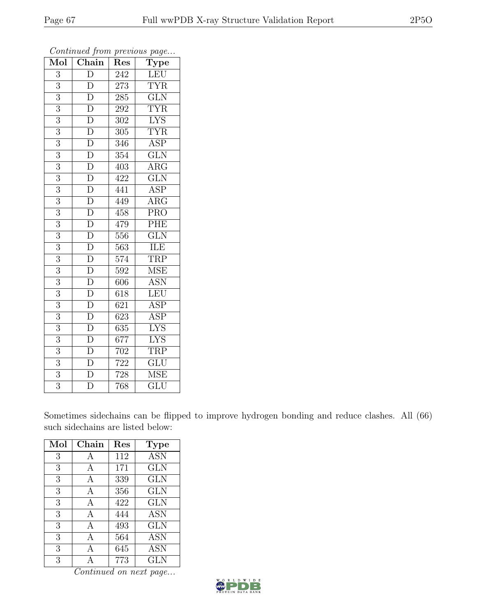| Mol              | $\mathbf{v}$<br>Chain | x.<br>Res        | $\mathbf{r}$<br>$\overline{v}$<br>$\overline{\mathrm{T}}$ ype |
|------------------|-----------------------|------------------|---------------------------------------------------------------|
| 3                | D                     | 242              | LEU                                                           |
| $\overline{3}$   | $\overline{\rm D}$    | 273              | <b>TYR</b>                                                    |
| $\overline{3}$   | $\overline{D}$        | 285              | $\overline{\text{GLN}}$                                       |
| $\overline{3}$   | $\overline{\rm D}$    | 292              | <b>TYR</b>                                                    |
| $\overline{3}$   | $\overline{\rm D}$    | 302              | $\overline{\text{LYS}}$                                       |
| $\overline{3}$   | $\overline{\rm D}$    | 305              | <b>TYR</b>                                                    |
| $\overline{3}$   | $\overline{\rm D}$    | 346              | <b>ASP</b>                                                    |
| $\overline{3}$   | $\overline{D}$        | 354              | $\overline{\text{GLN}}$                                       |
| $\overline{3}$   | $\overline{\rm D}$    | 403              | $AR\overline{G}$                                              |
| $\overline{3}$   | $\overline{D}$        | 422              | $\overline{\text{GLN}}$                                       |
| $\overline{3}$   | $\overline{D}$        | 441              | ASP                                                           |
| $\overline{3}$   | $\overline{\rm D}$    | 449              | $\overline{\rm{ARG}}$                                         |
| $\overline{3}$   | $\overline{\rm D}$    | 458              | <b>PRO</b>                                                    |
| $\overline{3}$   | $\overline{\rm D}$    | 479              | PHE                                                           |
| $\overline{3}$   | $\overline{\rm D}$    | 556              | $\overline{\text{GLN}}$                                       |
| $\overline{3}$   | $\overline{\rm D}$    | 563              | <b>ILE</b>                                                    |
| $\boldsymbol{3}$ | $\overline{D}$        | 574              | <b>TRP</b>                                                    |
| $\overline{3}$   | $\overline{D}$        | 592              | <b>MSE</b>                                                    |
| 3                | $\overline{D}$        | 606              | $\overline{\text{ASN}}$                                       |
| $\overline{3}$   | $\overline{\rm D}$    | 618              | LEU                                                           |
| 3                | $\overline{\rm D}$    | 621              | <b>ASP</b>                                                    |
| $\overline{3}$   | $\overline{\rm D}$    | $\overline{623}$ | $\overline{\text{ASP}}$                                       |
| $\overline{3}$   | $\overline{\rm D}$    | 635              | $\overline{\text{LYS}}$                                       |
| $\overline{3}$   | $\overline{D}$        | 677              | $\overline{\text{LYS}}$                                       |
| $\overline{3}$   | $\overline{\rm D}$    | 702              | <b>TRP</b>                                                    |
| 3                | $\overline{D}$        | 722              | $\overline{\text{GLU}}$                                       |
| $\overline{3}$   | $\overline{D}$        | 728              | $\overline{\rm MSE}$                                          |
| $\overline{3}$   | $\overline{\rm D}$    | 768              | <b>GLU</b>                                                    |

Sometimes sidechains can be flipped to improve hydrogen bonding and reduce clashes. All (66) such sidechains are listed below:

| Mol | Chain | Res | Type       |
|-----|-------|-----|------------|
| 3   | A     | 112 | <b>ASN</b> |
| 3   | A     | 171 | <b>GLN</b> |
| 3   | А     | 339 | <b>GLN</b> |
| 3   | А     | 356 | <b>GLN</b> |
| 3   | А     | 422 | <b>GLN</b> |
| 3   | А     | 444 | <b>ASN</b> |
| 3   | А     | 493 | <b>GLN</b> |
| 3   | А     | 564 | <b>ASN</b> |
| 3   |       | 645 | <b>ASN</b> |
| 3   |       | 773 | <b>GLN</b> |

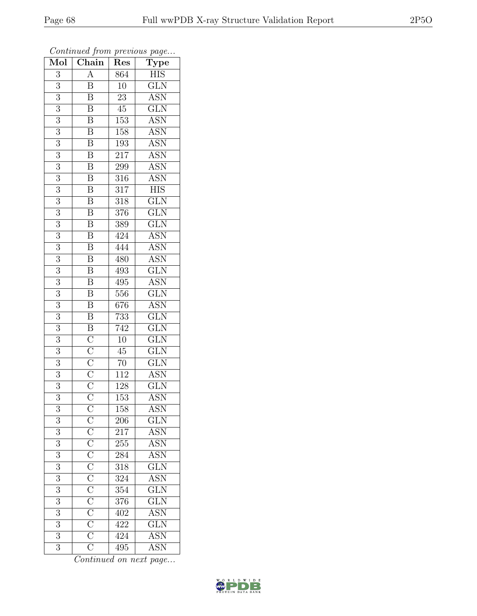| $\overline{A}$<br><b>HIS</b><br>3<br>864<br>$\overline{\text{GLN}}$<br>3<br>$\boldsymbol{B}$<br>10<br>$\overline{\mathrm{B}}$<br><b>ASN</b><br>$\overline{3}$<br>23<br>$\overline{3}$<br>GLN<br>$\boldsymbol{B}$<br>$45\,$<br>$\overline{3}$<br>$\overline{\mathrm{B}}$<br>$\overline{153}$<br><b>ASN</b><br>$\overline{\mathrm{B}}$<br><b>ASN</b><br>3<br>158<br>$\overline{\mathbf{B}}$<br>$\overline{\mathrm{ASN}}$<br>$\boldsymbol{3}$<br>193<br>$\overline{\mathrm{B}}$<br><b>ASN</b><br>$\overline{3}$<br>217<br>$\overline{\mathrm{B}}$<br>3<br><b>ASN</b><br>299<br>$\overline{\mathrm{B}}$<br><b>ASN</b><br>$\overline{3}$<br>316<br>$\overline{\text{B}}$<br><b>HIS</b><br>3<br>317<br>$\overline{\mathrm{B}}$<br>$\overline{\text{GLN}}$<br>3<br>318<br>$\overline{\mathbf{B}}$<br>$\overline{\text{GLN}}$<br>$\overline{3}$<br>376<br>$\overline{\mathrm{B}}$<br>$\overline{\text{GLN}}$<br>3<br>$\overline{389}$<br>$\overline{\mathbf{B}}$<br>$\overline{3}$<br><b>ASN</b><br>424<br><b>ASN</b><br>$\boldsymbol{\mathrm{B}}$<br>$\sqrt{3}$<br>444<br>$\overline{\mathbf{B}}$<br>$\overline{3}$<br><b>ASN</b><br>480<br>$\overline{\text{GLN}}$<br>3<br>$\boldsymbol{\mathrm{B}}$<br>493<br>$\overline{\mathrm{B}}$<br>$\overline{3}$<br><b>ASN</b><br>495<br>$\overline{\text{GLN}}$<br>$\overline{\mathbf{B}}$<br>$\overline{3}$<br>556<br>$\overline{\mathrm{B}}$<br><b>ASN</b><br>3<br>676<br>$\overline{\mathbf{B}}$<br>$\overline{\text{GLN}}$<br>$\overline{3}$<br>733<br>$\overline{3}$<br>$\overline{\mathbf{B}}$<br>GLN<br>742<br>$\frac{\overline{C}}{\overline{C}}$ $\frac{\overline{C}}{\overline{C}}$<br>$\overline{3}$<br>$\overline{10}$<br>GLN<br>$\overline{\text{GLN}}$<br>$\overline{3}$<br>45<br>3<br><b>GLN</b><br>70<br>$\overline{3}$<br><b>ASN</b><br>112<br>GLN<br>3<br>128<br>$\frac{8}{\text{C}}$<br>$\overline{3}$<br>$\overline{\mathrm{ASN}}$<br>153<br>$\underbrace{\overline{C}}_{\overline{C}} \overline{\overline{C}}_{\overline{C}} \overline{\overline{C}}_{\overline{C}} \overline{\overline{C}}_{\overline{C}} \overline{\overline{C}}_{\overline{C}} \overline{\overline{C}}_{\overline{C}} \overline{\overline{C}}_{\overline{C}}$<br>158<br>$\operatorname{ASN}$<br>3<br>$\widetilde{{\rm GLN}}$<br>3<br>206<br>$\overline{3}$<br>$\overline{\text{ASN}}$<br>217<br><b>ASN</b><br>3<br>255<br>$\overline{3}$<br>ASN<br>284<br>$\overline{\text{GLN}}$<br>$\sqrt{3}$<br>318<br>ASN <sup>-</sup><br>$\overline{3}$<br>324<br>$\overline{\text{GLN}}$<br>354<br>3<br>$\overline{\text{GLN}}$<br>$\overline{3}$<br>376<br>$\frac{\overline{\mathrm{ASN}}}{\overline{\phantom{a}}}\$<br>$\boldsymbol{3}$<br>402<br>$\overline{\text{GLN}}$<br>3<br>422<br><b>ASN</b><br>$\overline{3}$<br>424<br>$\overline{3}$<br>495<br><b>ASN</b> | Mol | $\frac{1}{\sqrt{2}}$<br>Chain | x.<br>Res | x.<br>$\overline{v}$<br>$\overline{\text{Type}}$ |
|----------------------------------------------------------------------------------------------------------------------------------------------------------------------------------------------------------------------------------------------------------------------------------------------------------------------------------------------------------------------------------------------------------------------------------------------------------------------------------------------------------------------------------------------------------------------------------------------------------------------------------------------------------------------------------------------------------------------------------------------------------------------------------------------------------------------------------------------------------------------------------------------------------------------------------------------------------------------------------------------------------------------------------------------------------------------------------------------------------------------------------------------------------------------------------------------------------------------------------------------------------------------------------------------------------------------------------------------------------------------------------------------------------------------------------------------------------------------------------------------------------------------------------------------------------------------------------------------------------------------------------------------------------------------------------------------------------------------------------------------------------------------------------------------------------------------------------------------------------------------------------------------------------------------------------------------------------------------------------------------------------------------------------------------------------------------------------------------------------------------------------------------------------------------------------------------------------------------------------------------------------------------------------------------------------------------------------------------------------------------------------------------------------------------------------------------------------------------------------------------------------------------------------------------------------------------------------------------------------------------------------------------------------------------------------------------------------------------------------------------------------------------------------------|-----|-------------------------------|-----------|--------------------------------------------------|
|                                                                                                                                                                                                                                                                                                                                                                                                                                                                                                                                                                                                                                                                                                                                                                                                                                                                                                                                                                                                                                                                                                                                                                                                                                                                                                                                                                                                                                                                                                                                                                                                                                                                                                                                                                                                                                                                                                                                                                                                                                                                                                                                                                                                                                                                                                                                                                                                                                                                                                                                                                                                                                                                                                                                                                                        |     |                               |           |                                                  |
|                                                                                                                                                                                                                                                                                                                                                                                                                                                                                                                                                                                                                                                                                                                                                                                                                                                                                                                                                                                                                                                                                                                                                                                                                                                                                                                                                                                                                                                                                                                                                                                                                                                                                                                                                                                                                                                                                                                                                                                                                                                                                                                                                                                                                                                                                                                                                                                                                                                                                                                                                                                                                                                                                                                                                                                        |     |                               |           |                                                  |
|                                                                                                                                                                                                                                                                                                                                                                                                                                                                                                                                                                                                                                                                                                                                                                                                                                                                                                                                                                                                                                                                                                                                                                                                                                                                                                                                                                                                                                                                                                                                                                                                                                                                                                                                                                                                                                                                                                                                                                                                                                                                                                                                                                                                                                                                                                                                                                                                                                                                                                                                                                                                                                                                                                                                                                                        |     |                               |           |                                                  |
|                                                                                                                                                                                                                                                                                                                                                                                                                                                                                                                                                                                                                                                                                                                                                                                                                                                                                                                                                                                                                                                                                                                                                                                                                                                                                                                                                                                                                                                                                                                                                                                                                                                                                                                                                                                                                                                                                                                                                                                                                                                                                                                                                                                                                                                                                                                                                                                                                                                                                                                                                                                                                                                                                                                                                                                        |     |                               |           |                                                  |
|                                                                                                                                                                                                                                                                                                                                                                                                                                                                                                                                                                                                                                                                                                                                                                                                                                                                                                                                                                                                                                                                                                                                                                                                                                                                                                                                                                                                                                                                                                                                                                                                                                                                                                                                                                                                                                                                                                                                                                                                                                                                                                                                                                                                                                                                                                                                                                                                                                                                                                                                                                                                                                                                                                                                                                                        |     |                               |           |                                                  |
|                                                                                                                                                                                                                                                                                                                                                                                                                                                                                                                                                                                                                                                                                                                                                                                                                                                                                                                                                                                                                                                                                                                                                                                                                                                                                                                                                                                                                                                                                                                                                                                                                                                                                                                                                                                                                                                                                                                                                                                                                                                                                                                                                                                                                                                                                                                                                                                                                                                                                                                                                                                                                                                                                                                                                                                        |     |                               |           |                                                  |
|                                                                                                                                                                                                                                                                                                                                                                                                                                                                                                                                                                                                                                                                                                                                                                                                                                                                                                                                                                                                                                                                                                                                                                                                                                                                                                                                                                                                                                                                                                                                                                                                                                                                                                                                                                                                                                                                                                                                                                                                                                                                                                                                                                                                                                                                                                                                                                                                                                                                                                                                                                                                                                                                                                                                                                                        |     |                               |           |                                                  |
|                                                                                                                                                                                                                                                                                                                                                                                                                                                                                                                                                                                                                                                                                                                                                                                                                                                                                                                                                                                                                                                                                                                                                                                                                                                                                                                                                                                                                                                                                                                                                                                                                                                                                                                                                                                                                                                                                                                                                                                                                                                                                                                                                                                                                                                                                                                                                                                                                                                                                                                                                                                                                                                                                                                                                                                        |     |                               |           |                                                  |
|                                                                                                                                                                                                                                                                                                                                                                                                                                                                                                                                                                                                                                                                                                                                                                                                                                                                                                                                                                                                                                                                                                                                                                                                                                                                                                                                                                                                                                                                                                                                                                                                                                                                                                                                                                                                                                                                                                                                                                                                                                                                                                                                                                                                                                                                                                                                                                                                                                                                                                                                                                                                                                                                                                                                                                                        |     |                               |           |                                                  |
|                                                                                                                                                                                                                                                                                                                                                                                                                                                                                                                                                                                                                                                                                                                                                                                                                                                                                                                                                                                                                                                                                                                                                                                                                                                                                                                                                                                                                                                                                                                                                                                                                                                                                                                                                                                                                                                                                                                                                                                                                                                                                                                                                                                                                                                                                                                                                                                                                                                                                                                                                                                                                                                                                                                                                                                        |     |                               |           |                                                  |
|                                                                                                                                                                                                                                                                                                                                                                                                                                                                                                                                                                                                                                                                                                                                                                                                                                                                                                                                                                                                                                                                                                                                                                                                                                                                                                                                                                                                                                                                                                                                                                                                                                                                                                                                                                                                                                                                                                                                                                                                                                                                                                                                                                                                                                                                                                                                                                                                                                                                                                                                                                                                                                                                                                                                                                                        |     |                               |           |                                                  |
|                                                                                                                                                                                                                                                                                                                                                                                                                                                                                                                                                                                                                                                                                                                                                                                                                                                                                                                                                                                                                                                                                                                                                                                                                                                                                                                                                                                                                                                                                                                                                                                                                                                                                                                                                                                                                                                                                                                                                                                                                                                                                                                                                                                                                                                                                                                                                                                                                                                                                                                                                                                                                                                                                                                                                                                        |     |                               |           |                                                  |
|                                                                                                                                                                                                                                                                                                                                                                                                                                                                                                                                                                                                                                                                                                                                                                                                                                                                                                                                                                                                                                                                                                                                                                                                                                                                                                                                                                                                                                                                                                                                                                                                                                                                                                                                                                                                                                                                                                                                                                                                                                                                                                                                                                                                                                                                                                                                                                                                                                                                                                                                                                                                                                                                                                                                                                                        |     |                               |           |                                                  |
|                                                                                                                                                                                                                                                                                                                                                                                                                                                                                                                                                                                                                                                                                                                                                                                                                                                                                                                                                                                                                                                                                                                                                                                                                                                                                                                                                                                                                                                                                                                                                                                                                                                                                                                                                                                                                                                                                                                                                                                                                                                                                                                                                                                                                                                                                                                                                                                                                                                                                                                                                                                                                                                                                                                                                                                        |     |                               |           |                                                  |
|                                                                                                                                                                                                                                                                                                                                                                                                                                                                                                                                                                                                                                                                                                                                                                                                                                                                                                                                                                                                                                                                                                                                                                                                                                                                                                                                                                                                                                                                                                                                                                                                                                                                                                                                                                                                                                                                                                                                                                                                                                                                                                                                                                                                                                                                                                                                                                                                                                                                                                                                                                                                                                                                                                                                                                                        |     |                               |           |                                                  |
|                                                                                                                                                                                                                                                                                                                                                                                                                                                                                                                                                                                                                                                                                                                                                                                                                                                                                                                                                                                                                                                                                                                                                                                                                                                                                                                                                                                                                                                                                                                                                                                                                                                                                                                                                                                                                                                                                                                                                                                                                                                                                                                                                                                                                                                                                                                                                                                                                                                                                                                                                                                                                                                                                                                                                                                        |     |                               |           |                                                  |
|                                                                                                                                                                                                                                                                                                                                                                                                                                                                                                                                                                                                                                                                                                                                                                                                                                                                                                                                                                                                                                                                                                                                                                                                                                                                                                                                                                                                                                                                                                                                                                                                                                                                                                                                                                                                                                                                                                                                                                                                                                                                                                                                                                                                                                                                                                                                                                                                                                                                                                                                                                                                                                                                                                                                                                                        |     |                               |           |                                                  |
|                                                                                                                                                                                                                                                                                                                                                                                                                                                                                                                                                                                                                                                                                                                                                                                                                                                                                                                                                                                                                                                                                                                                                                                                                                                                                                                                                                                                                                                                                                                                                                                                                                                                                                                                                                                                                                                                                                                                                                                                                                                                                                                                                                                                                                                                                                                                                                                                                                                                                                                                                                                                                                                                                                                                                                                        |     |                               |           |                                                  |
|                                                                                                                                                                                                                                                                                                                                                                                                                                                                                                                                                                                                                                                                                                                                                                                                                                                                                                                                                                                                                                                                                                                                                                                                                                                                                                                                                                                                                                                                                                                                                                                                                                                                                                                                                                                                                                                                                                                                                                                                                                                                                                                                                                                                                                                                                                                                                                                                                                                                                                                                                                                                                                                                                                                                                                                        |     |                               |           |                                                  |
|                                                                                                                                                                                                                                                                                                                                                                                                                                                                                                                                                                                                                                                                                                                                                                                                                                                                                                                                                                                                                                                                                                                                                                                                                                                                                                                                                                                                                                                                                                                                                                                                                                                                                                                                                                                                                                                                                                                                                                                                                                                                                                                                                                                                                                                                                                                                                                                                                                                                                                                                                                                                                                                                                                                                                                                        |     |                               |           |                                                  |
|                                                                                                                                                                                                                                                                                                                                                                                                                                                                                                                                                                                                                                                                                                                                                                                                                                                                                                                                                                                                                                                                                                                                                                                                                                                                                                                                                                                                                                                                                                                                                                                                                                                                                                                                                                                                                                                                                                                                                                                                                                                                                                                                                                                                                                                                                                                                                                                                                                                                                                                                                                                                                                                                                                                                                                                        |     |                               |           |                                                  |
|                                                                                                                                                                                                                                                                                                                                                                                                                                                                                                                                                                                                                                                                                                                                                                                                                                                                                                                                                                                                                                                                                                                                                                                                                                                                                                                                                                                                                                                                                                                                                                                                                                                                                                                                                                                                                                                                                                                                                                                                                                                                                                                                                                                                                                                                                                                                                                                                                                                                                                                                                                                                                                                                                                                                                                                        |     |                               |           |                                                  |
|                                                                                                                                                                                                                                                                                                                                                                                                                                                                                                                                                                                                                                                                                                                                                                                                                                                                                                                                                                                                                                                                                                                                                                                                                                                                                                                                                                                                                                                                                                                                                                                                                                                                                                                                                                                                                                                                                                                                                                                                                                                                                                                                                                                                                                                                                                                                                                                                                                                                                                                                                                                                                                                                                                                                                                                        |     |                               |           |                                                  |
|                                                                                                                                                                                                                                                                                                                                                                                                                                                                                                                                                                                                                                                                                                                                                                                                                                                                                                                                                                                                                                                                                                                                                                                                                                                                                                                                                                                                                                                                                                                                                                                                                                                                                                                                                                                                                                                                                                                                                                                                                                                                                                                                                                                                                                                                                                                                                                                                                                                                                                                                                                                                                                                                                                                                                                                        |     |                               |           |                                                  |
|                                                                                                                                                                                                                                                                                                                                                                                                                                                                                                                                                                                                                                                                                                                                                                                                                                                                                                                                                                                                                                                                                                                                                                                                                                                                                                                                                                                                                                                                                                                                                                                                                                                                                                                                                                                                                                                                                                                                                                                                                                                                                                                                                                                                                                                                                                                                                                                                                                                                                                                                                                                                                                                                                                                                                                                        |     |                               |           |                                                  |
|                                                                                                                                                                                                                                                                                                                                                                                                                                                                                                                                                                                                                                                                                                                                                                                                                                                                                                                                                                                                                                                                                                                                                                                                                                                                                                                                                                                                                                                                                                                                                                                                                                                                                                                                                                                                                                                                                                                                                                                                                                                                                                                                                                                                                                                                                                                                                                                                                                                                                                                                                                                                                                                                                                                                                                                        |     |                               |           |                                                  |
|                                                                                                                                                                                                                                                                                                                                                                                                                                                                                                                                                                                                                                                                                                                                                                                                                                                                                                                                                                                                                                                                                                                                                                                                                                                                                                                                                                                                                                                                                                                                                                                                                                                                                                                                                                                                                                                                                                                                                                                                                                                                                                                                                                                                                                                                                                                                                                                                                                                                                                                                                                                                                                                                                                                                                                                        |     |                               |           |                                                  |
|                                                                                                                                                                                                                                                                                                                                                                                                                                                                                                                                                                                                                                                                                                                                                                                                                                                                                                                                                                                                                                                                                                                                                                                                                                                                                                                                                                                                                                                                                                                                                                                                                                                                                                                                                                                                                                                                                                                                                                                                                                                                                                                                                                                                                                                                                                                                                                                                                                                                                                                                                                                                                                                                                                                                                                                        |     |                               |           |                                                  |
|                                                                                                                                                                                                                                                                                                                                                                                                                                                                                                                                                                                                                                                                                                                                                                                                                                                                                                                                                                                                                                                                                                                                                                                                                                                                                                                                                                                                                                                                                                                                                                                                                                                                                                                                                                                                                                                                                                                                                                                                                                                                                                                                                                                                                                                                                                                                                                                                                                                                                                                                                                                                                                                                                                                                                                                        |     |                               |           |                                                  |
|                                                                                                                                                                                                                                                                                                                                                                                                                                                                                                                                                                                                                                                                                                                                                                                                                                                                                                                                                                                                                                                                                                                                                                                                                                                                                                                                                                                                                                                                                                                                                                                                                                                                                                                                                                                                                                                                                                                                                                                                                                                                                                                                                                                                                                                                                                                                                                                                                                                                                                                                                                                                                                                                                                                                                                                        |     |                               |           |                                                  |
|                                                                                                                                                                                                                                                                                                                                                                                                                                                                                                                                                                                                                                                                                                                                                                                                                                                                                                                                                                                                                                                                                                                                                                                                                                                                                                                                                                                                                                                                                                                                                                                                                                                                                                                                                                                                                                                                                                                                                                                                                                                                                                                                                                                                                                                                                                                                                                                                                                                                                                                                                                                                                                                                                                                                                                                        |     |                               |           |                                                  |
|                                                                                                                                                                                                                                                                                                                                                                                                                                                                                                                                                                                                                                                                                                                                                                                                                                                                                                                                                                                                                                                                                                                                                                                                                                                                                                                                                                                                                                                                                                                                                                                                                                                                                                                                                                                                                                                                                                                                                                                                                                                                                                                                                                                                                                                                                                                                                                                                                                                                                                                                                                                                                                                                                                                                                                                        |     |                               |           |                                                  |
|                                                                                                                                                                                                                                                                                                                                                                                                                                                                                                                                                                                                                                                                                                                                                                                                                                                                                                                                                                                                                                                                                                                                                                                                                                                                                                                                                                                                                                                                                                                                                                                                                                                                                                                                                                                                                                                                                                                                                                                                                                                                                                                                                                                                                                                                                                                                                                                                                                                                                                                                                                                                                                                                                                                                                                                        |     |                               |           |                                                  |
|                                                                                                                                                                                                                                                                                                                                                                                                                                                                                                                                                                                                                                                                                                                                                                                                                                                                                                                                                                                                                                                                                                                                                                                                                                                                                                                                                                                                                                                                                                                                                                                                                                                                                                                                                                                                                                                                                                                                                                                                                                                                                                                                                                                                                                                                                                                                                                                                                                                                                                                                                                                                                                                                                                                                                                                        |     |                               |           |                                                  |
|                                                                                                                                                                                                                                                                                                                                                                                                                                                                                                                                                                                                                                                                                                                                                                                                                                                                                                                                                                                                                                                                                                                                                                                                                                                                                                                                                                                                                                                                                                                                                                                                                                                                                                                                                                                                                                                                                                                                                                                                                                                                                                                                                                                                                                                                                                                                                                                                                                                                                                                                                                                                                                                                                                                                                                                        |     |                               |           |                                                  |
|                                                                                                                                                                                                                                                                                                                                                                                                                                                                                                                                                                                                                                                                                                                                                                                                                                                                                                                                                                                                                                                                                                                                                                                                                                                                                                                                                                                                                                                                                                                                                                                                                                                                                                                                                                                                                                                                                                                                                                                                                                                                                                                                                                                                                                                                                                                                                                                                                                                                                                                                                                                                                                                                                                                                                                                        |     |                               |           |                                                  |
|                                                                                                                                                                                                                                                                                                                                                                                                                                                                                                                                                                                                                                                                                                                                                                                                                                                                                                                                                                                                                                                                                                                                                                                                                                                                                                                                                                                                                                                                                                                                                                                                                                                                                                                                                                                                                                                                                                                                                                                                                                                                                                                                                                                                                                                                                                                                                                                                                                                                                                                                                                                                                                                                                                                                                                                        |     |                               |           |                                                  |
|                                                                                                                                                                                                                                                                                                                                                                                                                                                                                                                                                                                                                                                                                                                                                                                                                                                                                                                                                                                                                                                                                                                                                                                                                                                                                                                                                                                                                                                                                                                                                                                                                                                                                                                                                                                                                                                                                                                                                                                                                                                                                                                                                                                                                                                                                                                                                                                                                                                                                                                                                                                                                                                                                                                                                                                        |     |                               |           |                                                  |
|                                                                                                                                                                                                                                                                                                                                                                                                                                                                                                                                                                                                                                                                                                                                                                                                                                                                                                                                                                                                                                                                                                                                                                                                                                                                                                                                                                                                                                                                                                                                                                                                                                                                                                                                                                                                                                                                                                                                                                                                                                                                                                                                                                                                                                                                                                                                                                                                                                                                                                                                                                                                                                                                                                                                                                                        |     |                               |           |                                                  |
|                                                                                                                                                                                                                                                                                                                                                                                                                                                                                                                                                                                                                                                                                                                                                                                                                                                                                                                                                                                                                                                                                                                                                                                                                                                                                                                                                                                                                                                                                                                                                                                                                                                                                                                                                                                                                                                                                                                                                                                                                                                                                                                                                                                                                                                                                                                                                                                                                                                                                                                                                                                                                                                                                                                                                                                        |     |                               |           |                                                  |
|                                                                                                                                                                                                                                                                                                                                                                                                                                                                                                                                                                                                                                                                                                                                                                                                                                                                                                                                                                                                                                                                                                                                                                                                                                                                                                                                                                                                                                                                                                                                                                                                                                                                                                                                                                                                                                                                                                                                                                                                                                                                                                                                                                                                                                                                                                                                                                                                                                                                                                                                                                                                                                                                                                                                                                                        |     |                               |           |                                                  |
|                                                                                                                                                                                                                                                                                                                                                                                                                                                                                                                                                                                                                                                                                                                                                                                                                                                                                                                                                                                                                                                                                                                                                                                                                                                                                                                                                                                                                                                                                                                                                                                                                                                                                                                                                                                                                                                                                                                                                                                                                                                                                                                                                                                                                                                                                                                                                                                                                                                                                                                                                                                                                                                                                                                                                                                        |     |                               |           |                                                  |

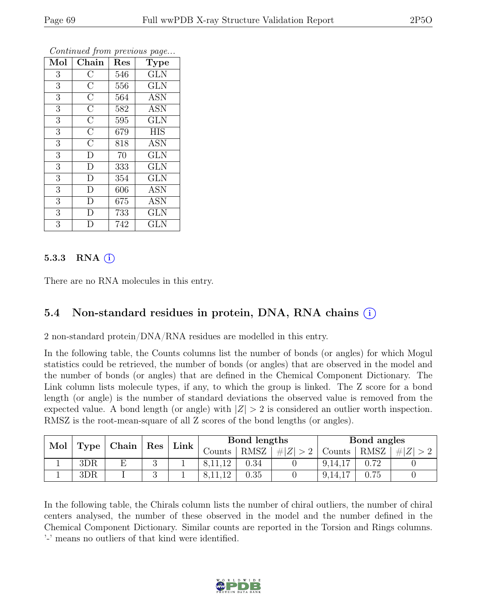| Mol              | Chain              | Res | Type       |
|------------------|--------------------|-----|------------|
| 3                | $\overline{\rm C}$ | 546 | <b>GLN</b> |
| 3                | $\overline{\rm C}$ | 556 | <b>GLN</b> |
| $\overline{3}$   | $\overline{\rm C}$ | 564 | <b>ASN</b> |
| $\overline{3}$   | $\overline{\rm C}$ | 582 | <b>ASN</b> |
| $\overline{3}$   | $\overline{\rm C}$ | 595 | <b>GLN</b> |
| $\boldsymbol{3}$ | $\overline{\rm C}$ | 679 | <b>HIS</b> |
| 3                | $\overline{\rm C}$ | 818 | <b>ASN</b> |
| $\overline{3}$   | $\overline{D}$     | 70  | <b>GLN</b> |
| 3                | D                  | 333 | <b>GLN</b> |
| $\overline{3}$   | D                  | 354 | <b>GLN</b> |
| $\overline{3}$   | D                  | 606 | <b>ASN</b> |
| $\overline{3}$   | $\overline{D}$     | 675 | <b>ASN</b> |
| $\overline{3}$   | D                  | 733 | <b>GLN</b> |
| 3                | D                  | 742 | <b>GLN</b> |

#### 5.3.3 RNA  $(i)$

There are no RNA molecules in this entry.

## 5.4 Non-standard residues in protein, DNA, RNA chains (i)

2 non-standard protein/DNA/RNA residues are modelled in this entry.

In the following table, the Counts columns list the number of bonds (or angles) for which Mogul statistics could be retrieved, the number of bonds (or angles) that are observed in the model and the number of bonds (or angles) that are defined in the Chemical Component Dictionary. The Link column lists molecule types, if any, to which the group is linked. The Z score for a bond length (or angle) is the number of standard deviations the observed value is removed from the expected value. A bond length (or angle) with  $|Z| > 2$  is considered an outlier worth inspection. RMSZ is the root-mean-square of all Z scores of the bond lengths (or angles).

| Mol |      | Chain | Res | $\pm$ Link $\pm$ | Bond lengths |          |         | Bond angles |             |   |
|-----|------|-------|-----|------------------|--------------|----------|---------|-------------|-------------|---|
|     | Type |       |     |                  | ۔ounts       | RMSZ     | $\# Z $ | Counts      | <b>RMSZ</b> | # |
|     | 3DR  |       |     |                  |              | $0.34\,$ |         | 9, 14, 17   |             |   |
|     | 3DR  |       |     |                  |              | $0.35\,$ |         | 9,14,17     | 0.75        |   |

In the following table, the Chirals column lists the number of chiral outliers, the number of chiral centers analysed, the number of these observed in the model and the number defined in the Chemical Component Dictionary. Similar counts are reported in the Torsion and Rings columns. '-' means no outliers of that kind were identified.

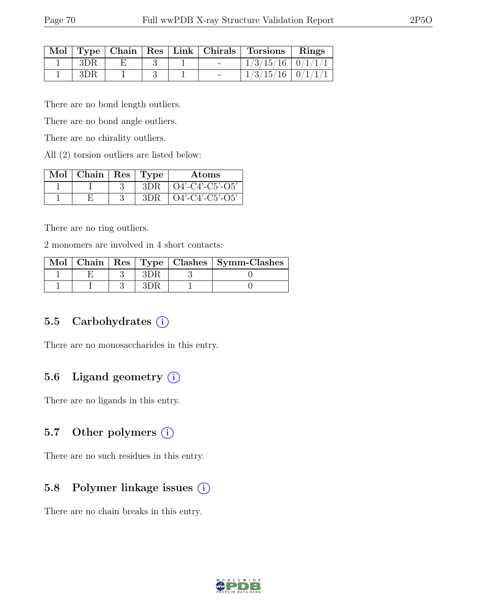|     |  |  | Mol   Type   Chain   Res   Link   Chirals   Torsions   Rings |  |
|-----|--|--|--------------------------------------------------------------|--|
| 3DR |  |  | $1/3/15/16$   $0/1/1/1$                                      |  |
| 3DR |  |  | $1/3/15/16$   $0/1/1/1$                                      |  |

There are no bond length outliers.

There are no bond angle outliers.

There are no chirality outliers.

All (2) torsion outliers are listed below:

| $Mol$   Chain   Res   Type |     | Atoms                         |
|----------------------------|-----|-------------------------------|
|                            | 3DR | $\vert$ O4'-C4'-C5'-O5'       |
|                            | 3DR | $\overline{)$ Q4'-C4'-C5'-O5' |

There are no ring outliers.

2 monomers are involved in 4 short contacts:

|  |  | Mol   Chain   Res   Type   Clashes   Symm-Clashes |
|--|--|---------------------------------------------------|
|  |  |                                                   |
|  |  |                                                   |

### 5.5 Carbohydrates  $(i)$

There are no monosaccharides in this entry.

## 5.6 Ligand geometry  $(i)$

There are no ligands in this entry.

#### 5.7 Other polymers  $(i)$

There are no such residues in this entry.

### 5.8 Polymer linkage issues (i)

There are no chain breaks in this entry.

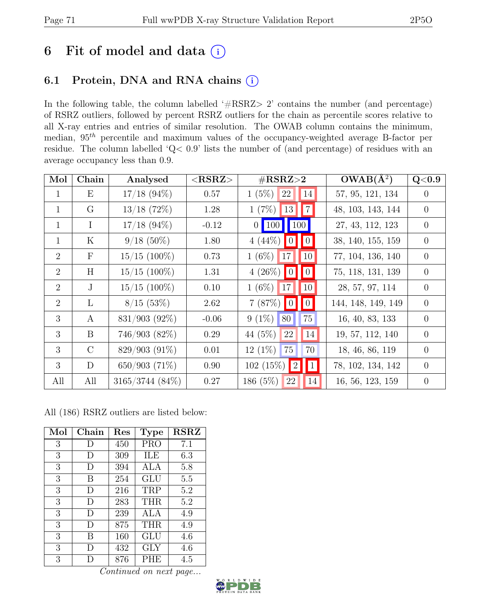# 6 Fit of model and data  $(i)$

## 6.1 Protein, DNA and RNA chains (i)

In the following table, the column labelled ' $\#\text{RSRZ}>2$ ' contains the number (and percentage) of RSRZ outliers, followed by percent RSRZ outliers for the chain as percentile scores relative to all X-ray entries and entries of similar resolution. The OWAB column contains the minimum, median,  $95<sup>th</sup>$  percentile and maximum values of the occupancy-weighted average B-factor per residue. The column labelled 'Q< 0.9' lists the number of (and percentage) of residues with an average occupancy less than 0.9.

| Mol            | Chain         | Analysed        | $<$ RSRZ $>$ | $\#\text{RSRZ}\text{>2}$                    | $OWAB(A^2)$        | Q <sub>0.9</sub> |
|----------------|---------------|-----------------|--------------|---------------------------------------------|--------------------|------------------|
| $\mathbf{1}$   | Ε             | $17/18$ (94\%)  | 0.57         | $1(5\%)$<br>22<br> 14                       | 57, 95, 121, 134   | $\theta$         |
| $\mathbf{1}$   | $\rm G$       | $13/18$ (72%)   | 1.28         | 7 <br>13<br>$1(7\%)$                        | 48, 103, 143, 144  | $\overline{0}$   |
| $\mathbf{1}$   | $\mathbf I$   | $17/18$ (94%)   | $-0.12$      | $\vert$ 100<br>$0 \mid 100 \mid$            | 27, 43, 112, 123   | $\theta$         |
| $\mathbf{1}$   | $\rm K$       | $9/18(50\%)$    | 1.80         | $4(44\%)$<br>$\vert\vert 0 \vert$<br> 0     | 38, 140, 155, 159  | $\overline{0}$   |
| 2              | $\mathbf{F}$  | $15/15$ (100%)  | 0.73         | $1(6\%)$ 17<br> 10                          | 77, 104, 136, 140  | $\overline{0}$   |
| 2              | H             | $15/15$ (100%)  | 1.31         | $4(26\%)$ 0<br>$\vert \vert 0 \vert$        | 75, 118, 131, 139  | $\overline{0}$   |
| $\overline{2}$ | J             | $15/15$ (100%)  | 0.10         | $ 10\rangle$<br>$1(6\%)$<br>17 <sup>1</sup> | 28, 57, 97, 114    | $\theta$         |
| 2              | L             | $8/15$ (53\%)   | 2.62         | 0 <br>7(87%)<br> 0                          | 144, 148, 149, 149 | $\overline{0}$   |
| 3              | A             | 831/903 (92%)   | $-0.06$      | $9(1\%)$<br>75<br>80                        | 16, 40, 83, 133    | $\overline{0}$   |
| 3              | B             | 746/903(82%)    | 0.29         | 14<br>44 (5%)<br>22                         | 19, 57, 112, 140   | $\overline{0}$   |
| 3              | $\mathcal{C}$ | 829/903 (91%)   | 0.01         | 70<br>$12(1\%)$<br>75                       | 18, 46, 86, 119    | $\overline{0}$   |
| 3              | D             | 650/903(71%)    | 0.90         | $102(15\%)$   2 <br>$\vert 1 \vert$         | 78, 102, 134, 142  | $\overline{0}$   |
| All            | All           | 3165/3744 (84%) | 0.27         | 186 $(5%)$<br>14<br>22                      | 16, 56, 123, 159   | $\theta$         |

All (186) RSRZ outliers are listed below:

| Mol            | Chain | Res | <b>Type</b> | <b>RSRZ</b> |
|----------------|-------|-----|-------------|-------------|
| $\mathfrak{Z}$ | D     | 450 | <b>PRO</b>  | 7.1         |
| 3              | D     | 309 | ILE         | 6.3         |
| 3              | D     | 394 | ALA         | 5.8         |
| 3              | В     | 254 | GLU         | 5.5         |
| 3              | D     | 216 | TRP         | 5.2         |
| 3              | D     | 283 | <b>THR</b>  | 5.2         |
| 3              | D     | 239 | ALA         | 4.9         |
| 3              | D     | 875 | THR         | 4.9         |
| 3              | B     | 160 | GLU         | 4.6         |
| 3              | D     | 432 | GLY         | 4.6         |
| 3              | I)    | 876 | PHE         | 4.5         |

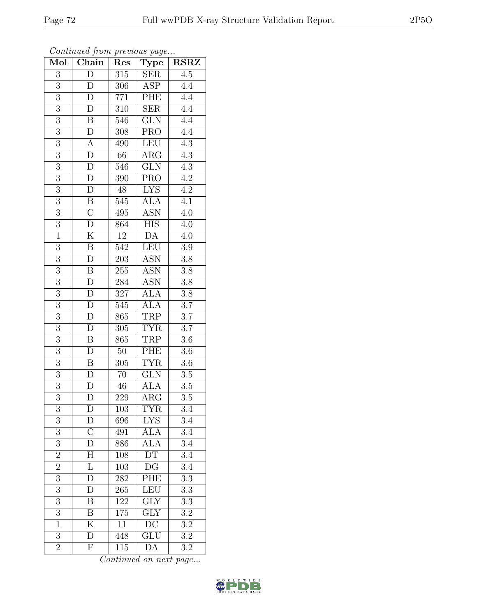| Mol              | $\overline{\text{Chain}}$ | Res             | <b>Type</b>             | $\operatorname{RSRZ}$ |
|------------------|---------------------------|-----------------|-------------------------|-----------------------|
| $\overline{3}$   | $\overline{D}$            | 315             | <b>SER</b>              | $\overline{4.5}$      |
| 3                | D                         | 306             | <b>ASP</b>              | 4.4                   |
| $\overline{3}$   | $\overline{\rm D}$        | 771             | PHE                     | $\overline{4.4}$      |
| $\overline{3}$   | ${\rm D}$                 | 310             | <b>SER</b>              | 4.4                   |
| $\overline{3}$   | $\overline{\mathbf{B}}$   | 546             | $\overline{\text{GLN}}$ | $\overline{4.4}$      |
| $\overline{3}$   | D                         | 308             | <b>PRO</b>              | $4.\overline{4}$      |
| $\overline{3}$   | $\overline{A}$            | 490             | <b>LEU</b>              | $\overline{4.3}$      |
| $\overline{3}$   | $\overline{\rm D}$        | 66              | $AR\overline{G}$        | 4.3                   |
| $\overline{3}$   | ${\rm D}$                 | 546             | <b>GLN</b>              | $4.3\,$               |
| $\overline{3}$   | $\overline{\mathrm{D}}$   | 390             | <b>PRO</b>              | $\overline{4.2}$      |
| $\overline{3}$   | $\mathbf D$               | 48              | <b>LYS</b>              | $\overline{4.2}$      |
| $\overline{3}$   | $\overline{\mathrm{B}}$   | 545             | <b>ALA</b>              | $\overline{4.1}$      |
| $\overline{3}$   | $\overline{\rm C}$        | 495             | <b>ASN</b>              | 4.0                   |
| $\overline{3}$   | $\overline{\rm D}$        | 864             | <b>HIS</b>              | 4.0                   |
| $\overline{1}$   | $\overline{\mathrm{K}}$   | 12              | DA                      | 4.0                   |
| $\overline{3}$   | $\boldsymbol{B}$          | 542             | $\overline{\text{LEU}}$ | 3.9                   |
| $\overline{3}$   | $\overline{\rm D}$        | 203             | <b>ASN</b>              | $\overline{3.8}$      |
| 3                | $\boldsymbol{B}$          | 255             | <b>ASN</b>              | 3.8                   |
| 3                | ${\rm D}$                 | 284             | <b>ASN</b>              | 3.8                   |
| $\overline{3}$   | $\overline{D}$            | 327             | <b>ALA</b>              | $3.8\,$               |
| $\overline{3}$   | D                         | 545             | <b>ALA</b>              | $\overline{3.7}$      |
| $\overline{3}$   | $\overline{\rm D}$        | 865             | <b>TRP</b>              | $\overline{3.7}$      |
| 3                | D                         | 305             | <b>TYR</b>              | 3.7                   |
| $\overline{3}$   | $\overline{\mathrm{B}}$   | 865             | TRP                     | $3.6\,$               |
| $\overline{3}$   | $\mathbf{D}$              | $50\,$          | PHE                     | 3.6                   |
| $\overline{3}$   | $\boldsymbol{B}$          | 305             | <b>TYR</b>              | 3.6                   |
| $\overline{3}$   | $\overline{\rm D}$        | $\overline{70}$ | $\overline{\text{GLN}}$ | 3.5                   |
| $\overline{3}$   | $\mathbf{D}$              | 46              | <b>ALA</b>              | $\overline{3.5}$      |
| $\overline{3}$   | $\mathbf{D}$              | 229             | ARG                     | 3.5                   |
| 3                | D                         | 103             | <b>TYR</b>              | $\overline{3.4}$      |
| $\overline{3}$   | D                         | 696             | <b>LYS</b>              | 3.4                   |
| $\overline{3}$   | $\overline{\rm C}$        | 491             | ALA                     | $\overline{3.4}$      |
| $\boldsymbol{3}$ | $\overline{D}$            | 886             | <b>ALA</b>              | 3.4                   |
| $\overline{2}$   | $\overline{H}$            | 108             | $\overline{\text{DT}}$  | $\overline{3.4}$      |
| $\overline{2}$   | $\overline{\mathrm{L}}$   | 103             | DG                      | 3.4                   |
| $\overline{3}$   | $\overline{\mathrm{D}}$   | 282             | PHE                     | $\overline{3.3}$      |
| $\overline{3}$   | D                         | 265             | <b>LEU</b>              | $\overline{3.3}$      |
| 3                | B                         | 122             | <b>GLY</b>              | 3.3                   |
| $\overline{3}$   | $\overline{\mathrm{B}}$   | 175             | GLY                     | $3.\overline{2}$      |
| $\mathbf{1}$     | K                         | 11              | $\overline{DC}$         | $3.\overline{2}$      |
| $\overline{3}$   | $\overline{\rm D}$        | 448             | $\overline{\text{GLU}}$ | $\overline{3.2}$      |
| $\overline{2}$   | $\boldsymbol{\mathrm{F}}$ | 115             | DA                      | 3.2                   |

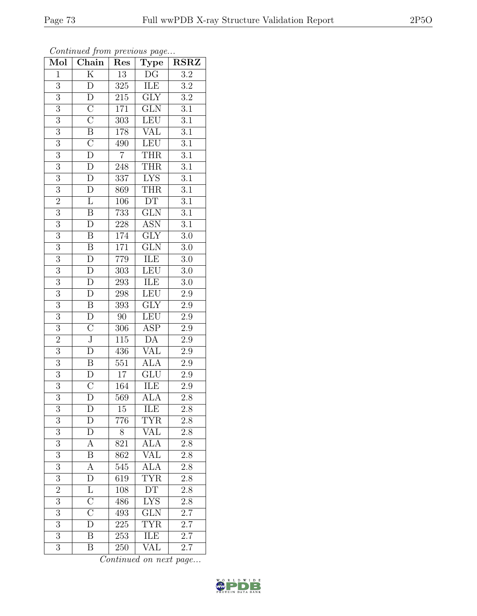| Mol            | Chain                         | Res              | <b>Type</b>                | <b>RSRZ</b>      |  |
|----------------|-------------------------------|------------------|----------------------------|------------------|--|
| $\mathbf{1}$   | $\overline{\mathrm{K}}$       | $\overline{13}$  | $\overline{\mathrm{DG}}$   | $\overline{3.2}$ |  |
| 3              | ${\rm D}$                     | 325              | ILE                        | $\overline{3.2}$ |  |
| $\overline{3}$ | $\overline{\rm D}$            | 215              | $\overline{\text{GLY}}$    | $\overline{3.2}$ |  |
| $\overline{3}$ | $\overline{C}$                | $171\,$          | $\overline{\text{GLN}}$    | $\overline{3.1}$ |  |
| $\overline{3}$ | $\overline{C}$                | $\overline{303}$ | <b>LEU</b>                 | $\overline{3.1}$ |  |
| $\overline{3}$ | $\overline{\mathbf{B}}$       | $178\,$          | <b>VAL</b>                 | $\overline{3.1}$ |  |
| $\overline{3}$ | $\overline{\rm C}$            | 490              | LEU                        | $\overline{3.1}$ |  |
| $\overline{3}$ | $\overline{\rm D}$            | $\overline{7}$   | <b>THR</b>                 | $\overline{3.1}$ |  |
| $\overline{3}$ | $\overline{D}$                | $\overline{248}$ | <b>THR</b>                 | $\overline{3.1}$ |  |
| $\overline{3}$ | $\overline{D}$                | $\overline{337}$ | <b>LYS</b>                 | $\overline{3.1}$ |  |
| $\overline{3}$ | $\mathbf{D}$                  | 869              | <b>THR</b>                 | $\overline{3.1}$ |  |
| $\overline{2}$ | $\overline{\mathrm{L}}$       | 106              | DT                         | $\overline{3.1}$ |  |
| $\overline{3}$ | $\overline{B}$                | 733              | $\overline{\text{GLN}}$    | $\overline{3.1}$ |  |
| $\overline{3}$ | $\overline{D}$                | $228\,$          | <b>ASN</b>                 | $\overline{3.1}$ |  |
| $\overline{3}$ | $\overline{\mathbf{B}}$       | 174              | $\overline{\text{GLY}}$    | $\overline{3.0}$ |  |
| $\overline{3}$ | $\overline{B}$                | 171              | GLN                        | $3.0\,$          |  |
| $\overline{3}$ | $\overline{D}$                | 779              | <b>ILE</b>                 | $\overline{3.0}$ |  |
| $\overline{3}$ | $\overline{D}$                | $30\overline{3}$ | LEU                        | $3.0\,$          |  |
| $\overline{3}$ | ${\rm D}$                     | 293              | ILE                        | $3.0\,$          |  |
| $\overline{3}$ | $\overline{\rm D}$            | LEU<br>298       |                            | 2.9              |  |
| $\overline{3}$ | $\, {\bf B}$                  | 393              | $\overline{GIY}$           | $2.9\,$          |  |
| $\overline{3}$ | $\overline{D}$                | $\overline{90}$  | <b>LEU</b>                 | $\overline{2.9}$ |  |
| $\overline{3}$ | $\overline{C}$                | 306              | ASP                        | $2.\overline{9}$ |  |
| $\overline{2}$ | $\overline{\text{J}}$         | $\overline{115}$ | $\overline{\rm DA}$        | $\overline{2.9}$ |  |
| $\overline{3}$ | D                             | 436              | $\overline{\text{VAL}}$    | $2.9\,$          |  |
| $\overline{3}$ | $\, {\bf B}$                  | $\overline{551}$ | <b>ALA</b>                 | $\overline{2.9}$ |  |
| $\overline{3}$ | $\overline{D}$                | $\overline{17}$  | GLU                        | $2.9\,$          |  |
| $\overline{3}$ | $\overline{\rm C}$            | 164              | <b>ILE</b>                 | $2.9\,$          |  |
| $\overline{3}$ | D                             | 569              | ALA                        | 2.8              |  |
| 3              | D                             | 15               | ILE                        | 2.8              |  |
| 3              | D                             | 776              | <b>TYR</b>                 | $2.8\,$          |  |
| $\overline{3}$ | D                             | 8                | <b>VAL</b>                 | $2.\overline{8}$ |  |
| 3              | $\boldsymbol{A}$              | 821              | $\widehat{ALA}$            | 2.8              |  |
| $\overline{3}$ | $\overline{\mathbf{B}}$       | 862              | $\overline{\text{VAL}}$    | $2.\overline{8}$ |  |
| $\overline{3}$ | A                             | 545              | $\overline{ALA}$           | 2.8              |  |
| $\overline{3}$ | $\overline{D}$                | 619              | $\overline{\text{TYR}}$    | $2.8\,$          |  |
| $\overline{2}$ | $\overline{\text{L}}$         | 108              | $\mathop{\rm DT}\nolimits$ | 2.8              |  |
| 3              | $\overline{\text{C}}$         | 486              | <b>LYS</b>                 | $2.8\,$          |  |
| $\overline{3}$ | $\overline{\overline{\rm C}}$ | 493              | GLN                        | 2.7              |  |
| 3              | $\overline{D}$                | 225              | <b>TYR</b>                 | 2.7              |  |
| $\overline{3}$ | $\overline{\mathbf{B}}$       | 253              | ILE                        | $\overline{2.7}$ |  |
| $\overline{3}$ | Β                             | 250              | VAL                        | 2.7              |  |

Continued from previous page...

Continued on next page...

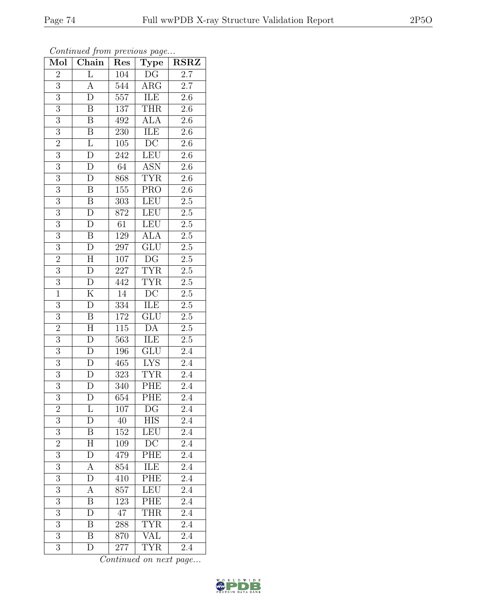| Mol            | Chain                   | Type<br>Res                    |                                | <b>RSRZ</b>      |  |
|----------------|-------------------------|--------------------------------|--------------------------------|------------------|--|
| $\overline{2}$ | L                       | DG<br>104                      |                                | 2.7              |  |
| $\overline{3}$ | А                       | 544<br>$\rm{ARG}$              |                                | 2.7              |  |
| $\overline{3}$ | $\overline{\rm D}$      | 557<br>ILE                     |                                | $2.6\,$          |  |
| $\overline{3}$ | $\, {\bf B}$            | 137<br><b>THR</b>              |                                | $2.6\,$          |  |
| $\overline{3}$ | $\overline{\mathrm{B}}$ | 492                            | <b>ALA</b><br>$\overline{2.6}$ |                  |  |
| $\overline{3}$ | $\, {\bf B}$            | 230                            | ILE                            | 2.6              |  |
| $\overline{2}$ | $\overline{\mathrm{L}}$ | 105                            | $\overline{DC}$                | $2.6\,$          |  |
| $\overline{3}$ | D                       | 242                            | <b>LEU</b>                     | 2.6              |  |
| $\overline{3}$ | $\overline{\rm D}$      | 64                             | <b>ASN</b>                     | 2.6              |  |
| $\overline{3}$ | $\overline{\rm D}$      | 868                            | <b>TYR</b>                     | $\overline{2.6}$ |  |
| $\overline{3}$ | $\, {\bf B}$            | 155                            | <b>PRO</b>                     | $2.6\,$          |  |
| $\overline{3}$ | $\overline{\mathbf{B}}$ | 303                            | LEU                            | $2.5\,$          |  |
| $\overline{3}$ | $\overline{D}$          | 872                            | <b>LEU</b>                     | $2.5\,$          |  |
| $\overline{3}$ | $\overline{\rm D}$      | 61                             | $\overline{\text{LEU}}$        | $2.5\,$          |  |
| $\overline{3}$ | $\overline{\mathbf{B}}$ | 129                            | $\overline{ALA}$               | $\overline{2.5}$ |  |
| $\overline{3}$ | ${\rm D}$               | 297                            | GLU                            | $2.5\,$          |  |
| $\overline{2}$ | $\overline{H}$          | 107                            | $\overline{\mathrm{DG}}$       | $\overline{2.5}$ |  |
| $\overline{3}$ | D                       | 227                            | <b>TYR</b>                     | $2.5\,$          |  |
| $\overline{3}$ | $\mathbf D$             | 442                            | <b>TYR</b>                     | $\overline{2.5}$ |  |
| $\overline{1}$ | $\overline{\mathrm{K}}$ | $\overline{DC}$<br>14          |                                | $2.\overline{5}$ |  |
| $\overline{3}$ | D                       | 334                            | ILE                            | $2.5\,$          |  |
| $\overline{3}$ | $\overline{\mathbf{B}}$ | $\overline{\text{GLU}}$<br>172 |                                | $\overline{2.5}$ |  |
| $\overline{2}$ | H                       | 115                            | DA                             | $\overline{2.5}$ |  |
| $\overline{3}$ | $\overline{\rm D}$      | $\overline{563}$               | ILE                            | $2.5\,$          |  |
| $\overline{3}$ | $\overline{D}$          | 196                            | GLU                            | $2.4\,$          |  |
| $\overline{3}$ | $\mathbf{D}$            | 465                            | <b>LYS</b>                     | 2.4              |  |
| $\overline{3}$ | $\mathbf{D}$            | 323                            | <b>TYR</b>                     | 2.4              |  |
| $\overline{3}$ | $\overline{D}$          | 340                            | <b>PHE</b>                     | 2.4              |  |
| $\overline{3}$ | $\overline{\rm D}$      | 654                            | PHE                            | 2.4              |  |
| $\overline{c}$ | L                       | 107                            | DG                             | 2.4              |  |
| 3              | D                       | 40                             | <b>HIS</b>                     | 2.4              |  |
| $\overline{3}$ | $\overline{\mathrm{B}}$ | 152                            | LEU                            | 2.4              |  |
| $\overline{2}$ | $\mathbf H$             | 109                            | DC                             | $2.\overline{4}$ |  |
| $\overline{3}$ | $\overline{\rm D}$      | 479                            | $\overline{\mathrm{PHE}}$      | $\overline{2.4}$ |  |
| 3              | A                       | 854                            | ILE                            | 2.4              |  |
| $\overline{3}$ | $\mathbf D$             | $\overline{410}$               | PHE                            | $\overline{2.4}$ |  |
| $\overline{3}$ | A                       | 857                            | <b>LEU</b>                     | 2.4              |  |
| $\overline{3}$ | B                       | 123                            | PHE                            | $2.\overline{4}$ |  |
| $\overline{3}$ | D                       | 47                             | <b>THR</b>                     | 2.4              |  |
| 3              | Β                       | 288                            | <b>TYR</b>                     | 2.4              |  |
| $\overline{3}$ | Β                       | 870                            | <b>VAL</b>                     | 2.4              |  |
| $\overline{3}$ | D                       | 277                            | <b>TYR</b>                     | 2.4              |  |

Continued from previous page...

Continued on next page...

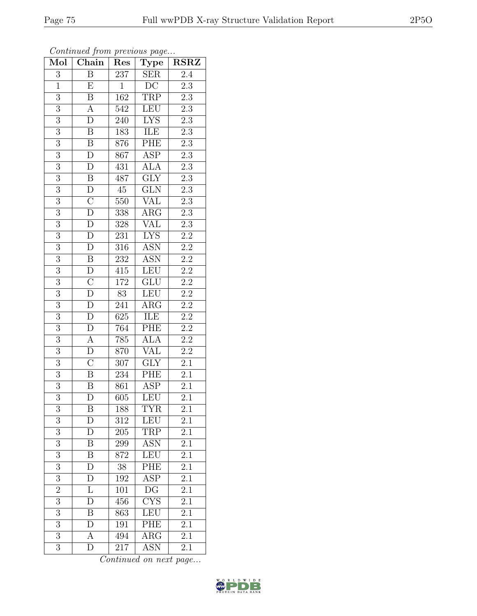| Mol            | Chain                   | Type<br>Res                            |                         | $\operatorname{RSRZ}$ |  |
|----------------|-------------------------|----------------------------------------|-------------------------|-----------------------|--|
| 3              | Β                       | 237<br><b>SER</b>                      |                         | 2.4                   |  |
| $\overline{1}$ | E                       | $\overline{\text{DC}}$<br>$\mathbf{1}$ |                         | $\overline{2.3}$      |  |
| $\overline{3}$ | $\overline{\mathrm{B}}$ | <b>TRP</b><br>162                      |                         | $2.\overline{3}$      |  |
| $\overline{3}$ | $\boldsymbol{A}$        | <b>LEU</b><br>542                      |                         | $2.3\,$               |  |
| $\overline{3}$ | $\overline{\rm D}$      | 240                                    | <b>LYS</b>              | $\overline{2.3}$      |  |
| 3              | $\boldsymbol{B}$        | 183                                    | ILE                     | $2.\overline{3}$      |  |
| $\overline{3}$ | $\overline{\mathrm{B}}$ | 876                                    | PHE                     | $\overline{2.3}$      |  |
| $\overline{3}$ | $\overline{D}$          | 867                                    | <b>ASP</b>              | $\overline{2.3}$      |  |
| $\overline{3}$ | ${\rm D}$               | 431                                    | ALA                     | $2.\overline{3}$      |  |
| $\overline{3}$ | $\overline{\mathrm{B}}$ | 487                                    | $\overline{\text{GLY}}$ | $\overline{2.3}$      |  |
| $\overline{3}$ | $\overline{D}$          | $45\,$                                 | GLN                     | $2.3\,$               |  |
| $\overline{3}$ | $\overline{\rm C}$      | 550                                    | $\rm \sqrt{AL}$         | $\overline{2.3}$      |  |
| $\overline{3}$ | $\overline{D}$          | 338                                    | ARG                     | $\overline{2.3}$      |  |
| $\overline{3}$ | ${\rm D}$               | 328                                    | <b>VAL</b>              | $2.\overline{3}$      |  |
| $\overline{3}$ | $\overline{\rm D}$      | 231                                    | $\overline{\text{LYS}}$ | $\overline{2.2}$      |  |
| $\overline{3}$ | $\mathbf D$             | 316                                    | <b>ASN</b>              | $2.\overline{2}$      |  |
| $\overline{3}$ | $\overline{\mathbf{B}}$ | $232\,$                                | <b>ASN</b>              | $\overline{2.2}$      |  |
| $\overline{3}$ | ${\rm D}$               | 415                                    | <b>LEU</b>              | $\overline{2.2}$      |  |
| $\overline{3}$ | $\overline{\rm C}$      | 172<br>GLU                             |                         | $\overline{2.2}$      |  |
| $\overline{3}$ | $\overline{\rm D}$      | 83<br>LEU                              |                         | $\overline{2.2}$      |  |
| $\overline{3}$ | $\overline{D}$          | 241                                    | $\rm{ARG}$              | $\overline{2.2}$      |  |
| $\overline{3}$ | $\overline{\rm D}$      | 625                                    | ILE                     | $\overline{2.2}$      |  |
| 3              | ${\rm D}$               | 764                                    | PHE                     | $2.2\,$               |  |
| $\overline{3}$ | $\overline{A}$          | <b>ALA</b><br>785                      |                         | $\overline{2.2}$      |  |
| $\overline{3}$ | ${\rm D}$               | 870                                    | VĀL                     | $2.2\,$               |  |
| $\overline{3}$ | $\overline{\rm C}$      | 307                                    | $\overline{\text{GLY}}$ | 2.1                   |  |
| $\overline{3}$ | $\overline{\mathrm{B}}$ | 234                                    | PHE                     | $\overline{2.1}$      |  |
| $\overline{3}$ | B                       | 861                                    | $\operatorname{ASP}$    | 2.1                   |  |
| $\overline{3}$ | $\overline{\rm D}$      | 605                                    | LEU                     | 2.1                   |  |
| 3              | Β                       | 188                                    | TYR                     | $\overline{2.1}$      |  |
| 3              | D                       | 312                                    | LEU                     | $2.\overline{1}$      |  |
| $\overline{3}$ | $\overline{D}$          | 205                                    | TRP                     | $\overline{2.1}$      |  |
| 3              | B                       | 299                                    | ASN                     | 2.1                   |  |
| $\overline{3}$ | B                       | $\overline{872}$                       | LEU                     | $\overline{2.1}$      |  |
| $\overline{3}$ | D                       | 38                                     | PHE                     | $2.\overline{1}$      |  |
| $\overline{3}$ | D                       | 192                                    | $\overline{\text{ASP}}$ | $\overline{2.1}$      |  |
| $\overline{2}$ | L                       | 101                                    | DG                      | 2.1                   |  |
| $\overline{3}$ | D                       | 456                                    | $\overline{\text{CYS}}$ | 2.1                   |  |
| $\overline{3}$ | Β                       | 863                                    | LEU                     | 2.1                   |  |
| 3              | D                       | 191                                    | PHE                     | 2.1                   |  |
| $\overline{3}$ | А                       | 494                                    | $\rm{ARG}$              | 2.1                   |  |
| 3              | D                       | 217                                    | ASN                     | 2.1                   |  |

Continued from previous page...

Continued on next page...